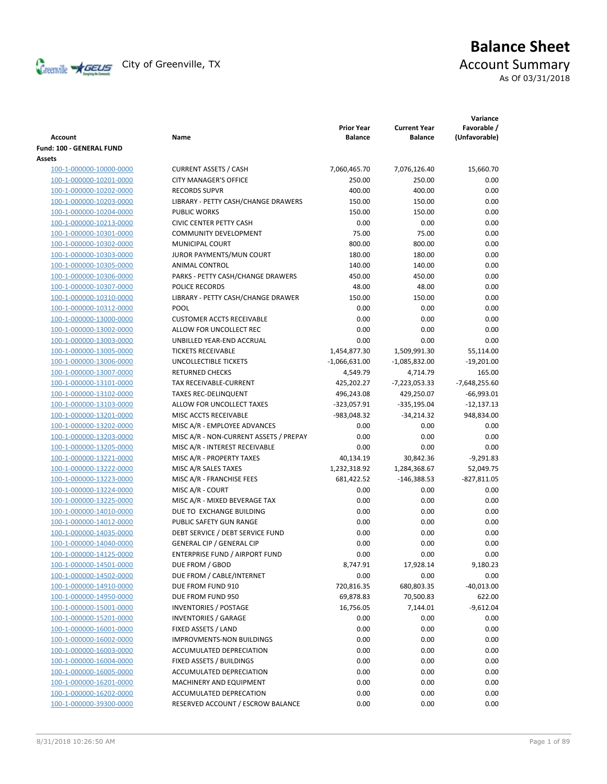

# **Balance Sheet** Creenville  $\star$  GEUS</del> City of Greenville, TX **Account Summary** As Of 03/31/2018

| <b>Account</b>           | Name                                   | <b>Prior Year</b><br><b>Balance</b> | <b>Current Year</b><br><b>Balance</b> | Variance<br>Favorable /<br>(Unfavorable) |
|--------------------------|----------------------------------------|-------------------------------------|---------------------------------------|------------------------------------------|
| Fund: 100 - GENERAL FUND |                                        |                                     |                                       |                                          |
| Assets                   |                                        |                                     |                                       |                                          |
| 100-1-000000-10000-0000  | <b>CURRENT ASSETS / CASH</b>           | 7,060,465.70                        | 7,076,126.40                          | 15,660.70                                |
| 100-1-000000-10201-0000  | <b>CITY MANAGER'S OFFICE</b>           | 250.00                              | 250.00                                | 0.00                                     |
| 100-1-000000-10202-0000  | <b>RECORDS SUPVR</b>                   | 400.00                              | 400.00                                | 0.00                                     |
| 100-1-000000-10203-0000  | LIBRARY - PETTY CASH/CHANGE DRAWERS    | 150.00                              | 150.00                                | 0.00                                     |
| 100-1-000000-10204-0000  | <b>PUBLIC WORKS</b>                    | 150.00                              | 150.00                                | 0.00                                     |
| 100-1-000000-10213-0000  | <b>CIVIC CENTER PETTY CASH</b>         | 0.00                                | 0.00                                  | 0.00                                     |
| 100-1-000000-10301-0000  | <b>COMMUNITY DEVELOPMENT</b>           | 75.00                               | 75.00                                 | 0.00                                     |
| 100-1-000000-10302-0000  | MUNICIPAL COURT                        | 800.00                              | 800.00                                | 0.00                                     |
| 100-1-000000-10303-0000  | JUROR PAYMENTS/MUN COURT               | 180.00                              | 180.00                                | 0.00                                     |
| 100-1-000000-10305-0000  | ANIMAL CONTROL                         | 140.00                              | 140.00                                | 0.00                                     |
| 100-1-000000-10306-0000  | PARKS - PETTY CASH/CHANGE DRAWERS      | 450.00                              | 450.00                                | 0.00                                     |
| 100-1-000000-10307-0000  | POLICE RECORDS                         | 48.00                               | 48.00                                 | 0.00                                     |
| 100-1-000000-10310-0000  | LIBRARY - PETTY CASH/CHANGE DRAWER     | 150.00                              | 150.00                                | 0.00                                     |
| 100-1-000000-10312-0000  | POOL                                   | 0.00                                | 0.00                                  | 0.00                                     |
| 100-1-000000-13000-0000  | <b>CUSTOMER ACCTS RECEIVABLE</b>       | 0.00                                | 0.00                                  | 0.00                                     |
| 100-1-000000-13002-0000  | ALLOW FOR UNCOLLECT REC                | 0.00                                | 0.00                                  | 0.00                                     |
| 100-1-000000-13003-0000  | UNBILLED YEAR-END ACCRUAL              | 0.00                                | 0.00                                  | 0.00                                     |
| 100-1-000000-13005-0000  | <b>TICKETS RECEIVABLE</b>              | 1,454,877.30                        | 1,509,991.30                          | 55,114.00                                |
| 100-1-000000-13006-0000  | UNCOLLECTIBLE TICKETS                  | $-1,066,631.00$                     | $-1,085,832.00$                       | $-19,201.00$                             |
| 100-1-000000-13007-0000  | <b>RETURNED CHECKS</b>                 | 4,549.79                            | 4,714.79                              | 165.00                                   |
| 100-1-000000-13101-0000  | TAX RECEIVABLE-CURRENT                 | 425,202.27                          | $-7,223,053.33$                       | $-7,648,255.60$                          |
| 100-1-000000-13102-0000  | <b>TAXES REC-DELINQUENT</b>            | 496,243.08                          | 429,250.07                            | $-66,993.01$                             |
| 100-1-000000-13103-0000  | ALLOW FOR UNCOLLECT TAXES              | -323,057.91                         | $-335,195.04$                         | $-12,137.13$                             |
| 100-1-000000-13201-0000  | MISC ACCTS RECEIVABLE                  | -983,048.32                         | $-34,214.32$                          | 948,834.00                               |
| 100-1-000000-13202-0000  | MISC A/R - EMPLOYEE ADVANCES           | 0.00                                | 0.00                                  | 0.00                                     |
| 100-1-000000-13203-0000  | MISC A/R - NON-CURRENT ASSETS / PREPAY | 0.00                                | 0.00                                  | 0.00                                     |
| 100-1-000000-13205-0000  | MISC A/R - INTEREST RECEIVABLE         | 0.00                                | 0.00                                  | 0.00                                     |
|                          |                                        |                                     |                                       |                                          |
| 100-1-000000-13221-0000  | MISC A/R - PROPERTY TAXES              | 40,134.19                           | 30,842.36                             | $-9,291.83$                              |
| 100-1-000000-13222-0000  | MISC A/R SALES TAXES                   | 1,232,318.92                        | 1,284,368.67                          | 52,049.75                                |
| 100-1-000000-13223-0000  | MISC A/R - FRANCHISE FEES              | 681,422.52                          | $-146,388.53$                         | $-827,811.05$                            |
| 100-1-000000-13224-0000  | MISC A/R - COURT                       | 0.00                                | 0.00                                  | 0.00                                     |
| 100-1-000000-13225-0000  | MISC A/R - MIXED BEVERAGE TAX          | 0.00                                | 0.00                                  | 0.00                                     |
| 100-1-000000-14010-0000  | DUE TO EXCHANGE BUILDING               | 0.00                                | 0.00                                  | 0.00                                     |
| 100-1-000000-14012-0000  | PUBLIC SAFETY GUN RANGE                | 0.00                                | 0.00                                  | 0.00                                     |
| 100-1-000000-14035-0000  | DEBT SERVICE / DEBT SERVICE FUND       | 0.00                                | 0.00                                  | 0.00                                     |
| 100-1-000000-14040-0000  | <b>GENERAL CIP / GENERAL CIP</b>       | 0.00                                | 0.00                                  | 0.00                                     |
| 100-1-000000-14125-0000  | <b>ENTERPRISE FUND / AIRPORT FUND</b>  | 0.00                                | 0.00                                  | 0.00                                     |
| 100-1-000000-14501-0000  | DUE FROM / GBOD                        | 8,747.91                            | 17,928.14                             | 9,180.23                                 |
| 100-1-000000-14502-0000  | DUE FROM / CABLE/INTERNET              | 0.00                                | 0.00                                  | 0.00                                     |
| 100-1-000000-14910-0000  | DUE FROM FUND 910                      | 720,816.35                          | 680,803.35                            | $-40,013.00$                             |
| 100-1-000000-14950-0000  | DUE FROM FUND 950                      | 69,878.83                           | 70,500.83                             | 622.00                                   |
| 100-1-000000-15001-0000  | <b>INVENTORIES / POSTAGE</b>           | 16,756.05                           | 7,144.01                              | $-9,612.04$                              |
| 100-1-000000-15201-0000  | <b>INVENTORIES / GARAGE</b>            | 0.00                                | 0.00                                  | 0.00                                     |
| 100-1-000000-16001-0000  | FIXED ASSETS / LAND                    | 0.00                                | 0.00                                  | 0.00                                     |
| 100-1-000000-16002-0000  | <b>IMPROVMENTS-NON BUILDINGS</b>       | 0.00                                | 0.00                                  | 0.00                                     |
| 100-1-000000-16003-0000  | ACCUMULATED DEPRECIATION               | 0.00                                | 0.00                                  | 0.00                                     |
| 100-1-000000-16004-0000  | FIXED ASSETS / BUILDINGS               | 0.00                                | 0.00                                  | 0.00                                     |
| 100-1-000000-16005-0000  | ACCUMULATED DEPRECIATION               | 0.00                                | 0.00                                  | 0.00                                     |
| 100-1-000000-16201-0000  | MACHINERY AND EQUIPMENT                | 0.00                                | 0.00                                  | 0.00                                     |
| 100-1-000000-16202-0000  | ACCUMULATED DEPRECATION                | 0.00                                | 0.00                                  | 0.00                                     |
| 100-1-000000-39300-0000  | RESERVED ACCOUNT / ESCROW BALANCE      | 0.00                                | 0.00                                  | 0.00                                     |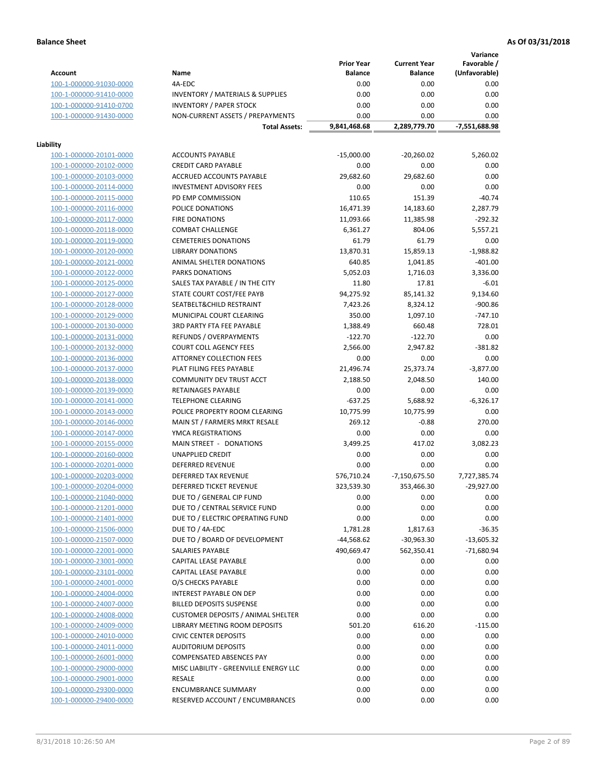**Variance**

|                         |                                                     | <b>Prior Year</b>        | <b>Current Year</b> | Favorable /   |
|-------------------------|-----------------------------------------------------|--------------------------|---------------------|---------------|
| <b>Account</b>          | Name                                                | <b>Balance</b>           | <b>Balance</b>      | (Unfavorable) |
| 100-1-000000-91030-0000 | 4A-EDC                                              | 0.00                     | 0.00                | 0.00          |
| 100-1-000000-91410-0000 | <b>INVENTORY / MATERIALS &amp; SUPPLIES</b>         | 0.00                     | 0.00                | 0.00          |
| 100-1-000000-91410-0700 | <b>INVENTORY / PAPER STOCK</b>                      | 0.00                     | 0.00                | 0.00          |
| 100-1-000000-91430-0000 | NON-CURRENT ASSETS / PREPAYMENTS                    | 0.00                     | 0.00                | 0.00          |
|                         | <b>Total Assets:</b>                                | 9,841,468.68             | 2,289,779.70        | -7,551,688.98 |
|                         |                                                     |                          |                     |               |
| Liability               |                                                     |                          |                     |               |
| 100-1-000000-20101-0000 | <b>ACCOUNTS PAYABLE</b>                             | $-15,000.00$             | $-20,260.02$        | 5,260.02      |
| 100-1-000000-20102-0000 | <b>CREDIT CARD PAYABLE</b>                          | 0.00                     | 0.00                | 0.00          |
| 100-1-000000-20103-0000 | ACCRUED ACCOUNTS PAYABLE                            | 29,682.60                | 29,682.60           | 0.00          |
| 100-1-000000-20114-0000 | <b>INVESTMENT ADVISORY FEES</b>                     | 0.00                     | 0.00                | 0.00          |
| 100-1-000000-20115-0000 | PD EMP COMMISSION                                   | 110.65                   | 151.39              | $-40.74$      |
| 100-1-000000-20116-0000 | POLICE DONATIONS                                    | 16,471.39                | 14,183.60           | 2,287.79      |
| 100-1-000000-20117-0000 | <b>FIRE DONATIONS</b>                               | 11,093.66                | 11,385.98           | $-292.32$     |
| 100-1-000000-20118-0000 | <b>COMBAT CHALLENGE</b>                             | 6,361.27                 | 804.06              | 5,557.21      |
| 100-1-000000-20119-0000 | <b>CEMETERIES DONATIONS</b>                         | 61.79                    | 61.79               | 0.00          |
| 100-1-000000-20120-0000 | <b>LIBRARY DONATIONS</b>                            | 13,870.31                | 15,859.13           | $-1,988.82$   |
| 100-1-000000-20121-0000 | ANIMAL SHELTER DONATIONS                            | 640.85                   | 1,041.85            | $-401.00$     |
| 100-1-000000-20122-0000 | <b>PARKS DONATIONS</b>                              | 5,052.03                 | 1,716.03            | 3,336.00      |
| 100-1-000000-20125-0000 | SALES TAX PAYABLE / IN THE CITY                     | 11.80                    | 17.81               | $-6.01$       |
| 100-1-000000-20127-0000 | STATE COURT COST/FEE PAYB                           | 94,275.92                | 85,141.32           | 9,134.60      |
| 100-1-000000-20128-0000 | SEATBELT&CHILD RESTRAINT                            | 7,423.26                 | 8,324.12            | $-900.86$     |
| 100-1-000000-20129-0000 | MUNICIPAL COURT CLEARING                            | 350.00                   | 1,097.10            | $-747.10$     |
| 100-1-000000-20130-0000 | 3RD PARTY FTA FEE PAYABLE                           | 1,388.49                 | 660.48              | 728.01        |
| 100-1-000000-20131-0000 | REFUNDS / OVERPAYMENTS                              | $-122.70$                | $-122.70$           | 0.00          |
| 100-1-000000-20132-0000 | <b>COURT COLL AGENCY FEES</b>                       | 2,566.00                 | 2,947.82            | $-381.82$     |
| 100-1-000000-20136-0000 | <b>ATTORNEY COLLECTION FEES</b>                     | 0.00                     | 0.00                | 0.00          |
| 100-1-000000-20137-0000 | PLAT FILING FEES PAYABLE                            | 21,496.74                | 25,373.74           | $-3,877.00$   |
| 100-1-000000-20138-0000 | COMMUNITY DEV TRUST ACCT                            | 2,188.50                 | 2,048.50            | 140.00        |
| 100-1-000000-20139-0000 | RETAINAGES PAYABLE                                  | 0.00                     | 0.00                | 0.00          |
| 100-1-000000-20141-0000 | <b>TELEPHONE CLEARING</b>                           | $-637.25$                | 5,688.92            | $-6,326.17$   |
| 100-1-000000-20143-0000 | POLICE PROPERTY ROOM CLEARING                       | 10,775.99                | 10,775.99           | 0.00          |
| 100-1-000000-20146-0000 | MAIN ST / FARMERS MRKT RESALE                       | 269.12                   | $-0.88$             | 270.00        |
| 100-1-000000-20147-0000 | YMCA REGISTRATIONS                                  | 0.00                     | 0.00                | 0.00          |
| 100-1-000000-20155-0000 | MAIN STREET - DONATIONS                             | 3,499.25                 | 417.02              | 3,082.23      |
| 100-1-000000-20160-0000 | <b>UNAPPLIED CREDIT</b>                             | 0.00                     | 0.00                | 0.00          |
| 100-1-000000-20201-0000 | <b>DEFERRED REVENUE</b>                             | 0.00                     | 0.00                | 0.00          |
| 100-1-000000-20203-0000 | DEFERRED TAX REVENUE                                | 576,710.24               | $-7,150,675.50$     | 7,727,385.74  |
| 100-1-000000-20204-0000 | DEFERRED TICKET REVENUE                             | 323,539.30               | 353,466.30          | $-29,927.00$  |
| 100-1-000000-21040-0000 | DUE TO / GENERAL CIP FUND                           | 0.00                     | 0.00                | 0.00          |
| 100-1-000000-21201-0000 | DUE TO / CENTRAL SERVICE FUND                       | 0.00                     | 0.00                | 0.00          |
|                         |                                                     |                          |                     |               |
| 100-1-000000-21401-0000 | DUE TO / ELECTRIC OPERATING FUND<br>DUE TO / 4A-EDC | 0.00                     | 0.00                | 0.00          |
| 100-1-000000-21506-0000 |                                                     | 1,781.28<br>$-44,568.62$ | 1,817.63            | $-36.35$      |
| 100-1-000000-21507-0000 | DUE TO / BOARD OF DEVELOPMENT                       |                          | -30,963.30          | $-13,605.32$  |
| 100-1-000000-22001-0000 | <b>SALARIES PAYABLE</b>                             | 490,669.47               | 562,350.41          | $-71,680.94$  |
| 100-1-000000-23001-0000 | CAPITAL LEASE PAYABLE                               | 0.00                     | 0.00                | 0.00          |
| 100-1-000000-23101-0000 | CAPITAL LEASE PAYABLE                               | 0.00                     | 0.00                | 0.00          |
| 100-1-000000-24001-0000 | O/S CHECKS PAYABLE                                  | 0.00                     | 0.00                | 0.00          |
| 100-1-000000-24004-0000 | INTEREST PAYABLE ON DEP                             | 0.00                     | 0.00                | 0.00          |
| 100-1-000000-24007-0000 | <b>BILLED DEPOSITS SUSPENSE</b>                     | 0.00                     | 0.00                | 0.00          |
| 100-1-000000-24008-0000 | <b>CUSTOMER DEPOSITS / ANIMAL SHELTER</b>           | 0.00                     | 0.00                | 0.00          |
| 100-1-000000-24009-0000 | LIBRARY MEETING ROOM DEPOSITS                       | 501.20                   | 616.20              | $-115.00$     |
| 100-1-000000-24010-0000 | <b>CIVIC CENTER DEPOSITS</b>                        | 0.00                     | 0.00                | 0.00          |
| 100-1-000000-24011-0000 | <b>AUDITORIUM DEPOSITS</b>                          | 0.00                     | 0.00                | 0.00          |
| 100-1-000000-26001-0000 | COMPENSATED ABSENCES PAY                            | 0.00                     | 0.00                | 0.00          |
| 100-1-000000-29000-0000 | MISC LIABILITY - GREENVILLE ENERGY LLC              | 0.00                     | 0.00                | 0.00          |
| 100-1-000000-29001-0000 | <b>RESALE</b>                                       | 0.00                     | 0.00                | 0.00          |
| 100-1-000000-29300-0000 | <b>ENCUMBRANCE SUMMARY</b>                          | 0.00                     | 0.00                | 0.00          |
| 100-1-000000-29400-0000 | RESERVED ACCOUNT / ENCUMBRANCES                     | 0.00                     | 0.00                | 0.00          |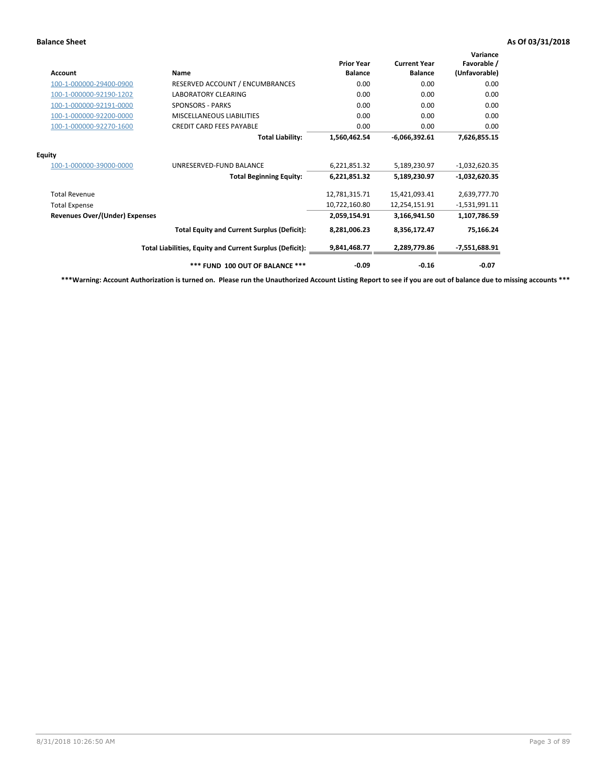| <b>Account</b>                        | Name                                                     | <b>Prior Year</b><br><b>Balance</b> | <b>Current Year</b><br><b>Balance</b> | Variance<br>Favorable /<br>(Unfavorable) |
|---------------------------------------|----------------------------------------------------------|-------------------------------------|---------------------------------------|------------------------------------------|
| 100-1-000000-29400-0900               | RESERVED ACCOUNT / ENCUMBRANCES                          | 0.00                                | 0.00                                  | 0.00                                     |
| 100-1-000000-92190-1202               | <b>LABORATORY CLEARING</b>                               | 0.00                                | 0.00                                  | 0.00                                     |
| 100-1-000000-92191-0000               | <b>SPONSORS - PARKS</b>                                  | 0.00                                | 0.00                                  | 0.00                                     |
| 100-1-000000-92200-0000               | MISCELLANEOUS LIABILITIES                                | 0.00                                | 0.00                                  | 0.00                                     |
| 100-1-000000-92270-1600               | <b>CREDIT CARD FEES PAYABLE</b>                          | 0.00                                | 0.00                                  | 0.00                                     |
|                                       | <b>Total Liability:</b>                                  | 1,560,462.54                        | $-6,066,392.61$                       | 7,626,855.15                             |
| <b>Equity</b>                         |                                                          |                                     |                                       |                                          |
| 100-1-000000-39000-0000               | UNRESERVED-FUND BALANCE                                  | 6,221,851.32                        | 5,189,230.97                          | $-1,032,620.35$                          |
|                                       | <b>Total Beginning Equity:</b>                           | 6,221,851.32                        | 5,189,230.97                          | $-1,032,620.35$                          |
| <b>Total Revenue</b>                  |                                                          | 12,781,315.71                       | 15,421,093.41                         | 2,639,777.70                             |
| <b>Total Expense</b>                  |                                                          | 10,722,160.80                       | 12,254,151.91                         | $-1,531,991.11$                          |
| <b>Revenues Over/(Under) Expenses</b> |                                                          | 2,059,154.91                        | 3,166,941.50                          | 1,107,786.59                             |
|                                       | <b>Total Equity and Current Surplus (Deficit):</b>       | 8,281,006.23                        | 8,356,172.47                          | 75,166.24                                |
|                                       | Total Liabilities, Equity and Current Surplus (Deficit): | 9,841,468.77                        | 2,289,779.86                          | $-7,551,688.91$                          |
|                                       | *** FUND 100 OUT OF BALANCE ***                          | $-0.09$                             | $-0.16$                               | $-0.07$                                  |

**\*\*\*Warning: Account Authorization is turned on. Please run the Unauthorized Account Listing Report to see if you are out of balance due to missing accounts \*\*\***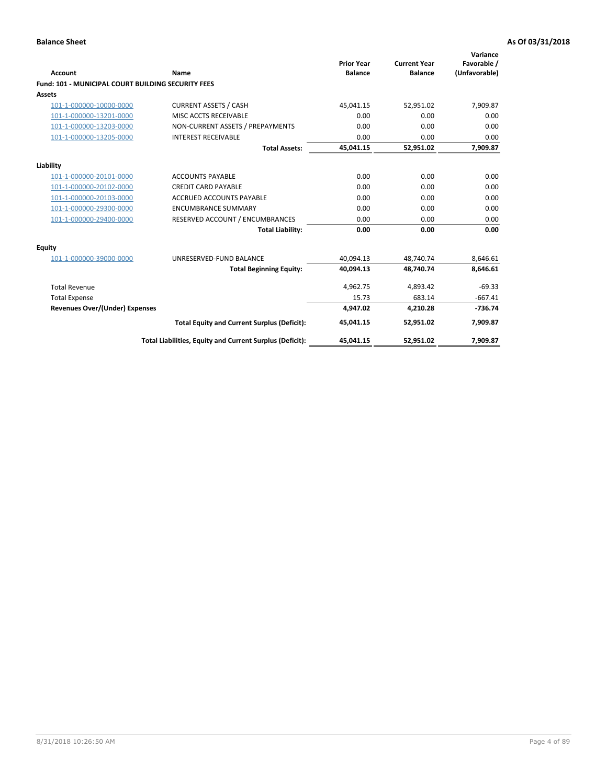| Account                                                   | <b>Name</b>                                              | <b>Prior Year</b><br><b>Balance</b> | <b>Current Year</b><br><b>Balance</b> | Variance<br>Favorable /<br>(Unfavorable) |
|-----------------------------------------------------------|----------------------------------------------------------|-------------------------------------|---------------------------------------|------------------------------------------|
| <b>Fund: 101 - MUNICIPAL COURT BUILDING SECURITY FEES</b> |                                                          |                                     |                                       |                                          |
| Assets                                                    |                                                          |                                     |                                       |                                          |
| 101-1-000000-10000-0000                                   | <b>CURRENT ASSETS / CASH</b>                             | 45,041.15                           | 52,951.02                             | 7,909.87                                 |
| 101-1-000000-13201-0000                                   | MISC ACCTS RECEIVABLE                                    | 0.00                                | 0.00                                  | 0.00                                     |
| 101-1-000000-13203-0000                                   | NON-CURRENT ASSETS / PREPAYMENTS                         | 0.00                                | 0.00                                  | 0.00                                     |
| 101-1-000000-13205-0000                                   | <b>INTEREST RECEIVABLE</b>                               | 0.00                                | 0.00                                  | 0.00                                     |
|                                                           | <b>Total Assets:</b>                                     | 45,041.15                           | 52,951.02                             | 7,909.87                                 |
| Liability                                                 |                                                          |                                     |                                       |                                          |
| 101-1-000000-20101-0000                                   | <b>ACCOUNTS PAYABLE</b>                                  | 0.00                                | 0.00                                  | 0.00                                     |
| 101-1-000000-20102-0000                                   | <b>CREDIT CARD PAYABLE</b>                               | 0.00                                | 0.00                                  | 0.00                                     |
| 101-1-000000-20103-0000                                   | <b>ACCRUED ACCOUNTS PAYABLE</b>                          | 0.00                                | 0.00                                  | 0.00                                     |
| 101-1-000000-29300-0000                                   | <b>ENCUMBRANCE SUMMARY</b>                               | 0.00                                | 0.00                                  | 0.00                                     |
| 101-1-000000-29400-0000                                   | RESERVED ACCOUNT / ENCUMBRANCES                          | 0.00                                | 0.00                                  | 0.00                                     |
|                                                           | <b>Total Liability:</b>                                  | 0.00                                | 0.00                                  | 0.00                                     |
| <b>Equity</b>                                             |                                                          |                                     |                                       |                                          |
| 101-1-000000-39000-0000                                   | UNRESERVED-FUND BALANCE                                  | 40,094.13                           | 48,740.74                             | 8,646.61                                 |
|                                                           | <b>Total Beginning Equity:</b>                           | 40,094.13                           | 48,740.74                             | 8,646.61                                 |
| <b>Total Revenue</b>                                      |                                                          | 4,962.75                            | 4,893.42                              | $-69.33$                                 |
| <b>Total Expense</b>                                      |                                                          | 15.73                               | 683.14                                | $-667.41$                                |
| Revenues Over/(Under) Expenses                            |                                                          | 4,947.02                            | 4,210.28                              | $-736.74$                                |
|                                                           | <b>Total Equity and Current Surplus (Deficit):</b>       | 45,041.15                           | 52,951.02                             | 7,909.87                                 |
|                                                           | Total Liabilities, Equity and Current Surplus (Deficit): | 45,041.15                           | 52,951.02                             | 7,909.87                                 |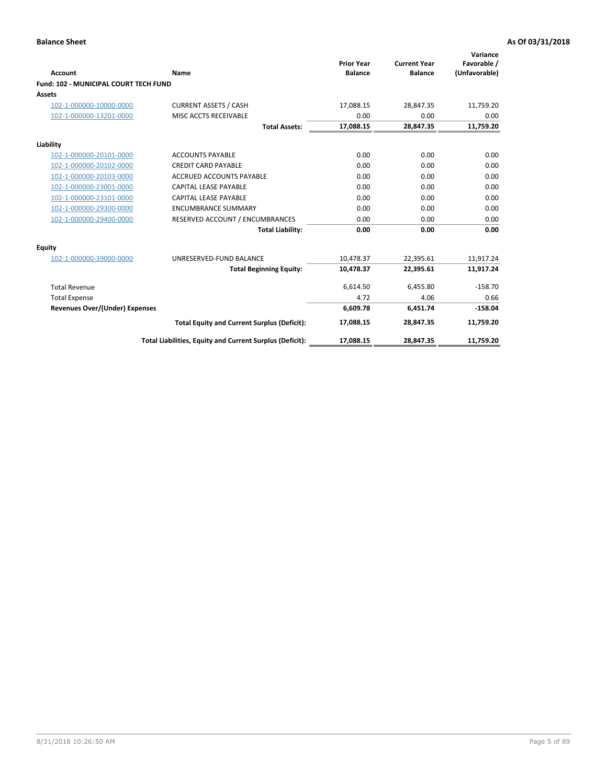| <b>Account</b>                        | Name                                                     | <b>Prior Year</b><br><b>Balance</b> | <b>Current Year</b><br><b>Balance</b> | Variance<br>Favorable /<br>(Unfavorable) |
|---------------------------------------|----------------------------------------------------------|-------------------------------------|---------------------------------------|------------------------------------------|
| Fund: 102 - MUNICIPAL COURT TECH FUND |                                                          |                                     |                                       |                                          |
| Assets                                |                                                          |                                     |                                       |                                          |
| 102-1-000000-10000-0000               | <b>CURRENT ASSETS / CASH</b>                             | 17,088.15                           | 28,847.35                             | 11,759.20                                |
| 102-1-000000-13201-0000               | MISC ACCTS RECEIVABLE                                    | 0.00                                | 0.00                                  | 0.00                                     |
|                                       | <b>Total Assets:</b>                                     | 17,088.15                           | 28,847.35                             | 11,759.20                                |
| Liability                             |                                                          |                                     |                                       |                                          |
| 102-1-000000-20101-0000               | <b>ACCOUNTS PAYABLE</b>                                  | 0.00                                | 0.00                                  | 0.00                                     |
| 102-1-000000-20102-0000               | <b>CREDIT CARD PAYABLE</b>                               | 0.00                                | 0.00                                  | 0.00                                     |
| 102-1-000000-20103-0000               | <b>ACCRUED ACCOUNTS PAYABLE</b>                          | 0.00                                | 0.00                                  | 0.00                                     |
| 102-1-000000-23001-0000               | <b>CAPITAL LEASE PAYABLE</b>                             | 0.00                                | 0.00                                  | 0.00                                     |
| 102-1-000000-23101-0000               | <b>CAPITAL LEASE PAYABLE</b>                             | 0.00                                | 0.00                                  | 0.00                                     |
| 102-1-000000-29300-0000               | <b>ENCUMBRANCE SUMMARY</b>                               | 0.00                                | 0.00                                  | 0.00                                     |
| 102-1-000000-29400-0000               | RESERVED ACCOUNT / ENCUMBRANCES                          | 0.00                                | 0.00                                  | 0.00                                     |
|                                       | <b>Total Liability:</b>                                  | 0.00                                | 0.00                                  | 0.00                                     |
| <b>Equity</b>                         |                                                          |                                     |                                       |                                          |
| 102-1-000000-39000-0000               | UNRESERVED-FUND BALANCE                                  | 10,478.37                           | 22,395.61                             | 11,917.24                                |
|                                       | <b>Total Beginning Equity:</b>                           | 10,478.37                           | 22,395.61                             | 11,917.24                                |
| <b>Total Revenue</b>                  |                                                          | 6,614.50                            | 6,455.80                              | $-158.70$                                |
| <b>Total Expense</b>                  |                                                          | 4.72                                | 4.06                                  | 0.66                                     |
| <b>Revenues Over/(Under) Expenses</b> |                                                          | 6.609.78                            | 6.451.74                              | $-158.04$                                |
|                                       | <b>Total Equity and Current Surplus (Deficit):</b>       | 17,088.15                           | 28,847.35                             | 11,759.20                                |
|                                       | Total Liabilities, Equity and Current Surplus (Deficit): | 17,088.15                           | 28,847.35                             | 11,759.20                                |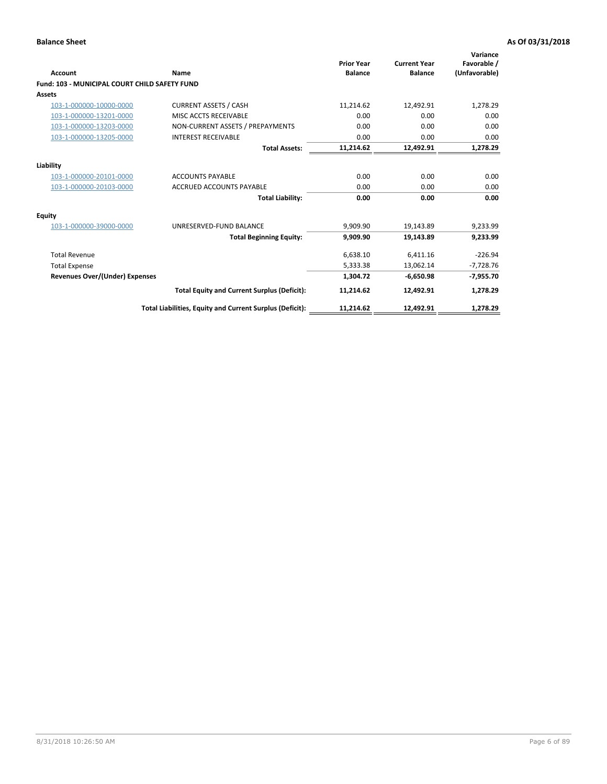| <b>Account</b>                                       | Name                                                     | <b>Prior Year</b><br><b>Balance</b> | <b>Current Year</b><br><b>Balance</b> | Variance<br>Favorable /<br>(Unfavorable) |
|------------------------------------------------------|----------------------------------------------------------|-------------------------------------|---------------------------------------|------------------------------------------|
| <b>Fund: 103 - MUNICIPAL COURT CHILD SAFETY FUND</b> |                                                          |                                     |                                       |                                          |
| <b>Assets</b>                                        |                                                          |                                     |                                       |                                          |
| 103-1-000000-10000-0000                              | <b>CURRENT ASSETS / CASH</b>                             | 11,214.62                           | 12,492.91                             | 1,278.29                                 |
| 103-1-000000-13201-0000                              | MISC ACCTS RECEIVABLE                                    | 0.00                                | 0.00                                  | 0.00                                     |
| 103-1-000000-13203-0000                              | NON-CURRENT ASSETS / PREPAYMENTS                         | 0.00                                | 0.00                                  | 0.00                                     |
| 103-1-000000-13205-0000                              | <b>INTEREST RECEIVABLE</b>                               | 0.00                                | 0.00                                  | 0.00                                     |
|                                                      | <b>Total Assets:</b>                                     | 11,214.62                           | 12,492.91                             | 1,278.29                                 |
| Liability                                            |                                                          |                                     |                                       |                                          |
| 103-1-000000-20101-0000                              | <b>ACCOUNTS PAYABLE</b>                                  | 0.00                                | 0.00                                  | 0.00                                     |
| 103-1-000000-20103-0000                              | <b>ACCRUED ACCOUNTS PAYABLE</b>                          | 0.00                                | 0.00                                  | 0.00                                     |
|                                                      | <b>Total Liability:</b>                                  | 0.00                                | 0.00                                  | 0.00                                     |
| <b>Equity</b>                                        |                                                          |                                     |                                       |                                          |
| 103-1-000000-39000-0000                              | UNRESERVED-FUND BALANCE                                  | 9,909.90                            | 19,143.89                             | 9,233.99                                 |
|                                                      | <b>Total Beginning Equity:</b>                           | 9,909.90                            | 19.143.89                             | 9,233.99                                 |
| <b>Total Revenue</b>                                 |                                                          | 6,638.10                            | 6,411.16                              | $-226.94$                                |
| <b>Total Expense</b>                                 |                                                          | 5,333.38                            | 13,062.14                             | $-7,728.76$                              |
| <b>Revenues Over/(Under) Expenses</b>                |                                                          | 1,304.72                            | $-6,650.98$                           | $-7,955.70$                              |
|                                                      | <b>Total Equity and Current Surplus (Deficit):</b>       | 11,214.62                           | 12,492.91                             | 1,278.29                                 |
|                                                      | Total Liabilities, Equity and Current Surplus (Deficit): | 11,214.62                           | 12,492.91                             | 1,278.29                                 |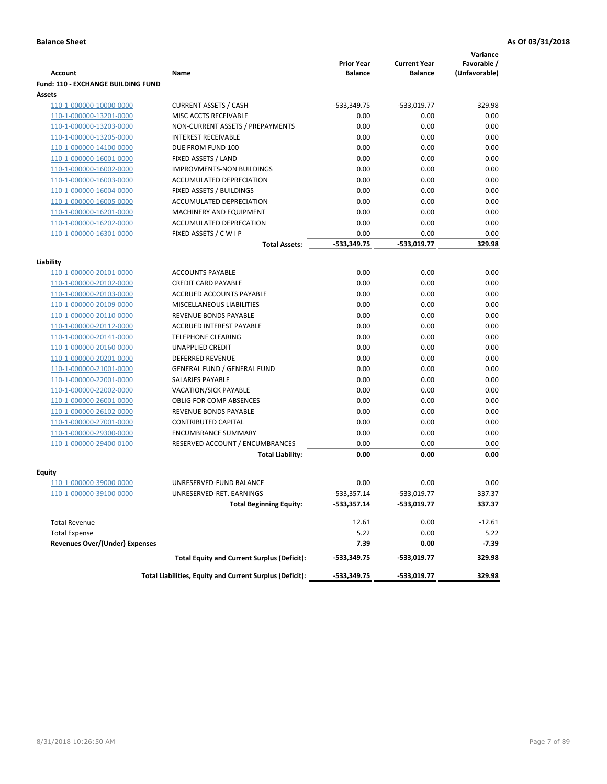|                                           |                                                          | <b>Prior Year</b> | <b>Current Year</b> | Variance<br>Favorable / |
|-------------------------------------------|----------------------------------------------------------|-------------------|---------------------|-------------------------|
| <b>Account</b>                            | Name                                                     | <b>Balance</b>    | <b>Balance</b>      | (Unfavorable)           |
| <b>Fund: 110 - EXCHANGE BUILDING FUND</b> |                                                          |                   |                     |                         |
| Assets                                    |                                                          |                   |                     |                         |
| 110-1-000000-10000-0000                   | <b>CURRENT ASSETS / CASH</b>                             | $-533,349.75$     | $-533,019.77$       | 329.98                  |
| 110-1-000000-13201-0000                   | MISC ACCTS RECEIVABLE                                    | 0.00              | 0.00                | 0.00                    |
| 110-1-000000-13203-0000                   | NON-CURRENT ASSETS / PREPAYMENTS                         | 0.00              | 0.00                | 0.00                    |
| 110-1-000000-13205-0000                   | <b>INTEREST RECEIVABLE</b>                               | 0.00              | 0.00                | 0.00                    |
| 110-1-000000-14100-0000                   | DUE FROM FUND 100                                        | 0.00              | 0.00                | 0.00                    |
| 110-1-000000-16001-0000                   | FIXED ASSETS / LAND                                      | 0.00              | 0.00                | 0.00                    |
| 110-1-000000-16002-0000                   | <b>IMPROVMENTS-NON BUILDINGS</b>                         | 0.00              | 0.00                | 0.00                    |
| 110-1-000000-16003-0000                   | <b>ACCUMULATED DEPRECIATION</b>                          | 0.00              | 0.00                | 0.00                    |
| 110-1-000000-16004-0000                   | FIXED ASSETS / BUILDINGS                                 | 0.00              | 0.00                | 0.00                    |
| 110-1-000000-16005-0000                   | ACCUMULATED DEPRECIATION                                 | 0.00              | 0.00                | 0.00                    |
| 110-1-000000-16201-0000                   | MACHINERY AND EQUIPMENT                                  | 0.00              | 0.00                | 0.00                    |
| 110-1-000000-16202-0000                   | ACCUMULATED DEPRECATION                                  | 0.00              | 0.00                | 0.00                    |
| 110-1-000000-16301-0000                   | FIXED ASSETS / C W I P                                   | 0.00              | 0.00                | 0.00                    |
|                                           | <b>Total Assets:</b>                                     | $-533,349.75$     | -533,019.77         | 329.98                  |
| Liability                                 |                                                          |                   |                     |                         |
| 110-1-000000-20101-0000                   | <b>ACCOUNTS PAYABLE</b>                                  | 0.00              | 0.00                | 0.00                    |
| 110-1-000000-20102-0000                   | <b>CREDIT CARD PAYABLE</b>                               | 0.00              | 0.00                | 0.00                    |
| 110-1-000000-20103-0000                   | ACCRUED ACCOUNTS PAYABLE                                 | 0.00              | 0.00                | 0.00                    |
| 110-1-000000-20109-0000                   | MISCELLANEOUS LIABILITIES                                | 0.00              | 0.00                | 0.00                    |
| 110-1-000000-20110-0000                   | REVENUE BONDS PAYABLE                                    | 0.00              | 0.00                | 0.00                    |
| 110-1-000000-20112-0000                   | <b>ACCRUED INTEREST PAYABLE</b>                          | 0.00              | 0.00                | 0.00                    |
| 110-1-000000-20141-0000                   | <b>TELEPHONE CLEARING</b>                                | 0.00              | 0.00                | 0.00                    |
| 110-1-000000-20160-0000                   | <b>UNAPPLIED CREDIT</b>                                  | 0.00              | 0.00                | 0.00                    |
| 110-1-000000-20201-0000                   | <b>DEFERRED REVENUE</b>                                  | 0.00              | 0.00                | 0.00                    |
| 110-1-000000-21001-0000                   | <b>GENERAL FUND / GENERAL FUND</b>                       | 0.00              | 0.00                | 0.00                    |
| 110-1-000000-22001-0000                   | SALARIES PAYABLE                                         | 0.00              | 0.00                | 0.00                    |
| 110-1-000000-22002-0000                   | VACATION/SICK PAYABLE                                    | 0.00              | 0.00                | 0.00                    |
| 110-1-000000-26001-0000                   | <b>OBLIG FOR COMP ABSENCES</b>                           | 0.00              | 0.00                | 0.00                    |
| 110-1-000000-26102-0000                   | REVENUE BONDS PAYABLE                                    | 0.00              | 0.00                | 0.00                    |
| 110-1-000000-27001-0000                   | <b>CONTRIBUTED CAPITAL</b>                               | 0.00              | 0.00                | 0.00                    |
| 110-1-000000-29300-0000                   | <b>ENCUMBRANCE SUMMARY</b>                               | 0.00              | 0.00                | 0.00                    |
| 110-1-000000-29400-0100                   | RESERVED ACCOUNT / ENCUMBRANCES                          | 0.00              | 0.00                | 0.00                    |
|                                           | <b>Total Liability:</b>                                  | 0.00              | 0.00                | 0.00                    |
|                                           |                                                          |                   |                     |                         |
| <b>Equity</b>                             |                                                          |                   |                     |                         |
| 110-1-000000-39000-0000                   | UNRESERVED-FUND BALANCE                                  | 0.00              | 0.00                | 0.00                    |
| <u>110-1-000000-39100-0000</u>            | UNRESERVED-RET. EARNINGS                                 | $-533,357.14$     | $-533,019.77$       | 337.37                  |
|                                           | <b>Total Beginning Equity:</b>                           | $-533,357.14$     | -533,019.77         | 337.37                  |
| <b>Total Revenue</b>                      |                                                          | 12.61             | 0.00                | $-12.61$                |
| <b>Total Expense</b>                      |                                                          | 5.22              | 0.00                | 5.22                    |
| <b>Revenues Over/(Under) Expenses</b>     |                                                          | 7.39              | 0.00                | -7.39                   |
|                                           | <b>Total Equity and Current Surplus (Deficit):</b>       | -533,349.75       | -533,019.77         | 329.98                  |
|                                           | Total Liabilities, Equity and Current Surplus (Deficit): | $-533,349.75$     | -533,019.77         | 329.98                  |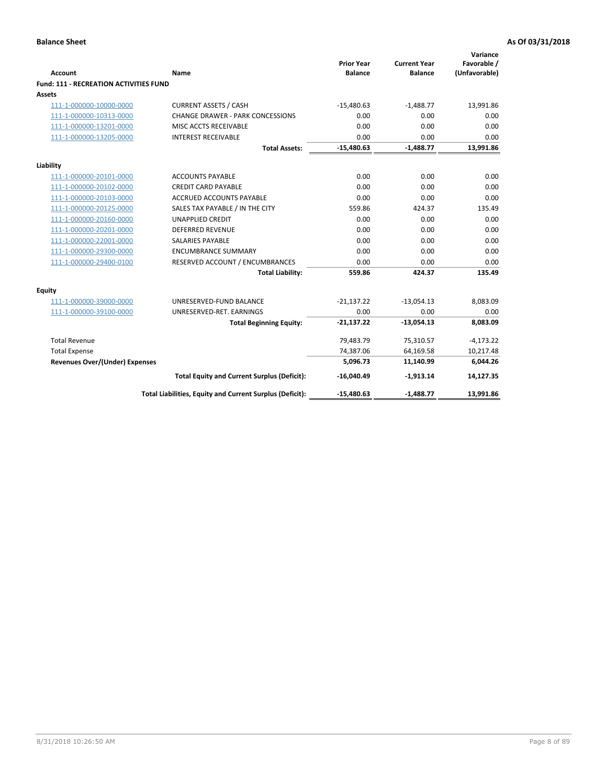| <b>Account</b>                         | Name                                                     | <b>Prior Year</b><br><b>Balance</b> | <b>Current Year</b><br><b>Balance</b> | Variance<br>Favorable /<br>(Unfavorable) |
|----------------------------------------|----------------------------------------------------------|-------------------------------------|---------------------------------------|------------------------------------------|
| Fund: 111 - RECREATION ACTIVITIES FUND |                                                          |                                     |                                       |                                          |
| <b>Assets</b>                          |                                                          |                                     |                                       |                                          |
| 111-1-000000-10000-0000                | <b>CURRENT ASSETS / CASH</b>                             | $-15,480.63$                        | $-1,488.77$                           | 13,991.86                                |
| 111-1-000000-10313-0000                | <b>CHANGE DRAWER - PARK CONCESSIONS</b>                  | 0.00                                | 0.00                                  | 0.00                                     |
| 111-1-000000-13201-0000                | MISC ACCTS RECEIVABLE                                    | 0.00                                | 0.00                                  | 0.00                                     |
| 111-1-000000-13205-0000                | <b>INTEREST RECEIVABLE</b>                               | 0.00                                | 0.00                                  | 0.00                                     |
|                                        | <b>Total Assets:</b>                                     | $-15,480.63$                        | $-1,488.77$                           | 13,991.86                                |
|                                        |                                                          |                                     |                                       |                                          |
| Liability                              |                                                          |                                     |                                       |                                          |
| 111-1-000000-20101-0000                | <b>ACCOUNTS PAYABLE</b>                                  | 0.00                                | 0.00                                  | 0.00                                     |
| 111-1-000000-20102-0000                | <b>CREDIT CARD PAYABLE</b>                               | 0.00                                | 0.00                                  | 0.00                                     |
| 111-1-000000-20103-0000                | <b>ACCRUED ACCOUNTS PAYABLE</b>                          | 0.00                                | 0.00                                  | 0.00                                     |
| 111-1-000000-20125-0000                | SALES TAX PAYABLE / IN THE CITY                          | 559.86                              | 424.37                                | 135.49                                   |
| 111-1-000000-20160-0000                | <b>UNAPPLIED CREDIT</b>                                  | 0.00                                | 0.00                                  | 0.00                                     |
| 111-1-000000-20201-0000                | <b>DEFERRED REVENUE</b>                                  | 0.00                                | 0.00                                  | 0.00                                     |
| 111-1-000000-22001-0000                | <b>SALARIES PAYABLE</b>                                  | 0.00                                | 0.00                                  | 0.00                                     |
| 111-1-000000-29300-0000                | <b>ENCUMBRANCE SUMMARY</b>                               | 0.00                                | 0.00                                  | 0.00                                     |
| 111-1-000000-29400-0100                | RESERVED ACCOUNT / ENCUMBRANCES                          | 0.00                                | 0.00                                  | 0.00                                     |
|                                        | <b>Total Liability:</b>                                  | 559.86                              | 424.37                                | 135.49                                   |
| Equity                                 |                                                          |                                     |                                       |                                          |
| 111-1-000000-39000-0000                | UNRESERVED-FUND BALANCE                                  | $-21,137.22$                        | $-13,054.13$                          | 8,083.09                                 |
| 111-1-000000-39100-0000                | UNRESERVED-RET. EARNINGS                                 | 0.00                                | 0.00                                  | 0.00                                     |
|                                        | <b>Total Beginning Equity:</b>                           | $-21,137.22$                        | $-13,054.13$                          | 8,083.09                                 |
| <b>Total Revenue</b>                   |                                                          | 79,483.79                           | 75,310.57                             | $-4,173.22$                              |
| <b>Total Expense</b>                   |                                                          | 74,387.06                           | 64,169.58                             | 10,217.48                                |
| <b>Revenues Over/(Under) Expenses</b>  |                                                          | 5,096.73                            | 11,140.99                             | 6,044.26                                 |
|                                        | <b>Total Equity and Current Surplus (Deficit):</b>       | $-16,040.49$                        | $-1,913.14$                           | 14,127.35                                |
|                                        | Total Liabilities, Equity and Current Surplus (Deficit): | $-15,480.63$                        | $-1,488.77$                           | 13,991.86                                |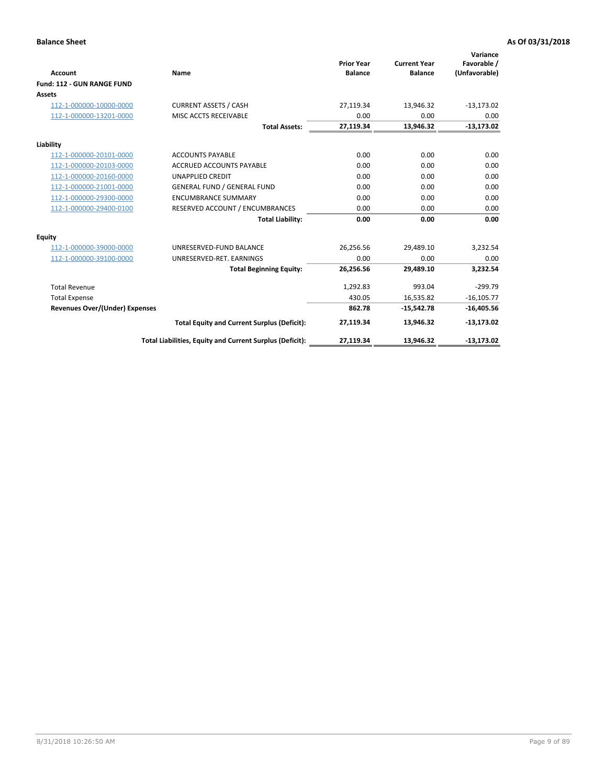|                                       |                                                          |                                     |                                       | Variance                     |
|---------------------------------------|----------------------------------------------------------|-------------------------------------|---------------------------------------|------------------------------|
| <b>Account</b>                        | Name                                                     | <b>Prior Year</b><br><b>Balance</b> | <b>Current Year</b><br><b>Balance</b> | Favorable /<br>(Unfavorable) |
| Fund: 112 - GUN RANGE FUND            |                                                          |                                     |                                       |                              |
| <b>Assets</b>                         |                                                          |                                     |                                       |                              |
| 112-1-000000-10000-0000               | <b>CURRENT ASSETS / CASH</b>                             | 27,119.34                           | 13,946.32                             | $-13,173.02$                 |
| 112-1-000000-13201-0000               | MISC ACCTS RECEIVABLE                                    | 0.00                                | 0.00                                  | 0.00                         |
|                                       | <b>Total Assets:</b>                                     | 27,119.34                           | 13,946.32                             | $-13,173.02$                 |
| Liability                             |                                                          |                                     |                                       |                              |
| 112-1-000000-20101-0000               | <b>ACCOUNTS PAYABLE</b>                                  | 0.00                                | 0.00                                  | 0.00                         |
| 112-1-000000-20103-0000               | <b>ACCRUED ACCOUNTS PAYABLE</b>                          | 0.00                                | 0.00                                  | 0.00                         |
| 112-1-000000-20160-0000               | <b>UNAPPLIED CREDIT</b>                                  | 0.00                                | 0.00                                  | 0.00                         |
| 112-1-000000-21001-0000               | <b>GENERAL FUND / GENERAL FUND</b>                       | 0.00                                | 0.00                                  | 0.00                         |
| 112-1-000000-29300-0000               | <b>ENCUMBRANCE SUMMARY</b>                               | 0.00                                | 0.00                                  | 0.00                         |
| 112-1-000000-29400-0100               | RESERVED ACCOUNT / ENCUMBRANCES                          | 0.00                                | 0.00                                  | 0.00                         |
|                                       | <b>Total Liability:</b>                                  | 0.00                                | 0.00                                  | 0.00                         |
| Equity                                |                                                          |                                     |                                       |                              |
| 112-1-000000-39000-0000               | UNRESERVED-FUND BALANCE                                  | 26,256.56                           | 29,489.10                             | 3,232.54                     |
| 112-1-000000-39100-0000               | UNRESERVED-RET. EARNINGS                                 | 0.00                                | 0.00                                  | 0.00                         |
|                                       | <b>Total Beginning Equity:</b>                           | 26,256.56                           | 29.489.10                             | 3.232.54                     |
| <b>Total Revenue</b>                  |                                                          | 1,292.83                            | 993.04                                | $-299.79$                    |
| <b>Total Expense</b>                  |                                                          | 430.05                              | 16,535.82                             | $-16, 105.77$                |
| <b>Revenues Over/(Under) Expenses</b> |                                                          | 862.78                              | $-15,542.78$                          | $-16,405.56$                 |
|                                       | <b>Total Equity and Current Surplus (Deficit):</b>       | 27,119.34                           | 13,946.32                             | $-13,173.02$                 |
|                                       | Total Liabilities, Equity and Current Surplus (Deficit): | 27,119.34                           | 13,946.32                             | $-13,173.02$                 |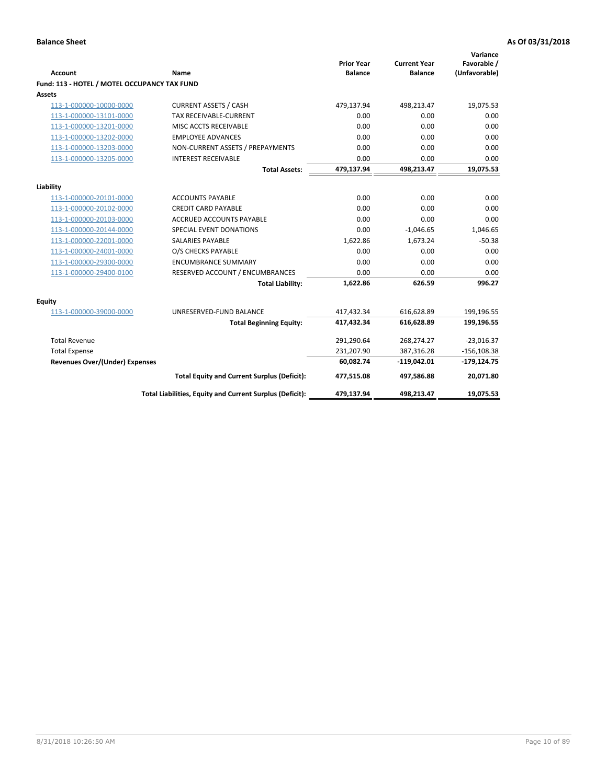| <b>Account</b>                               | <b>Name</b>                                              | <b>Prior Year</b><br><b>Balance</b> | <b>Current Year</b><br><b>Balance</b> | Variance<br>Favorable /<br>(Unfavorable) |
|----------------------------------------------|----------------------------------------------------------|-------------------------------------|---------------------------------------|------------------------------------------|
| Fund: 113 - HOTEL / MOTEL OCCUPANCY TAX FUND |                                                          |                                     |                                       |                                          |
| Assets                                       |                                                          |                                     |                                       |                                          |
| 113-1-000000-10000-0000                      | <b>CURRENT ASSETS / CASH</b>                             | 479,137.94                          | 498,213.47                            | 19,075.53                                |
| 113-1-000000-13101-0000                      | TAX RECEIVABLE-CURRENT                                   | 0.00                                | 0.00                                  | 0.00                                     |
| 113-1-000000-13201-0000                      | MISC ACCTS RECEIVABLE                                    | 0.00                                | 0.00                                  | 0.00                                     |
| 113-1-000000-13202-0000                      | <b>EMPLOYEE ADVANCES</b>                                 | 0.00                                | 0.00                                  | 0.00                                     |
| 113-1-000000-13203-0000                      | NON-CURRENT ASSETS / PREPAYMENTS                         | 0.00                                | 0.00                                  | 0.00                                     |
| 113-1-000000-13205-0000                      | <b>INTEREST RECEIVABLE</b>                               | 0.00                                | 0.00                                  | 0.00                                     |
|                                              | <b>Total Assets:</b>                                     | 479,137.94                          | 498,213.47                            | 19,075.53                                |
|                                              |                                                          |                                     |                                       |                                          |
| Liability                                    |                                                          |                                     |                                       |                                          |
| 113-1-000000-20101-0000                      | <b>ACCOUNTS PAYABLE</b>                                  | 0.00                                | 0.00                                  | 0.00                                     |
| 113-1-000000-20102-0000                      | <b>CREDIT CARD PAYABLE</b>                               | 0.00                                | 0.00                                  | 0.00                                     |
| 113-1-000000-20103-0000                      | ACCRUED ACCOUNTS PAYABLE                                 | 0.00                                | 0.00                                  | 0.00                                     |
| 113-1-000000-20144-0000                      | SPECIAL EVENT DONATIONS                                  | 0.00                                | $-1,046.65$                           | 1,046.65                                 |
| 113-1-000000-22001-0000                      | <b>SALARIES PAYABLE</b>                                  | 1,622.86                            | 1,673.24                              | $-50.38$                                 |
| 113-1-000000-24001-0000                      | O/S CHECKS PAYABLE                                       | 0.00                                | 0.00                                  | 0.00                                     |
| 113-1-000000-29300-0000                      | <b>ENCUMBRANCE SUMMARY</b>                               | 0.00                                | 0.00                                  | 0.00                                     |
| 113-1-000000-29400-0100                      | RESERVED ACCOUNT / ENCUMBRANCES                          | 0.00                                | 0.00                                  | 0.00                                     |
|                                              | <b>Total Liability:</b>                                  | 1,622.86                            | 626.59                                | 996.27                                   |
| Equity                                       |                                                          |                                     |                                       |                                          |
| 113-1-000000-39000-0000                      | UNRESERVED-FUND BALANCE                                  | 417,432.34                          | 616,628.89                            | 199,196.55                               |
|                                              | <b>Total Beginning Equity:</b>                           | 417,432.34                          | 616,628.89                            | 199,196.55                               |
| <b>Total Revenue</b>                         |                                                          | 291,290.64                          | 268,274.27                            | $-23,016.37$                             |
| <b>Total Expense</b>                         |                                                          | 231,207.90                          | 387,316.28                            | $-156, 108.38$                           |
| <b>Revenues Over/(Under) Expenses</b>        |                                                          | 60,082.74                           | $-119,042.01$                         | $-179, 124.75$                           |
|                                              | <b>Total Equity and Current Surplus (Deficit):</b>       | 477,515.08                          | 497,586.88                            | 20,071.80                                |
|                                              | Total Liabilities, Equity and Current Surplus (Deficit): | 479,137.94                          | 498,213.47                            | 19,075.53                                |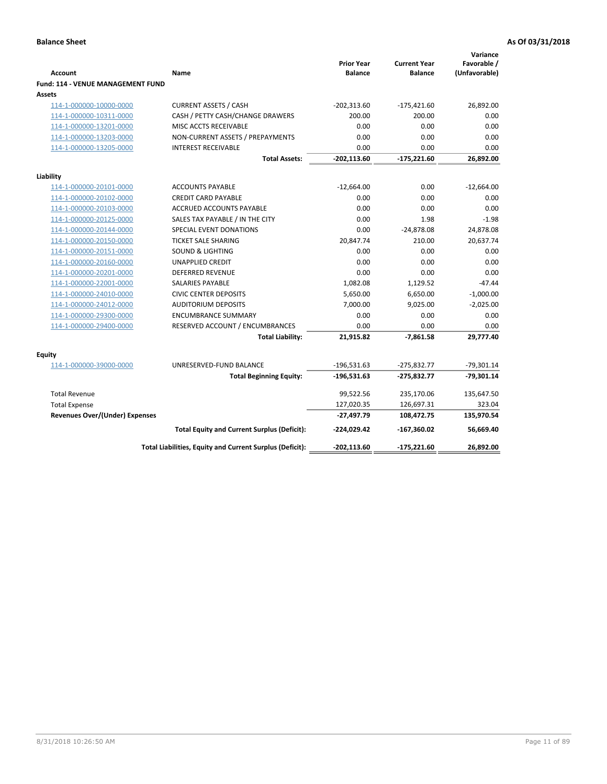| <b>Account</b><br><b>Fund: 114 - VENUE MANAGEMENT FUND</b> | Name                                                     | <b>Prior Year</b><br><b>Balance</b> | <b>Current Year</b><br><b>Balance</b> | Variance<br>Favorable /<br>(Unfavorable) |
|------------------------------------------------------------|----------------------------------------------------------|-------------------------------------|---------------------------------------|------------------------------------------|
| <b>Assets</b>                                              |                                                          |                                     |                                       |                                          |
| 114-1-000000-10000-0000                                    | <b>CURRENT ASSETS / CASH</b>                             | $-202,313.60$                       | $-175,421.60$                         | 26,892.00                                |
| 114-1-000000-10311-0000                                    | CASH / PETTY CASH/CHANGE DRAWERS                         | 200.00                              | 200.00                                | 0.00                                     |
| 114-1-000000-13201-0000                                    | MISC ACCTS RECEIVABLE                                    | 0.00                                | 0.00                                  | 0.00                                     |
| 114-1-000000-13203-0000                                    | NON-CURRENT ASSETS / PREPAYMENTS                         | 0.00                                | 0.00                                  | 0.00                                     |
| 114-1-000000-13205-0000                                    | <b>INTEREST RECEIVABLE</b>                               | 0.00                                | 0.00                                  | 0.00                                     |
|                                                            | <b>Total Assets:</b>                                     | $-202,113.60$                       | $-175,221.60$                         | 26,892.00                                |
| Liability                                                  |                                                          |                                     |                                       |                                          |
| 114-1-000000-20101-0000                                    | <b>ACCOUNTS PAYABLE</b>                                  | $-12,664.00$                        | 0.00                                  | $-12,664.00$                             |
| 114-1-000000-20102-0000                                    | <b>CREDIT CARD PAYABLE</b>                               | 0.00                                | 0.00                                  | 0.00                                     |
| 114-1-000000-20103-0000                                    | <b>ACCRUED ACCOUNTS PAYABLE</b>                          | 0.00                                | 0.00                                  | 0.00                                     |
| 114-1-000000-20125-0000                                    | SALES TAX PAYABLE / IN THE CITY                          | 0.00                                | 1.98                                  | $-1.98$                                  |
| 114-1-000000-20144-0000                                    | SPECIAL EVENT DONATIONS                                  | 0.00                                | $-24,878.08$                          | 24,878.08                                |
| 114-1-000000-20150-0000                                    | <b>TICKET SALE SHARING</b>                               | 20,847.74                           | 210.00                                | 20,637.74                                |
| 114-1-000000-20151-0000                                    | <b>SOUND &amp; LIGHTING</b>                              | 0.00                                | 0.00                                  | 0.00                                     |
| 114-1-000000-20160-0000                                    | <b>UNAPPLIED CREDIT</b>                                  | 0.00                                | 0.00                                  | 0.00                                     |
| 114-1-000000-20201-0000                                    | <b>DEFERRED REVENUE</b>                                  | 0.00                                | 0.00                                  | 0.00                                     |
| 114-1-000000-22001-0000                                    | SALARIES PAYABLE                                         | 1,082.08                            | 1,129.52                              | $-47.44$                                 |
| 114-1-000000-24010-0000                                    | <b>CIVIC CENTER DEPOSITS</b>                             | 5,650.00                            | 6,650.00                              | $-1,000.00$                              |
| 114-1-000000-24012-0000                                    | <b>AUDITORIUM DEPOSITS</b>                               | 7,000.00                            | 9,025.00                              | $-2,025.00$                              |
| 114-1-000000-29300-0000                                    | <b>ENCUMBRANCE SUMMARY</b>                               | 0.00                                | 0.00                                  | 0.00                                     |
| 114-1-000000-29400-0000                                    | RESERVED ACCOUNT / ENCUMBRANCES                          | 0.00                                | 0.00                                  | 0.00                                     |
|                                                            | <b>Total Liability:</b>                                  | 21,915.82                           | $-7,861.58$                           | 29,777.40                                |
| <b>Equity</b>                                              |                                                          |                                     |                                       |                                          |
| 114-1-000000-39000-0000                                    | UNRESERVED-FUND BALANCE                                  | $-196,531.63$                       | $-275,832.77$                         | $-79,301.14$                             |
|                                                            | <b>Total Beginning Equity:</b>                           | $-196,531.63$                       | $-275,832.77$                         | $-79,301.14$                             |
| <b>Total Revenue</b>                                       |                                                          | 99,522.56                           | 235,170.06                            | 135,647.50                               |
| <b>Total Expense</b>                                       |                                                          | 127,020.35                          | 126,697.31                            | 323.04                                   |
| <b>Revenues Over/(Under) Expenses</b>                      |                                                          | $-27,497.79$                        | 108,472.75                            | 135,970.54                               |
|                                                            | <b>Total Equity and Current Surplus (Deficit):</b>       | $-224,029.42$                       | $-167,360.02$                         | 56,669.40                                |
|                                                            | Total Liabilities, Equity and Current Surplus (Deficit): | $-202, 113.60$                      | -175,221.60                           | 26.892.00                                |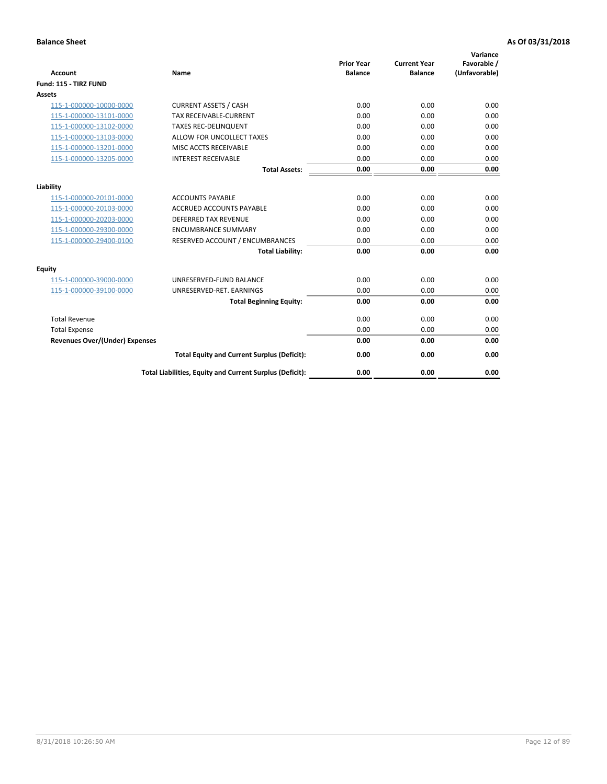| <b>Account</b>                        | <b>Name</b>                                              | <b>Prior Year</b><br><b>Balance</b> | <b>Current Year</b><br><b>Balance</b> | Variance<br>Favorable /<br>(Unfavorable) |
|---------------------------------------|----------------------------------------------------------|-------------------------------------|---------------------------------------|------------------------------------------|
| Fund: 115 - TIRZ FUND                 |                                                          |                                     |                                       |                                          |
| <b>Assets</b>                         |                                                          |                                     |                                       |                                          |
| 115-1-000000-10000-0000               | <b>CURRENT ASSETS / CASH</b>                             | 0.00                                | 0.00                                  | 0.00                                     |
| 115-1-000000-13101-0000               | <b>TAX RECEIVABLE-CURRENT</b>                            | 0.00                                | 0.00                                  | 0.00                                     |
| 115-1-000000-13102-0000               | <b>TAXES REC-DELINQUENT</b>                              | 0.00                                | 0.00                                  | 0.00                                     |
| 115-1-000000-13103-0000               | ALLOW FOR UNCOLLECT TAXES                                | 0.00                                | 0.00                                  | 0.00                                     |
| 115-1-000000-13201-0000               | MISC ACCTS RECEIVABLE                                    | 0.00                                | 0.00                                  | 0.00                                     |
| 115-1-000000-13205-0000               | <b>INTEREST RECEIVABLE</b>                               | 0.00                                | 0.00                                  | 0.00                                     |
|                                       | <b>Total Assets:</b>                                     | 0.00                                | 0.00                                  | 0.00                                     |
| Liability                             |                                                          |                                     |                                       |                                          |
| 115-1-000000-20101-0000               | <b>ACCOUNTS PAYABLE</b>                                  | 0.00                                | 0.00                                  | 0.00                                     |
| 115-1-000000-20103-0000               | <b>ACCRUED ACCOUNTS PAYABLE</b>                          | 0.00                                | 0.00                                  | 0.00                                     |
| 115-1-000000-20203-0000               | <b>DEFERRED TAX REVENUE</b>                              | 0.00                                | 0.00                                  | 0.00                                     |
| 115-1-000000-29300-0000               | <b>ENCUMBRANCE SUMMARY</b>                               | 0.00                                | 0.00                                  | 0.00                                     |
| 115-1-000000-29400-0100               | RESERVED ACCOUNT / ENCUMBRANCES                          | 0.00                                | 0.00                                  | 0.00                                     |
|                                       | <b>Total Liability:</b>                                  | 0.00                                | 0.00                                  | 0.00                                     |
| Equity                                |                                                          |                                     |                                       |                                          |
| 115-1-000000-39000-0000               | UNRESERVED-FUND BALANCE                                  | 0.00                                | 0.00                                  | 0.00                                     |
| 115-1-000000-39100-0000               | UNRESERVED-RET. EARNINGS                                 | 0.00                                | 0.00                                  | 0.00                                     |
|                                       | <b>Total Beginning Equity:</b>                           | 0.00                                | 0.00                                  | 0.00                                     |
| <b>Total Revenue</b>                  |                                                          | 0.00                                | 0.00                                  | 0.00                                     |
| <b>Total Expense</b>                  |                                                          | 0.00                                | 0.00                                  | 0.00                                     |
| <b>Revenues Over/(Under) Expenses</b> |                                                          | 0.00                                | 0.00                                  | 0.00                                     |
|                                       | <b>Total Equity and Current Surplus (Deficit):</b>       | 0.00                                | 0.00                                  | 0.00                                     |
|                                       | Total Liabilities, Equity and Current Surplus (Deficit): | 0.00                                | 0.00                                  | 0.00                                     |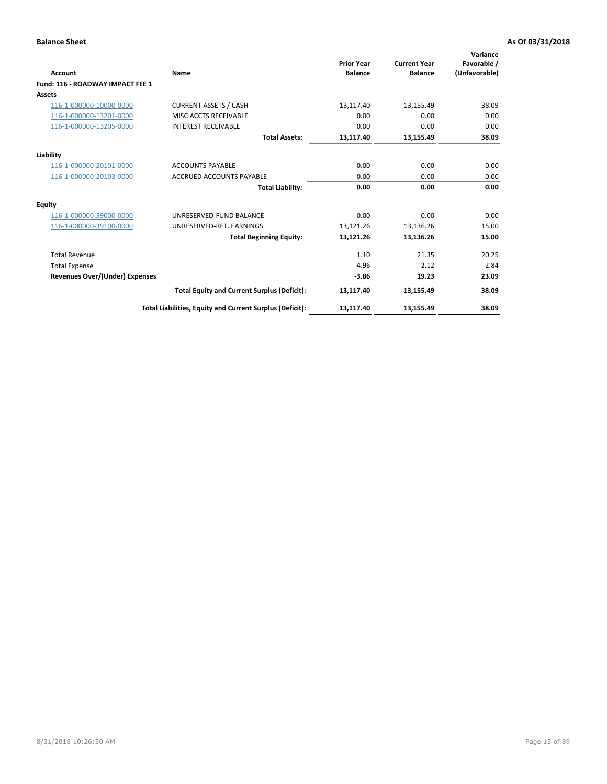| <b>Account</b>                        | Name                                                     | <b>Prior Year</b><br><b>Balance</b> | <b>Current Year</b><br><b>Balance</b> | Variance<br>Favorable /<br>(Unfavorable) |
|---------------------------------------|----------------------------------------------------------|-------------------------------------|---------------------------------------|------------------------------------------|
| Fund: 116 - ROADWAY IMPACT FEE 1      |                                                          |                                     |                                       |                                          |
| Assets                                |                                                          |                                     |                                       |                                          |
| 116-1-000000-10000-0000               | <b>CURRENT ASSETS / CASH</b>                             | 13,117.40                           | 13,155.49                             | 38.09                                    |
| 116-1-000000-13201-0000               | MISC ACCTS RECEIVABLE                                    | 0.00                                | 0.00                                  | 0.00                                     |
| 116-1-000000-13205-0000               | <b>INTEREST RECEIVABLE</b>                               | 0.00                                | 0.00                                  | 0.00                                     |
|                                       | <b>Total Assets:</b>                                     | 13,117.40                           | 13,155.49                             | 38.09                                    |
| Liability                             |                                                          |                                     |                                       |                                          |
| 116-1-000000-20101-0000               | <b>ACCOUNTS PAYABLE</b>                                  | 0.00                                | 0.00                                  | 0.00                                     |
| 116-1-000000-20103-0000               | <b>ACCRUED ACCOUNTS PAYABLE</b>                          | 0.00                                | 0.00                                  | 0.00                                     |
|                                       | <b>Total Liability:</b>                                  | 0.00                                | 0.00                                  | 0.00                                     |
| Equity                                |                                                          |                                     |                                       |                                          |
| 116-1-000000-39000-0000               | UNRESERVED-FUND BALANCE                                  | 0.00                                | 0.00                                  | 0.00                                     |
| 116-1-000000-39100-0000               | UNRESERVED-RET. EARNINGS                                 | 13,121.26                           | 13,136.26                             | 15.00                                    |
|                                       | <b>Total Beginning Equity:</b>                           | 13,121.26                           | 13.136.26                             | 15.00                                    |
| <b>Total Revenue</b>                  |                                                          | 1.10                                | 21.35                                 | 20.25                                    |
| <b>Total Expense</b>                  |                                                          | 4.96                                | 2.12                                  | 2.84                                     |
| <b>Revenues Over/(Under) Expenses</b> |                                                          | $-3.86$                             | 19.23                                 | 23.09                                    |
|                                       | <b>Total Equity and Current Surplus (Deficit):</b>       | 13,117.40                           | 13,155.49                             | 38.09                                    |
|                                       | Total Liabilities, Equity and Current Surplus (Deficit): | 13,117.40                           | 13,155.49                             | 38.09                                    |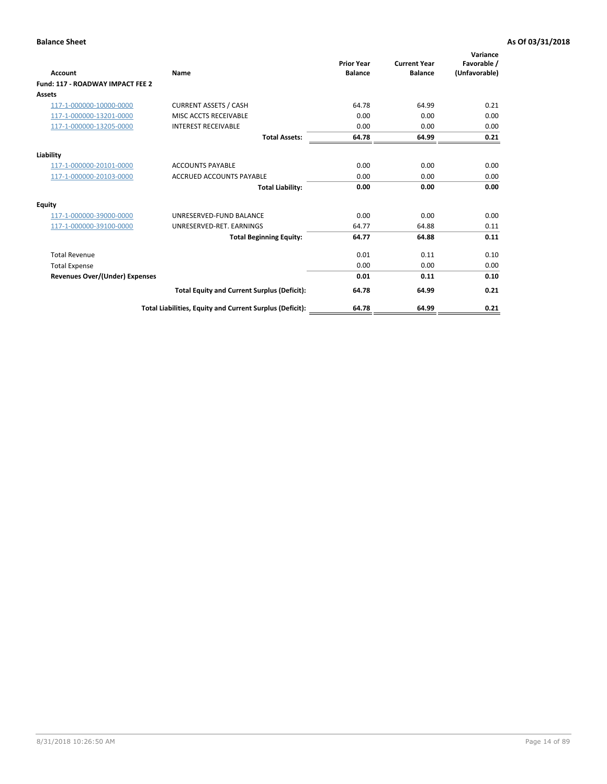| <b>Account</b>                        | Name                                                     | <b>Prior Year</b><br><b>Balance</b> | <b>Current Year</b><br><b>Balance</b> | Variance<br>Favorable /<br>(Unfavorable) |
|---------------------------------------|----------------------------------------------------------|-------------------------------------|---------------------------------------|------------------------------------------|
| Fund: 117 - ROADWAY IMPACT FEE 2      |                                                          |                                     |                                       |                                          |
| Assets                                |                                                          |                                     |                                       |                                          |
| 117-1-000000-10000-0000               | <b>CURRENT ASSETS / CASH</b>                             | 64.78                               | 64.99                                 | 0.21                                     |
| 117-1-000000-13201-0000               | MISC ACCTS RECEIVABLE                                    | 0.00                                | 0.00                                  | 0.00                                     |
| 117-1-000000-13205-0000               | <b>INTEREST RECEIVABLE</b>                               | 0.00                                | 0.00                                  | 0.00                                     |
|                                       | <b>Total Assets:</b>                                     | 64.78                               | 64.99                                 | 0.21                                     |
| Liability                             |                                                          |                                     |                                       |                                          |
| 117-1-000000-20101-0000               | <b>ACCOUNTS PAYABLE</b>                                  | 0.00                                | 0.00                                  | 0.00                                     |
| 117-1-000000-20103-0000               | <b>ACCRUED ACCOUNTS PAYABLE</b>                          | 0.00                                | 0.00                                  | 0.00                                     |
|                                       | <b>Total Liability:</b>                                  | 0.00                                | 0.00                                  | 0.00                                     |
| Equity                                |                                                          |                                     |                                       |                                          |
| 117-1-000000-39000-0000               | UNRESERVED-FUND BALANCE                                  | 0.00                                | 0.00                                  | 0.00                                     |
| 117-1-000000-39100-0000               | UNRESERVED-RET. EARNINGS                                 | 64.77                               | 64.88                                 | 0.11                                     |
|                                       | <b>Total Beginning Equity:</b>                           | 64.77                               | 64.88                                 | 0.11                                     |
| <b>Total Revenue</b>                  |                                                          | 0.01                                | 0.11                                  | 0.10                                     |
| <b>Total Expense</b>                  |                                                          | 0.00                                | 0.00                                  | 0.00                                     |
| <b>Revenues Over/(Under) Expenses</b> |                                                          | 0.01                                | 0.11                                  | 0.10                                     |
|                                       | <b>Total Equity and Current Surplus (Deficit):</b>       | 64.78                               | 64.99                                 | 0.21                                     |
|                                       | Total Liabilities, Equity and Current Surplus (Deficit): | 64.78                               | 64.99                                 | 0.21                                     |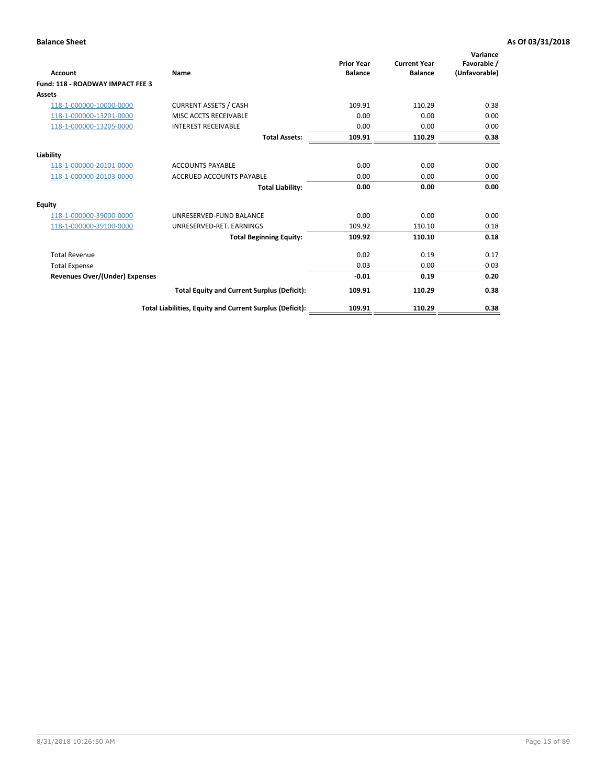| Account                               | Name                                                     | <b>Prior Year</b><br><b>Balance</b> | <b>Current Year</b><br><b>Balance</b> | Variance<br>Favorable /<br>(Unfavorable) |
|---------------------------------------|----------------------------------------------------------|-------------------------------------|---------------------------------------|------------------------------------------|
| Fund: 118 - ROADWAY IMPACT FEE 3      |                                                          |                                     |                                       |                                          |
| Assets                                |                                                          |                                     |                                       |                                          |
| 118-1-000000-10000-0000               | <b>CURRENT ASSETS / CASH</b>                             | 109.91                              | 110.29                                | 0.38                                     |
| 118-1-000000-13201-0000               | <b>MISC ACCTS RECEIVABLE</b>                             | 0.00                                | 0.00                                  | 0.00                                     |
| 118-1-000000-13205-0000               | <b>INTEREST RECEIVABLE</b>                               | 0.00                                | 0.00                                  | 0.00                                     |
|                                       | <b>Total Assets:</b>                                     | 109.91                              | 110.29                                | 0.38                                     |
| Liability                             |                                                          |                                     |                                       |                                          |
| 118-1-000000-20101-0000               | <b>ACCOUNTS PAYABLE</b>                                  | 0.00                                | 0.00                                  | 0.00                                     |
| 118-1-000000-20103-0000               | <b>ACCRUED ACCOUNTS PAYABLE</b>                          | 0.00                                | 0.00                                  | 0.00                                     |
|                                       | <b>Total Liability:</b>                                  | 0.00                                | 0.00                                  | 0.00                                     |
| Equity                                |                                                          |                                     |                                       |                                          |
| 118-1-000000-39000-0000               | UNRESERVED-FUND BALANCE                                  | 0.00                                | 0.00                                  | 0.00                                     |
| 118-1-000000-39100-0000               | UNRESERVED-RET. EARNINGS                                 | 109.92                              | 110.10                                | 0.18                                     |
|                                       | <b>Total Beginning Equity:</b>                           | 109.92                              | 110.10                                | 0.18                                     |
| <b>Total Revenue</b>                  |                                                          | 0.02                                | 0.19                                  | 0.17                                     |
| <b>Total Expense</b>                  |                                                          | 0.03                                | 0.00                                  | 0.03                                     |
| <b>Revenues Over/(Under) Expenses</b> |                                                          | $-0.01$                             | 0.19                                  | 0.20                                     |
|                                       | <b>Total Equity and Current Surplus (Deficit):</b>       | 109.91                              | 110.29                                | 0.38                                     |
|                                       | Total Liabilities, Equity and Current Surplus (Deficit): | 109.91                              | 110.29                                | 0.38                                     |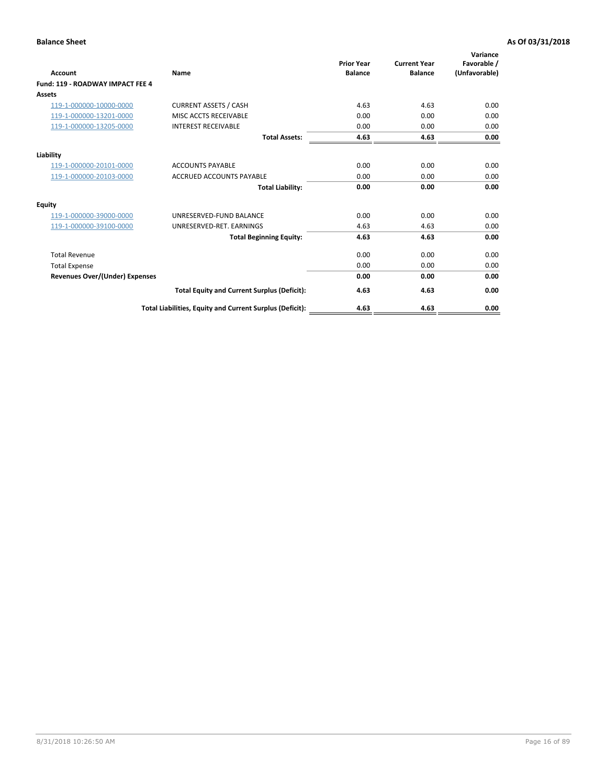| Account                               | Name                                                     | <b>Prior Year</b><br><b>Balance</b> | <b>Current Year</b><br><b>Balance</b> | Variance<br>Favorable /<br>(Unfavorable) |
|---------------------------------------|----------------------------------------------------------|-------------------------------------|---------------------------------------|------------------------------------------|
| Fund: 119 - ROADWAY IMPACT FEE 4      |                                                          |                                     |                                       |                                          |
| Assets                                |                                                          |                                     |                                       |                                          |
| 119-1-000000-10000-0000               | <b>CURRENT ASSETS / CASH</b>                             | 4.63                                | 4.63                                  | 0.00                                     |
| 119-1-000000-13201-0000               | <b>MISC ACCTS RECEIVABLE</b>                             | 0.00                                | 0.00                                  | 0.00                                     |
| 119-1-000000-13205-0000               | <b>INTEREST RECEIVABLE</b>                               | 0.00                                | 0.00                                  | 0.00                                     |
|                                       | <b>Total Assets:</b>                                     | 4.63                                | 4.63                                  | 0.00                                     |
| Liability                             |                                                          |                                     |                                       |                                          |
| 119-1-000000-20101-0000               | <b>ACCOUNTS PAYABLE</b>                                  | 0.00                                | 0.00                                  | 0.00                                     |
| 119-1-000000-20103-0000               | <b>ACCRUED ACCOUNTS PAYABLE</b>                          | 0.00                                | 0.00                                  | 0.00                                     |
|                                       | <b>Total Liability:</b>                                  | 0.00                                | 0.00                                  | 0.00                                     |
| Equity                                |                                                          |                                     |                                       |                                          |
| 119-1-000000-39000-0000               | UNRESERVED-FUND BALANCE                                  | 0.00                                | 0.00                                  | 0.00                                     |
| 119-1-000000-39100-0000               | UNRESERVED-RET. EARNINGS                                 | 4.63                                | 4.63                                  | 0.00                                     |
|                                       | <b>Total Beginning Equity:</b>                           | 4.63                                | 4.63                                  | 0.00                                     |
| <b>Total Revenue</b>                  |                                                          | 0.00                                | 0.00                                  | 0.00                                     |
| <b>Total Expense</b>                  |                                                          | 0.00                                | 0.00                                  | 0.00                                     |
| <b>Revenues Over/(Under) Expenses</b> |                                                          | 0.00                                | 0.00                                  | 0.00                                     |
|                                       | <b>Total Equity and Current Surplus (Deficit):</b>       | 4.63                                | 4.63                                  | 0.00                                     |
|                                       | Total Liabilities, Equity and Current Surplus (Deficit): | 4.63                                | 4.63                                  | 0.00                                     |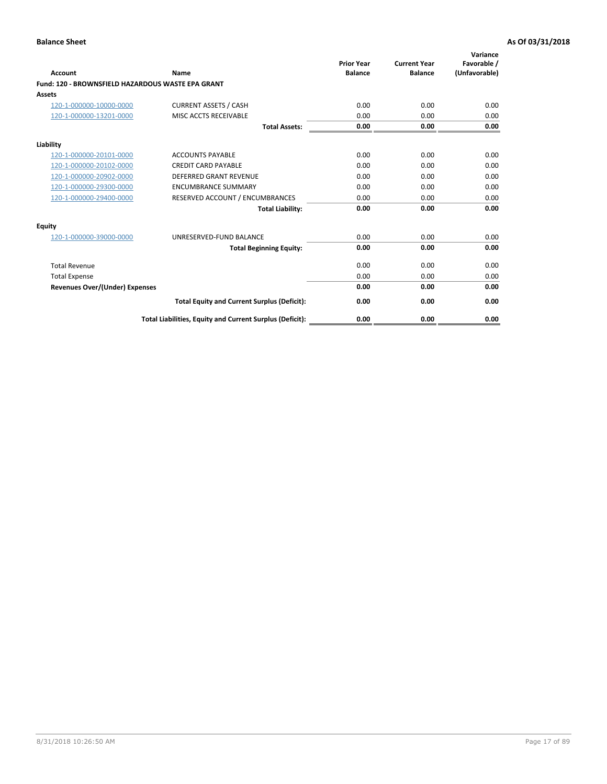|                                                   |                                                          | <b>Prior Year</b> | <b>Current Year</b> | Variance<br>Favorable / |
|---------------------------------------------------|----------------------------------------------------------|-------------------|---------------------|-------------------------|
| <b>Account</b>                                    | <b>Name</b>                                              | <b>Balance</b>    | <b>Balance</b>      | (Unfavorable)           |
| Fund: 120 - BROWNSFIELD HAZARDOUS WASTE EPA GRANT |                                                          |                   |                     |                         |
| <b>Assets</b>                                     |                                                          |                   |                     |                         |
| 120-1-000000-10000-0000                           | <b>CURRENT ASSETS / CASH</b>                             | 0.00              | 0.00                | 0.00                    |
| 120-1-000000-13201-0000                           | MISC ACCTS RECEIVABLE                                    | 0.00              | 0.00                | 0.00                    |
|                                                   | <b>Total Assets:</b>                                     | 0.00              | 0.00                | 0.00                    |
| Liability                                         |                                                          |                   |                     |                         |
| 120-1-000000-20101-0000                           | <b>ACCOUNTS PAYABLE</b>                                  | 0.00              | 0.00                | 0.00                    |
| 120-1-000000-20102-0000                           | <b>CREDIT CARD PAYABLE</b>                               | 0.00              | 0.00                | 0.00                    |
| 120-1-000000-20902-0000                           | <b>DEFERRED GRANT REVENUE</b>                            | 0.00              | 0.00                | 0.00                    |
| 120-1-000000-29300-0000                           | <b>ENCUMBRANCE SUMMARY</b>                               | 0.00              | 0.00                | 0.00                    |
| 120-1-000000-29400-0000                           | RESERVED ACCOUNT / ENCUMBRANCES                          | 0.00              | 0.00                | 0.00                    |
|                                                   | <b>Total Liability:</b>                                  | 0.00              | 0.00                | 0.00                    |
| Equity                                            |                                                          |                   |                     |                         |
| 120-1-000000-39000-0000                           | UNRESERVED-FUND BALANCE                                  | 0.00              | 0.00                | 0.00                    |
|                                                   | <b>Total Beginning Equity:</b>                           | 0.00              | 0.00                | 0.00                    |
| <b>Total Revenue</b>                              |                                                          | 0.00              | 0.00                | 0.00                    |
| <b>Total Expense</b>                              |                                                          | 0.00              | 0.00                | 0.00                    |
| <b>Revenues Over/(Under) Expenses</b>             |                                                          | 0.00              | 0.00                | 0.00                    |
|                                                   | <b>Total Equity and Current Surplus (Deficit):</b>       | 0.00              | 0.00                | 0.00                    |
|                                                   | Total Liabilities, Equity and Current Surplus (Deficit): | 0.00              | 0.00                | 0.00                    |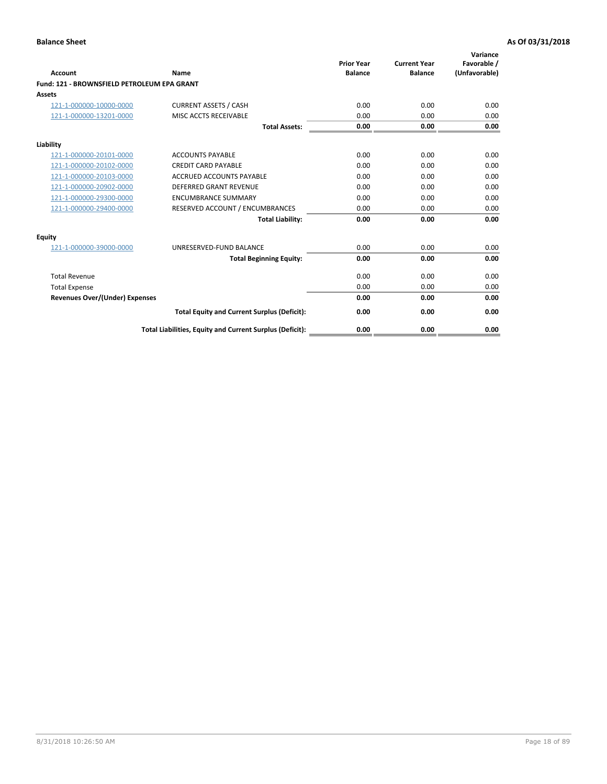| Account                                     | Name                                                     | <b>Prior Year</b><br><b>Balance</b> | <b>Current Year</b><br><b>Balance</b> | Variance<br>Favorable /<br>(Unfavorable) |
|---------------------------------------------|----------------------------------------------------------|-------------------------------------|---------------------------------------|------------------------------------------|
| Fund: 121 - BROWNSFIELD PETROLEUM EPA GRANT |                                                          |                                     |                                       |                                          |
| <b>Assets</b>                               |                                                          |                                     |                                       |                                          |
| 121-1-000000-10000-0000                     | <b>CURRENT ASSETS / CASH</b>                             | 0.00                                | 0.00                                  | 0.00                                     |
| 121-1-000000-13201-0000                     | <b>MISC ACCTS RECEIVABLE</b>                             | 0.00                                | 0.00                                  | 0.00                                     |
|                                             | <b>Total Assets:</b>                                     | 0.00                                | 0.00                                  | 0.00                                     |
| Liability                                   |                                                          |                                     |                                       |                                          |
| 121-1-000000-20101-0000                     | <b>ACCOUNTS PAYABLE</b>                                  | 0.00                                | 0.00                                  | 0.00                                     |
| 121-1-000000-20102-0000                     | <b>CREDIT CARD PAYABLE</b>                               | 0.00                                | 0.00                                  | 0.00                                     |
| 121-1-000000-20103-0000                     | <b>ACCRUED ACCOUNTS PAYABLE</b>                          | 0.00                                | 0.00                                  | 0.00                                     |
| 121-1-000000-20902-0000                     | <b>DEFERRED GRANT REVENUE</b>                            | 0.00                                | 0.00                                  | 0.00                                     |
| 121-1-000000-29300-0000                     | <b>ENCUMBRANCE SUMMARY</b>                               | 0.00                                | 0.00                                  | 0.00                                     |
| 121-1-000000-29400-0000                     | RESERVED ACCOUNT / ENCUMBRANCES                          | 0.00                                | 0.00                                  | 0.00                                     |
|                                             | <b>Total Liability:</b>                                  | 0.00                                | 0.00                                  | 0.00                                     |
| <b>Equity</b>                               |                                                          |                                     |                                       |                                          |
| 121-1-000000-39000-0000                     | UNRESERVED-FUND BALANCE                                  | 0.00                                | 0.00                                  | 0.00                                     |
|                                             | <b>Total Beginning Equity:</b>                           | 0.00                                | 0.00                                  | 0.00                                     |
| <b>Total Revenue</b>                        |                                                          | 0.00                                | 0.00                                  | 0.00                                     |
| <b>Total Expense</b>                        |                                                          | 0.00                                | 0.00                                  | 0.00                                     |
| <b>Revenues Over/(Under) Expenses</b>       |                                                          | 0.00                                | 0.00                                  | 0.00                                     |
|                                             | <b>Total Equity and Current Surplus (Deficit):</b>       | 0.00                                | 0.00                                  | 0.00                                     |
|                                             | Total Liabilities, Equity and Current Surplus (Deficit): | 0.00                                | 0.00                                  | 0.00                                     |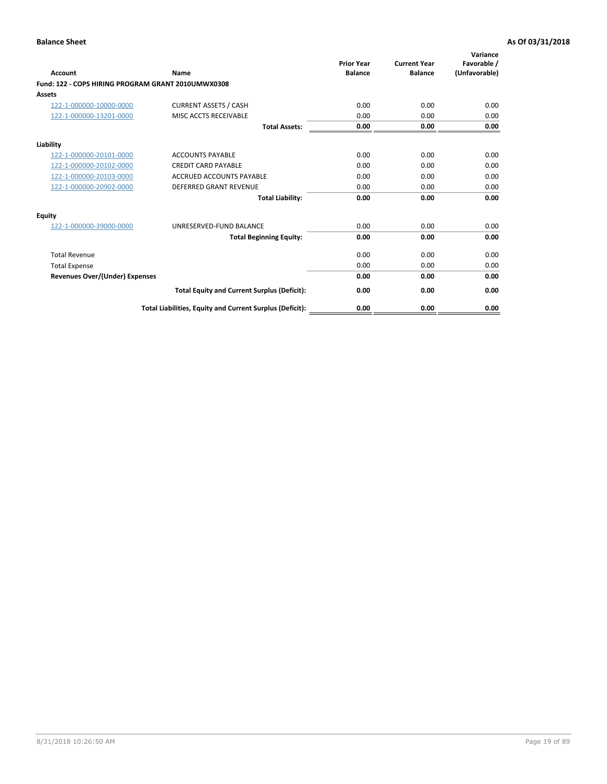| <b>Account</b>                                     | Name                                                     | <b>Prior Year</b><br><b>Balance</b> | <b>Current Year</b><br><b>Balance</b> | Variance<br>Favorable /<br>(Unfavorable) |
|----------------------------------------------------|----------------------------------------------------------|-------------------------------------|---------------------------------------|------------------------------------------|
| Fund: 122 - COPS HIRING PROGRAM GRANT 2010UMWX0308 |                                                          |                                     |                                       |                                          |
| Assets                                             |                                                          |                                     |                                       |                                          |
| 122-1-000000-10000-0000                            | <b>CURRENT ASSETS / CASH</b>                             | 0.00                                | 0.00                                  | 0.00                                     |
| 122-1-000000-13201-0000                            | MISC ACCTS RECEIVABLE                                    | 0.00                                | 0.00                                  | 0.00                                     |
|                                                    | <b>Total Assets:</b>                                     | 0.00                                | 0.00                                  | 0.00                                     |
| Liability                                          |                                                          |                                     |                                       |                                          |
| 122-1-000000-20101-0000                            | <b>ACCOUNTS PAYABLE</b>                                  | 0.00                                | 0.00                                  | 0.00                                     |
| 122-1-000000-20102-0000                            | <b>CREDIT CARD PAYABLE</b>                               | 0.00                                | 0.00                                  | 0.00                                     |
| 122-1-000000-20103-0000                            | <b>ACCRUED ACCOUNTS PAYABLE</b>                          | 0.00                                | 0.00                                  | 0.00                                     |
| 122-1-000000-20902-0000                            | <b>DEFERRED GRANT REVENUE</b>                            | 0.00                                | 0.00                                  | 0.00                                     |
|                                                    | <b>Total Liability:</b>                                  | 0.00                                | 0.00                                  | 0.00                                     |
| Equity                                             |                                                          |                                     |                                       |                                          |
| 122-1-000000-39000-0000                            | UNRESERVED-FUND BALANCE                                  | 0.00                                | 0.00                                  | 0.00                                     |
|                                                    | <b>Total Beginning Equity:</b>                           | 0.00                                | 0.00                                  | 0.00                                     |
| <b>Total Revenue</b>                               |                                                          | 0.00                                | 0.00                                  | 0.00                                     |
| <b>Total Expense</b>                               |                                                          | 0.00                                | 0.00                                  | 0.00                                     |
| <b>Revenues Over/(Under) Expenses</b>              |                                                          | 0.00                                | 0.00                                  | 0.00                                     |
|                                                    | <b>Total Equity and Current Surplus (Deficit):</b>       | 0.00                                | 0.00                                  | 0.00                                     |
|                                                    | Total Liabilities, Equity and Current Surplus (Deficit): | 0.00                                | 0.00                                  | 0.00                                     |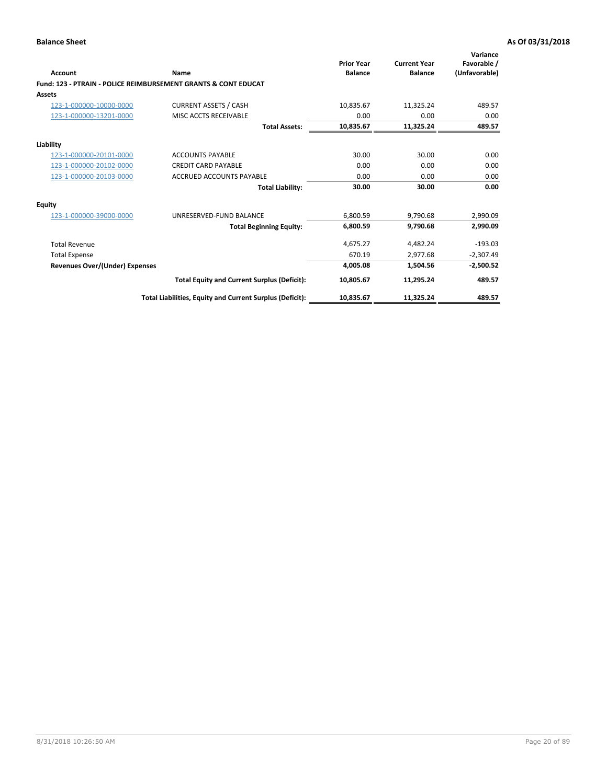| Account                        | Name                                                           | <b>Prior Year</b><br><b>Balance</b> | <b>Current Year</b><br><b>Balance</b> | Variance<br>Favorable /<br>(Unfavorable) |
|--------------------------------|----------------------------------------------------------------|-------------------------------------|---------------------------------------|------------------------------------------|
|                                | Fund: 123 - PTRAIN - POLICE REIMBURSEMENT GRANTS & CONT EDUCAT |                                     |                                       |                                          |
| Assets                         |                                                                |                                     |                                       |                                          |
| 123-1-000000-10000-0000        | <b>CURRENT ASSETS / CASH</b>                                   | 10,835.67                           | 11,325.24                             | 489.57                                   |
| 123-1-000000-13201-0000        | MISC ACCTS RECEIVABLE                                          | 0.00                                | 0.00                                  | 0.00                                     |
|                                | <b>Total Assets:</b>                                           | 10,835.67                           | 11,325.24                             | 489.57                                   |
| Liability                      |                                                                |                                     |                                       |                                          |
| 123-1-000000-20101-0000        | <b>ACCOUNTS PAYABLE</b>                                        | 30.00                               | 30.00                                 | 0.00                                     |
| 123-1-000000-20102-0000        | <b>CREDIT CARD PAYABLE</b>                                     | 0.00                                | 0.00                                  | 0.00                                     |
| 123-1-000000-20103-0000        | ACCRUED ACCOUNTS PAYABLE                                       | 0.00                                | 0.00                                  | 0.00                                     |
|                                | <b>Total Liability:</b>                                        | 30.00                               | 30.00                                 | 0.00                                     |
| Equity                         |                                                                |                                     |                                       |                                          |
| 123-1-000000-39000-0000        | UNRESERVED-FUND BALANCE                                        | 6,800.59                            | 9,790.68                              | 2,990.09                                 |
|                                | <b>Total Beginning Equity:</b>                                 | 6,800.59                            | 9,790.68                              | 2,990.09                                 |
| <b>Total Revenue</b>           |                                                                | 4,675.27                            | 4,482.24                              | $-193.03$                                |
| <b>Total Expense</b>           |                                                                | 670.19                              | 2,977.68                              | $-2,307.49$                              |
| Revenues Over/(Under) Expenses |                                                                | 4,005.08                            | 1,504.56                              | $-2,500.52$                              |
|                                | <b>Total Equity and Current Surplus (Deficit):</b>             | 10,805.67                           | 11,295.24                             | 489.57                                   |
|                                | Total Liabilities, Equity and Current Surplus (Deficit):       | 10,835.67                           | 11,325.24                             | 489.57                                   |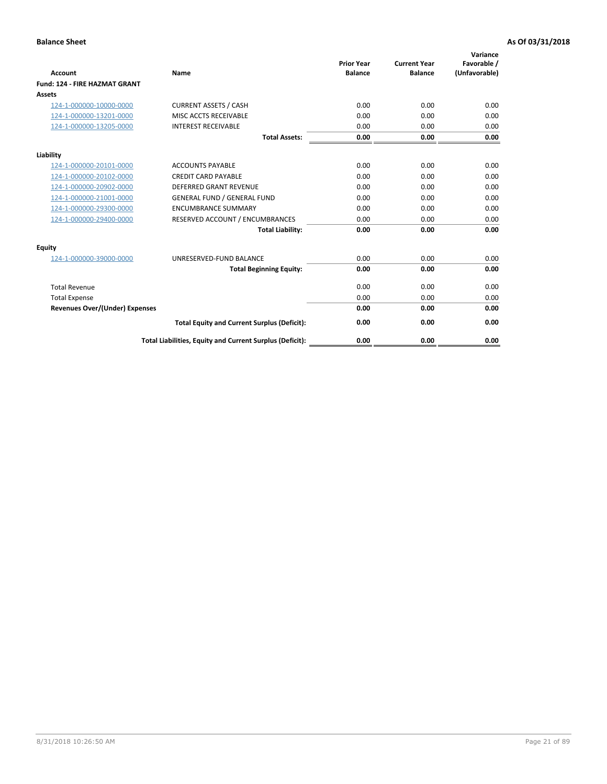| Account                               | Name                                                     | <b>Prior Year</b><br><b>Balance</b> | <b>Current Year</b><br><b>Balance</b> | Variance<br>Favorable /<br>(Unfavorable) |
|---------------------------------------|----------------------------------------------------------|-------------------------------------|---------------------------------------|------------------------------------------|
| <b>Fund: 124 - FIRE HAZMAT GRANT</b>  |                                                          |                                     |                                       |                                          |
| Assets                                |                                                          |                                     |                                       |                                          |
| 124-1-000000-10000-0000               | <b>CURRENT ASSETS / CASH</b>                             | 0.00                                | 0.00                                  | 0.00                                     |
| 124-1-000000-13201-0000               | MISC ACCTS RECEIVABLE                                    | 0.00                                | 0.00                                  | 0.00                                     |
| 124-1-000000-13205-0000               | <b>INTEREST RECEIVABLE</b>                               | 0.00                                | 0.00                                  | 0.00                                     |
|                                       | <b>Total Assets:</b>                                     | 0.00                                | 0.00                                  | 0.00                                     |
| Liability                             |                                                          |                                     |                                       |                                          |
| 124-1-000000-20101-0000               | <b>ACCOUNTS PAYABLE</b>                                  | 0.00                                | 0.00                                  | 0.00                                     |
| 124-1-000000-20102-0000               | <b>CREDIT CARD PAYABLE</b>                               | 0.00                                | 0.00                                  | 0.00                                     |
| 124-1-000000-20902-0000               | <b>DEFERRED GRANT REVENUE</b>                            | 0.00                                | 0.00                                  | 0.00                                     |
| 124-1-000000-21001-0000               | <b>GENERAL FUND / GENERAL FUND</b>                       | 0.00                                | 0.00                                  | 0.00                                     |
| 124-1-000000-29300-0000               | <b>ENCUMBRANCE SUMMARY</b>                               | 0.00                                | 0.00                                  | 0.00                                     |
| 124-1-000000-29400-0000               | RESERVED ACCOUNT / ENCUMBRANCES                          | 0.00                                | 0.00                                  | 0.00                                     |
|                                       | <b>Total Liability:</b>                                  | 0.00                                | 0.00                                  | 0.00                                     |
| <b>Equity</b>                         |                                                          |                                     |                                       |                                          |
| 124-1-000000-39000-0000               | UNRESERVED-FUND BALANCE                                  | 0.00                                | 0.00                                  | 0.00                                     |
|                                       | <b>Total Beginning Equity:</b>                           | 0.00                                | 0.00                                  | 0.00                                     |
| <b>Total Revenue</b>                  |                                                          | 0.00                                | 0.00                                  | 0.00                                     |
| <b>Total Expense</b>                  |                                                          | 0.00                                | 0.00                                  | 0.00                                     |
| <b>Revenues Over/(Under) Expenses</b> |                                                          | 0.00                                | 0.00                                  | 0.00                                     |
|                                       | <b>Total Equity and Current Surplus (Deficit):</b>       | 0.00                                | 0.00                                  | 0.00                                     |
|                                       | Total Liabilities, Equity and Current Surplus (Deficit): | 0.00                                | 0.00                                  | 0.00                                     |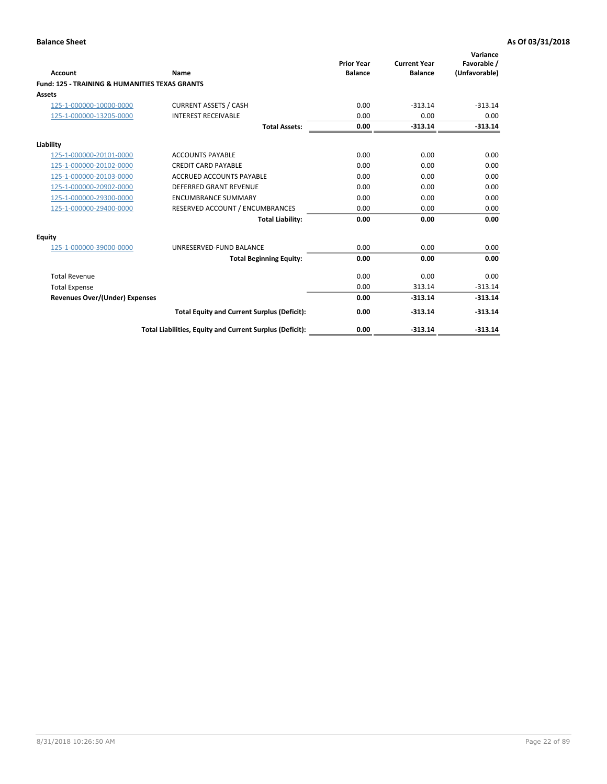| Account                                                   | Name                                                     | <b>Prior Year</b><br><b>Balance</b> | <b>Current Year</b><br><b>Balance</b> | Variance<br>Favorable /<br>(Unfavorable) |
|-----------------------------------------------------------|----------------------------------------------------------|-------------------------------------|---------------------------------------|------------------------------------------|
| <b>Fund: 125 - TRAINING &amp; HUMANITIES TEXAS GRANTS</b> |                                                          |                                     |                                       |                                          |
| <b>Assets</b>                                             |                                                          |                                     |                                       |                                          |
| 125-1-000000-10000-0000                                   | <b>CURRENT ASSETS / CASH</b>                             | 0.00                                | $-313.14$                             | $-313.14$                                |
| 125-1-000000-13205-0000                                   | <b>INTEREST RECEIVABLE</b>                               | 0.00                                | 0.00                                  | 0.00                                     |
|                                                           | <b>Total Assets:</b>                                     | 0.00                                | $-313.14$                             | $-313.14$                                |
| Liability                                                 |                                                          |                                     |                                       |                                          |
| 125-1-000000-20101-0000                                   | <b>ACCOUNTS PAYABLE</b>                                  | 0.00                                | 0.00                                  | 0.00                                     |
| 125-1-000000-20102-0000                                   | <b>CREDIT CARD PAYABLE</b>                               | 0.00                                | 0.00                                  | 0.00                                     |
| 125-1-000000-20103-0000                                   | <b>ACCRUED ACCOUNTS PAYABLE</b>                          | 0.00                                | 0.00                                  | 0.00                                     |
| 125-1-000000-20902-0000                                   | DEFERRED GRANT REVENUE                                   | 0.00                                | 0.00                                  | 0.00                                     |
| 125-1-000000-29300-0000                                   | <b>ENCUMBRANCE SUMMARY</b>                               | 0.00                                | 0.00                                  | 0.00                                     |
| 125-1-000000-29400-0000                                   | RESERVED ACCOUNT / ENCUMBRANCES                          | 0.00                                | 0.00                                  | 0.00                                     |
|                                                           | <b>Total Liability:</b>                                  | 0.00                                | 0.00                                  | 0.00                                     |
| <b>Equity</b>                                             |                                                          |                                     |                                       |                                          |
| 125-1-000000-39000-0000                                   | UNRESERVED-FUND BALANCE                                  | 0.00                                | 0.00                                  | 0.00                                     |
|                                                           | <b>Total Beginning Equity:</b>                           | 0.00                                | 0.00                                  | 0.00                                     |
| <b>Total Revenue</b>                                      |                                                          | 0.00                                | 0.00                                  | 0.00                                     |
| <b>Total Expense</b>                                      |                                                          | 0.00                                | 313.14                                | $-313.14$                                |
| <b>Revenues Over/(Under) Expenses</b>                     |                                                          | 0.00                                | $-313.14$                             | $-313.14$                                |
|                                                           | <b>Total Equity and Current Surplus (Deficit):</b>       | 0.00                                | $-313.14$                             | $-313.14$                                |
|                                                           | Total Liabilities, Equity and Current Surplus (Deficit): | 0.00                                | $-313.14$                             | $-313.14$                                |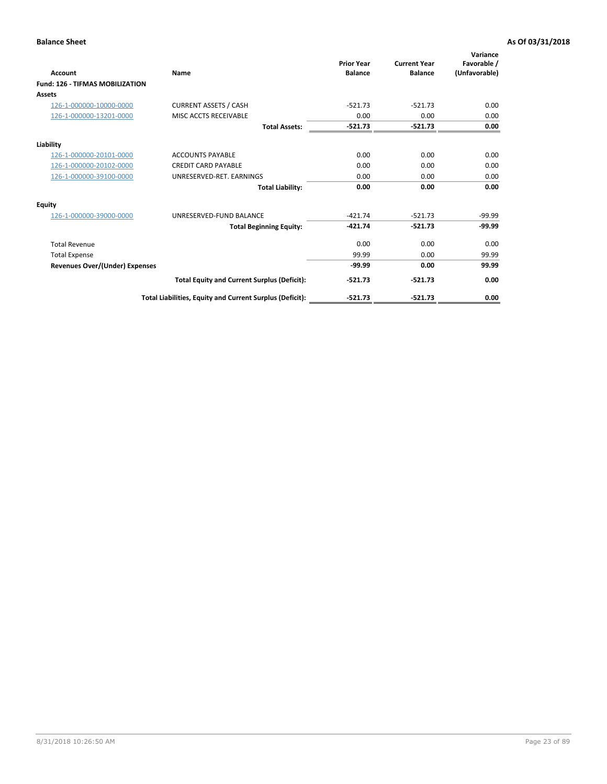| Account                                | Name                                                     | <b>Prior Year</b><br><b>Balance</b> | <b>Current Year</b><br><b>Balance</b> | Variance<br>Favorable /<br>(Unfavorable) |
|----------------------------------------|----------------------------------------------------------|-------------------------------------|---------------------------------------|------------------------------------------|
| <b>Fund: 126 - TIFMAS MOBILIZATION</b> |                                                          |                                     |                                       |                                          |
| Assets                                 |                                                          |                                     |                                       |                                          |
| 126-1-000000-10000-0000                | <b>CURRENT ASSETS / CASH</b>                             | $-521.73$                           | $-521.73$                             | 0.00                                     |
| 126-1-000000-13201-0000                | MISC ACCTS RECEIVABLE                                    | 0.00                                | 0.00                                  | 0.00                                     |
|                                        | <b>Total Assets:</b>                                     | $-521.73$                           | $-521.73$                             | 0.00                                     |
| Liability                              |                                                          |                                     |                                       |                                          |
| 126-1-000000-20101-0000                | <b>ACCOUNTS PAYABLE</b>                                  | 0.00                                | 0.00                                  | 0.00                                     |
| 126-1-000000-20102-0000                | <b>CREDIT CARD PAYABLE</b>                               | 0.00                                | 0.00                                  | 0.00                                     |
| 126-1-000000-39100-0000                | UNRESERVED-RET. EARNINGS                                 | 0.00                                | 0.00                                  | 0.00                                     |
|                                        | <b>Total Liability:</b>                                  | 0.00                                | 0.00                                  | 0.00                                     |
| Equity                                 |                                                          |                                     |                                       |                                          |
| 126-1-000000-39000-0000                | UNRESERVED-FUND BALANCE                                  | $-421.74$                           | $-521.73$                             | $-99.99$                                 |
|                                        | <b>Total Beginning Equity:</b>                           | $-421.74$                           | $-521.73$                             | $-99.99$                                 |
| <b>Total Revenue</b>                   |                                                          | 0.00                                | 0.00                                  | 0.00                                     |
| <b>Total Expense</b>                   |                                                          | 99.99                               | 0.00                                  | 99.99                                    |
| <b>Revenues Over/(Under) Expenses</b>  |                                                          | $-99.99$                            | 0.00                                  | 99.99                                    |
|                                        | <b>Total Equity and Current Surplus (Deficit):</b>       | $-521.73$                           | $-521.73$                             | 0.00                                     |
|                                        | Total Liabilities, Equity and Current Surplus (Deficit): | $-521.73$                           | $-521.73$                             | 0.00                                     |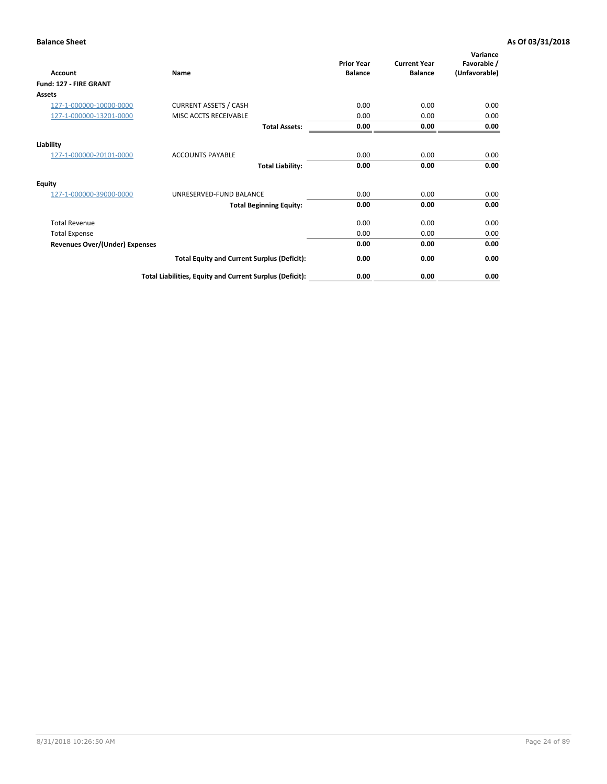| <b>Account</b>                        | Name                                                     | <b>Prior Year</b><br><b>Balance</b> | <b>Current Year</b><br><b>Balance</b> | Variance<br>Favorable /<br>(Unfavorable) |
|---------------------------------------|----------------------------------------------------------|-------------------------------------|---------------------------------------|------------------------------------------|
| Fund: 127 - FIRE GRANT                |                                                          |                                     |                                       |                                          |
| <b>Assets</b>                         |                                                          |                                     |                                       |                                          |
| 127-1-000000-10000-0000               | <b>CURRENT ASSETS / CASH</b>                             | 0.00                                | 0.00                                  | 0.00                                     |
| 127-1-000000-13201-0000               | MISC ACCTS RECEIVABLE                                    | 0.00                                | 0.00                                  | 0.00                                     |
|                                       | <b>Total Assets:</b>                                     | 0.00                                | 0.00                                  | 0.00                                     |
| Liability                             |                                                          |                                     |                                       |                                          |
| 127-1-000000-20101-0000               | <b>ACCOUNTS PAYABLE</b>                                  | 0.00                                | 0.00                                  | 0.00                                     |
|                                       | <b>Total Liability:</b>                                  | 0.00                                | 0.00                                  | 0.00                                     |
| Equity                                |                                                          |                                     |                                       |                                          |
| 127-1-000000-39000-0000               | UNRESERVED-FUND BALANCE                                  | 0.00                                | 0.00                                  | 0.00                                     |
|                                       | <b>Total Beginning Equity:</b>                           | 0.00                                | 0.00                                  | 0.00                                     |
| <b>Total Revenue</b>                  |                                                          | 0.00                                | 0.00                                  | 0.00                                     |
| <b>Total Expense</b>                  |                                                          | 0.00                                | 0.00                                  | 0.00                                     |
| <b>Revenues Over/(Under) Expenses</b> |                                                          | 0.00                                | 0.00                                  | 0.00                                     |
|                                       | <b>Total Equity and Current Surplus (Deficit):</b>       | 0.00                                | 0.00                                  | 0.00                                     |
|                                       | Total Liabilities, Equity and Current Surplus (Deficit): | 0.00                                | 0.00                                  | 0.00                                     |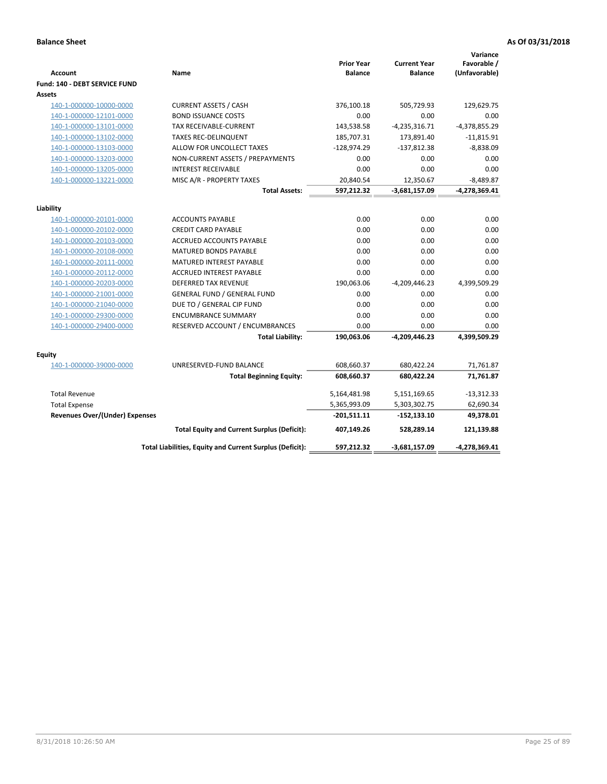| <b>Account</b><br>Fund: 140 - DEBT SERVICE FUND | Name                                                     | <b>Prior Year</b><br><b>Balance</b> | <b>Current Year</b><br><b>Balance</b> | Variance<br>Favorable /<br>(Unfavorable) |
|-------------------------------------------------|----------------------------------------------------------|-------------------------------------|---------------------------------------|------------------------------------------|
| Assets                                          |                                                          |                                     |                                       |                                          |
| 140-1-000000-10000-0000                         | <b>CURRENT ASSETS / CASH</b>                             | 376,100.18                          | 505,729.93                            | 129,629.75                               |
| 140-1-000000-12101-0000                         | <b>BOND ISSUANCE COSTS</b>                               | 0.00                                | 0.00                                  | 0.00                                     |
| 140-1-000000-13101-0000                         | TAX RECEIVABLE-CURRENT                                   | 143,538.58                          | $-4,235,316.71$                       | $-4,378,855.29$                          |
| 140-1-000000-13102-0000                         | <b>TAXES REC-DELINQUENT</b>                              | 185,707.31                          | 173,891.40                            | $-11,815.91$                             |
| 140-1-000000-13103-0000                         | ALLOW FOR UNCOLLECT TAXES                                | $-128,974.29$                       | $-137,812.38$                         | $-8,838.09$                              |
| 140-1-000000-13203-0000                         | NON-CURRENT ASSETS / PREPAYMENTS                         | 0.00                                | 0.00                                  | 0.00                                     |
| 140-1-000000-13205-0000                         | <b>INTEREST RECEIVABLE</b>                               | 0.00                                | 0.00                                  | 0.00                                     |
| 140-1-000000-13221-0000                         | MISC A/R - PROPERTY TAXES                                | 20,840.54                           | 12,350.67                             | $-8,489.87$                              |
|                                                 | <b>Total Assets:</b>                                     | 597,212.32                          | $-3,681,157.09$                       | -4,278,369.41                            |
|                                                 |                                                          |                                     |                                       |                                          |
| Liability<br>140-1-000000-20101-0000            | <b>ACCOUNTS PAYABLE</b>                                  | 0.00                                | 0.00                                  | 0.00                                     |
| 140-1-000000-20102-0000                         | <b>CREDIT CARD PAYABLE</b>                               | 0.00                                | 0.00                                  | 0.00                                     |
| 140-1-000000-20103-0000                         | ACCRUED ACCOUNTS PAYABLE                                 | 0.00                                | 0.00                                  | 0.00                                     |
| 140-1-000000-20108-0000                         | MATURED BONDS PAYABLE                                    | 0.00                                | 0.00                                  | 0.00                                     |
| 140-1-000000-20111-0000                         | MATURED INTEREST PAYABLE                                 | 0.00                                | 0.00                                  | 0.00                                     |
| 140-1-000000-20112-0000                         | <b>ACCRUED INTEREST PAYABLE</b>                          | 0.00                                | 0.00                                  | 0.00                                     |
| 140-1-000000-20203-0000                         | <b>DEFERRED TAX REVENUE</b>                              | 190,063.06                          | $-4,209,446.23$                       | 4,399,509.29                             |
| 140-1-000000-21001-0000                         | <b>GENERAL FUND / GENERAL FUND</b>                       | 0.00                                | 0.00                                  | 0.00                                     |
| 140-1-000000-21040-0000                         | DUE TO / GENERAL CIP FUND                                | 0.00                                | 0.00                                  | 0.00                                     |
| 140-1-000000-29300-0000                         | <b>ENCUMBRANCE SUMMARY</b>                               | 0.00                                | 0.00                                  | 0.00                                     |
| 140-1-000000-29400-0000                         | RESERVED ACCOUNT / ENCUMBRANCES                          | 0.00                                | 0.00                                  | 0.00                                     |
|                                                 | <b>Total Liability:</b>                                  | 190,063.06                          | -4,209,446.23                         | 4,399,509.29                             |
| Equity                                          |                                                          |                                     |                                       |                                          |
| 140-1-000000-39000-0000                         | UNRESERVED-FUND BALANCE                                  | 608,660.37                          | 680,422.24                            | 71,761.87                                |
|                                                 | <b>Total Beginning Equity:</b>                           | 608,660.37                          | 680,422.24                            | 71,761.87                                |
| <b>Total Revenue</b>                            |                                                          | 5,164,481.98                        | 5,151,169.65                          | $-13,312.33$                             |
| <b>Total Expense</b>                            |                                                          | 5,365,993.09                        | 5,303,302.75                          | 62,690.34                                |
| <b>Revenues Over/(Under) Expenses</b>           |                                                          | $-201,511.11$                       | $-152, 133.10$                        | 49,378.01                                |
|                                                 | <b>Total Equity and Current Surplus (Deficit):</b>       | 407,149.26                          | 528,289.14                            | 121,139.88                               |
|                                                 | Total Liabilities, Equity and Current Surplus (Deficit): | 597,212.32                          | $-3,681,157.09$                       | -4,278,369.41                            |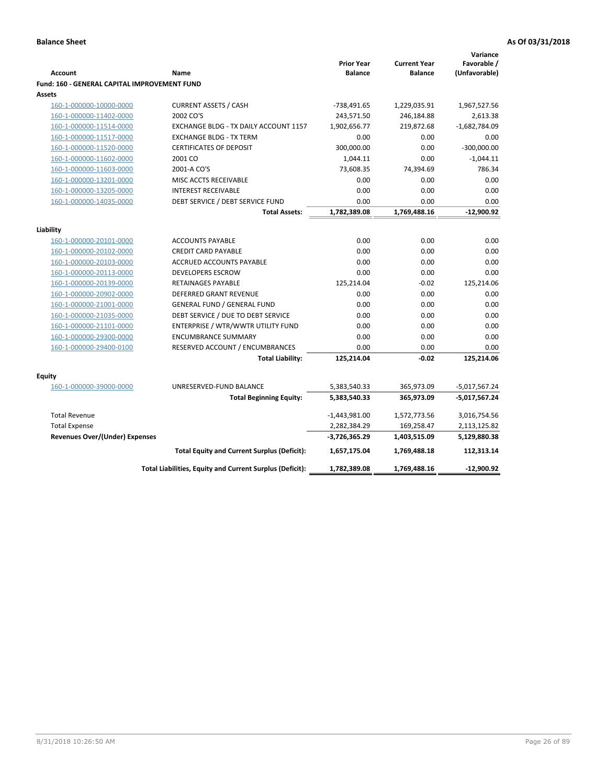|                                              |                                                          |                   |                     | Variance        |
|----------------------------------------------|----------------------------------------------------------|-------------------|---------------------|-----------------|
|                                              |                                                          | <b>Prior Year</b> | <b>Current Year</b> | Favorable /     |
| <b>Account</b>                               | Name                                                     | <b>Balance</b>    | <b>Balance</b>      | (Unfavorable)   |
| Fund: 160 - GENERAL CAPITAL IMPROVEMENT FUND |                                                          |                   |                     |                 |
| <b>Assets</b>                                |                                                          |                   |                     |                 |
| 160-1-000000-10000-0000                      | <b>CURRENT ASSETS / CASH</b>                             | -738,491.65       | 1,229,035.91        | 1,967,527.56    |
| 160-1-000000-11402-0000                      | 2002 CO'S                                                | 243,571.50        | 246,184.88          | 2,613.38        |
| 160-1-000000-11514-0000                      | EXCHANGE BLDG - TX DAILY ACCOUNT 1157                    | 1,902,656.77      | 219,872.68          | $-1,682,784.09$ |
| 160-1-000000-11517-0000                      | <b>EXCHANGE BLDG - TX TERM</b>                           | 0.00              | 0.00                | 0.00            |
| 160-1-000000-11520-0000                      | <b>CERTIFICATES OF DEPOSIT</b>                           | 300,000.00        | 0.00                | $-300,000.00$   |
| 160-1-000000-11602-0000                      | 2001 CO                                                  | 1,044.11          | 0.00                | $-1,044.11$     |
| 160-1-000000-11603-0000                      | 2001-A CO'S                                              | 73,608.35         | 74,394.69           | 786.34          |
| 160-1-000000-13201-0000                      | MISC ACCTS RECEIVABLE                                    | 0.00              | 0.00                | 0.00            |
| 160-1-000000-13205-0000                      | <b>INTEREST RECEIVABLE</b>                               | 0.00              | 0.00                | 0.00            |
| 160-1-000000-14035-0000                      | DEBT SERVICE / DEBT SERVICE FUND                         | 0.00              | 0.00                | 0.00            |
|                                              | <b>Total Assets:</b>                                     | 1,782,389.08      | 1,769,488.16        | $-12,900.92$    |
| Liability                                    |                                                          |                   |                     |                 |
|                                              |                                                          | 0.00              |                     |                 |
| 160-1-000000-20101-0000                      | <b>ACCOUNTS PAYABLE</b>                                  |                   | 0.00                | 0.00            |
| 160-1-000000-20102-0000                      | <b>CREDIT CARD PAYABLE</b>                               | 0.00              | 0.00                | 0.00            |
| 160-1-000000-20103-0000                      | ACCRUED ACCOUNTS PAYABLE                                 | 0.00              | 0.00                | 0.00            |
| 160-1-000000-20113-0000                      | <b>DEVELOPERS ESCROW</b>                                 | 0.00              | 0.00                | 0.00            |
| 160-1-000000-20139-0000                      | RETAINAGES PAYABLE                                       | 125,214.04        | $-0.02$             | 125,214.06      |
| 160-1-000000-20902-0000                      | <b>DEFERRED GRANT REVENUE</b>                            | 0.00              | 0.00                | 0.00            |
| 160-1-000000-21001-0000                      | <b>GENERAL FUND / GENERAL FUND</b>                       | 0.00              | 0.00                | 0.00            |
| 160-1-000000-21035-0000                      | DEBT SERVICE / DUE TO DEBT SERVICE                       | 0.00              | 0.00                | 0.00            |
| 160-1-000000-21101-0000                      | ENTERPRISE / WTR/WWTR UTILITY FUND                       | 0.00              | 0.00                | 0.00            |
| 160-1-000000-29300-0000                      | <b>ENCUMBRANCE SUMMARY</b>                               | 0.00              | 0.00                | 0.00            |
| 160-1-000000-29400-0100                      | RESERVED ACCOUNT / ENCUMBRANCES                          | 0.00              | 0.00                | 0.00            |
|                                              | <b>Total Liability:</b>                                  | 125,214.04        | $-0.02$             | 125,214.06      |
| <b>Equity</b>                                |                                                          |                   |                     |                 |
| 160-1-000000-39000-0000                      | UNRESERVED-FUND BALANCE                                  | 5,383,540.33      | 365,973.09          | $-5,017,567.24$ |
|                                              | <b>Total Beginning Equity:</b>                           | 5,383,540.33      | 365,973.09          | -5,017,567.24   |
|                                              |                                                          |                   |                     |                 |
| <b>Total Revenue</b>                         |                                                          | $-1,443,981.00$   | 1,572,773.56        | 3,016,754.56    |
| <b>Total Expense</b>                         |                                                          | 2,282,384.29      | 169,258.47          | 2,113,125.82    |
| Revenues Over/(Under) Expenses               |                                                          | $-3,726,365.29$   | 1,403,515.09        | 5,129,880.38    |
|                                              | <b>Total Equity and Current Surplus (Deficit):</b>       | 1,657,175.04      | 1,769,488.18        | 112,313.14      |
|                                              | Total Liabilities, Equity and Current Surplus (Deficit): | 1,782,389.08      | 1,769,488.16        | $-12,900.92$    |
|                                              |                                                          |                   |                     |                 |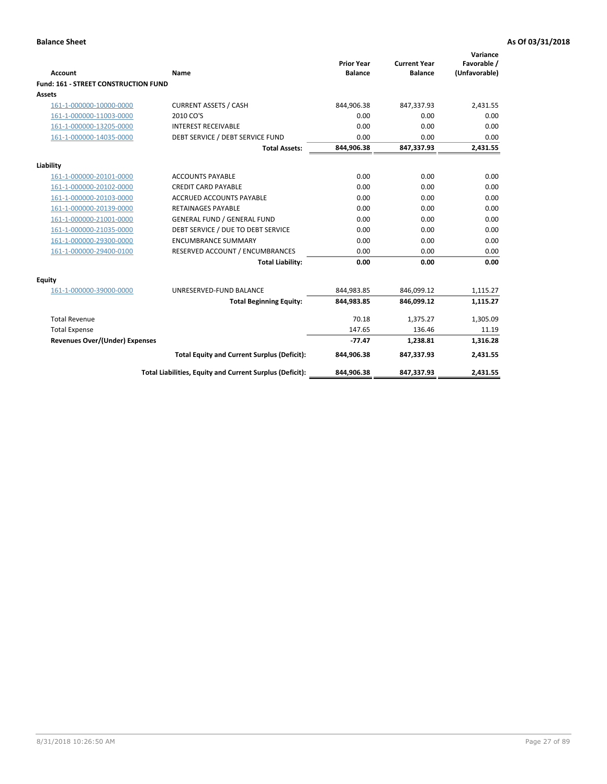| <b>Account</b>                              | Name                                                     | <b>Prior Year</b><br><b>Balance</b> | <b>Current Year</b><br><b>Balance</b> | Variance<br>Favorable /<br>(Unfavorable) |
|---------------------------------------------|----------------------------------------------------------|-------------------------------------|---------------------------------------|------------------------------------------|
| <b>Fund: 161 - STREET CONSTRUCTION FUND</b> |                                                          |                                     |                                       |                                          |
| <b>Assets</b>                               |                                                          |                                     |                                       |                                          |
| 161-1-000000-10000-0000                     | <b>CURRENT ASSETS / CASH</b>                             | 844,906.38                          | 847,337.93                            | 2,431.55                                 |
| 161-1-000000-11003-0000                     | 2010 CO'S                                                | 0.00                                | 0.00                                  | 0.00                                     |
| 161-1-000000-13205-0000                     | <b>INTEREST RECEIVABLE</b>                               | 0.00                                | 0.00                                  | 0.00                                     |
| 161-1-000000-14035-0000                     | DEBT SERVICE / DEBT SERVICE FUND                         | 0.00                                | 0.00                                  | 0.00                                     |
|                                             | <b>Total Assets:</b>                                     | 844,906.38                          | 847,337.93                            | 2,431.55                                 |
| Liability                                   |                                                          |                                     |                                       |                                          |
| 161-1-000000-20101-0000                     | <b>ACCOUNTS PAYABLE</b>                                  | 0.00                                | 0.00                                  | 0.00                                     |
| 161-1-000000-20102-0000                     | <b>CREDIT CARD PAYABLE</b>                               | 0.00                                | 0.00                                  | 0.00                                     |
| 161-1-000000-20103-0000                     | <b>ACCRUED ACCOUNTS PAYABLE</b>                          | 0.00                                | 0.00                                  | 0.00                                     |
| 161-1-000000-20139-0000                     | <b>RETAINAGES PAYABLE</b>                                | 0.00                                | 0.00                                  | 0.00                                     |
| 161-1-000000-21001-0000                     | <b>GENERAL FUND / GENERAL FUND</b>                       | 0.00                                | 0.00                                  | 0.00                                     |
| 161-1-000000-21035-0000                     | DEBT SERVICE / DUE TO DEBT SERVICE                       | 0.00                                | 0.00                                  | 0.00                                     |
| 161-1-000000-29300-0000                     | <b>ENCUMBRANCE SUMMARY</b>                               | 0.00                                | 0.00                                  | 0.00                                     |
| 161-1-000000-29400-0100                     | RESERVED ACCOUNT / ENCUMBRANCES                          | 0.00                                | 0.00                                  | 0.00                                     |
|                                             | <b>Total Liability:</b>                                  | 0.00                                | 0.00                                  | 0.00                                     |
| <b>Equity</b>                               |                                                          |                                     |                                       |                                          |
| 161-1-000000-39000-0000                     | UNRESERVED-FUND BALANCE                                  | 844,983.85                          | 846,099.12                            | 1,115.27                                 |
|                                             | <b>Total Beginning Equity:</b>                           | 844,983.85                          | 846,099.12                            | 1,115.27                                 |
| <b>Total Revenue</b>                        |                                                          | 70.18                               | 1,375.27                              | 1,305.09                                 |
| <b>Total Expense</b>                        |                                                          | 147.65                              | 136.46                                | 11.19                                    |
| <b>Revenues Over/(Under) Expenses</b>       |                                                          | $-77.47$                            | 1,238.81                              | 1,316.28                                 |
|                                             | <b>Total Equity and Current Surplus (Deficit):</b>       | 844,906.38                          | 847,337.93                            | 2,431.55                                 |
|                                             | Total Liabilities, Equity and Current Surplus (Deficit): | 844,906.38                          | 847,337.93                            | 2.431.55                                 |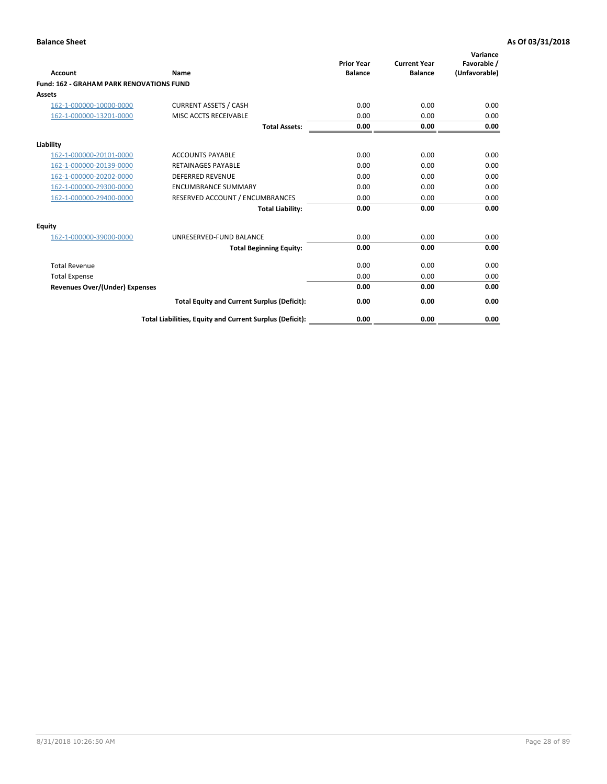|                                                 |                                                          | <b>Prior Year</b><br><b>Balance</b> | <b>Current Year</b> | Variance<br>Favorable / |
|-------------------------------------------------|----------------------------------------------------------|-------------------------------------|---------------------|-------------------------|
| <b>Account</b>                                  | Name                                                     |                                     | <b>Balance</b>      | (Unfavorable)           |
| <b>Fund: 162 - GRAHAM PARK RENOVATIONS FUND</b> |                                                          |                                     |                     |                         |
| <b>Assets</b>                                   |                                                          |                                     |                     |                         |
| 162-1-000000-10000-0000                         | <b>CURRENT ASSETS / CASH</b>                             | 0.00                                | 0.00                | 0.00                    |
| 162-1-000000-13201-0000                         | MISC ACCTS RECEIVABLE                                    | 0.00                                | 0.00                | 0.00                    |
|                                                 | <b>Total Assets:</b>                                     | 0.00                                | 0.00                | 0.00                    |
| Liability                                       |                                                          |                                     |                     |                         |
| 162-1-000000-20101-0000                         | <b>ACCOUNTS PAYABLE</b>                                  | 0.00                                | 0.00                | 0.00                    |
| 162-1-000000-20139-0000                         | <b>RETAINAGES PAYABLE</b>                                | 0.00                                | 0.00                | 0.00                    |
| 162-1-000000-20202-0000                         | <b>DEFERRED REVENUE</b>                                  | 0.00                                | 0.00                | 0.00                    |
| 162-1-000000-29300-0000                         | <b>ENCUMBRANCE SUMMARY</b>                               | 0.00                                | 0.00                | 0.00                    |
| 162-1-000000-29400-0000                         | RESERVED ACCOUNT / ENCUMBRANCES                          | 0.00                                | 0.00                | 0.00                    |
|                                                 | <b>Total Liability:</b>                                  | 0.00                                | 0.00                | 0.00                    |
| Equity                                          |                                                          |                                     |                     |                         |
| 162-1-000000-39000-0000                         | UNRESERVED-FUND BALANCE                                  | 0.00                                | 0.00                | 0.00                    |
|                                                 | <b>Total Beginning Equity:</b>                           | 0.00                                | 0.00                | 0.00                    |
| <b>Total Revenue</b>                            |                                                          | 0.00                                | 0.00                | 0.00                    |
| <b>Total Expense</b>                            |                                                          | 0.00                                | 0.00                | 0.00                    |
| Revenues Over/(Under) Expenses                  |                                                          | 0.00                                | 0.00                | 0.00                    |
|                                                 | <b>Total Equity and Current Surplus (Deficit):</b>       | 0.00                                | 0.00                | 0.00                    |
|                                                 | Total Liabilities, Equity and Current Surplus (Deficit): | 0.00                                | 0.00                | 0.00                    |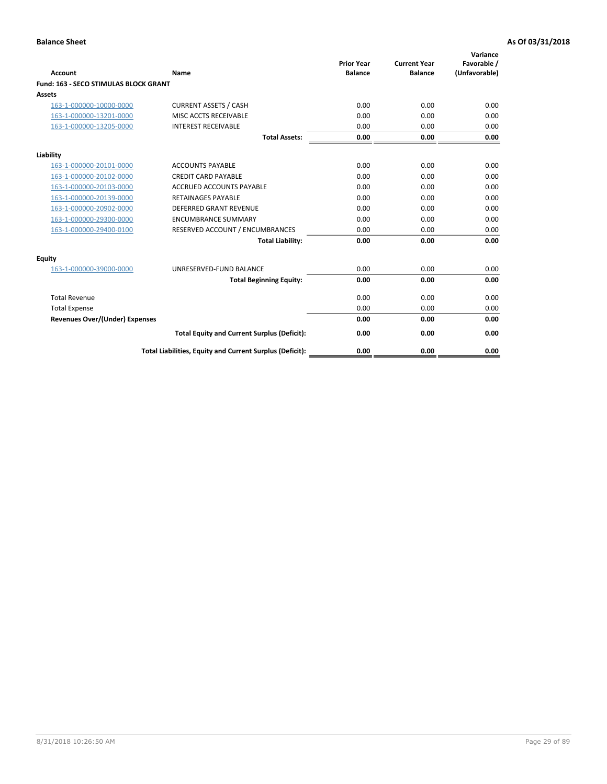|                                              |                                                          | <b>Prior Year</b> | <b>Current Year</b> | Variance<br>Favorable / |
|----------------------------------------------|----------------------------------------------------------|-------------------|---------------------|-------------------------|
| <b>Account</b>                               | Name                                                     | <b>Balance</b>    | <b>Balance</b>      | (Unfavorable)           |
| <b>Fund: 163 - SECO STIMULAS BLOCK GRANT</b> |                                                          |                   |                     |                         |
| Assets                                       |                                                          |                   |                     |                         |
| 163-1-000000-10000-0000                      | <b>CURRENT ASSETS / CASH</b>                             | 0.00              | 0.00                | 0.00                    |
| 163-1-000000-13201-0000                      | MISC ACCTS RECEIVABLE                                    | 0.00              | 0.00                | 0.00                    |
| 163-1-000000-13205-0000                      | <b>INTEREST RECEIVABLE</b>                               | 0.00              | 0.00                | 0.00                    |
|                                              | <b>Total Assets:</b>                                     | 0.00              | 0.00                | 0.00                    |
| Liability                                    |                                                          |                   |                     |                         |
| 163-1-000000-20101-0000                      | <b>ACCOUNTS PAYABLE</b>                                  | 0.00              | 0.00                | 0.00                    |
| 163-1-000000-20102-0000                      | <b>CREDIT CARD PAYABLE</b>                               | 0.00              | 0.00                | 0.00                    |
| 163-1-000000-20103-0000                      | <b>ACCRUED ACCOUNTS PAYABLE</b>                          | 0.00              | 0.00                | 0.00                    |
| 163-1-000000-20139-0000                      | <b>RETAINAGES PAYABLE</b>                                | 0.00              | 0.00                | 0.00                    |
| 163-1-000000-20902-0000                      | <b>DEFERRED GRANT REVENUE</b>                            | 0.00              | 0.00                | 0.00                    |
| 163-1-000000-29300-0000                      | <b>ENCUMBRANCE SUMMARY</b>                               | 0.00              | 0.00                | 0.00                    |
| 163-1-000000-29400-0100                      | RESERVED ACCOUNT / ENCUMBRANCES                          | 0.00              | 0.00                | 0.00                    |
|                                              | <b>Total Liability:</b>                                  | 0.00              | 0.00                | 0.00                    |
| <b>Equity</b>                                |                                                          |                   |                     |                         |
| 163-1-000000-39000-0000                      | UNRESERVED-FUND BALANCE                                  | 0.00              | 0.00                | 0.00                    |
|                                              | <b>Total Beginning Equity:</b>                           | 0.00              | 0.00                | 0.00                    |
| <b>Total Revenue</b>                         |                                                          | 0.00              | 0.00                | 0.00                    |
| <b>Total Expense</b>                         |                                                          | 0.00              | 0.00                | 0.00                    |
| Revenues Over/(Under) Expenses               |                                                          | 0.00              | 0.00                | 0.00                    |
|                                              | <b>Total Equity and Current Surplus (Deficit):</b>       | 0.00              | 0.00                | 0.00                    |
|                                              | Total Liabilities, Equity and Current Surplus (Deficit): | 0.00              | 0.00                | 0.00                    |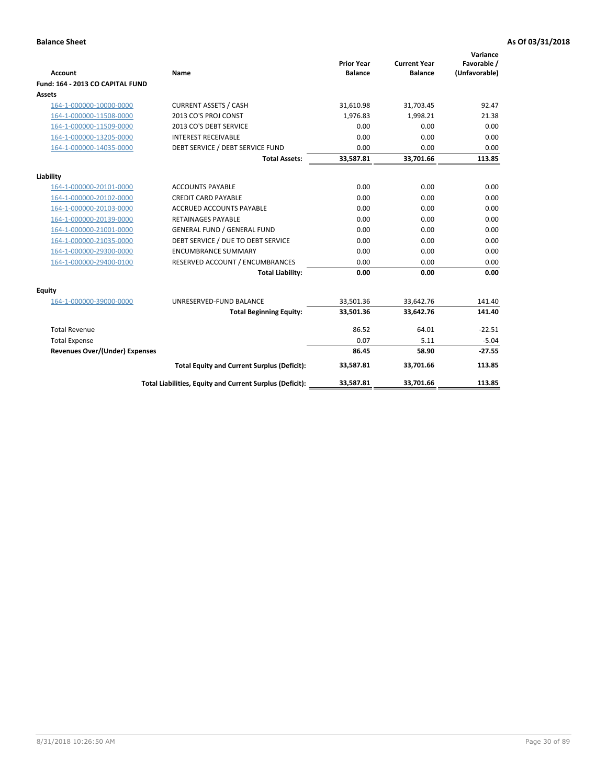|                                       |                                                          |                                     |                                       | Variance                     |
|---------------------------------------|----------------------------------------------------------|-------------------------------------|---------------------------------------|------------------------------|
| <b>Account</b>                        | Name                                                     | <b>Prior Year</b><br><b>Balance</b> | <b>Current Year</b><br><b>Balance</b> | Favorable /<br>(Unfavorable) |
| Fund: 164 - 2013 CO CAPITAL FUND      |                                                          |                                     |                                       |                              |
| <b>Assets</b>                         |                                                          |                                     |                                       |                              |
| 164-1-000000-10000-0000               | <b>CURRENT ASSETS / CASH</b>                             | 31,610.98                           | 31,703.45                             | 92.47                        |
| 164-1-000000-11508-0000               | 2013 CO'S PROJ CONST                                     | 1.976.83                            | 1.998.21                              | 21.38                        |
| 164-1-000000-11509-0000               | 2013 CO'S DEBT SERVICE                                   | 0.00                                | 0.00                                  | 0.00                         |
| 164-1-000000-13205-0000               | <b>INTEREST RECEIVABLE</b>                               | 0.00                                | 0.00                                  | 0.00                         |
| 164-1-000000-14035-0000               | DEBT SERVICE / DEBT SERVICE FUND                         | 0.00                                | 0.00                                  | 0.00                         |
|                                       | <b>Total Assets:</b>                                     | 33,587.81                           | 33,701.66                             | 113.85                       |
| Liability                             |                                                          |                                     |                                       |                              |
| 164-1-000000-20101-0000               | <b>ACCOUNTS PAYABLE</b>                                  | 0.00                                | 0.00                                  | 0.00                         |
| 164-1-000000-20102-0000               | <b>CREDIT CARD PAYABLE</b>                               | 0.00                                | 0.00                                  | 0.00                         |
| 164-1-000000-20103-0000               | <b>ACCRUED ACCOUNTS PAYABLE</b>                          | 0.00                                | 0.00                                  | 0.00                         |
| 164-1-000000-20139-0000               | <b>RETAINAGES PAYABLE</b>                                | 0.00                                | 0.00                                  | 0.00                         |
| 164-1-000000-21001-0000               | <b>GENERAL FUND / GENERAL FUND</b>                       | 0.00                                | 0.00                                  | 0.00                         |
| 164-1-000000-21035-0000               | DEBT SERVICE / DUE TO DEBT SERVICE                       | 0.00                                | 0.00                                  | 0.00                         |
| 164-1-000000-29300-0000               | <b>ENCUMBRANCE SUMMARY</b>                               | 0.00                                | 0.00                                  | 0.00                         |
| 164-1-000000-29400-0100               | RESERVED ACCOUNT / ENCUMBRANCES                          | 0.00                                | 0.00                                  | 0.00                         |
|                                       | <b>Total Liability:</b>                                  | 0.00                                | 0.00                                  | 0.00                         |
| <b>Equity</b>                         |                                                          |                                     |                                       |                              |
| 164-1-000000-39000-0000               | UNRESERVED-FUND BALANCE                                  | 33,501.36                           | 33,642.76                             | 141.40                       |
|                                       | <b>Total Beginning Equity:</b>                           | 33,501.36                           | 33,642.76                             | 141.40                       |
| <b>Total Revenue</b>                  |                                                          | 86.52                               | 64.01                                 | $-22.51$                     |
| <b>Total Expense</b>                  |                                                          | 0.07                                | 5.11                                  | $-5.04$                      |
| <b>Revenues Over/(Under) Expenses</b> |                                                          | 86.45                               | 58.90                                 | $-27.55$                     |
|                                       | <b>Total Equity and Current Surplus (Deficit):</b>       | 33,587.81                           | 33.701.66                             | 113.85                       |
|                                       | Total Liabilities, Equity and Current Surplus (Deficit): | 33,587.81                           | 33.701.66                             | 113.85                       |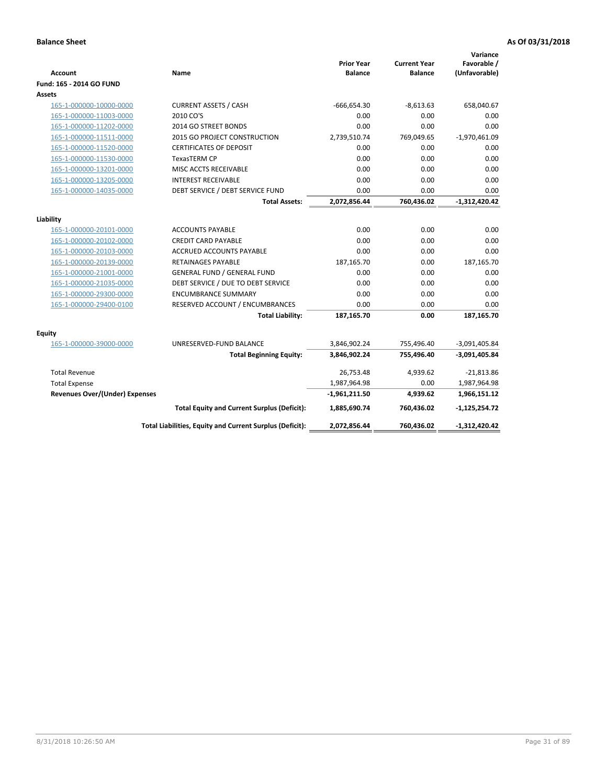| <b>Account</b>                        | Name                                                     | <b>Prior Year</b><br><b>Balance</b> | <b>Current Year</b><br><b>Balance</b> | Variance<br>Favorable /<br>(Unfavorable) |
|---------------------------------------|----------------------------------------------------------|-------------------------------------|---------------------------------------|------------------------------------------|
| Fund: 165 - 2014 GO FUND              |                                                          |                                     |                                       |                                          |
| <b>Assets</b>                         |                                                          |                                     |                                       |                                          |
| 165-1-000000-10000-0000               | <b>CURRENT ASSETS / CASH</b>                             | $-666,654.30$                       | $-8,613.63$                           | 658,040.67                               |
| 165-1-000000-11003-0000               | 2010 CO'S                                                | 0.00                                | 0.00                                  | 0.00                                     |
| 165-1-000000-11202-0000               | 2014 GO STREET BONDS                                     | 0.00                                | 0.00                                  | 0.00                                     |
| 165-1-000000-11511-0000               | <b>2015 GO PROJECT CONSTRUCTION</b>                      | 2,739,510.74                        | 769,049.65                            | $-1,970,461.09$                          |
| 165-1-000000-11520-0000               | <b>CERTIFICATES OF DEPOSIT</b>                           | 0.00                                | 0.00                                  | 0.00                                     |
| 165-1-000000-11530-0000               | <b>TexasTERM CP</b>                                      | 0.00                                | 0.00                                  | 0.00                                     |
| 165-1-000000-13201-0000               | MISC ACCTS RECEIVABLE                                    | 0.00                                | 0.00                                  | 0.00                                     |
| 165-1-000000-13205-0000               | <b>INTEREST RECEIVABLE</b>                               | 0.00                                | 0.00                                  | 0.00                                     |
| 165-1-000000-14035-0000               | DEBT SERVICE / DEBT SERVICE FUND                         | 0.00                                | 0.00                                  | 0.00                                     |
|                                       | <b>Total Assets:</b>                                     | 2,072,856.44                        | 760,436.02                            | $-1,312,420.42$                          |
| Liability                             |                                                          |                                     |                                       |                                          |
| 165-1-000000-20101-0000               | <b>ACCOUNTS PAYABLE</b>                                  | 0.00                                | 0.00                                  | 0.00                                     |
| 165-1-000000-20102-0000               | <b>CREDIT CARD PAYABLE</b>                               | 0.00                                | 0.00                                  | 0.00                                     |
| 165-1-000000-20103-0000               | ACCRUED ACCOUNTS PAYABLE                                 | 0.00                                | 0.00                                  | 0.00                                     |
| 165-1-000000-20139-0000               | <b>RETAINAGES PAYABLE</b>                                | 187,165.70                          | 0.00                                  | 187,165.70                               |
| 165-1-000000-21001-0000               | <b>GENERAL FUND / GENERAL FUND</b>                       | 0.00                                | 0.00                                  | 0.00                                     |
| 165-1-000000-21035-0000               | DEBT SERVICE / DUE TO DEBT SERVICE                       | 0.00                                | 0.00                                  | 0.00                                     |
| 165-1-000000-29300-0000               | <b>ENCUMBRANCE SUMMARY</b>                               | 0.00                                | 0.00                                  | 0.00                                     |
| 165-1-000000-29400-0100               | RESERVED ACCOUNT / ENCUMBRANCES                          | 0.00                                | 0.00                                  | 0.00                                     |
|                                       | <b>Total Liability:</b>                                  | 187,165.70                          | 0.00                                  | 187,165.70                               |
| <b>Equity</b>                         |                                                          |                                     |                                       |                                          |
| 165-1-000000-39000-0000               | UNRESERVED-FUND BALANCE                                  | 3,846,902.24                        | 755,496.40                            | $-3,091,405.84$                          |
|                                       | <b>Total Beginning Equity:</b>                           | 3,846,902.24                        | 755,496.40                            | $-3,091,405.84$                          |
| <b>Total Revenue</b>                  |                                                          | 26,753.48                           | 4,939.62                              | $-21,813.86$                             |
| <b>Total Expense</b>                  |                                                          | 1,987,964.98                        | 0.00                                  | 1,987,964.98                             |
| <b>Revenues Over/(Under) Expenses</b> |                                                          | $-1,961,211.50$                     | 4,939.62                              | 1,966,151.12                             |
|                                       | <b>Total Equity and Current Surplus (Deficit):</b>       | 1,885,690.74                        | 760,436.02                            | $-1,125,254.72$                          |
|                                       | Total Liabilities, Equity and Current Surplus (Deficit): | 2,072,856.44                        | 760.436.02                            | -1,312,420.42                            |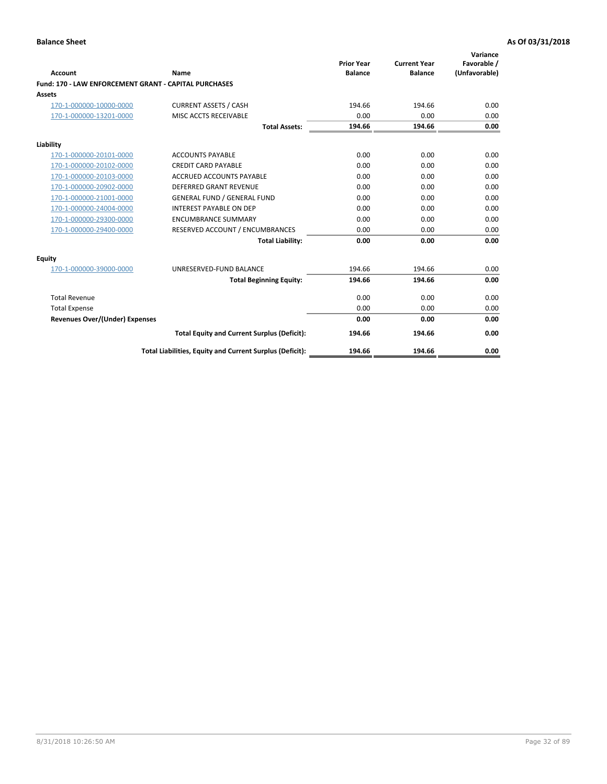| Account                                               | Name                                                     | <b>Prior Year</b><br><b>Balance</b> | <b>Current Year</b><br><b>Balance</b> | Variance<br>Favorable /<br>(Unfavorable) |
|-------------------------------------------------------|----------------------------------------------------------|-------------------------------------|---------------------------------------|------------------------------------------|
| Fund: 170 - LAW ENFORCEMENT GRANT - CAPITAL PURCHASES |                                                          |                                     |                                       |                                          |
| <b>Assets</b>                                         |                                                          |                                     |                                       |                                          |
| 170-1-000000-10000-0000                               | <b>CURRENT ASSETS / CASH</b>                             | 194.66                              | 194.66                                | 0.00                                     |
| 170-1-000000-13201-0000                               | MISC ACCTS RECEIVABLE                                    | 0.00                                | 0.00                                  | 0.00                                     |
|                                                       | <b>Total Assets:</b>                                     | 194.66                              | 194.66                                | 0.00                                     |
| Liability                                             |                                                          |                                     |                                       |                                          |
| 170-1-000000-20101-0000                               | <b>ACCOUNTS PAYABLE</b>                                  | 0.00                                | 0.00                                  | 0.00                                     |
| 170-1-000000-20102-0000                               | <b>CREDIT CARD PAYABLE</b>                               | 0.00                                | 0.00                                  | 0.00                                     |
| 170-1-000000-20103-0000                               | <b>ACCRUED ACCOUNTS PAYABLE</b>                          | 0.00                                | 0.00                                  | 0.00                                     |
| 170-1-000000-20902-0000                               | DEFERRED GRANT REVENUE                                   | 0.00                                | 0.00                                  | 0.00                                     |
| 170-1-000000-21001-0000                               | <b>GENERAL FUND / GENERAL FUND</b>                       | 0.00                                | 0.00                                  | 0.00                                     |
| 170-1-000000-24004-0000                               | <b>INTEREST PAYABLE ON DEP</b>                           | 0.00                                | 0.00                                  | 0.00                                     |
| 170-1-000000-29300-0000                               | <b>ENCUMBRANCE SUMMARY</b>                               | 0.00                                | 0.00                                  | 0.00                                     |
| 170-1-000000-29400-0000                               | RESERVED ACCOUNT / ENCUMBRANCES                          | 0.00                                | 0.00                                  | 0.00                                     |
|                                                       | <b>Total Liability:</b>                                  | 0.00                                | 0.00                                  | 0.00                                     |
| <b>Equity</b>                                         |                                                          |                                     |                                       |                                          |
| 170-1-000000-39000-0000                               | UNRESERVED-FUND BALANCE                                  | 194.66                              | 194.66                                | 0.00                                     |
|                                                       | <b>Total Beginning Equity:</b>                           | 194.66                              | 194.66                                | 0.00                                     |
| <b>Total Revenue</b>                                  |                                                          | 0.00                                | 0.00                                  | 0.00                                     |
| <b>Total Expense</b>                                  |                                                          | 0.00                                | 0.00                                  | 0.00                                     |
| <b>Revenues Over/(Under) Expenses</b>                 |                                                          | 0.00                                | 0.00                                  | 0.00                                     |
|                                                       | <b>Total Equity and Current Surplus (Deficit):</b>       | 194.66                              | 194.66                                | 0.00                                     |
|                                                       | Total Liabilities, Equity and Current Surplus (Deficit): | 194.66                              | 194.66                                | 0.00                                     |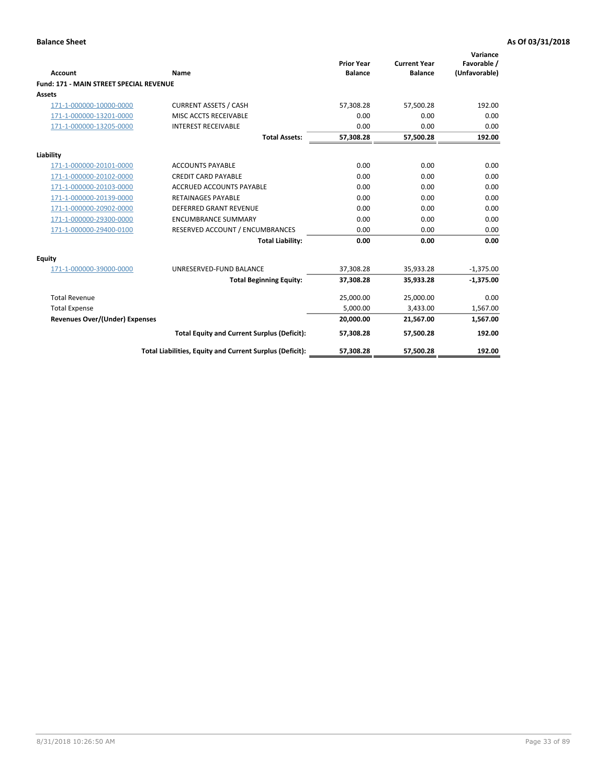|                                                |                                                          | <b>Prior Year</b> | <b>Current Year</b> | Variance<br>Favorable / |
|------------------------------------------------|----------------------------------------------------------|-------------------|---------------------|-------------------------|
| Account                                        | Name                                                     | <b>Balance</b>    | <b>Balance</b>      | (Unfavorable)           |
| <b>Fund: 171 - MAIN STREET SPECIAL REVENUE</b> |                                                          |                   |                     |                         |
| Assets                                         |                                                          |                   |                     |                         |
| 171-1-000000-10000-0000                        | <b>CURRENT ASSETS / CASH</b>                             | 57,308.28         | 57,500.28           | 192.00                  |
| 171-1-000000-13201-0000                        | MISC ACCTS RECEIVABLE                                    | 0.00              | 0.00                | 0.00                    |
| 171-1-000000-13205-0000                        | <b>INTEREST RECEIVABLE</b>                               | 0.00              | 0.00                | 0.00                    |
|                                                | <b>Total Assets:</b>                                     | 57,308.28         | 57,500.28           | 192.00                  |
| Liability                                      |                                                          |                   |                     |                         |
| 171-1-000000-20101-0000                        | <b>ACCOUNTS PAYABLE</b>                                  | 0.00              | 0.00                | 0.00                    |
| 171-1-000000-20102-0000                        | <b>CREDIT CARD PAYABLE</b>                               | 0.00              | 0.00                | 0.00                    |
| 171-1-000000-20103-0000                        | <b>ACCRUED ACCOUNTS PAYABLE</b>                          | 0.00              | 0.00                | 0.00                    |
| 171-1-000000-20139-0000                        | <b>RETAINAGES PAYABLE</b>                                | 0.00              | 0.00                | 0.00                    |
| 171-1-000000-20902-0000                        | <b>DEFERRED GRANT REVENUE</b>                            | 0.00              | 0.00                | 0.00                    |
| 171-1-000000-29300-0000                        | <b>ENCUMBRANCE SUMMARY</b>                               | 0.00              | 0.00                | 0.00                    |
| 171-1-000000-29400-0100                        | RESERVED ACCOUNT / ENCUMBRANCES                          | 0.00              | 0.00                | 0.00                    |
|                                                | <b>Total Liability:</b>                                  | 0.00              | 0.00                | 0.00                    |
| <b>Equity</b>                                  |                                                          |                   |                     |                         |
| 171-1-000000-39000-0000                        | UNRESERVED-FUND BALANCE                                  | 37,308.28         | 35,933.28           | $-1,375.00$             |
|                                                | <b>Total Beginning Equity:</b>                           | 37,308.28         | 35,933.28           | $-1,375.00$             |
| <b>Total Revenue</b>                           |                                                          | 25,000.00         | 25,000.00           | 0.00                    |
| <b>Total Expense</b>                           |                                                          | 5,000.00          | 3,433.00            | 1,567.00                |
| <b>Revenues Over/(Under) Expenses</b>          |                                                          | 20,000.00         | 21,567.00           | 1,567.00                |
|                                                | <b>Total Equity and Current Surplus (Deficit):</b>       | 57,308.28         | 57,500.28           | 192.00                  |
|                                                | Total Liabilities, Equity and Current Surplus (Deficit): | 57,308.28         | 57,500.28           | 192.00                  |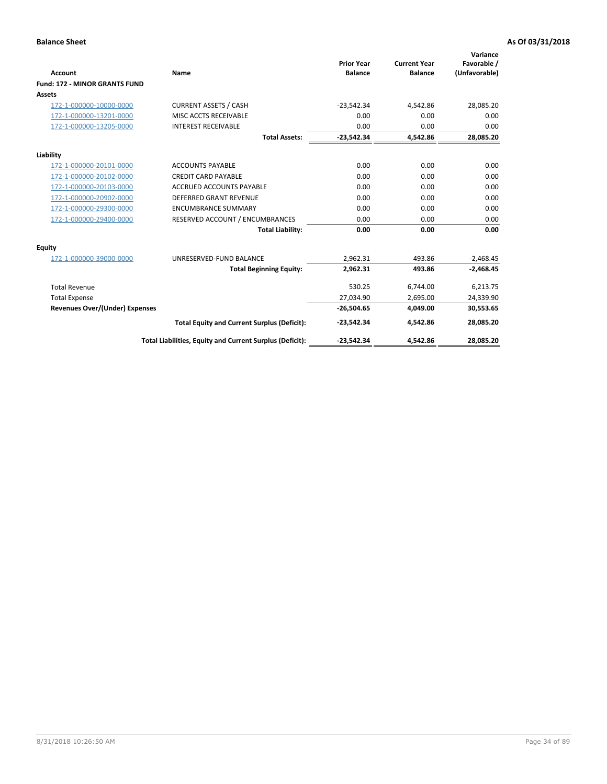|                                      |                                                          |                                     |                                       | Variance                     |
|--------------------------------------|----------------------------------------------------------|-------------------------------------|---------------------------------------|------------------------------|
| <b>Account</b>                       | Name                                                     | <b>Prior Year</b><br><b>Balance</b> | <b>Current Year</b><br><b>Balance</b> | Favorable /<br>(Unfavorable) |
| <b>Fund: 172 - MINOR GRANTS FUND</b> |                                                          |                                     |                                       |                              |
| <b>Assets</b>                        |                                                          |                                     |                                       |                              |
| 172-1-000000-10000-0000              | <b>CURRENT ASSETS / CASH</b>                             | $-23,542.34$                        | 4,542.86                              | 28,085.20                    |
| 172-1-000000-13201-0000              | MISC ACCTS RECEIVABLE                                    | 0.00                                | 0.00                                  | 0.00                         |
| 172-1-000000-13205-0000              | <b>INTEREST RECEIVABLE</b>                               | 0.00                                | 0.00                                  | 0.00                         |
|                                      | <b>Total Assets:</b>                                     | $-23,542.34$                        | 4,542.86                              | 28,085.20                    |
| Liability                            |                                                          |                                     |                                       |                              |
| 172-1-000000-20101-0000              | <b>ACCOUNTS PAYABLE</b>                                  | 0.00                                | 0.00                                  | 0.00                         |
| 172-1-000000-20102-0000              | <b>CREDIT CARD PAYABLE</b>                               | 0.00                                | 0.00                                  | 0.00                         |
| 172-1-000000-20103-0000              | <b>ACCRUED ACCOUNTS PAYABLE</b>                          | 0.00                                | 0.00                                  | 0.00                         |
| 172-1-000000-20902-0000              | DEFERRED GRANT REVENUE                                   | 0.00                                | 0.00                                  | 0.00                         |
| 172-1-000000-29300-0000              | <b>ENCUMBRANCE SUMMARY</b>                               | 0.00                                | 0.00                                  | 0.00                         |
| 172-1-000000-29400-0000              | RESERVED ACCOUNT / ENCUMBRANCES                          | 0.00                                | 0.00                                  | 0.00                         |
|                                      | <b>Total Liability:</b>                                  | 0.00                                | 0.00                                  | 0.00                         |
| Equity                               |                                                          |                                     |                                       |                              |
| 172-1-000000-39000-0000              | UNRESERVED-FUND BALANCE                                  | 2,962.31                            | 493.86                                | $-2,468.45$                  |
|                                      | <b>Total Beginning Equity:</b>                           | 2,962.31                            | 493.86                                | $-2,468.45$                  |
| <b>Total Revenue</b>                 |                                                          | 530.25                              | 6,744.00                              | 6,213.75                     |
| <b>Total Expense</b>                 |                                                          | 27,034.90                           | 2,695.00                              | 24,339.90                    |
| Revenues Over/(Under) Expenses       |                                                          | $-26,504.65$                        | 4,049.00                              | 30,553.65                    |
|                                      | <b>Total Equity and Current Surplus (Deficit):</b>       | $-23,542.34$                        | 4,542.86                              | 28,085.20                    |
|                                      | Total Liabilities, Equity and Current Surplus (Deficit): | $-23,542.34$                        | 4,542.86                              | 28,085.20                    |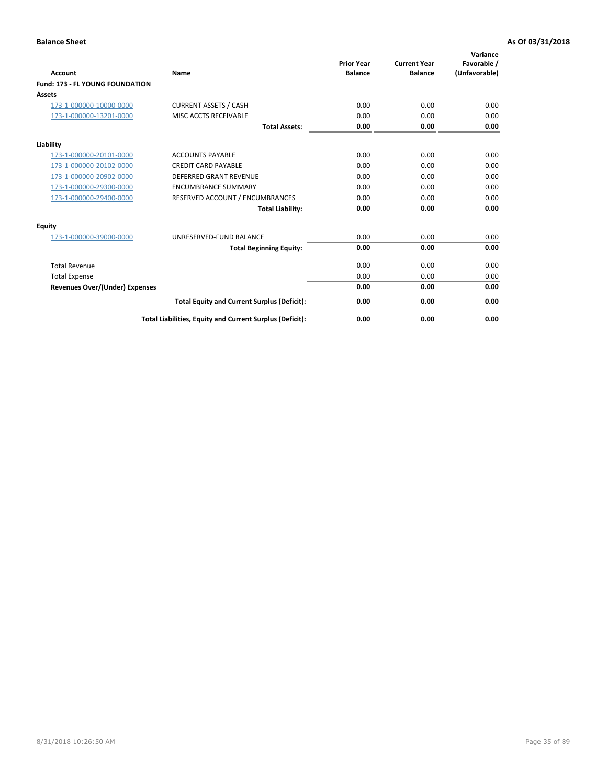| <b>Account</b>                         | <b>Name</b>                                              | <b>Prior Year</b><br><b>Balance</b> | <b>Current Year</b><br><b>Balance</b> | Variance<br>Favorable /<br>(Unfavorable) |
|----------------------------------------|----------------------------------------------------------|-------------------------------------|---------------------------------------|------------------------------------------|
| <b>Fund: 173 - FL YOUNG FOUNDATION</b> |                                                          |                                     |                                       |                                          |
| Assets                                 |                                                          |                                     |                                       |                                          |
| 173-1-000000-10000-0000                | <b>CURRENT ASSETS / CASH</b>                             | 0.00                                | 0.00                                  | 0.00                                     |
| 173-1-000000-13201-0000                | MISC ACCTS RECEIVABLE                                    | 0.00                                | 0.00                                  | 0.00                                     |
|                                        | <b>Total Assets:</b>                                     | 0.00                                | 0.00                                  | 0.00                                     |
| Liability                              |                                                          |                                     |                                       |                                          |
| 173-1-000000-20101-0000                | <b>ACCOUNTS PAYABLE</b>                                  | 0.00                                | 0.00                                  | 0.00                                     |
| 173-1-000000-20102-0000                | <b>CREDIT CARD PAYABLE</b>                               | 0.00                                | 0.00                                  | 0.00                                     |
| 173-1-000000-20902-0000                | <b>DEFERRED GRANT REVENUE</b>                            | 0.00                                | 0.00                                  | 0.00                                     |
| 173-1-000000-29300-0000                | <b>ENCUMBRANCE SUMMARY</b>                               | 0.00                                | 0.00                                  | 0.00                                     |
| 173-1-000000-29400-0000                | RESERVED ACCOUNT / ENCUMBRANCES                          | 0.00                                | 0.00                                  | 0.00                                     |
|                                        | <b>Total Liability:</b>                                  | 0.00                                | 0.00                                  | 0.00                                     |
| Equity                                 |                                                          |                                     |                                       |                                          |
| 173-1-000000-39000-0000                | UNRESERVED-FUND BALANCE                                  | 0.00                                | 0.00                                  | 0.00                                     |
|                                        | <b>Total Beginning Equity:</b>                           | 0.00                                | 0.00                                  | 0.00                                     |
| <b>Total Revenue</b>                   |                                                          | 0.00                                | 0.00                                  | 0.00                                     |
| <b>Total Expense</b>                   |                                                          | 0.00                                | 0.00                                  | 0.00                                     |
| <b>Revenues Over/(Under) Expenses</b>  |                                                          | 0.00                                | 0.00                                  | 0.00                                     |
|                                        | <b>Total Equity and Current Surplus (Deficit):</b>       | 0.00                                | 0.00                                  | 0.00                                     |
|                                        | Total Liabilities, Equity and Current Surplus (Deficit): | 0.00                                | 0.00                                  | 0.00                                     |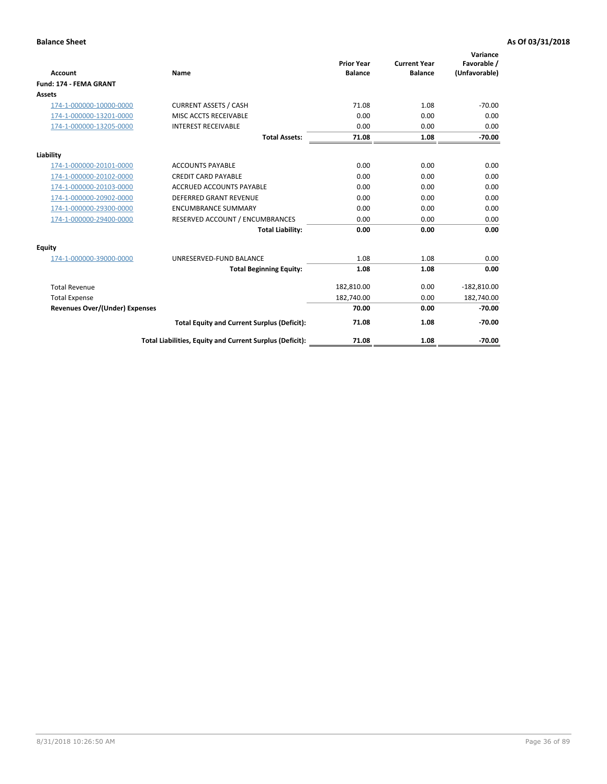|                                       |                                                          |                                     |                                       | Variance                     |
|---------------------------------------|----------------------------------------------------------|-------------------------------------|---------------------------------------|------------------------------|
| <b>Account</b>                        | Name                                                     | <b>Prior Year</b><br><b>Balance</b> | <b>Current Year</b><br><b>Balance</b> | Favorable /<br>(Unfavorable) |
| Fund: 174 - FEMA GRANT                |                                                          |                                     |                                       |                              |
| <b>Assets</b>                         |                                                          |                                     |                                       |                              |
| 174-1-000000-10000-0000               | <b>CURRENT ASSETS / CASH</b>                             | 71.08                               | 1.08                                  | $-70.00$                     |
| 174-1-000000-13201-0000               | MISC ACCTS RECEIVABLE                                    | 0.00                                | 0.00                                  | 0.00                         |
| 174-1-000000-13205-0000               | <b>INTEREST RECEIVABLE</b>                               | 0.00                                | 0.00                                  | 0.00                         |
|                                       | <b>Total Assets:</b>                                     | 71.08                               | 1.08                                  | $-70.00$                     |
| Liability                             |                                                          |                                     |                                       |                              |
| 174-1-000000-20101-0000               | <b>ACCOUNTS PAYABLE</b>                                  | 0.00                                | 0.00                                  | 0.00                         |
| 174-1-000000-20102-0000               | <b>CREDIT CARD PAYABLE</b>                               | 0.00                                | 0.00                                  | 0.00                         |
| 174-1-000000-20103-0000               | <b>ACCRUED ACCOUNTS PAYABLE</b>                          | 0.00                                | 0.00                                  | 0.00                         |
| 174-1-000000-20902-0000               | <b>DEFERRED GRANT REVENUE</b>                            | 0.00                                | 0.00                                  | 0.00                         |
| 174-1-000000-29300-0000               | <b>ENCUMBRANCE SUMMARY</b>                               | 0.00                                | 0.00                                  | 0.00                         |
| 174-1-000000-29400-0000               | RESERVED ACCOUNT / ENCUMBRANCES                          | 0.00                                | 0.00                                  | 0.00                         |
|                                       | <b>Total Liability:</b>                                  | 0.00                                | 0.00                                  | 0.00                         |
| Equity                                |                                                          |                                     |                                       |                              |
| 174-1-000000-39000-0000               | UNRESERVED-FUND BALANCE                                  | 1.08                                | 1.08                                  | 0.00                         |
|                                       | <b>Total Beginning Equity:</b>                           | 1.08                                | 1.08                                  | 0.00                         |
| <b>Total Revenue</b>                  |                                                          | 182,810.00                          | 0.00                                  | $-182,810.00$                |
| <b>Total Expense</b>                  |                                                          | 182,740.00                          | 0.00                                  | 182,740.00                   |
| <b>Revenues Over/(Under) Expenses</b> |                                                          | 70.00                               | 0.00                                  | $-70.00$                     |
|                                       | <b>Total Equity and Current Surplus (Deficit):</b>       | 71.08                               | 1.08                                  | $-70.00$                     |
|                                       | Total Liabilities, Equity and Current Surplus (Deficit): | 71.08                               | 1.08                                  | $-70.00$                     |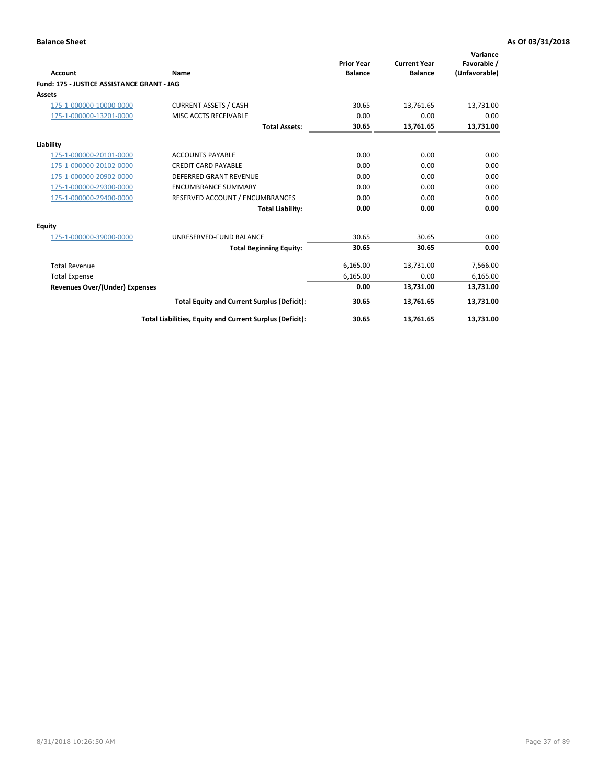| <b>Account</b>                             | Name                                                     | <b>Prior Year</b><br><b>Balance</b> | <b>Current Year</b><br><b>Balance</b> | Variance<br>Favorable /<br>(Unfavorable) |
|--------------------------------------------|----------------------------------------------------------|-------------------------------------|---------------------------------------|------------------------------------------|
| Fund: 175 - JUSTICE ASSISTANCE GRANT - JAG |                                                          |                                     |                                       |                                          |
| <b>Assets</b>                              |                                                          |                                     |                                       |                                          |
| 175-1-000000-10000-0000                    | <b>CURRENT ASSETS / CASH</b>                             | 30.65                               | 13,761.65                             | 13,731.00                                |
| 175-1-000000-13201-0000                    | MISC ACCTS RECEIVABLE                                    | 0.00                                | 0.00                                  | 0.00                                     |
|                                            | <b>Total Assets:</b>                                     | 30.65                               | 13,761.65                             | 13,731.00                                |
| Liability                                  |                                                          |                                     |                                       |                                          |
| 175-1-000000-20101-0000                    | <b>ACCOUNTS PAYABLE</b>                                  | 0.00                                | 0.00                                  | 0.00                                     |
| 175-1-000000-20102-0000                    | <b>CREDIT CARD PAYABLE</b>                               | 0.00                                | 0.00                                  | 0.00                                     |
| 175-1-000000-20902-0000                    | <b>DEFERRED GRANT REVENUE</b>                            | 0.00                                | 0.00                                  | 0.00                                     |
| 175-1-000000-29300-0000                    | <b>ENCUMBRANCE SUMMARY</b>                               | 0.00                                | 0.00                                  | 0.00                                     |
| 175-1-000000-29400-0000                    | RESERVED ACCOUNT / ENCUMBRANCES                          | 0.00                                | 0.00                                  | 0.00                                     |
|                                            | <b>Total Liability:</b>                                  | 0.00                                | 0.00                                  | 0.00                                     |
| Equity                                     |                                                          |                                     |                                       |                                          |
| 175-1-000000-39000-0000                    | UNRESERVED-FUND BALANCE                                  | 30.65                               | 30.65                                 | 0.00                                     |
|                                            | <b>Total Beginning Equity:</b>                           | 30.65                               | 30.65                                 | 0.00                                     |
| <b>Total Revenue</b>                       |                                                          | 6,165.00                            | 13,731.00                             | 7,566.00                                 |
| <b>Total Expense</b>                       |                                                          | 6,165.00                            | 0.00                                  | 6,165.00                                 |
| <b>Revenues Over/(Under) Expenses</b>      |                                                          | 0.00                                | 13,731.00                             | 13,731.00                                |
|                                            | <b>Total Equity and Current Surplus (Deficit):</b>       | 30.65                               | 13,761.65                             | 13,731.00                                |
|                                            | Total Liabilities, Equity and Current Surplus (Deficit): | 30.65                               | 13,761.65                             | 13,731.00                                |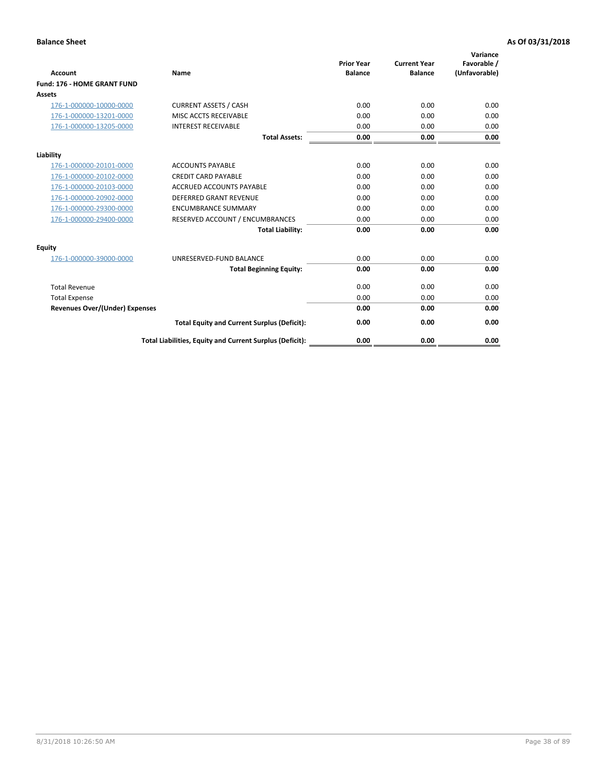| <b>Account</b>                        | Name                                                     | <b>Prior Year</b><br><b>Balance</b> | <b>Current Year</b><br><b>Balance</b> | Variance<br>Favorable /<br>(Unfavorable) |
|---------------------------------------|----------------------------------------------------------|-------------------------------------|---------------------------------------|------------------------------------------|
| Fund: 176 - HOME GRANT FUND           |                                                          |                                     |                                       |                                          |
| <b>Assets</b>                         |                                                          |                                     |                                       |                                          |
| 176-1-000000-10000-0000               | <b>CURRENT ASSETS / CASH</b>                             | 0.00                                | 0.00                                  | 0.00                                     |
| 176-1-000000-13201-0000               | MISC ACCTS RECEIVABLE                                    | 0.00                                | 0.00                                  | 0.00                                     |
| 176-1-000000-13205-0000               | <b>INTEREST RECEIVABLE</b>                               | 0.00                                | 0.00                                  | 0.00                                     |
|                                       | <b>Total Assets:</b>                                     | 0.00                                | 0.00                                  | 0.00                                     |
| Liability                             |                                                          |                                     |                                       |                                          |
| 176-1-000000-20101-0000               | <b>ACCOUNTS PAYABLE</b>                                  | 0.00                                | 0.00                                  | 0.00                                     |
| 176-1-000000-20102-0000               | <b>CREDIT CARD PAYABLE</b>                               | 0.00                                | 0.00                                  | 0.00                                     |
| 176-1-000000-20103-0000               | <b>ACCRUED ACCOUNTS PAYABLE</b>                          | 0.00                                | 0.00                                  | 0.00                                     |
| 176-1-000000-20902-0000               | <b>DEFERRED GRANT REVENUE</b>                            | 0.00                                | 0.00                                  | 0.00                                     |
| 176-1-000000-29300-0000               | <b>ENCUMBRANCE SUMMARY</b>                               | 0.00                                | 0.00                                  | 0.00                                     |
| 176-1-000000-29400-0000               | RESERVED ACCOUNT / ENCUMBRANCES                          | 0.00                                | 0.00                                  | 0.00                                     |
|                                       | <b>Total Liability:</b>                                  | 0.00                                | 0.00                                  | 0.00                                     |
| <b>Equity</b>                         |                                                          |                                     |                                       |                                          |
| 176-1-000000-39000-0000               | UNRESERVED-FUND BALANCE                                  | 0.00                                | 0.00                                  | 0.00                                     |
|                                       | <b>Total Beginning Equity:</b>                           | 0.00                                | 0.00                                  | 0.00                                     |
| <b>Total Revenue</b>                  |                                                          | 0.00                                | 0.00                                  | 0.00                                     |
| <b>Total Expense</b>                  |                                                          | 0.00                                | 0.00                                  | 0.00                                     |
| <b>Revenues Over/(Under) Expenses</b> |                                                          | 0.00                                | 0.00                                  | 0.00                                     |
|                                       | <b>Total Equity and Current Surplus (Deficit):</b>       | 0.00                                | 0.00                                  | 0.00                                     |
|                                       | Total Liabilities, Equity and Current Surplus (Deficit): | 0.00                                | 0.00                                  | 0.00                                     |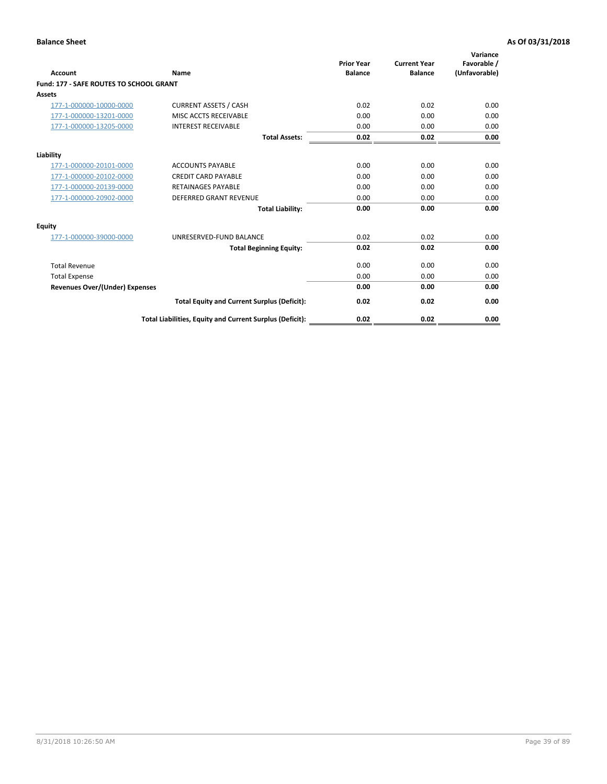| Account                                        | Name                                                     | <b>Prior Year</b><br><b>Balance</b> | <b>Current Year</b><br><b>Balance</b> | Variance<br>Favorable /<br>(Unfavorable) |
|------------------------------------------------|----------------------------------------------------------|-------------------------------------|---------------------------------------|------------------------------------------|
| <b>Fund: 177 - SAFE ROUTES TO SCHOOL GRANT</b> |                                                          |                                     |                                       |                                          |
| <b>Assets</b>                                  |                                                          |                                     |                                       |                                          |
| 177-1-000000-10000-0000                        | <b>CURRENT ASSETS / CASH</b>                             | 0.02                                | 0.02                                  | 0.00                                     |
| 177-1-000000-13201-0000                        | MISC ACCTS RECEIVABLE                                    | 0.00                                | 0.00                                  | 0.00                                     |
| 177-1-000000-13205-0000                        | <b>INTEREST RECEIVABLE</b>                               | 0.00                                | 0.00                                  | 0.00                                     |
|                                                | <b>Total Assets:</b>                                     | 0.02                                | 0.02                                  | 0.00                                     |
| Liability                                      |                                                          |                                     |                                       |                                          |
| 177-1-000000-20101-0000                        | <b>ACCOUNTS PAYABLE</b>                                  | 0.00                                | 0.00                                  | 0.00                                     |
| 177-1-000000-20102-0000                        | <b>CREDIT CARD PAYABLE</b>                               | 0.00                                | 0.00                                  | 0.00                                     |
| 177-1-000000-20139-0000                        | <b>RETAINAGES PAYABLE</b>                                | 0.00                                | 0.00                                  | 0.00                                     |
| 177-1-000000-20902-0000                        | <b>DEFERRED GRANT REVENUE</b>                            | 0.00                                | 0.00                                  | 0.00                                     |
|                                                | <b>Total Liability:</b>                                  | 0.00                                | 0.00                                  | 0.00                                     |
| Equity                                         |                                                          |                                     |                                       |                                          |
| 177-1-000000-39000-0000                        | UNRESERVED-FUND BALANCE                                  | 0.02                                | 0.02                                  | 0.00                                     |
|                                                | <b>Total Beginning Equity:</b>                           | 0.02                                | 0.02                                  | 0.00                                     |
| <b>Total Revenue</b>                           |                                                          | 0.00                                | 0.00                                  | 0.00                                     |
| <b>Total Expense</b>                           |                                                          | 0.00                                | 0.00                                  | 0.00                                     |
| Revenues Over/(Under) Expenses                 |                                                          | 0.00                                | 0.00                                  | 0.00                                     |
|                                                | <b>Total Equity and Current Surplus (Deficit):</b>       | 0.02                                | 0.02                                  | 0.00                                     |
|                                                | Total Liabilities, Equity and Current Surplus (Deficit): | 0.02                                | 0.02                                  | 0.00                                     |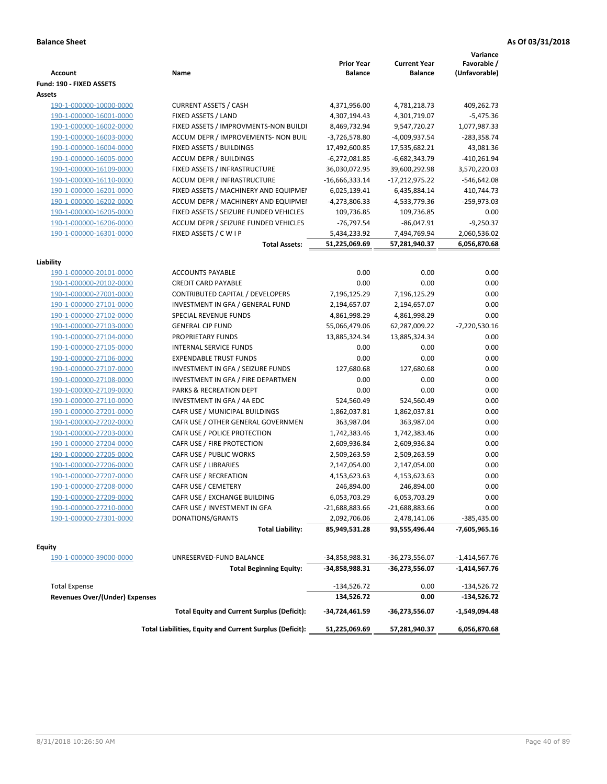| <b>Account</b>                        | Name                                                     | <b>Prior Year</b><br><b>Balance</b> | <b>Current Year</b><br><b>Balance</b> | Variance<br>Favorable /<br>(Unfavorable) |
|---------------------------------------|----------------------------------------------------------|-------------------------------------|---------------------------------------|------------------------------------------|
| Fund: 190 - FIXED ASSETS<br>Assets    |                                                          |                                     |                                       |                                          |
| 190-1-000000-10000-0000               | <b>CURRENT ASSETS / CASH</b>                             | 4,371,956.00                        | 4,781,218.73                          | 409,262.73                               |
| 190-1-000000-16001-0000               | FIXED ASSETS / LAND                                      | 4,307,194.43                        | 4,301,719.07                          | $-5,475.36$                              |
| 190-1-000000-16002-0000               | FIXED ASSETS / IMPROVMENTS-NON BUILDI                    | 8,469,732.94                        | 9,547,720.27                          | 1,077,987.33                             |
| 190-1-000000-16003-0000               | ACCUM DEPR / IMPROVEMENTS- NON BUIL                      | $-3,726,578.80$                     | -4,009,937.54                         | $-283,358.74$                            |
| 190-1-000000-16004-0000               | FIXED ASSETS / BUILDINGS                                 | 17,492,600.85                       | 17,535,682.21                         | 43,081.36                                |
| 190-1-000000-16005-0000               | <b>ACCUM DEPR / BUILDINGS</b>                            | $-6,272,081.85$                     | $-6,682,343.79$                       | $-410,261.94$                            |
| 190-1-000000-16109-0000               | FIXED ASSETS / INFRASTRUCTURE                            | 36,030,072.95                       | 39,600,292.98                         | 3,570,220.03                             |
| 190-1-000000-16110-0000               | ACCUM DEPR / INFRASTRUCTURE                              | $-16,666,333.14$                    | -17,212,975.22                        | $-546,642.08$                            |
| 190-1-000000-16201-0000               | FIXED ASSETS / MACHINERY AND EQUIPMEN                    | 6,025,139.41                        | 6,435,884.14                          | 410,744.73                               |
| 190-1-000000-16202-0000               | ACCUM DEPR / MACHINERY AND EQUIPMEI                      | -4,273,806.33                       | -4,533,779.36                         | -259,973.03                              |
| 190-1-000000-16205-0000               | FIXED ASSETS / SEIZURE FUNDED VEHICLES                   | 109,736.85                          | 109,736.85                            | 0.00                                     |
| 190-1-000000-16206-0000               | ACCUM DEPR / SEIZURE FUNDED VEHICLES                     | $-76,797.54$                        | $-86,047.91$                          | $-9,250.37$                              |
| 190-1-000000-16301-0000               | FIXED ASSETS / C W I P                                   | 5,434,233.92                        | 7,494,769.94                          | 2,060,536.02                             |
|                                       | <b>Total Assets:</b>                                     | 51,225,069.69                       | 57,281,940.37                         | 6,056,870.68                             |
|                                       |                                                          |                                     |                                       |                                          |
| Liability                             |                                                          |                                     |                                       |                                          |
| 190-1-000000-20101-0000               | <b>ACCOUNTS PAYABLE</b>                                  | 0.00                                | 0.00                                  | 0.00                                     |
| 190-1-000000-20102-0000               | <b>CREDIT CARD PAYABLE</b>                               | 0.00                                | 0.00                                  | 0.00                                     |
| 190-1-000000-27001-0000               | <b>CONTRIBUTED CAPITAL / DEVELOPERS</b>                  | 7,196,125.29                        | 7,196,125.29                          | 0.00                                     |
| 190-1-000000-27101-0000               | INVESTMENT IN GFA / GENERAL FUND                         | 2,194,657.07                        | 2,194,657.07                          | 0.00                                     |
| 190-1-000000-27102-0000               | SPECIAL REVENUE FUNDS                                    | 4,861,998.29                        | 4,861,998.29                          | 0.00                                     |
| 190-1-000000-27103-0000               | <b>GENERAL CIP FUND</b>                                  | 55,066,479.06                       | 62,287,009.22                         | -7,220,530.16                            |
| 190-1-000000-27104-0000               | PROPRIETARY FUNDS                                        | 13,885,324.34                       | 13,885,324.34                         | 0.00                                     |
| 190-1-000000-27105-0000               | <b>INTERNAL SERVICE FUNDS</b>                            | 0.00                                | 0.00                                  | 0.00                                     |
| 190-1-000000-27106-0000               | <b>EXPENDABLE TRUST FUNDS</b>                            | 0.00                                | 0.00                                  | 0.00                                     |
| 190-1-000000-27107-0000               | INVESTMENT IN GFA / SEIZURE FUNDS                        | 127,680.68                          | 127,680.68                            | 0.00                                     |
| 190-1-000000-27108-0000               | INVESTMENT IN GFA / FIRE DEPARTMEN                       | 0.00                                | 0.00                                  | 0.00                                     |
| 190-1-000000-27109-0000               | PARKS & RECREATION DEPT                                  | 0.00                                | 0.00                                  | 0.00                                     |
| 190-1-000000-27110-0000               | INVESTMENT IN GFA / 4A EDC                               | 524,560.49                          | 524,560.49                            | 0.00                                     |
| 190-1-000000-27201-0000               | CAFR USE / MUNICIPAL BUILDINGS                           | 1,862,037.81                        | 1,862,037.81                          | 0.00                                     |
| 190-1-000000-27202-0000               | CAFR USE / OTHER GENERAL GOVERNMEN                       | 363,987.04                          | 363,987.04                            | 0.00                                     |
| 190-1-000000-27203-0000               | CAFR USE / POLICE PROTECTION                             | 1,742,383.46                        | 1,742,383.46                          | 0.00                                     |
| 190-1-000000-27204-0000               | CAFR USE / FIRE PROTECTION                               | 2,609,936.84                        | 2,609,936.84                          | 0.00                                     |
| 190-1-000000-27205-0000               | CAFR USE / PUBLIC WORKS                                  | 2,509,263.59                        | 2,509,263.59                          | 0.00                                     |
| 190-1-000000-27206-0000               | CAFR USE / LIBRARIES                                     | 2,147,054.00                        | 2,147,054.00                          | 0.00                                     |
| 190-1-000000-27207-0000               | CAFR USE / RECREATION                                    | 4,153,623.63                        | 4,153,623.63                          | 0.00                                     |
| 190-1-000000-27208-0000               | CAFR USE / CEMETERY                                      | 246,894.00                          | 246,894.00                            | 0.00                                     |
| 190-1-000000-27209-0000               | CAFR USE / EXCHANGE BUILDING                             | 6,053,703.29                        | 6,053,703.29                          | 0.00                                     |
| 190-1-000000-27210-0000               | CAFR USE / INVESTMENT IN GFA                             | -21,688,883.66                      | $-21,688,883.66$                      | 0.00                                     |
| 190-1-000000-27301-0000               | DONATIONS/GRANTS                                         | 2,092,706.06                        | 2,478,141.06                          | -385,435.00                              |
|                                       | <b>Total Liability:</b>                                  | 85,949,531.28                       | 93,555,496.44                         | -7,605,965.16                            |
| <b>Equity</b>                         |                                                          |                                     |                                       |                                          |
| 190-1-000000-39000-0000               | UNRESERVED-FUND BALANCE                                  | -34,858,988.31                      | -36,273,556.07                        | -1,414,567.76                            |
|                                       | <b>Total Beginning Equity:</b>                           | -34,858,988.31                      | -36,273,556.07                        | $-1,414,567.76$                          |
| <b>Total Expense</b>                  |                                                          | $-134,526.72$                       | 0.00                                  | $-134,526.72$                            |
| <b>Revenues Over/(Under) Expenses</b> |                                                          | 134,526.72                          | 0.00                                  | $-134,526.72$                            |
|                                       | <b>Total Equity and Current Surplus (Deficit):</b>       | -34,724,461.59                      | -36,273,556.07                        | -1,549,094.48                            |
|                                       | Total Liabilities, Equity and Current Surplus (Deficit): | 51,225,069.69                       | 57,281,940.37                         | 6,056,870.68                             |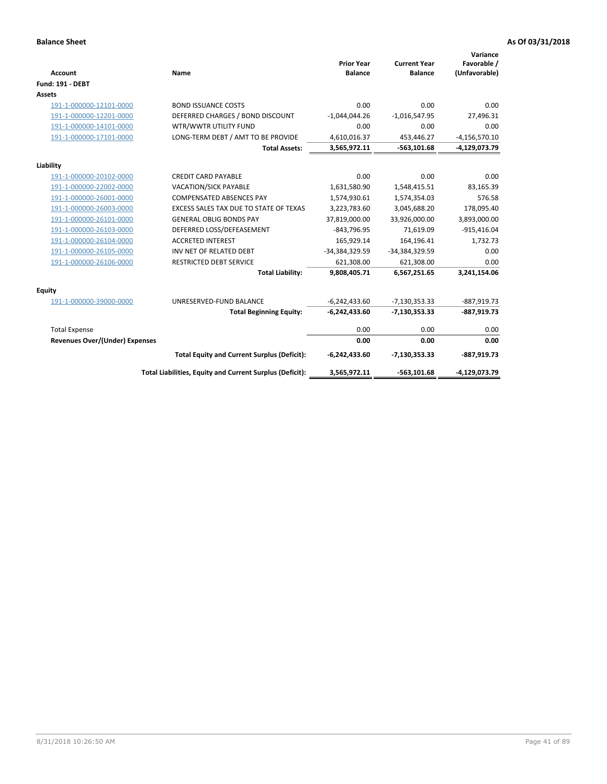| <b>Account</b>                 | Name                                                     | <b>Prior Year</b><br><b>Balance</b> | <b>Current Year</b><br><b>Balance</b> | Variance<br>Favorable /<br>(Unfavorable) |
|--------------------------------|----------------------------------------------------------|-------------------------------------|---------------------------------------|------------------------------------------|
| <b>Fund: 191 - DEBT</b>        |                                                          |                                     |                                       |                                          |
| <b>Assets</b>                  |                                                          |                                     |                                       |                                          |
| 191-1-000000-12101-0000        | <b>BOND ISSUANCE COSTS</b>                               | 0.00                                | 0.00                                  | 0.00                                     |
| 191-1-000000-12201-0000        | DEFERRED CHARGES / BOND DISCOUNT                         | $-1,044,044.26$                     | $-1,016,547.95$                       | 27,496.31                                |
| 191-1-000000-14101-0000        | WTR/WWTR UTILITY FUND                                    | 0.00                                | 0.00                                  | 0.00                                     |
| 191-1-000000-17101-0000        | LONG-TERM DEBT / AMT TO BE PROVIDE                       | 4,610,016.37                        | 453,446.27                            | $-4,156,570.10$                          |
|                                | <b>Total Assets:</b>                                     | 3,565,972.11                        | $-563,101.68$                         | -4,129,073.79                            |
| Liability                      |                                                          |                                     |                                       |                                          |
| 191-1-000000-20102-0000        | <b>CREDIT CARD PAYABLE</b>                               | 0.00                                | 0.00                                  | 0.00                                     |
| 191-1-000000-22002-0000        | <b>VACATION/SICK PAYABLE</b>                             | 1,631,580.90                        | 1,548,415.51                          | 83,165.39                                |
| 191-1-000000-26001-0000        | <b>COMPENSATED ABSENCES PAY</b>                          | 1,574,930.61                        | 1,574,354.03                          | 576.58                                   |
| 191-1-000000-26003-0000        | EXCESS SALES TAX DUE TO STATE OF TEXAS                   | 3,223,783.60                        | 3,045,688.20                          | 178,095.40                               |
| 191-1-000000-26101-0000        | <b>GENERAL OBLIG BONDS PAY</b>                           | 37,819,000.00                       | 33,926,000.00                         | 3,893,000.00                             |
| 191-1-000000-26103-0000        | DEFERRED LOSS/DEFEASEMENT                                | $-843,796.95$                       | 71,619.09                             | $-915,416.04$                            |
| 191-1-000000-26104-0000        | <b>ACCRETED INTEREST</b>                                 | 165,929.14                          | 164,196.41                            | 1,732.73                                 |
| 191-1-000000-26105-0000        | INV NET OF RELATED DEBT                                  | -34,384,329.59                      | -34,384,329.59                        | 0.00                                     |
| 191-1-000000-26106-0000        | <b>RESTRICTED DEBT SERVICE</b>                           | 621,308.00                          | 621,308.00                            | 0.00                                     |
|                                | <b>Total Liability:</b>                                  | 9,808,405.71                        | 6,567,251.65                          | 3,241,154.06                             |
| Equity                         |                                                          |                                     |                                       |                                          |
| 191-1-000000-39000-0000        | UNRESERVED-FUND BALANCE                                  | $-6,242,433.60$                     | $-7,130,353.33$                       | $-887,919.73$                            |
|                                | <b>Total Beginning Equity:</b>                           | $-6,242,433.60$                     | $-7,130,353.33$                       | $-887,919.73$                            |
| <b>Total Expense</b>           |                                                          | 0.00                                | 0.00                                  | 0.00                                     |
| Revenues Over/(Under) Expenses |                                                          | 0.00                                | 0.00                                  | 0.00                                     |
|                                | <b>Total Equity and Current Surplus (Deficit):</b>       | $-6,242,433.60$                     | $-7,130,353.33$                       | $-887,919.73$                            |
|                                | Total Liabilities, Equity and Current Surplus (Deficit): | 3,565,972.11                        | $-563, 101.68$                        | -4,129,073.79                            |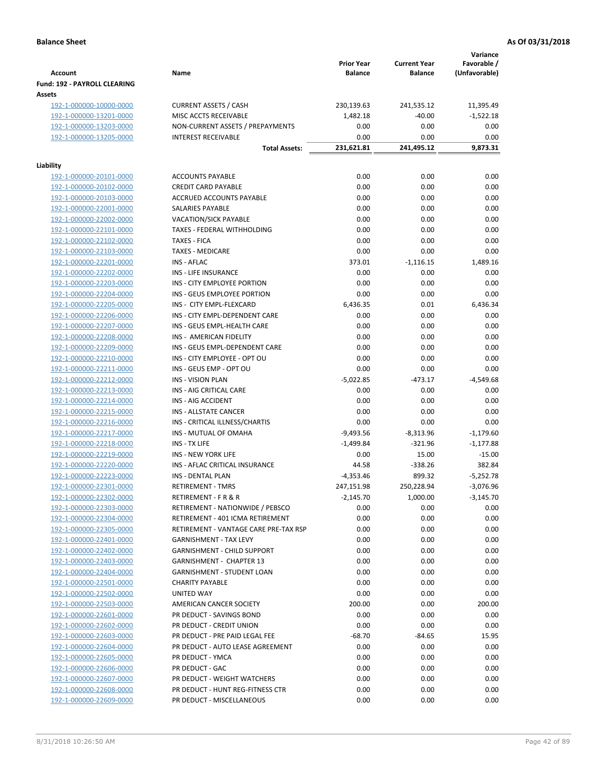|                                                    |                                                               |                                     |                                       | Variance                     |
|----------------------------------------------------|---------------------------------------------------------------|-------------------------------------|---------------------------------------|------------------------------|
| <b>Account</b>                                     | Name                                                          | <b>Prior Year</b><br><b>Balance</b> | <b>Current Year</b><br><b>Balance</b> | Favorable /<br>(Unfavorable) |
| Fund: 192 - PAYROLL CLEARING                       |                                                               |                                     |                                       |                              |
| Assets                                             |                                                               |                                     |                                       |                              |
| 192-1-000000-10000-0000                            | <b>CURRENT ASSETS / CASH</b>                                  | 230,139.63                          | 241,535.12                            | 11,395.49                    |
| 192-1-000000-13201-0000                            | MISC ACCTS RECEIVABLE                                         | 1,482.18                            | $-40.00$                              | $-1,522.18$                  |
| 192-1-000000-13203-0000                            | NON-CURRENT ASSETS / PREPAYMENTS                              | 0.00                                | 0.00                                  | 0.00                         |
| 192-1-000000-13205-0000                            | <b>INTEREST RECEIVABLE</b>                                    | 0.00                                | 0.00                                  | 0.00                         |
|                                                    | <b>Total Assets:</b>                                          | 231,621.81                          | 241,495.12                            | 9,873.31                     |
|                                                    |                                                               |                                     |                                       |                              |
| Liability                                          |                                                               |                                     |                                       |                              |
| 192-1-000000-20101-0000                            | <b>ACCOUNTS PAYABLE</b>                                       | 0.00                                | 0.00                                  | 0.00                         |
| 192-1-000000-20102-0000                            | <b>CREDIT CARD PAYABLE</b>                                    | 0.00                                | 0.00                                  | 0.00                         |
| 192-1-000000-20103-0000                            | ACCRUED ACCOUNTS PAYABLE                                      | 0.00                                | 0.00                                  | 0.00                         |
| 192-1-000000-22001-0000                            | SALARIES PAYABLE                                              | 0.00                                | 0.00                                  | 0.00                         |
| 192-1-000000-22002-0000                            | VACATION/SICK PAYABLE                                         | 0.00                                | 0.00                                  | 0.00                         |
| 192-1-000000-22101-0000                            | TAXES - FEDERAL WITHHOLDING                                   | 0.00                                | 0.00                                  | 0.00                         |
| 192-1-000000-22102-0000                            | <b>TAXES - FICA</b>                                           | 0.00                                | 0.00                                  | 0.00                         |
| 192-1-000000-22103-0000                            | <b>TAXES - MEDICARE</b>                                       | 0.00                                | 0.00                                  | 0.00                         |
| 192-1-000000-22201-0000                            | <b>INS - AFLAC</b><br>INS - LIFE INSURANCE                    | 373.01<br>0.00                      | $-1,116.15$<br>0.00                   | 1,489.16<br>0.00             |
| 192-1-000000-22202-0000                            |                                                               |                                     |                                       | 0.00                         |
| 192-1-000000-22203-0000                            | INS - CITY EMPLOYEE PORTION<br>INS - GEUS EMPLOYEE PORTION    | 0.00                                | 0.00                                  |                              |
| 192-1-000000-22204-0000                            |                                                               | 0.00                                | 0.00                                  | 0.00                         |
| 192-1-000000-22205-0000<br>192-1-000000-22206-0000 | INS - CITY EMPL-FLEXCARD                                      | 6,436.35<br>0.00                    | 0.01                                  | 6,436.34                     |
|                                                    | INS - CITY EMPL-DEPENDENT CARE<br>INS - GEUS EMPL-HEALTH CARE | 0.00                                | 0.00<br>0.00                          | 0.00<br>0.00                 |
| 192-1-000000-22207-0000                            | INS - AMERICAN FIDELITY                                       | 0.00                                | 0.00                                  | 0.00                         |
| 192-1-000000-22208-0000                            | INS - GEUS EMPL-DEPENDENT CARE                                | 0.00                                | 0.00                                  | 0.00                         |
| 192-1-000000-22209-0000<br>192-1-000000-22210-0000 | INS - CITY EMPLOYEE - OPT OU                                  | 0.00                                | 0.00                                  | 0.00                         |
| 192-1-000000-22211-0000                            | INS - GEUS EMP - OPT OU                                       | 0.00                                | 0.00                                  | 0.00                         |
| 192-1-000000-22212-0000                            | <b>INS - VISION PLAN</b>                                      | $-5,022.85$                         | $-473.17$                             | $-4,549.68$                  |
| 192-1-000000-22213-0000                            | INS - AIG CRITICAL CARE                                       | 0.00                                | 0.00                                  | 0.00                         |
| 192-1-000000-22214-0000                            | INS - AIG ACCIDENT                                            | 0.00                                | 0.00                                  | 0.00                         |
| 192-1-000000-22215-0000                            | INS - ALLSTATE CANCER                                         | 0.00                                | 0.00                                  | 0.00                         |
| 192-1-000000-22216-0000                            | INS - CRITICAL ILLNESS/CHARTIS                                | 0.00                                | 0.00                                  | 0.00                         |
| 192-1-000000-22217-0000                            | INS - MUTUAL OF OMAHA                                         | $-9,493.56$                         | $-8,313.96$                           | $-1,179.60$                  |
| 192-1-000000-22218-0000                            | INS - TX LIFE                                                 | $-1,499.84$                         | $-321.96$                             | $-1,177.88$                  |
| 192-1-000000-22219-0000                            | <b>INS - NEW YORK LIFE</b>                                    | 0.00                                | 15.00                                 | $-15.00$                     |
| 192-1-000000-22220-0000                            | INS - AFLAC CRITICAL INSURANCE                                | 44.58                               | $-338.26$                             | 382.84                       |
| 192-1-000000-22223-0000                            | INS - DENTAL PLAN                                             | $-4,353.46$                         | 899.32                                | $-5,252.78$                  |
| <u>192-1-000000-22301-0000</u>                     | <b>RETIREMENT - TMRS</b>                                      | 247,151.98                          | 250,228.94                            | $-3,076.96$                  |
| 192-1-000000-22302-0000                            | RETIREMENT - F R & R                                          | $-2,145.70$                         | 1,000.00                              | $-3,145.70$                  |
| 192-1-000000-22303-0000                            | RETIREMENT - NATIONWIDE / PEBSCO                              | 0.00                                | 0.00                                  | 0.00                         |
| 192-1-000000-22304-0000                            | RETIREMENT - 401 ICMA RETIREMENT                              | 0.00                                | 0.00                                  | 0.00                         |
| 192-1-000000-22305-0000                            | RETIREMENT - VANTAGE CARE PRE-TAX RSP                         | 0.00                                | 0.00                                  | 0.00                         |
| 192-1-000000-22401-0000                            | <b>GARNISHMENT - TAX LEVY</b>                                 | 0.00                                | 0.00                                  | 0.00                         |
| 192-1-000000-22402-0000                            | <b>GARNISHMENT - CHILD SUPPORT</b>                            | 0.00                                | 0.00                                  | 0.00                         |
| 192-1-000000-22403-0000                            | <b>GARNISHMENT - CHAPTER 13</b>                               | 0.00                                | 0.00                                  | 0.00                         |
| 192-1-000000-22404-0000                            | <b>GARNISHMENT - STUDENT LOAN</b>                             | 0.00                                | 0.00                                  | 0.00                         |
| 192-1-000000-22501-0000                            | <b>CHARITY PAYABLE</b>                                        | 0.00                                | 0.00                                  | 0.00                         |
| 192-1-000000-22502-0000                            | UNITED WAY                                                    | 0.00                                | 0.00                                  | 0.00                         |
| 192-1-000000-22503-0000                            | AMERICAN CANCER SOCIETY                                       | 200.00                              | 0.00                                  | 200.00                       |
| 192-1-000000-22601-0000                            | PR DEDUCT - SAVINGS BOND                                      | 0.00                                | 0.00                                  | 0.00                         |
| 192-1-000000-22602-0000                            | PR DEDUCT - CREDIT UNION                                      | 0.00                                | 0.00                                  | 0.00                         |
| 192-1-000000-22603-0000                            | PR DEDUCT - PRE PAID LEGAL FEE                                | $-68.70$                            | $-84.65$                              | 15.95                        |
| 192-1-000000-22604-0000                            | PR DEDUCT - AUTO LEASE AGREEMENT                              | 0.00                                | 0.00                                  | 0.00                         |
| 192-1-000000-22605-0000                            | PR DEDUCT - YMCA                                              | 0.00                                | 0.00                                  | 0.00                         |
| 192-1-000000-22606-0000                            | PR DEDUCT - GAC                                               | 0.00                                | 0.00                                  | 0.00                         |
| 192-1-000000-22607-0000                            | PR DEDUCT - WEIGHT WATCHERS                                   | 0.00                                | 0.00                                  | 0.00                         |
| 192-1-000000-22608-0000                            | PR DEDUCT - HUNT REG-FITNESS CTR                              | 0.00                                | 0.00                                  | 0.00                         |
| 192-1-000000-22609-0000                            | PR DEDUCT - MISCELLANEOUS                                     | 0.00                                | 0.00                                  | 0.00                         |
|                                                    |                                                               |                                     |                                       |                              |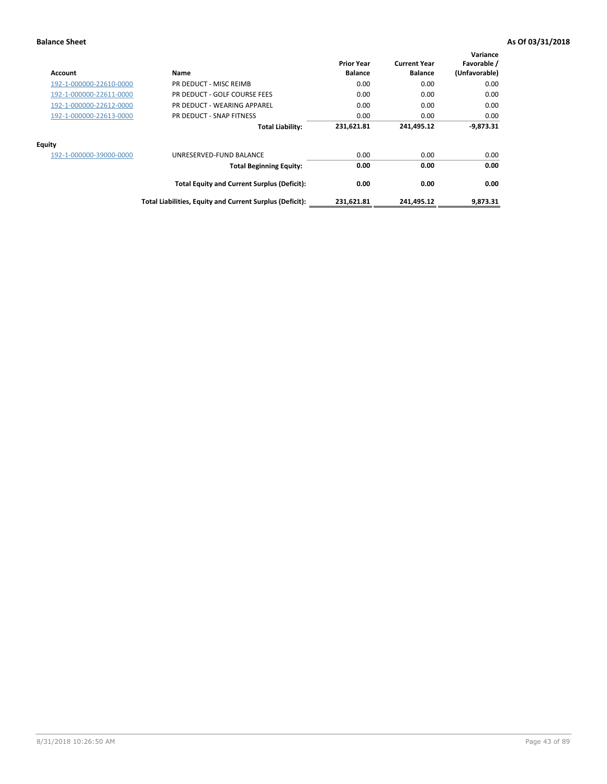| <b>Account</b>          | Name                                                     | <b>Prior Year</b><br><b>Balance</b> | <b>Current Year</b><br><b>Balance</b> | Variance<br>Favorable /<br>(Unfavorable) |
|-------------------------|----------------------------------------------------------|-------------------------------------|---------------------------------------|------------------------------------------|
| 192-1-000000-22610-0000 | PR DEDUCT - MISC REIMB                                   | 0.00                                | 0.00                                  | 0.00                                     |
| 192-1-000000-22611-0000 | PR DEDUCT - GOLF COURSE FEES                             | 0.00                                | 0.00                                  | 0.00                                     |
| 192-1-000000-22612-0000 | PR DEDUCT - WEARING APPAREL                              | 0.00                                | 0.00                                  | 0.00                                     |
| 192-1-000000-22613-0000 | PR DEDUCT - SNAP FITNESS                                 | 0.00                                | 0.00                                  | 0.00                                     |
|                         | <b>Total Liability:</b>                                  | 231,621.81                          | 241,495.12                            | $-9,873.31$                              |
| <b>Equity</b>           |                                                          |                                     |                                       |                                          |
| 192-1-000000-39000-0000 | UNRESERVED-FUND BALANCE                                  | 0.00                                | 0.00                                  | 0.00                                     |
|                         | <b>Total Beginning Equity:</b>                           | 0.00                                | 0.00                                  | 0.00                                     |
|                         | <b>Total Equity and Current Surplus (Deficit):</b>       | 0.00                                | 0.00                                  | 0.00                                     |
|                         | Total Liabilities, Equity and Current Surplus (Deficit): | 231,621.81                          | 241,495.12                            | 9.873.31                                 |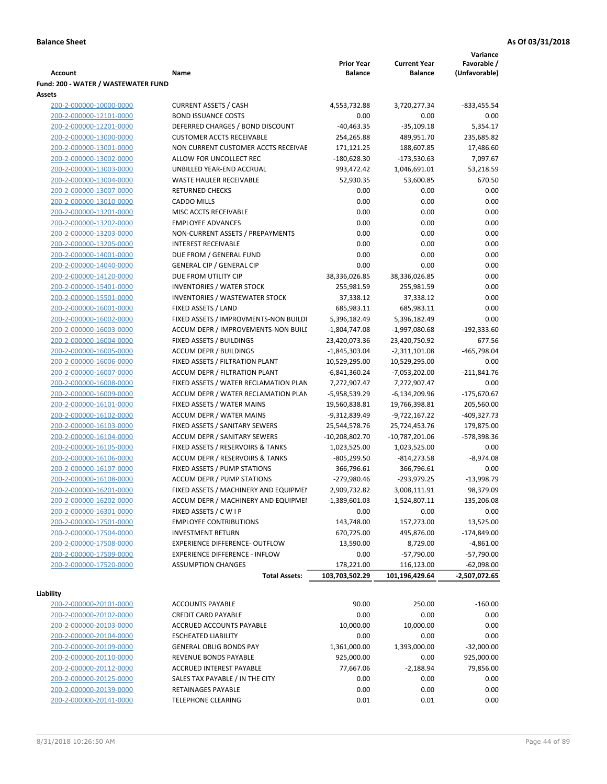|                                     |                                       |                   |                     | Variance        |
|-------------------------------------|---------------------------------------|-------------------|---------------------|-----------------|
|                                     |                                       | <b>Prior Year</b> | <b>Current Year</b> | Favorable /     |
| <b>Account</b>                      | Name                                  | <b>Balance</b>    | <b>Balance</b>      | (Unfavorable)   |
| Fund: 200 - WATER / WASTEWATER FUND |                                       |                   |                     |                 |
| Assets                              |                                       |                   |                     |                 |
| 200-2-000000-10000-0000             | <b>CURRENT ASSETS / CASH</b>          | 4,553,732.88      | 3,720,277.34        | -833,455.54     |
| 200-2-000000-12101-0000             | <b>BOND ISSUANCE COSTS</b>            | 0.00              | 0.00                | 0.00            |
| 200-2-000000-12201-0000             | DEFERRED CHARGES / BOND DISCOUNT      | $-40,463.35$      | $-35,109.18$        | 5,354.17        |
| 200-2-000000-13000-0000             | <b>CUSTOMER ACCTS RECEIVABLE</b>      | 254,265.88        | 489,951.70          | 235,685.82      |
| 200-2-000000-13001-0000             | NON CURRENT CUSTOMER ACCTS RECEIVAE   | 171,121.25        | 188,607.85          | 17,486.60       |
| 200-2-000000-13002-0000             | ALLOW FOR UNCOLLECT REC               | $-180,628.30$     | $-173,530.63$       | 7,097.67        |
| 200-2-000000-13003-0000             | UNBILLED YEAR-END ACCRUAL             | 993,472.42        | 1,046,691.01        | 53,218.59       |
| 200-2-000000-13004-0000             | <b>WASTE HAULER RECEIVABLE</b>        | 52,930.35         | 53,600.85           | 670.50          |
| 200-2-000000-13007-0000             | <b>RETURNED CHECKS</b>                | 0.00              | 0.00                | 0.00            |
| 200-2-000000-13010-0000             | <b>CADDO MILLS</b>                    | 0.00              | 0.00                | 0.00            |
| 200-2-000000-13201-0000             | MISC ACCTS RECEIVABLE                 | 0.00              | 0.00                | 0.00            |
| 200-2-000000-13202-0000             | <b>EMPLOYEE ADVANCES</b>              | 0.00              | 0.00                | 0.00            |
| 200-2-000000-13203-0000             | NON-CURRENT ASSETS / PREPAYMENTS      | 0.00              | 0.00                | 0.00            |
| 200-2-000000-13205-0000             | <b>INTEREST RECEIVABLE</b>            | 0.00              | 0.00                | 0.00            |
| 200-2-000000-14001-0000             | DUE FROM / GENERAL FUND               | 0.00              | 0.00                | 0.00            |
| 200-2-000000-14040-0000             | <b>GENERAL CIP / GENERAL CIP</b>      | 0.00              | 0.00                | 0.00            |
| 200-2-000000-14120-0000             | DUE FROM UTILITY CIP                  | 38,336,026.85     | 38,336,026.85       | 0.00            |
| 200-2-000000-15401-0000             | <b>INVENTORIES / WATER STOCK</b>      | 255,981.59        | 255,981.59          | 0.00            |
| 200-2-000000-15501-0000             | <b>INVENTORIES / WASTEWATER STOCK</b> | 37,338.12         | 37,338.12           | 0.00            |
| 200-2-000000-16001-0000             | FIXED ASSETS / LAND                   | 685,983.11        | 685,983.11          | 0.00            |
| 200-2-000000-16002-0000             | FIXED ASSETS / IMPROVMENTS-NON BUILDI | 5,396,182.49      | 5,396,182.49        | 0.00            |
| 200-2-000000-16003-0000             | ACCUM DEPR / IMPROVEMENTS-NON BUILI   | $-1,804,747.08$   | -1,997,080.68       | $-192,333.60$   |
| 200-2-000000-16004-0000             | FIXED ASSETS / BUILDINGS              | 23,420,073.36     | 23,420,750.92       | 677.56          |
| 200-2-000000-16005-0000             | <b>ACCUM DEPR / BUILDINGS</b>         | $-1,845,303.04$   | $-2,311,101.08$     | -465,798.04     |
| 200-2-000000-16006-0000             | FIXED ASSETS / FILTRATION PLANT       | 10,529,295.00     | 10,529,295.00       | 0.00            |
| 200-2-000000-16007-0000             | ACCUM DEPR / FILTRATION PLANT         | -6,841,360.24     | $-7,053,202.00$     | $-211,841.76$   |
| 200-2-000000-16008-0000             | FIXED ASSETS / WATER RECLAMATION PLAN | 7,272,907.47      | 7,272,907.47        | 0.00            |
| 200-2-000000-16009-0000             | ACCUM DEPR / WATER RECLAMATION PLAN   | -5,958,539.29     | $-6,134,209.96$     | $-175,670.67$   |
| 200-2-000000-16101-0000             | FIXED ASSETS / WATER MAINS            | 19,560,838.81     | 19,766,398.81       | 205,560.00      |
| 200-2-000000-16102-0000             | <b>ACCUM DEPR / WATER MAINS</b>       | -9,312,839.49     | -9,722,167.22       | -409,327.73     |
| 200-2-000000-16103-0000             | FIXED ASSETS / SANITARY SEWERS        | 25,544,578.76     | 25,724,453.76       | 179,875.00      |
| 200-2-000000-16104-0000             | <b>ACCUM DEPR / SANITARY SEWERS</b>   | $-10,208,802.70$  | $-10,787,201.06$    | -578,398.36     |
| 200-2-000000-16105-0000             | FIXED ASSETS / RESERVOIRS & TANKS     | 1,023,525.00      | 1,023,525.00        | 0.00            |
| 200-2-000000-16106-0000             | ACCUM DEPR / RESERVOIRS & TANKS       | $-805,299.50$     | $-814,273.58$       | $-8,974.08$     |
| 200-2-000000-16107-0000             | FIXED ASSETS / PUMP STATIONS          | 366,796.61        | 366,796.61          | 0.00            |
| 200-2-000000-16108-0000             | <b>ACCUM DEPR / PUMP STATIONS</b>     | -279,980.46       | $-293,979.25$       | $-13,998.79$    |
| 200-2-000000-16201-0000             | FIXED ASSETS / MACHINERY AND EQUIPMEN | 2,909,732.82      | 3,008,111.91        | 98,379.09       |
| 200-2-000000-16202-0000             | ACCUM DEPR / MACHINERY AND EQUIPMEI   | $-1,389,601.03$   | $-1,524,807.11$     | $-135,206.08$   |
| 200-2-000000-16301-0000             | FIXED ASSETS / C W I P                | 0.00              | 0.00                | 0.00            |
| 200-2-000000-17501-0000             | <b>EMPLOYEE CONTRIBUTIONS</b>         | 143,748.00        | 157,273.00          | 13,525.00       |
| 200-2-000000-17504-0000             | <b>INVESTMENT RETURN</b>              | 670,725.00        | 495,876.00          | $-174,849.00$   |
| 200-2-000000-17508-0000             | EXPERIENCE DIFFERENCE- OUTFLOW        | 13,590.00         | 8,729.00            | $-4,861.00$     |
| 200-2-000000-17509-0000             | <b>EXPERIENCE DIFFERENCE - INFLOW</b> | 0.00              | $-57,790.00$        | $-57,790.00$    |
| 200-2-000000-17520-0000             | <b>ASSUMPTION CHANGES</b>             | 178,221.00        | 116,123.00          | $-62,098.00$    |
|                                     | <b>Total Assets:</b>                  | 103,703,502.29    | 101,196,429.64      | $-2,507,072.65$ |
| Liability                           |                                       |                   |                     |                 |
| 200-2-000000-20101-0000             | <b>ACCOUNTS PAYABLE</b>               | 90.00             | 250.00              | $-160.00$       |
| 200-2-000000-20102-0000             | <b>CREDIT CARD PAYABLE</b>            | 0.00              | 0.00                | 0.00            |
| 200-2-000000-20103-0000             | ACCRUED ACCOUNTS PAYABLE              | 10,000.00         | 10,000.00           | 0.00            |
| 200-2-000000-20104-0000             | <b>ESCHEATED LIABILITY</b>            | 0.00              | 0.00                | 0.00            |
| 200-2-000000-20109-0000             | <b>GENERAL OBLIG BONDS PAY</b>        | 1,361,000.00      | 1,393,000.00        | $-32,000.00$    |
| 200-2-000000-20110-0000             | REVENUE BONDS PAYABLE                 | 925,000.00        | 0.00                | 925,000.00      |
| 200-2-000000-20112-0000             | ACCRUED INTEREST PAYABLE              | 77,667.06         | $-2,188.94$         | 79,856.00       |
| 200-2-000000-20125-0000             | SALES TAX PAYABLE / IN THE CITY       | 0.00              | 0.00                | 0.00            |
| 200-2-000000-20139-0000             | RETAINAGES PAYABLE                    | 0.00              | 0.00                | 0.00            |
| 200-2-000000-20141-0000             | <b>TELEPHONE CLEARING</b>             | 0.01              | 0.01                | 0.00            |
|                                     |                                       |                   |                     |                 |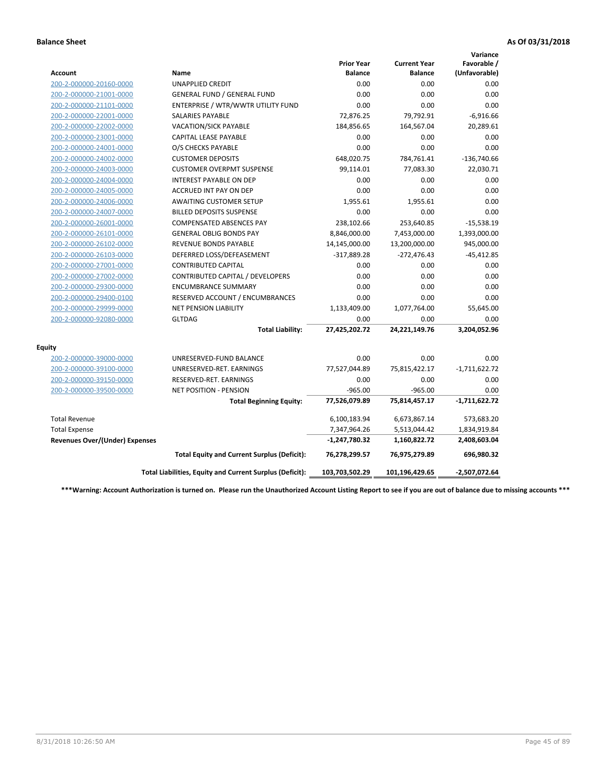|                                       |                                                          |                                     |                                       | Variance                     |
|---------------------------------------|----------------------------------------------------------|-------------------------------------|---------------------------------------|------------------------------|
| <b>Account</b>                        | Name                                                     | <b>Prior Year</b><br><b>Balance</b> | <b>Current Year</b><br><b>Balance</b> | Favorable /<br>(Unfavorable) |
| 200-2-000000-20160-0000               | <b>UNAPPLIED CREDIT</b>                                  | 0.00                                | 0.00                                  | 0.00                         |
| 200-2-000000-21001-0000               | <b>GENERAL FUND / GENERAL FUND</b>                       | 0.00                                | 0.00                                  | 0.00                         |
| 200-2-000000-21101-0000               | ENTERPRISE / WTR/WWTR UTILITY FUND                       | 0.00                                | 0.00                                  | 0.00                         |
| 200-2-000000-22001-0000               | <b>SALARIES PAYABLE</b>                                  | 72,876.25                           | 79,792.91                             | $-6,916.66$                  |
| 200-2-000000-22002-0000               | VACATION/SICK PAYABLE                                    | 184,856.65                          | 164,567.04                            | 20,289.61                    |
| 200-2-000000-23001-0000               | <b>CAPITAL LEASE PAYABLE</b>                             | 0.00                                | 0.00                                  | 0.00                         |
| 200-2-000000-24001-0000               | O/S CHECKS PAYABLE                                       | 0.00                                | 0.00                                  | 0.00                         |
| 200-2-000000-24002-0000               | <b>CUSTOMER DEPOSITS</b>                                 | 648,020.75                          | 784,761.41                            | $-136,740.66$                |
| 200-2-000000-24003-0000               | <b>CUSTOMER OVERPMT SUSPENSE</b>                         | 99,114.01                           | 77,083.30                             | 22,030.71                    |
| 200-2-000000-24004-0000               | <b>INTEREST PAYABLE ON DEP</b>                           | 0.00                                | 0.00                                  | 0.00                         |
| 200-2-000000-24005-0000               | <b>ACCRUED INT PAY ON DEP</b>                            | 0.00                                | 0.00                                  | 0.00                         |
| 200-2-000000-24006-0000               | <b>AWAITING CUSTOMER SETUP</b>                           | 1,955.61                            | 1,955.61                              | 0.00                         |
| 200-2-000000-24007-0000               | <b>BILLED DEPOSITS SUSPENSE</b>                          | 0.00                                | 0.00                                  | 0.00                         |
| 200-2-000000-26001-0000               | <b>COMPENSATED ABSENCES PAY</b>                          | 238,102.66                          | 253,640.85                            | $-15,538.19$                 |
| 200-2-000000-26101-0000               | <b>GENERAL OBLIG BONDS PAY</b>                           | 8,846,000.00                        | 7,453,000.00                          | 1,393,000.00                 |
| 200-2-000000-26102-0000               | <b>REVENUE BONDS PAYABLE</b>                             | 14,145,000.00                       | 13,200,000.00                         | 945,000.00                   |
| 200-2-000000-26103-0000               | DEFERRED LOSS/DEFEASEMENT                                | $-317,889.28$                       | $-272,476.43$                         | $-45,412.85$                 |
| 200-2-000000-27001-0000               | <b>CONTRIBUTED CAPITAL</b>                               | 0.00                                | 0.00                                  | 0.00                         |
| 200-2-000000-27002-0000               | CONTRIBUTED CAPITAL / DEVELOPERS                         | 0.00                                | 0.00                                  | 0.00                         |
| 200-2-000000-29300-0000               | <b>ENCUMBRANCE SUMMARY</b>                               | 0.00                                | 0.00                                  | 0.00                         |
| 200-2-000000-29400-0100               | RESERVED ACCOUNT / ENCUMBRANCES                          | 0.00                                | 0.00                                  | 0.00                         |
| 200-2-000000-29999-0000               | NET PENSION LIABILITY                                    | 1,133,409.00                        | 1,077,764.00                          | 55,645.00                    |
| 200-2-000000-92080-0000               | <b>GLTDAG</b>                                            | 0.00                                | 0.00                                  | 0.00                         |
|                                       | <b>Total Liability:</b>                                  | 27,425,202.72                       | 24,221,149.76                         | 3,204,052.96                 |
| <b>Equity</b>                         |                                                          |                                     |                                       |                              |
| 200-2-000000-39000-0000               | UNRESERVED-FUND BALANCE                                  | 0.00                                | 0.00                                  | 0.00                         |
| 200-2-000000-39100-0000               | UNRESERVED-RET. EARNINGS                                 | 77,527,044.89                       | 75,815,422.17                         | $-1,711,622.72$              |
| 200-2-000000-39150-0000               | RESERVED-RET. EARNINGS                                   | 0.00                                | 0.00                                  | 0.00                         |
| 200-2-000000-39500-0000               | <b>NET POSITION - PENSION</b>                            | $-965.00$                           | $-965.00$                             | 0.00                         |
|                                       | <b>Total Beginning Equity:</b>                           | 77,526,079.89                       | 75,814,457.17                         | $-1,711,622.72$              |
| <b>Total Revenue</b>                  |                                                          | 6,100,183.94                        | 6,673,867.14                          | 573,683.20                   |
| <b>Total Expense</b>                  |                                                          | 7,347,964.26                        | 5,513,044.42                          | 1,834,919.84                 |
| <b>Revenues Over/(Under) Expenses</b> |                                                          | -1,247,780.32                       | 1,160,822.72                          | 2,408,603.04                 |
|                                       | <b>Total Equity and Current Surplus (Deficit):</b>       | 76,278,299.57                       | 76,975,279.89                         | 696,980.32                   |
|                                       | Total Liabilities, Equity and Current Surplus (Deficit): | 103,703,502.29                      | 101,196,429.65                        | $-2,507,072.64$              |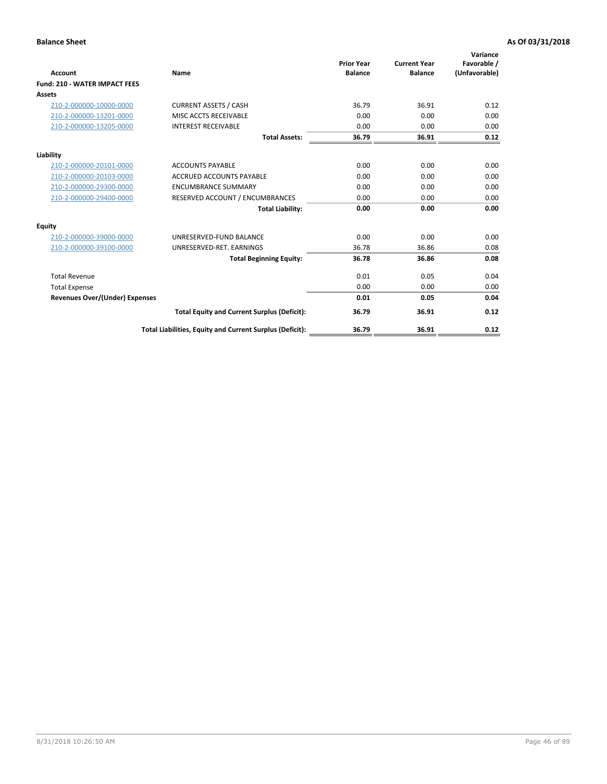| <b>Account</b>                       | Name                                                     | <b>Prior Year</b><br><b>Balance</b> | <b>Current Year</b><br><b>Balance</b> | Variance<br>Favorable /<br>(Unfavorable) |
|--------------------------------------|----------------------------------------------------------|-------------------------------------|---------------------------------------|------------------------------------------|
| <b>Fund: 210 - WATER IMPACT FEES</b> |                                                          |                                     |                                       |                                          |
| <b>Assets</b>                        |                                                          |                                     |                                       |                                          |
| 210-2-000000-10000-0000              | <b>CURRENT ASSETS / CASH</b>                             | 36.79                               | 36.91                                 | 0.12                                     |
| 210-2-000000-13201-0000              | MISC ACCTS RECEIVABLE                                    | 0.00                                | 0.00                                  | 0.00                                     |
| 210-2-000000-13205-0000              | <b>INTEREST RECEIVABLE</b>                               | 0.00                                | 0.00                                  | 0.00                                     |
|                                      | <b>Total Assets:</b>                                     | 36.79                               | 36.91                                 | 0.12                                     |
| Liability                            |                                                          |                                     |                                       |                                          |
| 210-2-000000-20101-0000              | <b>ACCOUNTS PAYABLE</b>                                  | 0.00                                | 0.00                                  | 0.00                                     |
| 210-2-000000-20103-0000              | <b>ACCRUED ACCOUNTS PAYABLE</b>                          | 0.00                                | 0.00                                  | 0.00                                     |
| 210-2-000000-29300-0000              | <b>ENCUMBRANCE SUMMARY</b>                               | 0.00                                | 0.00                                  | 0.00                                     |
| 210-2-000000-29400-0000              | RESERVED ACCOUNT / ENCUMBRANCES                          | 0.00                                | 0.00                                  | 0.00                                     |
|                                      | <b>Total Liability:</b>                                  | 0.00                                | 0.00                                  | 0.00                                     |
| Equity                               |                                                          |                                     |                                       |                                          |
| 210-2-000000-39000-0000              | UNRESERVED-FUND BALANCE                                  | 0.00                                | 0.00                                  | 0.00                                     |
| 210-2-000000-39100-0000              | UNRESERVED-RET. EARNINGS                                 | 36.78                               | 36.86                                 | 0.08                                     |
|                                      | <b>Total Beginning Equity:</b>                           | 36.78                               | 36.86                                 | 0.08                                     |
| <b>Total Revenue</b>                 |                                                          | 0.01                                | 0.05                                  | 0.04                                     |
| <b>Total Expense</b>                 |                                                          | 0.00                                | 0.00                                  | 0.00                                     |
| Revenues Over/(Under) Expenses       |                                                          | 0.01                                | 0.05                                  | 0.04                                     |
|                                      | <b>Total Equity and Current Surplus (Deficit):</b>       | 36.79                               | 36.91                                 | 0.12                                     |
|                                      | Total Liabilities, Equity and Current Surplus (Deficit): | 36.79                               | 36.91                                 | 0.12                                     |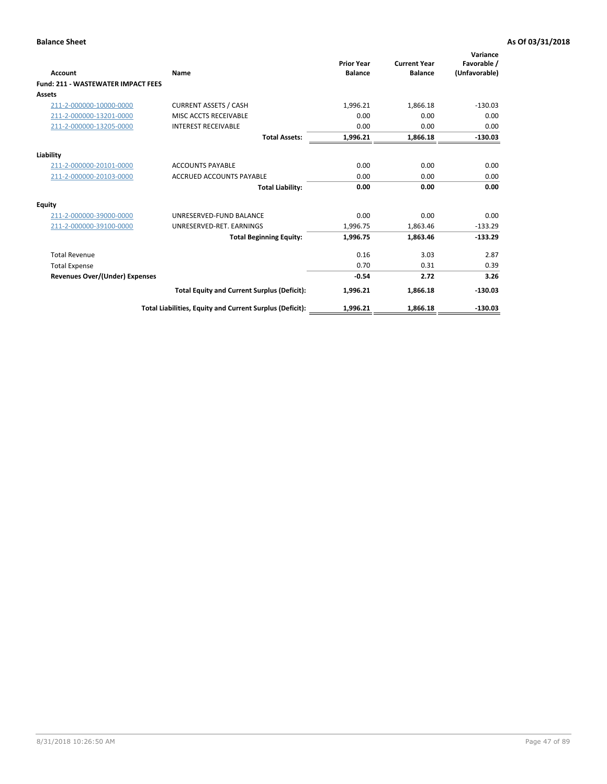| <b>Account</b>                            | Name                                                     | <b>Prior Year</b><br><b>Balance</b> | <b>Current Year</b><br><b>Balance</b> | Variance<br>Favorable /<br>(Unfavorable) |
|-------------------------------------------|----------------------------------------------------------|-------------------------------------|---------------------------------------|------------------------------------------|
| <b>Fund: 211 - WASTEWATER IMPACT FEES</b> |                                                          |                                     |                                       |                                          |
| <b>Assets</b>                             |                                                          |                                     |                                       |                                          |
| 211-2-000000-10000-0000                   | <b>CURRENT ASSETS / CASH</b>                             | 1,996.21                            | 1,866.18                              | $-130.03$                                |
| 211-2-000000-13201-0000                   | MISC ACCTS RECEIVABLE                                    | 0.00                                | 0.00                                  | 0.00                                     |
| 211-2-000000-13205-0000                   | <b>INTEREST RECEIVABLE</b>                               | 0.00                                | 0.00                                  | 0.00                                     |
|                                           | <b>Total Assets:</b>                                     | 1,996.21                            | 1,866.18                              | $-130.03$                                |
| Liability                                 |                                                          |                                     |                                       |                                          |
| 211-2-000000-20101-0000                   | <b>ACCOUNTS PAYABLE</b>                                  | 0.00                                | 0.00                                  | 0.00                                     |
| 211-2-000000-20103-0000                   | <b>ACCRUED ACCOUNTS PAYABLE</b>                          | 0.00                                | 0.00                                  | 0.00                                     |
|                                           | <b>Total Liability:</b>                                  | 0.00                                | 0.00                                  | 0.00                                     |
| <b>Equity</b>                             |                                                          |                                     |                                       |                                          |
| 211-2-000000-39000-0000                   | UNRESERVED-FUND BALANCE                                  | 0.00                                | 0.00                                  | 0.00                                     |
| 211-2-000000-39100-0000                   | UNRESERVED-RET. EARNINGS                                 | 1,996.75                            | 1,863.46                              | $-133.29$                                |
|                                           | <b>Total Beginning Equity:</b>                           | 1,996.75                            | 1,863.46                              | $-133.29$                                |
| <b>Total Revenue</b>                      |                                                          | 0.16                                | 3.03                                  | 2.87                                     |
| <b>Total Expense</b>                      |                                                          | 0.70                                | 0.31                                  | 0.39                                     |
| <b>Revenues Over/(Under) Expenses</b>     |                                                          | $-0.54$                             | 2.72                                  | 3.26                                     |
|                                           | <b>Total Equity and Current Surplus (Deficit):</b>       | 1,996.21                            | 1,866.18                              | $-130.03$                                |
|                                           | Total Liabilities, Equity and Current Surplus (Deficit): | 1,996.21                            | 1,866.18                              | $-130.03$                                |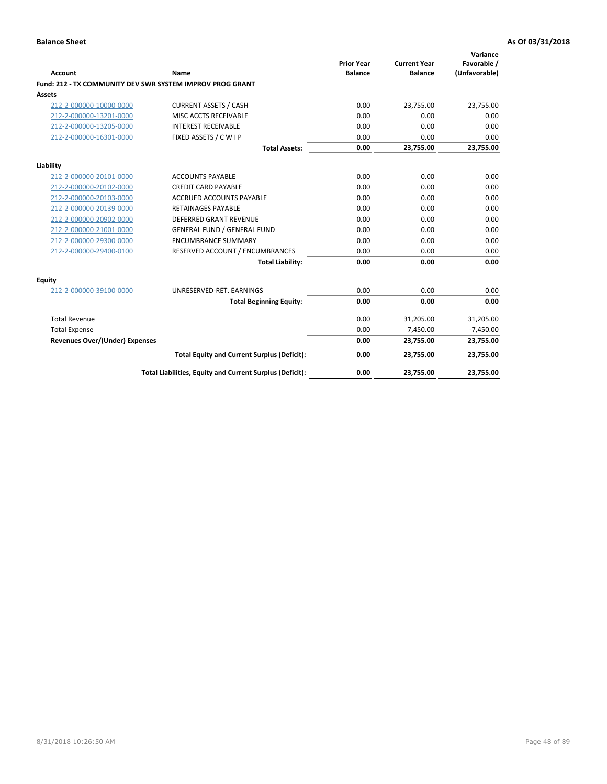| <b>Account</b>                 | Name                                                      | <b>Prior Year</b><br><b>Balance</b> | <b>Current Year</b><br><b>Balance</b> | Variance<br>Favorable /<br>(Unfavorable) |
|--------------------------------|-----------------------------------------------------------|-------------------------------------|---------------------------------------|------------------------------------------|
|                                | Fund: 212 - TX COMMUNITY DEV SWR SYSTEM IMPROV PROG GRANT |                                     |                                       |                                          |
| <b>Assets</b>                  |                                                           |                                     |                                       |                                          |
| 212-2-000000-10000-0000        | <b>CURRENT ASSETS / CASH</b>                              | 0.00                                | 23,755.00                             | 23,755.00                                |
| 212-2-000000-13201-0000        | MISC ACCTS RECEIVABLE                                     | 0.00                                | 0.00                                  | 0.00                                     |
| 212-2-000000-13205-0000        | <b>INTEREST RECEIVABLE</b>                                | 0.00                                | 0.00                                  | 0.00                                     |
| 212-2-000000-16301-0000        | FIXED ASSETS / C W I P                                    | 0.00                                | 0.00                                  | 0.00                                     |
|                                | <b>Total Assets:</b>                                      | 0.00                                | 23,755.00                             | 23,755.00                                |
| Liability                      |                                                           |                                     |                                       |                                          |
| 212-2-000000-20101-0000        | <b>ACCOUNTS PAYABLE</b>                                   | 0.00                                | 0.00                                  | 0.00                                     |
| 212-2-000000-20102-0000        | <b>CREDIT CARD PAYABLE</b>                                | 0.00                                | 0.00                                  | 0.00                                     |
| 212-2-000000-20103-0000        | ACCRUED ACCOUNTS PAYABLE                                  | 0.00                                | 0.00                                  | 0.00                                     |
| 212-2-000000-20139-0000        | <b>RETAINAGES PAYABLE</b>                                 | 0.00                                | 0.00                                  | 0.00                                     |
| 212-2-000000-20902-0000        | <b>DEFERRED GRANT REVENUE</b>                             | 0.00                                | 0.00                                  | 0.00                                     |
| 212-2-000000-21001-0000        | <b>GENERAL FUND / GENERAL FUND</b>                        | 0.00                                | 0.00                                  | 0.00                                     |
| 212-2-000000-29300-0000        | <b>ENCUMBRANCE SUMMARY</b>                                | 0.00                                | 0.00                                  | 0.00                                     |
| 212-2-000000-29400-0100        | RESERVED ACCOUNT / ENCUMBRANCES                           | 0.00                                | 0.00                                  | 0.00                                     |
|                                | <b>Total Liability:</b>                                   | 0.00                                | 0.00                                  | 0.00                                     |
| <b>Equity</b>                  |                                                           |                                     |                                       |                                          |
| 212-2-000000-39100-0000        | UNRESERVED-RET. EARNINGS                                  | 0.00                                | 0.00                                  | 0.00                                     |
|                                | <b>Total Beginning Equity:</b>                            | 0.00                                | 0.00                                  | 0.00                                     |
| <b>Total Revenue</b>           |                                                           | 0.00                                | 31,205.00                             | 31,205.00                                |
| <b>Total Expense</b>           |                                                           | 0.00                                | 7,450.00                              | $-7,450.00$                              |
| Revenues Over/(Under) Expenses |                                                           | 0.00                                | 23,755.00                             | 23,755.00                                |
|                                | <b>Total Equity and Current Surplus (Deficit):</b>        | 0.00                                | 23,755.00                             | 23,755.00                                |
|                                | Total Liabilities, Equity and Current Surplus (Deficit):  | 0.00                                | 23,755.00                             | 23,755.00                                |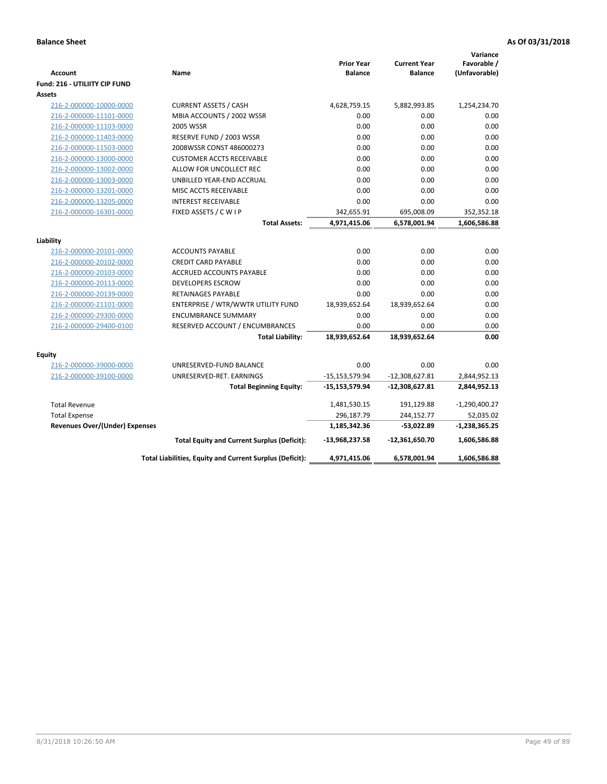| Account                               | Name                                                     | <b>Prior Year</b><br><b>Balance</b> | <b>Current Year</b><br><b>Balance</b> | Variance<br>Favorable /<br>(Unfavorable) |
|---------------------------------------|----------------------------------------------------------|-------------------------------------|---------------------------------------|------------------------------------------|
| Fund: 216 - UTILIITY CIP FUND         |                                                          |                                     |                                       |                                          |
| <b>Assets</b>                         |                                                          |                                     |                                       |                                          |
| 216-2-000000-10000-0000               | <b>CURRENT ASSETS / CASH</b>                             | 4,628,759.15                        | 5,882,993.85                          | 1,254,234.70                             |
| 216-2-000000-11101-0000               | MBIA ACCOUNTS / 2002 WSSR                                | 0.00                                | 0.00                                  | 0.00                                     |
| 216-2-000000-11103-0000               | <b>2005 WSSR</b>                                         | 0.00                                | 0.00                                  | 0.00                                     |
| 216-2-000000-11403-0000               | RESERVE FUND / 2003 WSSR                                 | 0.00                                | 0.00                                  | 0.00                                     |
| 216-2-000000-11503-0000               | 2008WSSR CONST 486000273                                 | 0.00                                | 0.00                                  | 0.00                                     |
| 216-2-000000-13000-0000               | <b>CUSTOMER ACCTS RECEIVABLE</b>                         | 0.00                                | 0.00                                  | 0.00                                     |
| 216-2-000000-13002-0000               | ALLOW FOR UNCOLLECT REC                                  | 0.00                                | 0.00                                  | 0.00                                     |
| 216-2-000000-13003-0000               | UNBILLED YEAR-END ACCRUAL                                | 0.00                                | 0.00                                  | 0.00                                     |
| 216-2-000000-13201-0000               | MISC ACCTS RECEIVABLE                                    | 0.00                                | 0.00                                  | 0.00                                     |
| 216-2-000000-13205-0000               | <b>INTEREST RECEIVABLE</b>                               | 0.00                                | 0.00                                  | 0.00                                     |
| 216-2-000000-16301-0000               | FIXED ASSETS / C W I P                                   | 342,655.91                          | 695,008.09                            | 352,352.18                               |
|                                       | <b>Total Assets:</b>                                     | 4,971,415.06                        | 6,578,001.94                          | 1,606,586.88                             |
| Liability                             |                                                          |                                     |                                       |                                          |
| 216-2-000000-20101-0000               | <b>ACCOUNTS PAYABLE</b>                                  | 0.00                                | 0.00                                  | 0.00                                     |
| 216-2-000000-20102-0000               | <b>CREDIT CARD PAYABLE</b>                               | 0.00                                | 0.00                                  | 0.00                                     |
| 216-2-000000-20103-0000               | <b>ACCRUED ACCOUNTS PAYABLE</b>                          | 0.00                                | 0.00                                  | 0.00                                     |
| 216-2-000000-20113-0000               | <b>DEVELOPERS ESCROW</b>                                 | 0.00                                | 0.00                                  | 0.00                                     |
| 216-2-000000-20139-0000               | <b>RETAINAGES PAYABLE</b>                                | 0.00                                | 0.00                                  | 0.00                                     |
| 216-2-000000-21101-0000               | ENTERPRISE / WTR/WWTR UTILITY FUND                       | 18,939,652.64                       | 18,939,652.64                         | 0.00                                     |
| 216-2-000000-29300-0000               | <b>ENCUMBRANCE SUMMARY</b>                               | 0.00                                | 0.00                                  | 0.00                                     |
| 216-2-000000-29400-0100               | RESERVED ACCOUNT / ENCUMBRANCES                          | 0.00                                | 0.00                                  | 0.00                                     |
|                                       | <b>Total Liability:</b>                                  | 18,939,652.64                       | 18,939,652.64                         | 0.00                                     |
|                                       |                                                          |                                     |                                       |                                          |
| Equity                                |                                                          |                                     |                                       |                                          |
| 216-2-000000-39000-0000               | UNRESERVED-FUND BALANCE                                  | 0.00                                | 0.00                                  | 0.00                                     |
| 216-2-000000-39100-0000               | UNRESERVED-RET. EARNINGS                                 | $-15, 153, 579.94$                  | $-12,308,627.81$                      | 2,844,952.13                             |
|                                       | <b>Total Beginning Equity:</b>                           | $-15,153,579.94$                    | $-12,308,627.81$                      | 2,844,952.13                             |
| <b>Total Revenue</b>                  |                                                          | 1,481,530.15                        | 191,129.88                            | $-1,290,400.27$                          |
| <b>Total Expense</b>                  |                                                          | 296,187.79                          | 244,152.77                            | 52,035.02                                |
| <b>Revenues Over/(Under) Expenses</b> |                                                          | 1,185,342.36                        | $-53,022.89$                          | $-1,238,365.25$                          |
|                                       | <b>Total Equity and Current Surplus (Deficit):</b>       | $-13,968,237.58$                    | $-12,361,650.70$                      | 1,606,586.88                             |
|                                       | Total Liabilities, Equity and Current Surplus (Deficit): | 4,971,415.06                        | 6,578,001.94                          | 1,606,586.88                             |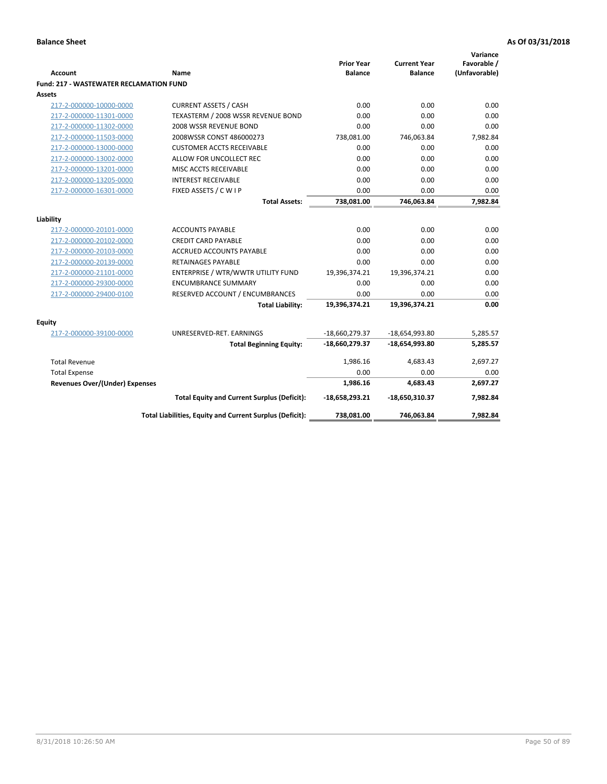|                                                    |                                                          | <b>Prior Year</b> | <b>Current Year</b> | Variance<br>Favorable / |
|----------------------------------------------------|----------------------------------------------------------|-------------------|---------------------|-------------------------|
| <b>Account</b>                                     | Name                                                     | <b>Balance</b>    | <b>Balance</b>      | (Unfavorable)           |
| <b>Fund: 217 - WASTEWATER RECLAMATION FUND</b>     |                                                          |                   |                     |                         |
| <b>Assets</b>                                      |                                                          |                   |                     |                         |
| 217-2-000000-10000-0000                            | <b>CURRENT ASSETS / CASH</b>                             | 0.00              | 0.00                | 0.00                    |
| 217-2-000000-11301-0000                            | TEXASTERM / 2008 WSSR REVENUE BOND                       | 0.00              | 0.00                | 0.00                    |
| 217-2-000000-11302-0000                            | 2008 WSSR REVENUE BOND                                   | 0.00              | 0.00                | 0.00                    |
| 217-2-000000-11503-0000                            | 2008WSSR CONST 486000273                                 | 738,081.00        | 746,063.84          | 7,982.84                |
| 217-2-000000-13000-0000                            | <b>CUSTOMER ACCTS RECEIVABLE</b>                         | 0.00              | 0.00                | 0.00                    |
| 217-2-000000-13002-0000                            | ALLOW FOR UNCOLLECT REC                                  | 0.00              | 0.00                | 0.00                    |
| 217-2-000000-13201-0000                            | MISC ACCTS RECEIVABLE                                    | 0.00              | 0.00                | 0.00                    |
| 217-2-000000-13205-0000                            | <b>INTEREST RECEIVABLE</b>                               | 0.00              | 0.00                | 0.00                    |
| 217-2-000000-16301-0000                            | FIXED ASSETS / C W I P                                   | 0.00              | 0.00                | 0.00                    |
|                                                    | <b>Total Assets:</b>                                     | 738,081.00        | 746,063.84          | 7,982.84                |
|                                                    |                                                          |                   |                     |                         |
| Liability                                          | <b>ACCOUNTS PAYABLE</b>                                  | 0.00              | 0.00                | 0.00                    |
| 217-2-000000-20101-0000<br>217-2-000000-20102-0000 | <b>CREDIT CARD PAYABLE</b>                               | 0.00              | 0.00                | 0.00                    |
| 217-2-000000-20103-0000                            | <b>ACCRUED ACCOUNTS PAYABLE</b>                          | 0.00              | 0.00                | 0.00                    |
| 217-2-000000-20139-0000                            | <b>RETAINAGES PAYABLE</b>                                | 0.00              | 0.00                | 0.00                    |
| 217-2-000000-21101-0000                            | ENTERPRISE / WTR/WWTR UTILITY FUND                       | 19,396,374.21     | 19,396,374.21       | 0.00                    |
| 217-2-000000-29300-0000                            | <b>ENCUMBRANCE SUMMARY</b>                               | 0.00              | 0.00                | 0.00                    |
| 217-2-000000-29400-0100                            | RESERVED ACCOUNT / ENCUMBRANCES                          | 0.00              | 0.00                | 0.00                    |
|                                                    | <b>Total Liability:</b>                                  | 19,396,374.21     | 19,396,374.21       | 0.00                    |
|                                                    |                                                          |                   |                     |                         |
| Equity                                             |                                                          |                   |                     |                         |
| 217-2-000000-39100-0000                            | UNRESERVED-RET. EARNINGS                                 | $-18,660,279.37$  | $-18,654,993.80$    | 5,285.57                |
|                                                    | <b>Total Beginning Equity:</b>                           | -18,660,279.37    | -18,654,993.80      | 5,285.57                |
| <b>Total Revenue</b>                               |                                                          | 1,986.16          | 4,683.43            | 2,697.27                |
| <b>Total Expense</b>                               |                                                          | 0.00              | 0.00                | 0.00                    |
| <b>Revenues Over/(Under) Expenses</b>              |                                                          | 1,986.16          | 4,683.43            | 2,697.27                |
|                                                    | <b>Total Equity and Current Surplus (Deficit):</b>       | $-18,658,293.21$  | $-18,650,310.37$    | 7,982.84                |
|                                                    | Total Liabilities, Equity and Current Surplus (Deficit): | 738,081.00        | 746,063.84          | 7,982.84                |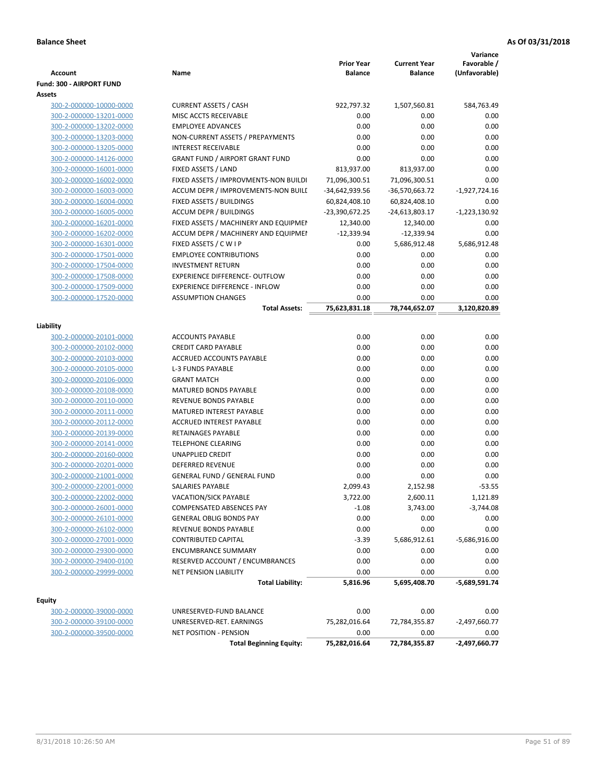|                                                    |                                                                | <b>Prior Year</b>               | <b>Current Year</b>             | Variance<br>Favorable / |
|----------------------------------------------------|----------------------------------------------------------------|---------------------------------|---------------------------------|-------------------------|
| Account                                            | Name                                                           | <b>Balance</b>                  | <b>Balance</b>                  | (Unfavorable)           |
| Fund: 300 - AIRPORT FUND                           |                                                                |                                 |                                 |                         |
| Assets                                             |                                                                |                                 |                                 |                         |
| 300-2-000000-10000-0000                            | <b>CURRENT ASSETS / CASH</b>                                   | 922,797.32                      | 1,507,560.81                    | 584,763.49              |
| 300-2-000000-13201-0000                            | MISC ACCTS RECEIVABLE<br><b>EMPLOYEE ADVANCES</b>              | 0.00<br>0.00                    | 0.00                            | 0.00<br>0.00            |
| 300-2-000000-13202-0000                            |                                                                | 0.00                            | 0.00<br>0.00                    | 0.00                    |
| 300-2-000000-13203-0000<br>300-2-000000-13205-0000 | NON-CURRENT ASSETS / PREPAYMENTS<br><b>INTEREST RECEIVABLE</b> | 0.00                            | 0.00                            | 0.00                    |
| 300-2-000000-14126-0000                            | <b>GRANT FUND / AIRPORT GRANT FUND</b>                         | 0.00                            | 0.00                            | 0.00                    |
| 300-2-000000-16001-0000                            | FIXED ASSETS / LAND                                            | 813,937.00                      | 813,937.00                      | 0.00                    |
| 300-2-000000-16002-0000                            | FIXED ASSETS / IMPROVMENTS-NON BUILDI                          | 71,096,300.51                   | 71,096,300.51                   | 0.00                    |
|                                                    | ACCUM DEPR / IMPROVEMENTS-NON BUILL                            |                                 |                                 |                         |
| 300-2-000000-16003-0000<br>300-2-000000-16004-0000 | FIXED ASSETS / BUILDINGS                                       | -34,642,939.56<br>60,824,408.10 | -36,570,663.72<br>60,824,408.10 | $-1,927,724.16$<br>0.00 |
|                                                    | <b>ACCUM DEPR / BUILDINGS</b>                                  | -23,390,672.25                  |                                 |                         |
| 300-2-000000-16005-0000<br>300-2-000000-16201-0000 | FIXED ASSETS / MACHINERY AND EQUIPMEN                          | 12,340.00                       | -24,613,803.17                  | $-1,223,130.92$         |
| 300-2-000000-16202-0000                            | ACCUM DEPR / MACHINERY AND EQUIPMEI                            | $-12,339.94$                    | 12,340.00<br>$-12,339.94$       | 0.00<br>0.00            |
|                                                    |                                                                | 0.00                            |                                 |                         |
| 300-2-000000-16301-0000<br>300-2-000000-17501-0000 | FIXED ASSETS / C W I P<br><b>EMPLOYEE CONTRIBUTIONS</b>        | 0.00                            | 5,686,912.48<br>0.00            | 5,686,912.48<br>0.00    |
|                                                    | <b>INVESTMENT RETURN</b>                                       | 0.00                            | 0.00                            | 0.00                    |
| 300-2-000000-17504-0000                            | EXPERIENCE DIFFERENCE- OUTFLOW                                 | 0.00                            |                                 |                         |
| 300-2-000000-17508-0000                            |                                                                |                                 | 0.00                            | 0.00                    |
| 300-2-000000-17509-0000                            | <b>EXPERIENCE DIFFERENCE - INFLOW</b>                          | 0.00                            | 0.00                            | 0.00                    |
| 300-2-000000-17520-0000                            | <b>ASSUMPTION CHANGES</b>                                      | 0.00<br>75,623,831.18           | 0.00<br>78,744,652.07           | 0.00<br>3,120,820.89    |
|                                                    | <b>Total Assets:</b>                                           |                                 |                                 |                         |
| Liability                                          |                                                                |                                 |                                 |                         |
| 300-2-000000-20101-0000                            | <b>ACCOUNTS PAYABLE</b>                                        | 0.00                            | 0.00                            | 0.00                    |
| 300-2-000000-20102-0000                            | <b>CREDIT CARD PAYABLE</b>                                     | 0.00                            | 0.00                            | 0.00                    |
| 300-2-000000-20103-0000                            | ACCRUED ACCOUNTS PAYABLE                                       | 0.00                            | 0.00                            | 0.00                    |
| 300-2-000000-20105-0000                            | <b>L-3 FUNDS PAYABLE</b>                                       | 0.00                            | 0.00                            | 0.00                    |
| 300-2-000000-20106-0000                            | <b>GRANT MATCH</b>                                             | 0.00                            | 0.00                            | 0.00                    |
| 300-2-000000-20108-0000                            | MATURED BONDS PAYABLE                                          | 0.00                            | 0.00                            | 0.00                    |
| 300-2-000000-20110-0000                            | REVENUE BONDS PAYABLE                                          | 0.00                            | 0.00                            | 0.00                    |
| 300-2-000000-20111-0000                            | MATURED INTEREST PAYABLE                                       | 0.00                            | 0.00                            | 0.00                    |
| 300-2-000000-20112-0000                            | <b>ACCRUED INTEREST PAYABLE</b>                                | 0.00                            | 0.00                            | 0.00                    |
| 300-2-000000-20139-0000                            | <b>RETAINAGES PAYABLE</b>                                      | 0.00                            | 0.00                            | 0.00                    |
| 300-2-000000-20141-0000                            | <b>TELEPHONE CLEARING</b>                                      | 0.00                            | 0.00                            | 0.00                    |
| 300-2-000000-20160-0000                            | <b>UNAPPLIED CREDIT</b>                                        | 0.00                            | 0.00                            | 0.00                    |
| 300-2-000000-20201-0000                            | <b>DEFERRED REVENUE</b>                                        | 0.00                            | 0.00                            | 0.00                    |
| 300-2-000000-21001-0000                            | <b>GENERAL FUND / GENERAL FUND</b>                             | 0.00                            | 0.00                            | 0.00                    |
| 300-2-000000-22001-0000                            | SALARIES PAYABLE                                               | 2,099.43                        | 2,152.98                        | $-53.55$                |
| 300-2-000000-22002-0000                            | VACATION/SICK PAYABLE                                          | 3,722.00                        | 2,600.11                        | 1,121.89                |
| 300-2-000000-26001-0000                            | <b>COMPENSATED ABSENCES PAY</b>                                | $-1.08$                         | 3,743.00                        | $-3,744.08$             |
| 300-2-000000-26101-0000                            | <b>GENERAL OBLIG BONDS PAY</b>                                 | 0.00                            | 0.00                            | 0.00                    |
| 300-2-000000-26102-0000                            | REVENUE BONDS PAYABLE                                          | 0.00                            | 0.00                            | 0.00                    |
| 300-2-000000-27001-0000                            | <b>CONTRIBUTED CAPITAL</b>                                     | $-3.39$                         | 5,686,912.61                    | $-5,686,916.00$         |
| 300-2-000000-29300-0000                            | <b>ENCUMBRANCE SUMMARY</b>                                     | 0.00                            | 0.00                            | 0.00                    |
| 300-2-000000-29400-0100                            | RESERVED ACCOUNT / ENCUMBRANCES                                | 0.00                            | 0.00                            | 0.00                    |
| 300-2-000000-29999-0000                            | NET PENSION LIABILITY                                          | 0.00                            | 0.00                            | 0.00                    |
|                                                    | <b>Total Liability:</b>                                        | 5,816.96                        | 5,695,408.70                    | -5,689,591.74           |
|                                                    |                                                                |                                 |                                 |                         |
| Equity                                             |                                                                |                                 |                                 |                         |
| 300-2-000000-39000-0000                            | UNRESERVED-FUND BALANCE                                        | 0.00                            | 0.00                            | 0.00                    |
| 300-2-000000-39100-0000                            | UNRESERVED-RET. EARNINGS                                       | 75,282,016.64                   | 72,784,355.87                   | $-2,497,660.77$         |
| 300-2-000000-39500-0000                            | NET POSITION - PENSION                                         | 0.00                            | 0.00                            | 0.00                    |
|                                                    | <b>Total Beginning Equity:</b>                                 | 75,282,016.64                   | 72,784,355.87                   | $-2,497,660.77$         |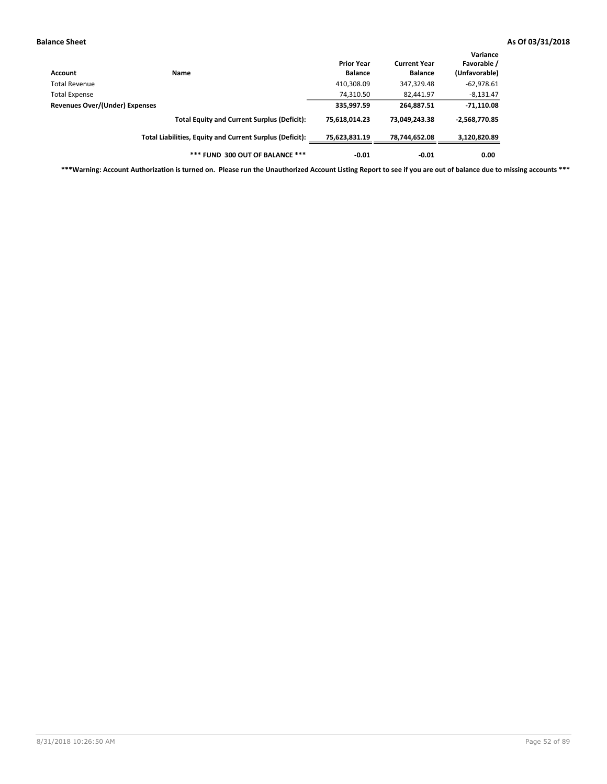| Account                        | <b>Name</b>                                              | <b>Prior Year</b><br><b>Balance</b> | <b>Current Year</b><br><b>Balance</b> | Variance<br>Favorable /<br>(Unfavorable) |
|--------------------------------|----------------------------------------------------------|-------------------------------------|---------------------------------------|------------------------------------------|
| Total Revenue                  |                                                          | 410,308.09                          | 347,329.48                            | $-62,978.61$                             |
| Total Expense                  |                                                          | 74,310.50                           | 82,441.97                             | $-8,131.47$                              |
| Revenues Over/(Under) Expenses |                                                          | 335,997.59                          | 264,887.51                            | $-71,110.08$                             |
|                                | <b>Total Equity and Current Surplus (Deficit):</b>       | 75.618.014.23                       | 73.049.243.38                         | $-2,568,770.85$                          |
|                                | Total Liabilities, Equity and Current Surplus (Deficit): | 75,623,831.19                       | 78,744,652.08                         | 3,120,820.89                             |
|                                | *** FUND 300 OUT OF BALANCE ***                          | $-0.01$                             | $-0.01$                               | 0.00                                     |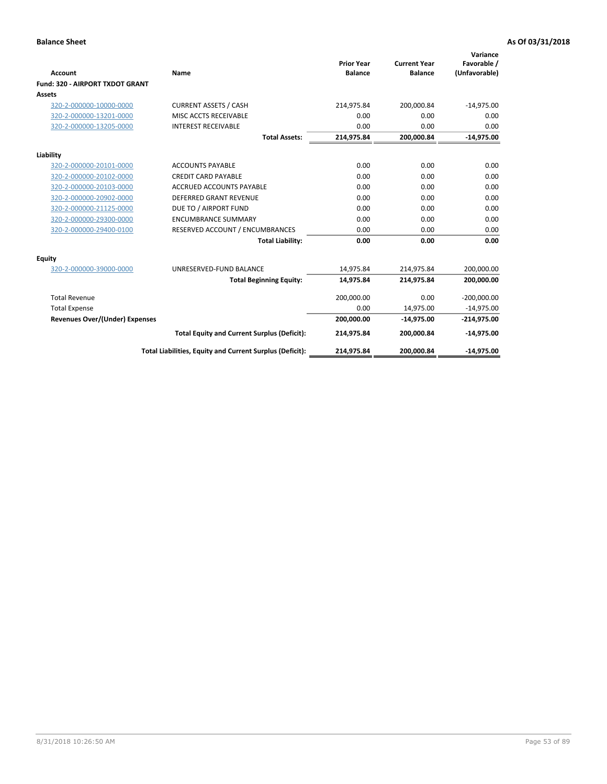|                                       |                                                          |                                     |                                       | Variance                     |
|---------------------------------------|----------------------------------------------------------|-------------------------------------|---------------------------------------|------------------------------|
| Account                               | Name                                                     | <b>Prior Year</b><br><b>Balance</b> | <b>Current Year</b><br><b>Balance</b> | Favorable /<br>(Unfavorable) |
| Fund: 320 - AIRPORT TXDOT GRANT       |                                                          |                                     |                                       |                              |
| <b>Assets</b>                         |                                                          |                                     |                                       |                              |
| 320-2-000000-10000-0000               | <b>CURRENT ASSETS / CASH</b>                             | 214,975.84                          | 200,000.84                            | $-14,975.00$                 |
| 320-2-000000-13201-0000               | MISC ACCTS RECEIVABLE                                    | 0.00                                | 0.00                                  | 0.00                         |
| 320-2-000000-13205-0000               | <b>INTEREST RECEIVABLE</b>                               | 0.00                                | 0.00                                  | 0.00                         |
|                                       | <b>Total Assets:</b>                                     | 214,975.84                          | 200,000.84                            | $-14,975.00$                 |
| Liability                             |                                                          |                                     |                                       |                              |
| 320-2-000000-20101-0000               | <b>ACCOUNTS PAYABLE</b>                                  | 0.00                                | 0.00                                  | 0.00                         |
| 320-2-000000-20102-0000               | <b>CREDIT CARD PAYABLE</b>                               | 0.00                                | 0.00                                  | 0.00                         |
| 320-2-000000-20103-0000               | <b>ACCRUED ACCOUNTS PAYABLE</b>                          | 0.00                                | 0.00                                  | 0.00                         |
| 320-2-000000-20902-0000               | <b>DEFERRED GRANT REVENUE</b>                            | 0.00                                | 0.00                                  | 0.00                         |
| 320-2-000000-21125-0000               | DUE TO / AIRPORT FUND                                    | 0.00                                | 0.00                                  | 0.00                         |
| 320-2-000000-29300-0000               | <b>ENCUMBRANCE SUMMARY</b>                               | 0.00                                | 0.00                                  | 0.00                         |
| 320-2-000000-29400-0100               | RESERVED ACCOUNT / ENCUMBRANCES                          | 0.00                                | 0.00                                  | 0.00                         |
|                                       | <b>Total Liability:</b>                                  | 0.00                                | 0.00                                  | 0.00                         |
| <b>Equity</b>                         |                                                          |                                     |                                       |                              |
| 320-2-000000-39000-0000               | UNRESERVED-FUND BALANCE                                  | 14,975.84                           | 214,975.84                            | 200,000.00                   |
|                                       | <b>Total Beginning Equity:</b>                           | 14,975.84                           | 214,975.84                            | 200,000.00                   |
| <b>Total Revenue</b>                  |                                                          | 200,000.00                          | 0.00                                  | $-200,000.00$                |
| <b>Total Expense</b>                  |                                                          | 0.00                                | 14,975.00                             | $-14,975.00$                 |
| <b>Revenues Over/(Under) Expenses</b> |                                                          | 200,000.00                          | $-14,975.00$                          | $-214,975.00$                |
|                                       | <b>Total Equity and Current Surplus (Deficit):</b>       | 214,975.84                          | 200,000.84                            | $-14,975.00$                 |
|                                       | Total Liabilities, Equity and Current Surplus (Deficit): | 214,975.84                          | 200,000.84                            | $-14,975.00$                 |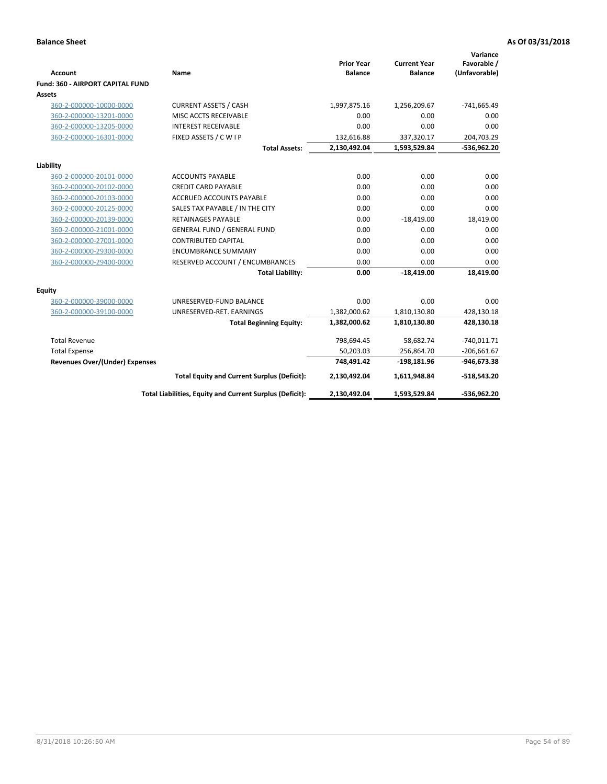| <b>Account</b>                          | Name                                                     | <b>Prior Year</b><br><b>Balance</b> | <b>Current Year</b><br><b>Balance</b> | Variance<br>Favorable /<br>(Unfavorable) |
|-----------------------------------------|----------------------------------------------------------|-------------------------------------|---------------------------------------|------------------------------------------|
| <b>Fund: 360 - AIRPORT CAPITAL FUND</b> |                                                          |                                     |                                       |                                          |
| Assets                                  |                                                          |                                     |                                       |                                          |
| 360-2-000000-10000-0000                 | <b>CURRENT ASSETS / CASH</b>                             | 1,997,875.16                        | 1,256,209.67                          | $-741,665.49$                            |
| 360-2-000000-13201-0000                 | MISC ACCTS RECEIVABLE                                    | 0.00                                | 0.00                                  | 0.00                                     |
| 360-2-000000-13205-0000                 | <b>INTEREST RECEIVABLE</b>                               | 0.00                                | 0.00                                  | 0.00                                     |
| 360-2-000000-16301-0000                 | FIXED ASSETS / C W I P                                   | 132,616.88                          | 337,320.17                            | 204,703.29                               |
|                                         | <b>Total Assets:</b>                                     | 2,130,492.04                        | 1,593,529.84                          | -536,962.20                              |
| Liability                               |                                                          |                                     |                                       |                                          |
| 360-2-000000-20101-0000                 | <b>ACCOUNTS PAYABLE</b>                                  | 0.00                                | 0.00                                  | 0.00                                     |
| 360-2-000000-20102-0000                 | <b>CREDIT CARD PAYABLE</b>                               | 0.00                                | 0.00                                  | 0.00                                     |
| 360-2-000000-20103-0000                 | <b>ACCRUED ACCOUNTS PAYABLE</b>                          | 0.00                                | 0.00                                  | 0.00                                     |
| 360-2-000000-20125-0000                 | SALES TAX PAYABLE / IN THE CITY                          | 0.00                                | 0.00                                  | 0.00                                     |
| 360-2-000000-20139-0000                 | <b>RETAINAGES PAYABLE</b>                                | 0.00                                | $-18,419.00$                          | 18,419.00                                |
| 360-2-000000-21001-0000                 | <b>GENERAL FUND / GENERAL FUND</b>                       | 0.00                                | 0.00                                  | 0.00                                     |
| 360-2-000000-27001-0000                 | <b>CONTRIBUTED CAPITAL</b>                               | 0.00                                | 0.00                                  | 0.00                                     |
| 360-2-000000-29300-0000                 | <b>ENCUMBRANCE SUMMARY</b>                               | 0.00                                | 0.00                                  | 0.00                                     |
| 360-2-000000-29400-0000                 | RESERVED ACCOUNT / ENCUMBRANCES                          | 0.00                                | 0.00                                  | 0.00                                     |
|                                         | <b>Total Liability:</b>                                  | 0.00                                | $-18,419.00$                          | 18,419.00                                |
| Equity                                  |                                                          |                                     |                                       |                                          |
| 360-2-000000-39000-0000                 | UNRESERVED-FUND BALANCE                                  | 0.00                                | 0.00                                  | 0.00                                     |
| 360-2-000000-39100-0000                 | UNRESERVED-RET. EARNINGS                                 | 1,382,000.62                        | 1,810,130.80                          | 428,130.18                               |
|                                         | <b>Total Beginning Equity:</b>                           | 1,382,000.62                        | 1,810,130.80                          | 428,130.18                               |
| <b>Total Revenue</b>                    |                                                          | 798,694.45                          | 58,682.74                             | $-740,011.71$                            |
| <b>Total Expense</b>                    |                                                          | 50,203.03                           | 256,864.70                            | $-206,661.67$                            |
| <b>Revenues Over/(Under) Expenses</b>   |                                                          | 748,491.42                          | $-198,181.96$                         | $-946,673.38$                            |
|                                         | <b>Total Equity and Current Surplus (Deficit):</b>       | 2,130,492.04                        | 1,611,948.84                          | $-518,543.20$                            |
|                                         | Total Liabilities, Equity and Current Surplus (Deficit): | 2,130,492.04                        | 1,593,529.84                          | -536,962.20                              |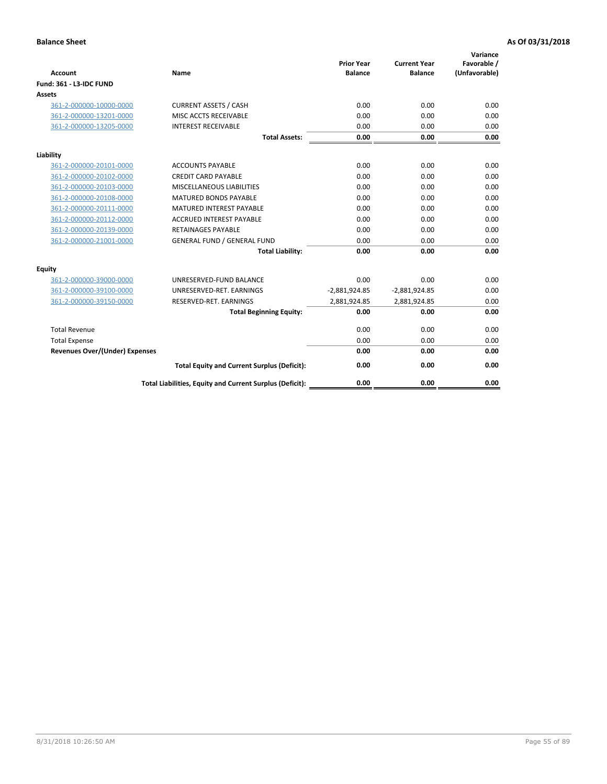| <b>Account</b>                        | Name                                                     | <b>Prior Year</b><br><b>Balance</b> | <b>Current Year</b><br><b>Balance</b> | Variance<br>Favorable /<br>(Unfavorable) |
|---------------------------------------|----------------------------------------------------------|-------------------------------------|---------------------------------------|------------------------------------------|
| <b>Fund: 361 - L3-IDC FUND</b>        |                                                          |                                     |                                       |                                          |
| Assets                                |                                                          |                                     |                                       |                                          |
| 361-2-000000-10000-0000               | <b>CURRENT ASSETS / CASH</b>                             | 0.00                                | 0.00                                  | 0.00                                     |
| 361-2-000000-13201-0000               | MISC ACCTS RECEIVABLE                                    | 0.00                                | 0.00                                  | 0.00                                     |
| 361-2-000000-13205-0000               | <b>INTEREST RECEIVABLE</b>                               | 0.00                                | 0.00                                  | 0.00                                     |
|                                       | <b>Total Assets:</b>                                     | 0.00                                | 0.00                                  | 0.00                                     |
| Liability                             |                                                          |                                     |                                       |                                          |
| 361-2-000000-20101-0000               | <b>ACCOUNTS PAYABLE</b>                                  | 0.00                                | 0.00                                  | 0.00                                     |
| 361-2-000000-20102-0000               | <b>CREDIT CARD PAYABLE</b>                               | 0.00                                | 0.00                                  | 0.00                                     |
| 361-2-000000-20103-0000               | <b>MISCELLANEOUS LIABILITIES</b>                         | 0.00                                | 0.00                                  | 0.00                                     |
| 361-2-000000-20108-0000               | <b>MATURED BONDS PAYABLE</b>                             | 0.00                                | 0.00                                  | 0.00                                     |
| 361-2-000000-20111-0000               | <b>MATURED INTEREST PAYABLE</b>                          | 0.00                                | 0.00                                  | 0.00                                     |
| 361-2-000000-20112-0000               | <b>ACCRUED INTEREST PAYABLE</b>                          | 0.00                                | 0.00                                  | 0.00                                     |
| 361-2-000000-20139-0000               | <b>RETAINAGES PAYABLE</b>                                | 0.00                                | 0.00                                  | 0.00                                     |
| 361-2-000000-21001-0000               | <b>GENERAL FUND / GENERAL FUND</b>                       | 0.00                                | 0.00                                  | 0.00                                     |
|                                       | <b>Total Liability:</b>                                  | 0.00                                | 0.00                                  | 0.00                                     |
| Equity                                |                                                          |                                     |                                       |                                          |
| 361-2-000000-39000-0000               | UNRESERVED-FUND BALANCE                                  | 0.00                                | 0.00                                  | 0.00                                     |
| 361-2-000000-39100-0000               | UNRESERVED-RET. EARNINGS                                 | $-2,881,924.85$                     | $-2,881,924.85$                       | 0.00                                     |
| 361-2-000000-39150-0000               | RESERVED-RET. EARNINGS                                   | 2,881,924.85                        | 2,881,924.85                          | 0.00                                     |
|                                       | <b>Total Beginning Equity:</b>                           | 0.00                                | 0.00                                  | 0.00                                     |
| <b>Total Revenue</b>                  |                                                          | 0.00                                | 0.00                                  | 0.00                                     |
| <b>Total Expense</b>                  |                                                          | 0.00                                | 0.00                                  | 0.00                                     |
| <b>Revenues Over/(Under) Expenses</b> |                                                          | 0.00                                | 0.00                                  | 0.00                                     |
|                                       | <b>Total Equity and Current Surplus (Deficit):</b>       | 0.00                                | 0.00                                  | 0.00                                     |
|                                       | Total Liabilities, Equity and Current Surplus (Deficit): | 0.00                                | 0.00                                  | 0.00                                     |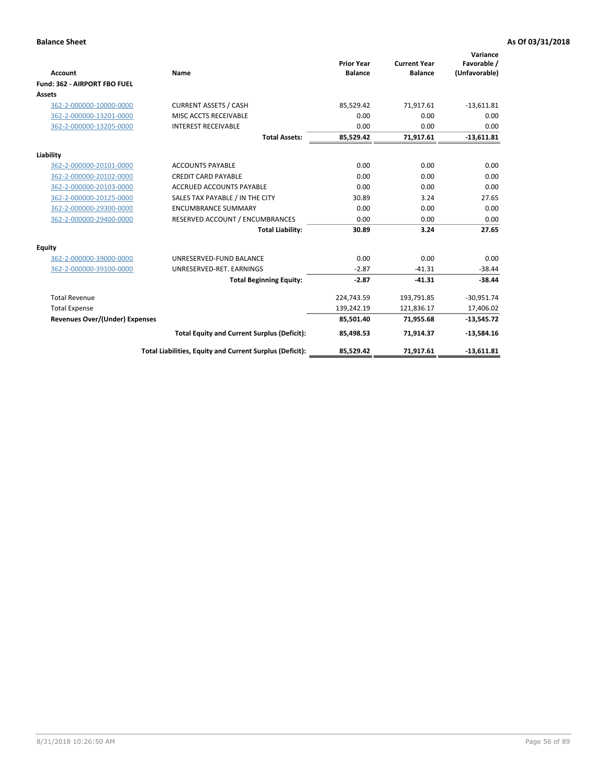|                                       |                                                          |                                     |                                       | Variance                     |
|---------------------------------------|----------------------------------------------------------|-------------------------------------|---------------------------------------|------------------------------|
| <b>Account</b>                        | Name                                                     | <b>Prior Year</b><br><b>Balance</b> | <b>Current Year</b><br><b>Balance</b> | Favorable /<br>(Unfavorable) |
| Fund: 362 - AIRPORT FBO FUEL          |                                                          |                                     |                                       |                              |
| <b>Assets</b>                         |                                                          |                                     |                                       |                              |
| 362-2-000000-10000-0000               | <b>CURRENT ASSETS / CASH</b>                             | 85.529.42                           | 71,917.61                             | $-13,611.81$                 |
| 362-2-000000-13201-0000               | MISC ACCTS RECEIVABLE                                    | 0.00                                | 0.00                                  | 0.00                         |
| 362-2-000000-13205-0000               | <b>INTEREST RECEIVABLE</b>                               | 0.00                                | 0.00                                  | 0.00                         |
|                                       | <b>Total Assets:</b>                                     | 85,529.42                           | 71,917.61                             | $-13,611.81$                 |
| Liability                             |                                                          |                                     |                                       |                              |
| 362-2-000000-20101-0000               | <b>ACCOUNTS PAYABLE</b>                                  | 0.00                                | 0.00                                  | 0.00                         |
| 362-2-000000-20102-0000               | <b>CREDIT CARD PAYABLE</b>                               | 0.00                                | 0.00                                  | 0.00                         |
| 362-2-000000-20103-0000               | <b>ACCRUED ACCOUNTS PAYABLE</b>                          | 0.00                                | 0.00                                  | 0.00                         |
| 362-2-000000-20125-0000               | SALES TAX PAYABLE / IN THE CITY                          | 30.89                               | 3.24                                  | 27.65                        |
| 362-2-000000-29300-0000               | <b>ENCUMBRANCE SUMMARY</b>                               | 0.00                                | 0.00                                  | 0.00                         |
| 362-2-000000-29400-0000               | RESERVED ACCOUNT / ENCUMBRANCES                          | 0.00                                | 0.00                                  | 0.00                         |
|                                       | <b>Total Liability:</b>                                  | 30.89                               | 3.24                                  | 27.65                        |
| <b>Equity</b>                         |                                                          |                                     |                                       |                              |
| 362-2-000000-39000-0000               | UNRESERVED-FUND BALANCE                                  | 0.00                                | 0.00                                  | 0.00                         |
| 362-2-000000-39100-0000               | UNRESERVED-RET. EARNINGS                                 | $-2.87$                             | $-41.31$                              | $-38.44$                     |
|                                       | <b>Total Beginning Equity:</b>                           | $-2.87$                             | $-41.31$                              | $-38.44$                     |
| <b>Total Revenue</b>                  |                                                          | 224,743.59                          | 193,791.85                            | $-30,951.74$                 |
| <b>Total Expense</b>                  |                                                          | 139,242.19                          | 121,836.17                            | 17,406.02                    |
| <b>Revenues Over/(Under) Expenses</b> |                                                          | 85,501.40                           | 71,955.68                             | $-13,545.72$                 |
|                                       | <b>Total Equity and Current Surplus (Deficit):</b>       | 85,498.53                           | 71,914.37                             | $-13,584.16$                 |
|                                       | Total Liabilities, Equity and Current Surplus (Deficit): | 85,529.42                           | 71,917.61                             | $-13,611.81$                 |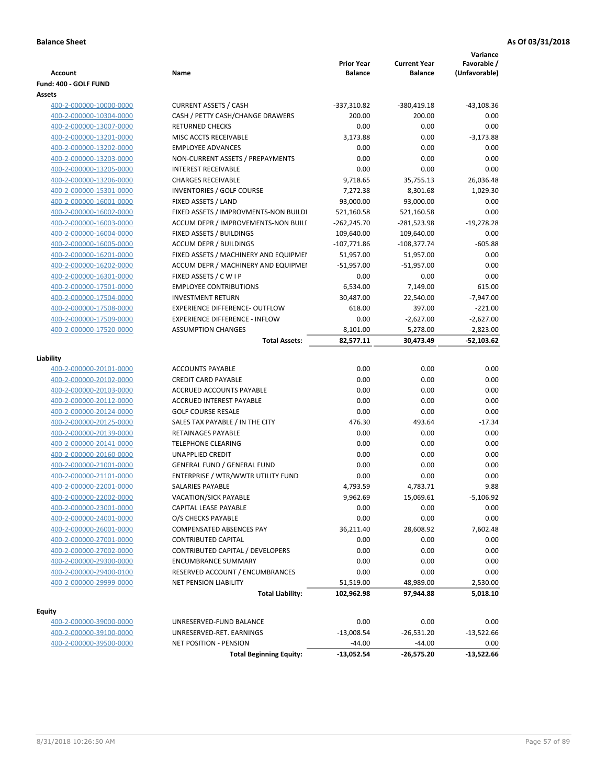| <b>Account</b>                  | Name                                  | <b>Prior Year</b><br><b>Balance</b> | <b>Current Year</b><br><b>Balance</b> | Variance<br>Favorable /<br>(Unfavorable) |
|---------------------------------|---------------------------------------|-------------------------------------|---------------------------------------|------------------------------------------|
| Fund: 400 - GOLF FUND<br>Assets |                                       |                                     |                                       |                                          |
| 400-2-000000-10000-0000         | <b>CURRENT ASSETS / CASH</b>          | -337,310.82                         | -380,419.18                           | $-43,108.36$                             |
| 400-2-000000-10304-0000         | CASH / PETTY CASH/CHANGE DRAWERS      | 200.00                              | 200.00                                | 0.00                                     |
| 400-2-000000-13007-0000         | <b>RETURNED CHECKS</b>                | 0.00                                | 0.00                                  | 0.00                                     |
| 400-2-000000-13201-0000         | MISC ACCTS RECEIVABLE                 | 3,173.88                            | 0.00                                  | $-3,173.88$                              |
| 400-2-000000-13202-0000         | <b>EMPLOYEE ADVANCES</b>              | 0.00                                | 0.00                                  | 0.00                                     |
| 400-2-000000-13203-0000         | NON-CURRENT ASSETS / PREPAYMENTS      | 0.00                                | 0.00                                  | 0.00                                     |
| 400-2-000000-13205-0000         | <b>INTEREST RECEIVABLE</b>            | 0.00                                | 0.00                                  | 0.00                                     |
| 400-2-000000-13206-0000         | <b>CHARGES RECEIVABLE</b>             | 9,718.65                            | 35,755.13                             | 26,036.48                                |
| 400-2-000000-15301-0000         | INVENTORIES / GOLF COURSE             | 7,272.38                            | 8,301.68                              | 1,029.30                                 |
| 400-2-000000-16001-0000         | FIXED ASSETS / LAND                   | 93,000.00                           | 93,000.00                             | 0.00                                     |
| 400-2-000000-16002-0000         | FIXED ASSETS / IMPROVMENTS-NON BUILDI | 521,160.58                          | 521,160.58                            | 0.00                                     |
| 400-2-000000-16003-0000         | ACCUM DEPR / IMPROVEMENTS-NON BUILI   | $-262,245.70$                       | -281,523.98                           | $-19,278.28$                             |
| 400-2-000000-16004-0000         | FIXED ASSETS / BUILDINGS              | 109,640.00                          | 109,640.00                            | 0.00                                     |
| 400-2-000000-16005-0000         | <b>ACCUM DEPR / BUILDINGS</b>         | $-107,771.86$                       | $-108,377.74$                         | $-605.88$                                |
| 400-2-000000-16201-0000         | FIXED ASSETS / MACHINERY AND EQUIPMEN | 51,957.00                           | 51,957.00                             | 0.00                                     |
| 400-2-000000-16202-0000         | ACCUM DEPR / MACHINERY AND EQUIPMEI   | -51,957.00                          | $-51,957.00$                          | 0.00                                     |
| 400-2-000000-16301-0000         | FIXED ASSETS / C W I P                | 0.00                                | 0.00                                  | 0.00                                     |
| 400-2-000000-17501-0000         | <b>EMPLOYEE CONTRIBUTIONS</b>         | 6,534.00                            | 7,149.00                              | 615.00                                   |
| 400-2-000000-17504-0000         | <b>INVESTMENT RETURN</b>              | 30,487.00                           | 22,540.00                             | $-7,947.00$                              |
| 400-2-000000-17508-0000         | <b>EXPERIENCE DIFFERENCE- OUTFLOW</b> | 618.00                              | 397.00                                | $-221.00$                                |
| 400-2-000000-17509-0000         | <b>EXPERIENCE DIFFERENCE - INFLOW</b> | 0.00                                | $-2,627.00$                           | $-2,627.00$                              |
| 400-2-000000-17520-0000         | <b>ASSUMPTION CHANGES</b>             | 8,101.00                            | 5,278.00                              | $-2,823.00$                              |
|                                 | <b>Total Assets:</b>                  | 82,577.11                           | 30,473.49                             | $-52,103.62$                             |
|                                 |                                       |                                     |                                       |                                          |
| Liability                       |                                       |                                     |                                       |                                          |
| 400-2-000000-20101-0000         | <b>ACCOUNTS PAYABLE</b>               | 0.00                                | 0.00                                  | 0.00                                     |
| 400-2-000000-20102-0000         | <b>CREDIT CARD PAYABLE</b>            | 0.00                                | 0.00                                  | 0.00                                     |
| 400-2-000000-20103-0000         | ACCRUED ACCOUNTS PAYABLE              | 0.00                                | 0.00                                  | 0.00                                     |
| 400-2-000000-20112-0000         | <b>ACCRUED INTEREST PAYABLE</b>       | 0.00                                | 0.00                                  | 0.00                                     |
| 400-2-000000-20124-0000         | <b>GOLF COURSE RESALE</b>             | 0.00                                | 0.00                                  | 0.00                                     |
| 400-2-000000-20125-0000         | SALES TAX PAYABLE / IN THE CITY       | 476.30                              | 493.64                                | $-17.34$                                 |
| 400-2-000000-20139-0000         | RETAINAGES PAYABLE                    | 0.00                                | 0.00                                  | 0.00                                     |
| 400-2-000000-20141-0000         | <b>TELEPHONE CLEARING</b>             | 0.00                                | 0.00                                  | 0.00                                     |
| 400-2-000000-20160-0000         | <b>UNAPPLIED CREDIT</b>               | 0.00                                | 0.00                                  | 0.00                                     |
| 400-2-000000-21001-0000         | <b>GENERAL FUND / GENERAL FUND</b>    | 0.00                                | 0.00                                  | 0.00                                     |
| 400-2-000000-21101-0000         | ENTERPRISE / WTR/WWTR UTILITY FUND    | 0.00                                | 0.00                                  | 0.00                                     |
| 400-2-000000-22001-0000         | SALARIES PAYABLE                      | 4,793.59                            | 4,783.71                              | 9.88                                     |
| 400-2-000000-22002-0000         | VACATION/SICK PAYABLE                 | 9,962.69                            | 15,069.61                             | $-5,106.92$                              |
| 400-2-000000-23001-0000         | CAPITAL LEASE PAYABLE                 | 0.00                                | 0.00                                  | 0.00                                     |
| 400-2-000000-24001-0000         | O/S CHECKS PAYABLE                    | 0.00                                | 0.00                                  | 0.00                                     |
| 400-2-000000-26001-0000         | <b>COMPENSATED ABSENCES PAY</b>       | 36,211.40                           | 28,608.92                             | 7,602.48                                 |
| 400-2-000000-27001-0000         | <b>CONTRIBUTED CAPITAL</b>            | 0.00                                | 0.00                                  | 0.00                                     |
| 400-2-000000-27002-0000         | CONTRIBUTED CAPITAL / DEVELOPERS      | 0.00                                | 0.00                                  | 0.00                                     |
| 400-2-000000-29300-0000         | <b>ENCUMBRANCE SUMMARY</b>            | 0.00                                | 0.00                                  | 0.00                                     |
| 400-2-000000-29400-0100         | RESERVED ACCOUNT / ENCUMBRANCES       | 0.00                                | 0.00                                  | 0.00                                     |
| 400-2-000000-29999-0000         | NET PENSION LIABILITY                 | 51,519.00                           | 48,989.00                             | 2,530.00                                 |
|                                 | <b>Total Liability:</b>               | 102,962.98                          | 97,944.88                             | 5,018.10                                 |
| <b>Equity</b>                   |                                       |                                     |                                       |                                          |
| 400-2-000000-39000-0000         | UNRESERVED-FUND BALANCE               | 0.00                                | 0.00                                  | 0.00                                     |
| 400-2-000000-39100-0000         | UNRESERVED-RET. EARNINGS              | $-13,008.54$                        | $-26,531.20$                          | $-13,522.66$                             |
| 400-2-000000-39500-0000         | <b>NET POSITION - PENSION</b>         | $-44.00$                            | $-44.00$                              | 0.00                                     |
|                                 | <b>Total Beginning Equity:</b>        | $-13,052.54$                        | -26,575.20                            | $-13,522.66$                             |
|                                 |                                       |                                     |                                       |                                          |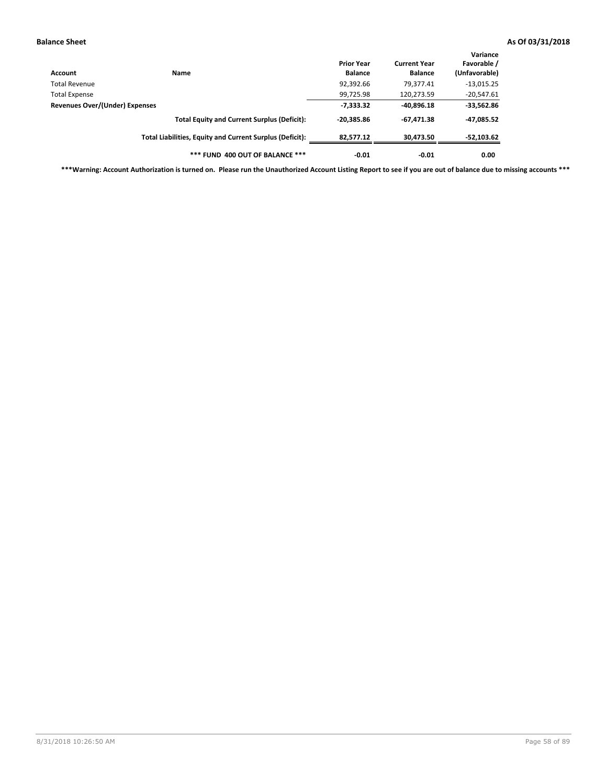| Account                        | Name                                                     | <b>Prior Year</b><br><b>Balance</b> | <b>Current Year</b><br><b>Balance</b> | Variance<br>Favorable /<br>(Unfavorable) |
|--------------------------------|----------------------------------------------------------|-------------------------------------|---------------------------------------|------------------------------------------|
| Total Revenue                  |                                                          | 92,392.66                           | 79.377.41                             | $-13,015.25$                             |
| Total Expense                  |                                                          | 99,725.98                           | 120,273.59                            | $-20,547.61$                             |
| Revenues Over/(Under) Expenses |                                                          | $-7,333.32$                         | $-40,896.18$                          | $-33,562.86$                             |
|                                | <b>Total Equity and Current Surplus (Deficit):</b>       | $-20.385.86$                        | $-67,471.38$                          | -47,085.52                               |
|                                | Total Liabilities, Equity and Current Surplus (Deficit): | 82.577.12                           | 30,473.50                             | $-52,103.62$                             |
|                                | *** FUND 400 OUT OF BALANCE ***                          | $-0.01$                             | $-0.01$                               | 0.00                                     |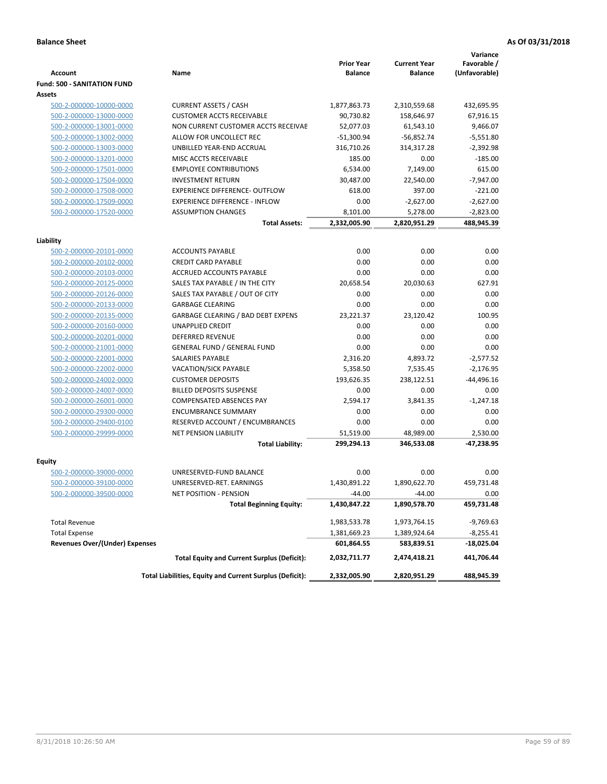|                                       |                                                          | <b>Prior Year</b> | <b>Current Year</b> | Variance<br>Favorable / |
|---------------------------------------|----------------------------------------------------------|-------------------|---------------------|-------------------------|
| <b>Account</b>                        | Name                                                     | <b>Balance</b>    | <b>Balance</b>      | (Unfavorable)           |
| <b>Fund: 500 - SANITATION FUND</b>    |                                                          |                   |                     |                         |
| <b>Assets</b>                         |                                                          |                   |                     |                         |
| 500-2-000000-10000-0000               | <b>CURRENT ASSETS / CASH</b>                             | 1,877,863.73      | 2,310,559.68        | 432,695.95              |
| 500-2-000000-13000-0000               | <b>CUSTOMER ACCTS RECEIVABLE</b>                         | 90,730.82         | 158,646.97          | 67,916.15               |
| 500-2-000000-13001-0000               | NON CURRENT CUSTOMER ACCTS RECEIVAE                      | 52,077.03         | 61,543.10           | 9,466.07                |
| 500-2-000000-13002-0000               | ALLOW FOR UNCOLLECT REC                                  | $-51,300.94$      | $-56,852.74$        | $-5,551.80$             |
| 500-2-000000-13003-0000               | UNBILLED YEAR-END ACCRUAL                                | 316,710.26        | 314,317.28          | $-2,392.98$             |
| 500-2-000000-13201-0000               | MISC ACCTS RECEIVABLE                                    | 185.00            | 0.00                | $-185.00$               |
| 500-2-000000-17501-0000               | <b>EMPLOYEE CONTRIBUTIONS</b>                            | 6,534.00          | 7,149.00            | 615.00                  |
| 500-2-000000-17504-0000               | <b>INVESTMENT RETURN</b>                                 | 30,487.00         | 22,540.00           | $-7,947.00$             |
| 500-2-000000-17508-0000               | <b>EXPERIENCE DIFFERENCE- OUTFLOW</b>                    | 618.00            | 397.00              | $-221.00$               |
| 500-2-000000-17509-0000               | <b>EXPERIENCE DIFFERENCE - INFLOW</b>                    | 0.00              | $-2,627.00$         | $-2,627.00$             |
| 500-2-000000-17520-0000               | <b>ASSUMPTION CHANGES</b>                                | 8,101.00          | 5,278.00            | $-2,823.00$             |
|                                       | <b>Total Assets:</b>                                     | 2,332,005.90      | 2,820,951.29        | 488,945.39              |
|                                       |                                                          |                   |                     |                         |
| Liability                             |                                                          |                   |                     |                         |
| 500-2-000000-20101-0000               | <b>ACCOUNTS PAYABLE</b>                                  | 0.00              | 0.00                | 0.00                    |
| 500-2-000000-20102-0000               | <b>CREDIT CARD PAYABLE</b>                               | 0.00              | 0.00                | 0.00                    |
| 500-2-000000-20103-0000               | <b>ACCRUED ACCOUNTS PAYABLE</b>                          | 0.00              | 0.00                | 0.00                    |
| 500-2-000000-20125-0000               | SALES TAX PAYABLE / IN THE CITY                          | 20,658.54         | 20,030.63           | 627.91                  |
| 500-2-000000-20126-0000               | SALES TAX PAYABLE / OUT OF CITY                          | 0.00              | 0.00                | 0.00                    |
| 500-2-000000-20133-0000               | <b>GARBAGE CLEARING</b>                                  | 0.00              | 0.00                | 0.00                    |
| 500-2-000000-20135-0000               | <b>GARBAGE CLEARING / BAD DEBT EXPENS</b>                | 23,221.37         | 23,120.42           | 100.95                  |
| 500-2-000000-20160-0000               | <b>UNAPPLIED CREDIT</b>                                  | 0.00              | 0.00                | 0.00                    |
| 500-2-000000-20201-0000               | <b>DEFERRED REVENUE</b>                                  | 0.00              | 0.00                | 0.00                    |
| 500-2-000000-21001-0000               | <b>GENERAL FUND / GENERAL FUND</b>                       | 0.00              | 0.00                | 0.00                    |
| 500-2-000000-22001-0000               | SALARIES PAYABLE                                         | 2,316.20          | 4,893.72            | $-2,577.52$             |
| 500-2-000000-22002-0000               | <b>VACATION/SICK PAYABLE</b>                             | 5,358.50          | 7,535.45            | $-2,176.95$             |
| 500-2-000000-24002-0000               | <b>CUSTOMER DEPOSITS</b>                                 | 193,626.35        | 238,122.51          | $-44,496.16$            |
| 500-2-000000-24007-0000               | <b>BILLED DEPOSITS SUSPENSE</b>                          | 0.00              | 0.00                | 0.00                    |
| 500-2-000000-26001-0000               | <b>COMPENSATED ABSENCES PAY</b>                          | 2,594.17          | 3,841.35            | $-1,247.18$             |
| 500-2-000000-29300-0000               | <b>ENCUMBRANCE SUMMARY</b>                               | 0.00              | 0.00                | 0.00                    |
| 500-2-000000-29400-0100               | RESERVED ACCOUNT / ENCUMBRANCES                          | 0.00              | 0.00                | 0.00                    |
| 500-2-000000-29999-0000               | NET PENSION LIABILITY                                    | 51,519.00         | 48,989.00           | 2.530.00                |
|                                       | <b>Total Liability:</b>                                  | 299,294.13        | 346,533.08          | -47,238.95              |
| Equity                                |                                                          |                   |                     |                         |
| 500-2-000000-39000-0000               | UNRESERVED-FUND BALANCE                                  | 0.00              | 0.00                | 0.00                    |
| 500-2-000000-39100-0000               | UNRESERVED-RET. EARNINGS                                 | 1,430,891.22      | 1,890,622.70        | 459.731.48              |
| 500-2-000000-39500-0000               | <b>NET POSITION - PENSION</b>                            | $-44.00$          | $-44.00$            | 0.00                    |
|                                       | <b>Total Beginning Equity:</b>                           | 1,430,847.22      | 1,890,578.70        | 459,731.48              |
|                                       |                                                          |                   |                     |                         |
| <b>Total Revenue</b>                  |                                                          | 1,983,533.78      | 1,973,764.15        | $-9,769.63$             |
| <b>Total Expense</b>                  |                                                          | 1,381,669.23      | 1,389,924.64        | $-8,255.41$             |
| <b>Revenues Over/(Under) Expenses</b> |                                                          | 601,864.55        | 583,839.51          | -18,025.04              |
|                                       | <b>Total Equity and Current Surplus (Deficit):</b>       | 2,032,711.77      | 2,474,418.21        | 441,706.44              |
|                                       | Total Liabilities, Equity and Current Surplus (Deficit): | 2,332,005.90      | 2,820,951.29        | 488,945.39              |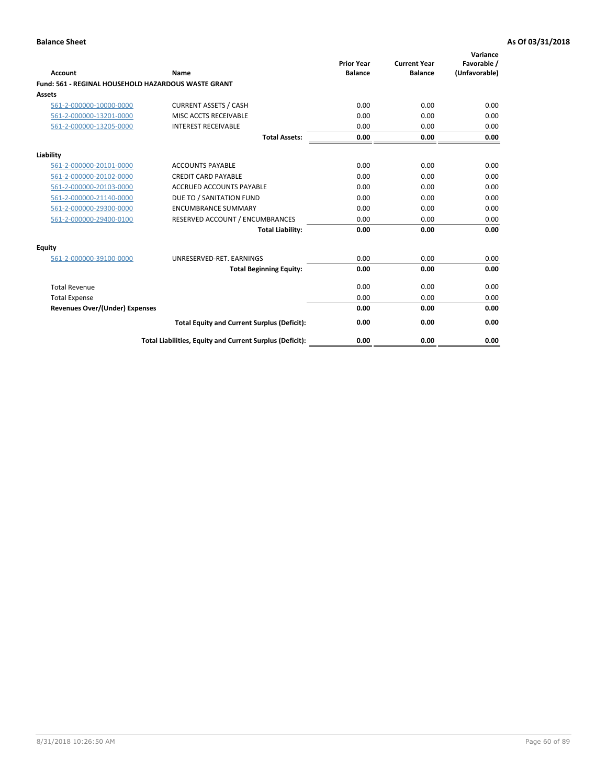| Account                                             | Name                                                     | <b>Prior Year</b><br><b>Balance</b> | <b>Current Year</b><br><b>Balance</b> | Variance<br>Favorable /<br>(Unfavorable) |
|-----------------------------------------------------|----------------------------------------------------------|-------------------------------------|---------------------------------------|------------------------------------------|
| Fund: 561 - REGINAL HOUSEHOLD HAZARDOUS WASTE GRANT |                                                          |                                     |                                       |                                          |
| <b>Assets</b>                                       |                                                          |                                     |                                       |                                          |
| 561-2-000000-10000-0000                             | <b>CURRENT ASSETS / CASH</b>                             | 0.00                                | 0.00                                  | 0.00                                     |
| 561-2-000000-13201-0000                             | MISC ACCTS RECEIVABLE                                    | 0.00                                | 0.00                                  | 0.00                                     |
| 561-2-000000-13205-0000                             | <b>INTEREST RECEIVABLE</b>                               | 0.00                                | 0.00                                  | 0.00                                     |
|                                                     | <b>Total Assets:</b>                                     | 0.00                                | 0.00                                  | 0.00                                     |
| Liability                                           |                                                          |                                     |                                       |                                          |
| 561-2-000000-20101-0000                             | <b>ACCOUNTS PAYABLE</b>                                  | 0.00                                | 0.00                                  | 0.00                                     |
| 561-2-000000-20102-0000                             | <b>CREDIT CARD PAYABLE</b>                               | 0.00                                | 0.00                                  | 0.00                                     |
| 561-2-000000-20103-0000                             | <b>ACCRUED ACCOUNTS PAYABLE</b>                          | 0.00                                | 0.00                                  | 0.00                                     |
| 561-2-000000-21140-0000                             | DUE TO / SANITATION FUND                                 | 0.00                                | 0.00                                  | 0.00                                     |
| 561-2-000000-29300-0000                             | <b>ENCUMBRANCE SUMMARY</b>                               | 0.00                                | 0.00                                  | 0.00                                     |
| 561-2-000000-29400-0100                             | RESERVED ACCOUNT / ENCUMBRANCES                          | 0.00                                | 0.00                                  | 0.00                                     |
|                                                     | <b>Total Liability:</b>                                  | 0.00                                | 0.00                                  | 0.00                                     |
| <b>Equity</b>                                       |                                                          |                                     |                                       |                                          |
| 561-2-000000-39100-0000                             | UNRESERVED-RET. EARNINGS                                 | 0.00                                | 0.00                                  | 0.00                                     |
|                                                     | <b>Total Beginning Equity:</b>                           | 0.00                                | 0.00                                  | 0.00                                     |
| <b>Total Revenue</b>                                |                                                          | 0.00                                | 0.00                                  | 0.00                                     |
| <b>Total Expense</b>                                |                                                          | 0.00                                | 0.00                                  | 0.00                                     |
| <b>Revenues Over/(Under) Expenses</b>               |                                                          | 0.00                                | 0.00                                  | 0.00                                     |
|                                                     | <b>Total Equity and Current Surplus (Deficit):</b>       | 0.00                                | 0.00                                  | 0.00                                     |
|                                                     | Total Liabilities, Equity and Current Surplus (Deficit): | 0.00                                | 0.00                                  | 0.00                                     |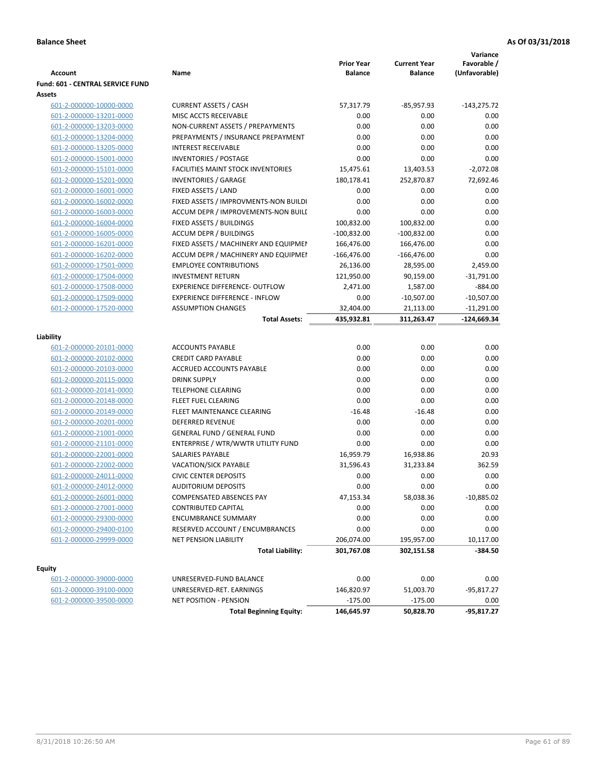|                                  |                                           |                                     |                                       | Variance                     |
|----------------------------------|-------------------------------------------|-------------------------------------|---------------------------------------|------------------------------|
| <b>Account</b>                   | Name                                      | <b>Prior Year</b><br><b>Balance</b> | <b>Current Year</b><br><b>Balance</b> | Favorable /<br>(Unfavorable) |
| Fund: 601 - CENTRAL SERVICE FUND |                                           |                                     |                                       |                              |
| Assets                           |                                           |                                     |                                       |                              |
| 601-2-000000-10000-0000          | <b>CURRENT ASSETS / CASH</b>              | 57,317.79                           | $-85,957.93$                          | $-143,275.72$                |
| 601-2-000000-13201-0000          | MISC ACCTS RECEIVABLE                     | 0.00                                | 0.00                                  | 0.00                         |
| 601-2-000000-13203-0000          | NON-CURRENT ASSETS / PREPAYMENTS          | 0.00                                | 0.00                                  | 0.00                         |
| 601-2-000000-13204-0000          | PREPAYMENTS / INSURANCE PREPAYMENT        | 0.00                                | 0.00                                  | 0.00                         |
| 601-2-000000-13205-0000          | <b>INTEREST RECEIVABLE</b>                | 0.00                                | 0.00                                  | 0.00                         |
| 601-2-000000-15001-0000          | <b>INVENTORIES / POSTAGE</b>              | 0.00                                | 0.00                                  | 0.00                         |
| 601-2-000000-15101-0000          | <b>FACILITIES MAINT STOCK INVENTORIES</b> | 15,475.61                           | 13,403.53                             | $-2,072.08$                  |
| 601-2-000000-15201-0000          | <b>INVENTORIES / GARAGE</b>               | 180,178.41                          | 252,870.87                            | 72,692.46                    |
| 601-2-000000-16001-0000          | FIXED ASSETS / LAND                       | 0.00                                | 0.00                                  | 0.00                         |
| 601-2-000000-16002-0000          | FIXED ASSETS / IMPROVMENTS-NON BUILDI     | 0.00                                | 0.00                                  | 0.00                         |
| 601-2-000000-16003-0000          | ACCUM DEPR / IMPROVEMENTS-NON BUILI       | 0.00                                | 0.00                                  | 0.00                         |
| 601-2-000000-16004-0000          | FIXED ASSETS / BUILDINGS                  | 100,832.00                          | 100,832.00                            | 0.00                         |
| 601-2-000000-16005-0000          | <b>ACCUM DEPR / BUILDINGS</b>             | $-100,832.00$                       | $-100,832.00$                         | 0.00                         |
| 601-2-000000-16201-0000          | FIXED ASSETS / MACHINERY AND EQUIPMEN     | 166,476.00                          | 166,476.00                            | 0.00                         |
| 601-2-000000-16202-0000          | ACCUM DEPR / MACHINERY AND EQUIPMEI       | $-166,476.00$                       | $-166,476.00$                         | 0.00                         |
| 601-2-000000-17501-0000          | <b>EMPLOYEE CONTRIBUTIONS</b>             | 26,136.00                           | 28,595.00                             | 2,459.00                     |
| 601-2-000000-17504-0000          | <b>INVESTMENT RETURN</b>                  | 121,950.00                          | 90,159.00                             | $-31,791.00$                 |
| 601-2-000000-17508-0000          | <b>EXPERIENCE DIFFERENCE- OUTFLOW</b>     | 2,471.00                            | 1,587.00                              | $-884.00$                    |
| 601-2-000000-17509-0000          | <b>EXPERIENCE DIFFERENCE - INFLOW</b>     | 0.00                                | $-10,507.00$                          | $-10,507.00$                 |
| 601-2-000000-17520-0000          | <b>ASSUMPTION CHANGES</b>                 | 32,404.00                           | 21,113.00                             | $-11,291.00$                 |
|                                  | <b>Total Assets:</b>                      | 435,932.81                          | 311,263.47                            | $-124,669.34$                |
|                                  |                                           |                                     |                                       |                              |
| Liability                        |                                           |                                     |                                       |                              |
| 601-2-000000-20101-0000          | <b>ACCOUNTS PAYABLE</b>                   | 0.00                                | 0.00                                  | 0.00                         |
| 601-2-000000-20102-0000          | <b>CREDIT CARD PAYABLE</b>                | 0.00                                | 0.00                                  | 0.00                         |
| 601-2-000000-20103-0000          | ACCRUED ACCOUNTS PAYABLE                  | 0.00                                | 0.00                                  | 0.00                         |
| 601-2-000000-20115-0000          | <b>DRINK SUPPLY</b>                       | 0.00                                | 0.00                                  | 0.00                         |
| 601-2-000000-20141-0000          | <b>TELEPHONE CLEARING</b>                 | 0.00                                | 0.00                                  | 0.00                         |
| 601-2-000000-20148-0000          | FLEET FUEL CLEARING                       | 0.00                                | 0.00                                  | 0.00                         |
| 601-2-000000-20149-0000          | FLEET MAINTENANCE CLEARING                | $-16.48$                            | $-16.48$                              | 0.00                         |
| 601-2-000000-20201-0000          | <b>DEFERRED REVENUE</b>                   | 0.00                                | 0.00                                  | 0.00                         |
| 601-2-000000-21001-0000          | <b>GENERAL FUND / GENERAL FUND</b>        | 0.00                                | 0.00                                  | 0.00                         |
| 601-2-000000-21101-0000          | ENTERPRISE / WTR/WWTR UTILITY FUND        | 0.00                                | 0.00                                  | 0.00                         |
| 601-2-000000-22001-0000          | <b>SALARIES PAYABLE</b>                   | 16,959.79                           | 16,938.86                             | 20.93                        |
| 601-2-000000-22002-0000          | VACATION/SICK PAYABLE                     | 31,596.43                           | 31,233.84                             | 362.59                       |
| 601-2-000000-24011-0000          | <b>CIVIC CENTER DEPOSITS</b>              | 0.00                                | 0.00                                  | 0.00                         |
| 601-2-000000-24012-0000          | <b>AUDITORIUM DEPOSITS</b>                | 0.00                                | 0.00                                  | 0.00                         |
| 601-2-000000-26001-0000          | COMPENSATED ABSENCES PAY                  | 47,153.34                           | 58,038.36                             | $-10,885.02$                 |
| 601-2-000000-27001-0000          | <b>CONTRIBUTED CAPITAL</b>                | 0.00                                | 0.00                                  | 0.00                         |
| 601-2-000000-29300-0000          | <b>ENCUMBRANCE SUMMARY</b>                | 0.00                                | 0.00                                  | 0.00                         |
| 601-2-000000-29400-0100          | RESERVED ACCOUNT / ENCUMBRANCES           | 0.00                                | 0.00                                  | 0.00                         |
| 601-2-000000-29999-0000          | NET PENSION LIABILITY                     | 206,074.00                          | 195,957.00                            | 10,117.00                    |
|                                  | <b>Total Liability:</b>                   | 301,767.08                          | 302,151.58                            | $-384.50$                    |
|                                  |                                           |                                     |                                       |                              |
| <b>Equity</b>                    |                                           |                                     |                                       |                              |
| 601-2-000000-39000-0000          | UNRESERVED-FUND BALANCE                   | 0.00                                | 0.00                                  | 0.00                         |
| 601-2-000000-39100-0000          | UNRESERVED-RET. EARNINGS                  | 146,820.97                          | 51,003.70                             | -95,817.27                   |
| 601-2-000000-39500-0000          | <b>NET POSITION - PENSION</b>             | $-175.00$                           | $-175.00$                             | 0.00                         |
|                                  | <b>Total Beginning Equity:</b>            | 146,645.97                          | 50,828.70                             | $-95,817.27$                 |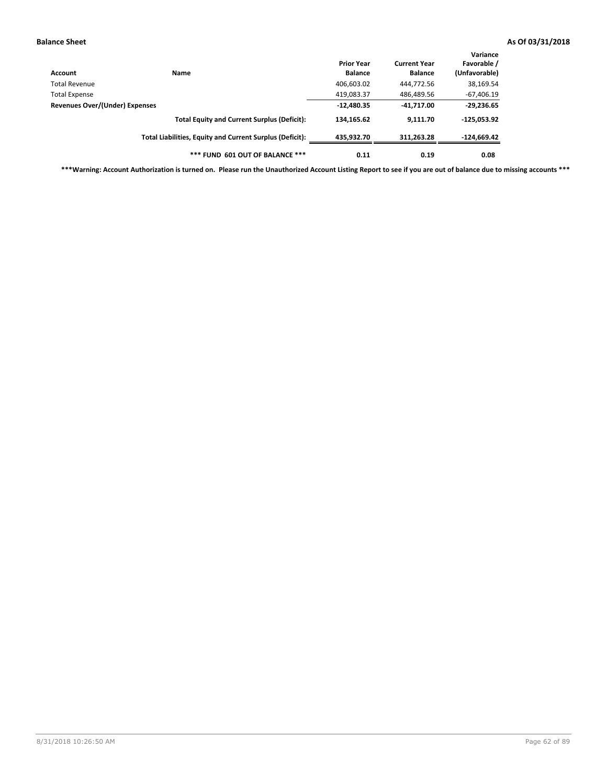| Account                        | Name                                                     | <b>Prior Year</b><br><b>Balance</b> | <b>Current Year</b><br><b>Balance</b> | Variance<br>Favorable /<br>(Unfavorable) |
|--------------------------------|----------------------------------------------------------|-------------------------------------|---------------------------------------|------------------------------------------|
| Total Revenue                  |                                                          | 406,603.02                          | 444,772.56                            | 38,169.54                                |
| <b>Total Expense</b>           |                                                          | 419,083.37                          | 486,489.56                            | $-67,406.19$                             |
| Revenues Over/(Under) Expenses |                                                          | $-12,480.35$                        | $-41,717.00$                          | $-29,236.65$                             |
|                                | <b>Total Equity and Current Surplus (Deficit):</b>       | 134,165.62                          | 9.111.70                              | $-125,053.92$                            |
|                                | Total Liabilities, Equity and Current Surplus (Deficit): | 435,932.70                          | 311,263.28                            | $-124,669.42$                            |
|                                | *** FUND 601 OUT OF BALANCE ***                          | 0.11                                | 0.19                                  | 0.08                                     |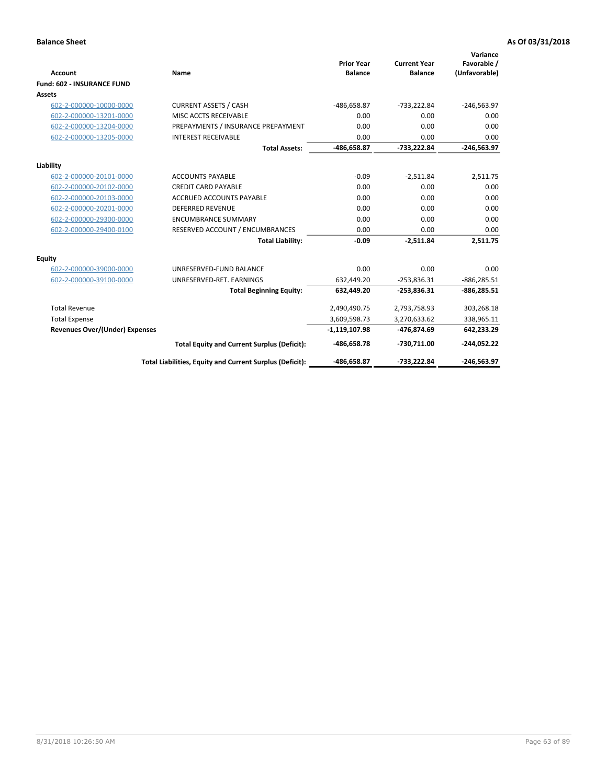|                                       |                                                          |                                     |                                       | Variance                     |
|---------------------------------------|----------------------------------------------------------|-------------------------------------|---------------------------------------|------------------------------|
| <b>Account</b>                        | <b>Name</b>                                              | <b>Prior Year</b><br><b>Balance</b> | <b>Current Year</b><br><b>Balance</b> | Favorable /<br>(Unfavorable) |
| <b>Fund: 602 - INSURANCE FUND</b>     |                                                          |                                     |                                       |                              |
| <b>Assets</b>                         |                                                          |                                     |                                       |                              |
| 602-2-000000-10000-0000               | <b>CURRENT ASSETS / CASH</b>                             | -486,658.87                         | $-733,222.84$                         | $-246,563.97$                |
| 602-2-000000-13201-0000               | MISC ACCTS RECEIVABLE                                    | 0.00                                | 0.00                                  | 0.00                         |
| 602-2-000000-13204-0000               | PREPAYMENTS / INSURANCE PREPAYMENT                       | 0.00                                | 0.00                                  | 0.00                         |
| 602-2-000000-13205-0000               | <b>INTEREST RECEIVABLE</b>                               | 0.00                                | 0.00                                  | 0.00                         |
|                                       | <b>Total Assets:</b>                                     | -486,658.87                         | -733,222.84                           | $-246,563.97$                |
| Liability                             |                                                          |                                     |                                       |                              |
| 602-2-000000-20101-0000               | <b>ACCOUNTS PAYABLE</b>                                  | $-0.09$                             | $-2,511.84$                           | 2,511.75                     |
| 602-2-000000-20102-0000               | <b>CREDIT CARD PAYABLE</b>                               | 0.00                                | 0.00                                  | 0.00                         |
| 602-2-000000-20103-0000               | <b>ACCRUED ACCOUNTS PAYABLE</b>                          | 0.00                                | 0.00                                  | 0.00                         |
| 602-2-000000-20201-0000               | <b>DEFERRED REVENUE</b>                                  | 0.00                                | 0.00                                  | 0.00                         |
| 602-2-000000-29300-0000               | <b>ENCUMBRANCE SUMMARY</b>                               | 0.00                                | 0.00                                  | 0.00                         |
| 602-2-000000-29400-0100               | RESERVED ACCOUNT / ENCUMBRANCES                          | 0.00                                | 0.00                                  | 0.00                         |
|                                       | <b>Total Liability:</b>                                  | $-0.09$                             | $-2,511.84$                           | 2,511.75                     |
| <b>Equity</b>                         |                                                          |                                     |                                       |                              |
| 602-2-000000-39000-0000               | UNRESERVED-FUND BALANCE                                  | 0.00                                | 0.00                                  | 0.00                         |
| 602-2-000000-39100-0000               | UNRESERVED-RET. EARNINGS                                 | 632,449.20                          | $-253,836.31$                         | $-886, 285.51$               |
|                                       | <b>Total Beginning Equity:</b>                           | 632,449.20                          | $-253,836.31$                         | $-886,285.51$                |
| <b>Total Revenue</b>                  |                                                          | 2,490,490.75                        | 2,793,758.93                          | 303,268.18                   |
| <b>Total Expense</b>                  |                                                          | 3,609,598.73                        | 3,270,633.62                          | 338,965.11                   |
| <b>Revenues Over/(Under) Expenses</b> |                                                          | $-1,119,107.98$                     | -476,874.69                           | 642,233.29                   |
|                                       | <b>Total Equity and Current Surplus (Deficit):</b>       | -486,658.78                         | -730,711.00                           | $-244,052.22$                |
|                                       | Total Liabilities, Equity and Current Surplus (Deficit): | -486,658.87                         | -733,222.84                           | $-246,563.97$                |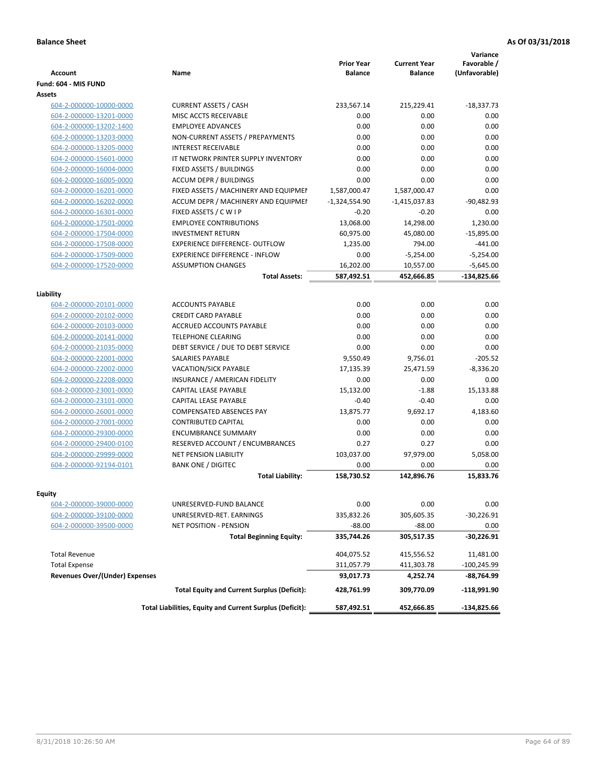|                                                    |                                                                         | <b>Prior Year</b>               | <b>Current Year</b>             | Variance<br>Favorable / |
|----------------------------------------------------|-------------------------------------------------------------------------|---------------------------------|---------------------------------|-------------------------|
| <b>Account</b>                                     | Name                                                                    | <b>Balance</b>                  | <b>Balance</b>                  | (Unfavorable)           |
| Fund: 604 - MIS FUND                               |                                                                         |                                 |                                 |                         |
| Assets                                             |                                                                         |                                 |                                 |                         |
| 604-2-000000-10000-0000                            | <b>CURRENT ASSETS / CASH</b><br>MISC ACCTS RECEIVABLE                   | 233,567.14<br>0.00              | 215,229.41<br>0.00              | $-18,337.73$<br>0.00    |
| 604-2-000000-13201-0000                            | <b>EMPLOYEE ADVANCES</b>                                                | 0.00                            | 0.00                            | 0.00                    |
| 604-2-000000-13202-1400                            | NON-CURRENT ASSETS / PREPAYMENTS                                        | 0.00                            | 0.00                            | 0.00                    |
| 604-2-000000-13203-0000<br>604-2-000000-13205-0000 | <b>INTEREST RECEIVABLE</b>                                              | 0.00                            | 0.00                            | 0.00                    |
| 604-2-000000-15601-0000                            | IT NETWORK PRINTER SUPPLY INVENTORY                                     | 0.00                            | 0.00                            | 0.00                    |
|                                                    | FIXED ASSETS / BUILDINGS                                                | 0.00                            | 0.00                            | 0.00                    |
| 604-2-000000-16004-0000                            | <b>ACCUM DEPR / BUILDINGS</b>                                           | 0.00                            | 0.00                            | 0.00                    |
| 604-2-000000-16005-0000<br>604-2-000000-16201-0000 | FIXED ASSETS / MACHINERY AND EQUIPMEN                                   |                                 |                                 | 0.00                    |
|                                                    | ACCUM DEPR / MACHINERY AND EQUIPMEI                                     | 1,587,000.47<br>$-1,324,554.90$ | 1,587,000.47<br>$-1,415,037.83$ | $-90,482.93$            |
| 604-2-000000-16202-0000<br>604-2-000000-16301-0000 | FIXED ASSETS / C W I P                                                  | $-0.20$                         | $-0.20$                         | 0.00                    |
| 604-2-000000-17501-0000                            | <b>EMPLOYEE CONTRIBUTIONS</b>                                           | 13,068.00                       | 14,298.00                       | 1,230.00                |
|                                                    | <b>INVESTMENT RETURN</b>                                                |                                 | 45,080.00                       |                         |
| 604-2-000000-17504-0000                            |                                                                         | 60,975.00                       |                                 | $-15,895.00$            |
| 604-2-000000-17508-0000<br>604-2-000000-17509-0000 | EXPERIENCE DIFFERENCE- OUTFLOW<br><b>EXPERIENCE DIFFERENCE - INFLOW</b> | 1,235.00<br>0.00                | 794.00                          | $-441.00$               |
|                                                    | <b>ASSUMPTION CHANGES</b>                                               |                                 | $-5,254.00$                     | $-5,254.00$             |
| 604-2-000000-17520-0000                            |                                                                         | 16,202.00                       | 10,557.00                       | $-5,645.00$             |
|                                                    | <b>Total Assets:</b>                                                    | 587,492.51                      | 452,666.85                      | -134,825.66             |
| Liability                                          |                                                                         |                                 |                                 |                         |
| 604-2-000000-20101-0000                            | <b>ACCOUNTS PAYABLE</b>                                                 | 0.00                            | 0.00                            | 0.00                    |
| 604-2-000000-20102-0000                            | <b>CREDIT CARD PAYABLE</b>                                              | 0.00                            | 0.00                            | 0.00                    |
| 604-2-000000-20103-0000                            | <b>ACCRUED ACCOUNTS PAYABLE</b>                                         | 0.00                            | 0.00                            | 0.00                    |
| 604-2-000000-20141-0000                            | <b>TELEPHONE CLEARING</b>                                               | 0.00                            | 0.00                            | 0.00                    |
| 604-2-000000-21035-0000                            | DEBT SERVICE / DUE TO DEBT SERVICE                                      | 0.00                            | 0.00                            | 0.00                    |
| 604-2-000000-22001-0000                            | <b>SALARIES PAYABLE</b>                                                 | 9,550.49                        | 9,756.01                        | $-205.52$               |
| 604-2-000000-22002-0000                            | <b>VACATION/SICK PAYABLE</b>                                            | 17,135.39                       | 25,471.59                       | $-8,336.20$             |
| 604-2-000000-22208-0000                            | INSURANCE / AMERICAN FIDELITY                                           | 0.00                            | 0.00                            | 0.00                    |
| 604-2-000000-23001-0000                            | CAPITAL LEASE PAYABLE                                                   | 15,132.00                       | $-1.88$                         | 15,133.88               |
| 604-2-000000-23101-0000                            | CAPITAL LEASE PAYABLE                                                   | $-0.40$                         | $-0.40$                         | 0.00                    |
| 604-2-000000-26001-0000                            | <b>COMPENSATED ABSENCES PAY</b>                                         | 13,875.77                       | 9,692.17                        | 4,183.60                |
| 604-2-000000-27001-0000                            | <b>CONTRIBUTED CAPITAL</b>                                              | 0.00                            | 0.00                            | 0.00                    |
| 604-2-000000-29300-0000                            | <b>ENCUMBRANCE SUMMARY</b>                                              | 0.00                            | 0.00                            | 0.00                    |
| 604-2-000000-29400-0100                            | RESERVED ACCOUNT / ENCUMBRANCES                                         | 0.27                            | 0.27                            | 0.00                    |
| 604-2-000000-29999-0000                            | <b>NET PENSION LIABILITY</b>                                            | 103,037.00                      | 97,979.00                       | 5,058.00                |
| 604-2-000000-92194-0101                            | <b>BANK ONE / DIGITEC</b>                                               | 0.00                            | 0.00                            | 0.00                    |
|                                                    | <b>Total Liability:</b>                                                 | 158,730.52                      | 142,896.76                      | 15.833.76               |
|                                                    |                                                                         |                                 |                                 |                         |
| Equity                                             |                                                                         |                                 |                                 |                         |
| 604-2-000000-39000-0000                            | UNRESERVED-FUND BALANCE                                                 | 0.00                            | 0.00                            | 0.00                    |
| 604-2-000000-39100-0000                            | UNRESERVED-RET. EARNINGS                                                | 335,832.26                      | 305,605.35                      | $-30,226.91$            |
| 604-2-000000-39500-0000                            | NET POSITION - PENSION                                                  | $-88.00$                        | $-88.00$                        | 0.00                    |
|                                                    | <b>Total Beginning Equity:</b>                                          | 335,744.26                      | 305,517.35                      | -30,226.91              |
| <b>Total Revenue</b>                               |                                                                         | 404,075.52                      | 415,556.52                      | 11,481.00               |
| <b>Total Expense</b>                               |                                                                         | 311,057.79                      | 411,303.78                      | $-100,245.99$           |
| <b>Revenues Over/(Under) Expenses</b>              |                                                                         | 93,017.73                       | 4,252.74                        | -88,764.99              |
|                                                    | <b>Total Equity and Current Surplus (Deficit):</b>                      | 428,761.99                      | 309,770.09                      | -118,991.90             |
|                                                    | Total Liabilities, Equity and Current Surplus (Deficit):                | 587,492.51                      | 452,666.85                      | -134,825.66             |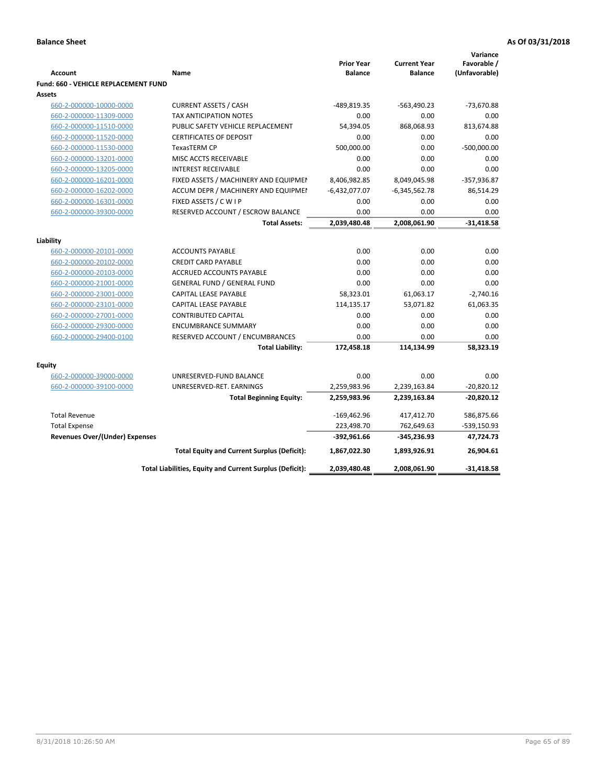|                                             |                                                          |                                     |                                       | Variance                     |
|---------------------------------------------|----------------------------------------------------------|-------------------------------------|---------------------------------------|------------------------------|
| <b>Account</b>                              | Name                                                     | <b>Prior Year</b><br><b>Balance</b> | <b>Current Year</b><br><b>Balance</b> | Favorable /<br>(Unfavorable) |
| <b>Fund: 660 - VEHICLE REPLACEMENT FUND</b> |                                                          |                                     |                                       |                              |
| Assets                                      |                                                          |                                     |                                       |                              |
| 660-2-000000-10000-0000                     | <b>CURRENT ASSETS / CASH</b>                             | -489,819.35                         | -563,490.23                           | -73,670.88                   |
| 660-2-000000-11309-0000                     | TAX ANTICIPATION NOTES                                   | 0.00                                | 0.00                                  | 0.00                         |
| 660-2-000000-11510-0000                     | PUBLIC SAFETY VEHICLE REPLACEMENT                        | 54,394.05                           | 868,068.93                            | 813,674.88                   |
| 660-2-000000-11520-0000                     | <b>CERTIFICATES OF DEPOSIT</b>                           | 0.00                                | 0.00                                  | 0.00                         |
| 660-2-000000-11530-0000                     | <b>TexasTERM CP</b>                                      | 500.000.00                          | 0.00                                  | $-500,000.00$                |
| 660-2-000000-13201-0000                     | MISC ACCTS RECEIVABLE                                    | 0.00                                | 0.00                                  | 0.00                         |
| 660-2-000000-13205-0000                     | <b>INTEREST RECEIVABLE</b>                               | 0.00                                | 0.00                                  | 0.00                         |
| 660-2-000000-16201-0000                     | FIXED ASSETS / MACHINERY AND EQUIPMEN                    | 8,406,982.85                        | 8,049,045.98                          | $-357,936.87$                |
| 660-2-000000-16202-0000                     | ACCUM DEPR / MACHINERY AND EQUIPMEI                      | $-6,432,077.07$                     | $-6,345,562.78$                       | 86,514.29                    |
| 660-2-000000-16301-0000                     | FIXED ASSETS / C W I P                                   | 0.00                                | 0.00                                  | 0.00                         |
| 660-2-000000-39300-0000                     | RESERVED ACCOUNT / ESCROW BALANCE                        | 0.00                                | 0.00                                  | 0.00                         |
|                                             | <b>Total Assets:</b>                                     | 2,039,480.48                        | 2,008,061.90                          | $-31,418.58$                 |
|                                             |                                                          |                                     |                                       |                              |
| Liability                                   |                                                          |                                     |                                       |                              |
| 660-2-000000-20101-0000                     | <b>ACCOUNTS PAYABLE</b>                                  | 0.00<br>0.00                        | 0.00<br>0.00                          | 0.00                         |
| 660-2-000000-20102-0000                     | <b>CREDIT CARD PAYABLE</b>                               | 0.00                                | 0.00                                  | 0.00<br>0.00                 |
| 660-2-000000-20103-0000                     | ACCRUED ACCOUNTS PAYABLE                                 |                                     |                                       |                              |
| 660-2-000000-21001-0000                     | <b>GENERAL FUND / GENERAL FUND</b>                       | 0.00                                | 0.00                                  | 0.00                         |
| 660-2-000000-23001-0000                     | <b>CAPITAL LEASE PAYABLE</b>                             | 58,323.01                           | 61,063.17                             | $-2,740.16$                  |
| 660-2-000000-23101-0000                     | <b>CAPITAL LEASE PAYABLE</b>                             | 114,135.17                          | 53,071.82                             | 61,063.35                    |
| 660-2-000000-27001-0000                     | <b>CONTRIBUTED CAPITAL</b>                               | 0.00                                | 0.00<br>0.00                          | 0.00<br>0.00                 |
| 660-2-000000-29300-0000                     | <b>ENCUMBRANCE SUMMARY</b>                               | 0.00                                |                                       |                              |
| 660-2-000000-29400-0100                     | RESERVED ACCOUNT / ENCUMBRANCES                          | 0.00                                | 0.00                                  | 0.00                         |
|                                             | <b>Total Liability:</b>                                  | 172,458.18                          | 114,134.99                            | 58,323.19                    |
| <b>Equity</b>                               |                                                          |                                     |                                       |                              |
| 660-2-000000-39000-0000                     | UNRESERVED-FUND BALANCE                                  | 0.00                                | 0.00                                  | 0.00                         |
| 660-2-000000-39100-0000                     | UNRESERVED-RET. EARNINGS                                 | 2,259,983.96                        | 2,239,163.84                          | $-20,820.12$                 |
|                                             | <b>Total Beginning Equity:</b>                           | 2,259,983.96                        | 2,239,163.84                          | $-20,820.12$                 |
| <b>Total Revenue</b>                        |                                                          | $-169,462.96$                       | 417,412.70                            | 586,875.66                   |
| <b>Total Expense</b>                        |                                                          | 223,498.70                          | 762,649.63                            | -539,150.93                  |
| <b>Revenues Over/(Under) Expenses</b>       |                                                          | $-392,961.66$                       | -345,236.93                           | 47,724.73                    |
|                                             | <b>Total Equity and Current Surplus (Deficit):</b>       | 1,867,022.30                        | 1,893,926.91                          | 26,904.61                    |
|                                             | Total Liabilities, Equity and Current Surplus (Deficit): | 2,039,480.48                        | 2,008,061.90                          | $-31,418.58$                 |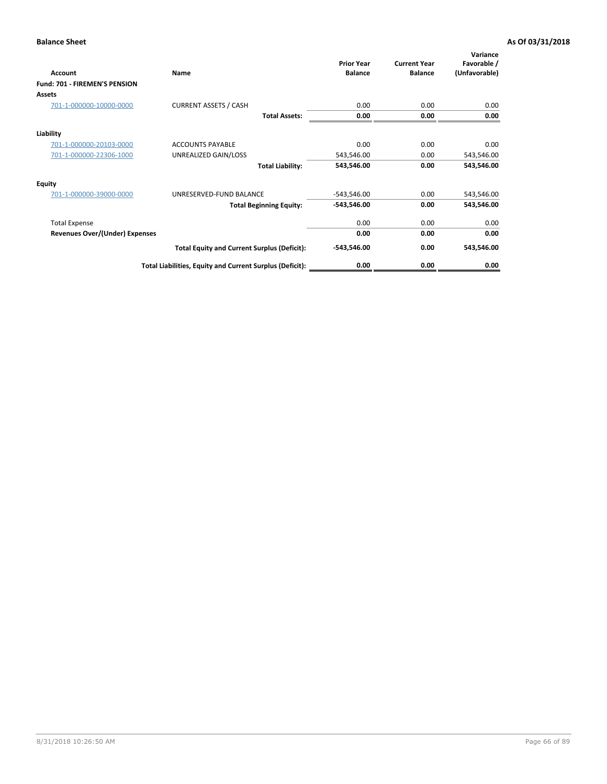| Account                               | Name                                                     | <b>Prior Year</b><br><b>Balance</b> | <b>Current Year</b><br><b>Balance</b> | Variance<br>Favorable /<br>(Unfavorable) |
|---------------------------------------|----------------------------------------------------------|-------------------------------------|---------------------------------------|------------------------------------------|
| Fund: 701 - FIREMEN'S PENSION         |                                                          |                                     |                                       |                                          |
| <b>Assets</b>                         |                                                          |                                     |                                       |                                          |
| 701-1-000000-10000-0000               | <b>CURRENT ASSETS / CASH</b>                             | 0.00                                | 0.00                                  | 0.00                                     |
|                                       | <b>Total Assets:</b>                                     | 0.00                                | 0.00                                  | 0.00                                     |
| Liability                             |                                                          |                                     |                                       |                                          |
| 701-1-000000-20103-0000               | <b>ACCOUNTS PAYABLE</b>                                  | 0.00                                | 0.00                                  | 0.00                                     |
| 701-1-000000-22306-1000               | UNREALIZED GAIN/LOSS                                     | 543,546.00                          | 0.00                                  | 543,546.00                               |
|                                       | <b>Total Liability:</b>                                  | 543,546.00                          | 0.00                                  | 543,546.00                               |
| <b>Equity</b>                         |                                                          |                                     |                                       |                                          |
| 701-1-000000-39000-0000               | UNRESERVED-FUND BALANCE                                  | $-543,546.00$                       | 0.00                                  | 543,546.00                               |
|                                       | <b>Total Beginning Equity:</b>                           | $-543,546.00$                       | 0.00                                  | 543,546.00                               |
| <b>Total Expense</b>                  |                                                          | 0.00                                | 0.00                                  | 0.00                                     |
| <b>Revenues Over/(Under) Expenses</b> |                                                          | 0.00                                | 0.00                                  | 0.00                                     |
|                                       | <b>Total Equity and Current Surplus (Deficit):</b>       | $-543,546.00$                       | 0.00                                  | 543,546.00                               |
|                                       | Total Liabilities, Equity and Current Surplus (Deficit): | 0.00                                | 0.00                                  | 0.00                                     |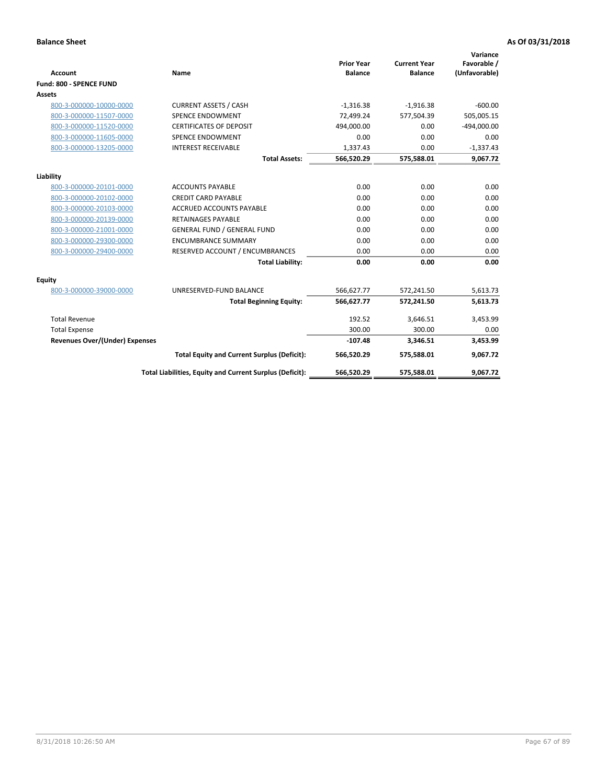|                                       |                                                          |                                     |                                       | Variance                     |
|---------------------------------------|----------------------------------------------------------|-------------------------------------|---------------------------------------|------------------------------|
| <b>Account</b>                        | <b>Name</b>                                              | <b>Prior Year</b><br><b>Balance</b> | <b>Current Year</b><br><b>Balance</b> | Favorable /<br>(Unfavorable) |
| Fund: 800 - SPENCE FUND               |                                                          |                                     |                                       |                              |
| <b>Assets</b>                         |                                                          |                                     |                                       |                              |
|                                       |                                                          |                                     |                                       |                              |
| 800-3-000000-10000-0000               | <b>CURRENT ASSETS / CASH</b>                             | $-1,316.38$                         | $-1,916.38$                           | $-600.00$                    |
| 800-3-000000-11507-0000               | <b>SPENCE ENDOWMENT</b>                                  | 72.499.24                           | 577,504.39                            | 505,005.15                   |
| 800-3-000000-11520-0000               | <b>CERTIFICATES OF DEPOSIT</b>                           | 494,000.00                          | 0.00                                  | $-494,000.00$                |
| 800-3-000000-11605-0000               | <b>SPENCE ENDOWMENT</b>                                  | 0.00                                | 0.00                                  | 0.00                         |
| 800-3-000000-13205-0000               | <b>INTEREST RECEIVABLE</b>                               | 1,337.43                            | 0.00                                  | $-1,337.43$                  |
|                                       | <b>Total Assets:</b>                                     | 566,520.29                          | 575,588.01                            | 9,067.72                     |
| Liability                             |                                                          |                                     |                                       |                              |
| 800-3-000000-20101-0000               | <b>ACCOUNTS PAYABLE</b>                                  | 0.00                                | 0.00                                  | 0.00                         |
| 800-3-000000-20102-0000               | <b>CREDIT CARD PAYABLE</b>                               | 0.00                                | 0.00                                  | 0.00                         |
| 800-3-000000-20103-0000               | <b>ACCRUED ACCOUNTS PAYABLE</b>                          | 0.00                                | 0.00                                  | 0.00                         |
| 800-3-000000-20139-0000               | <b>RETAINAGES PAYABLE</b>                                | 0.00                                | 0.00                                  | 0.00                         |
| 800-3-000000-21001-0000               | <b>GENERAL FUND / GENERAL FUND</b>                       | 0.00                                | 0.00                                  | 0.00                         |
| 800-3-000000-29300-0000               | <b>ENCUMBRANCE SUMMARY</b>                               | 0.00                                | 0.00                                  | 0.00                         |
| 800-3-000000-29400-0000               | RESERVED ACCOUNT / ENCUMBRANCES                          | 0.00                                | 0.00                                  | 0.00                         |
|                                       | <b>Total Liability:</b>                                  | 0.00                                | 0.00                                  | 0.00                         |
| <b>Equity</b>                         |                                                          |                                     |                                       |                              |
| 800-3-000000-39000-0000               | UNRESERVED-FUND BALANCE                                  | 566,627.77                          | 572,241.50                            | 5,613.73                     |
|                                       | <b>Total Beginning Equity:</b>                           | 566,627.77                          | 572,241.50                            | 5,613.73                     |
| <b>Total Revenue</b>                  |                                                          | 192.52                              | 3,646.51                              | 3,453.99                     |
| <b>Total Expense</b>                  |                                                          | 300.00                              | 300.00                                | 0.00                         |
| <b>Revenues Over/(Under) Expenses</b> |                                                          | $-107.48$                           | 3,346.51                              | 3,453.99                     |
|                                       | <b>Total Equity and Current Surplus (Deficit):</b>       | 566,520.29                          | 575,588.01                            | 9,067.72                     |
|                                       | Total Liabilities, Equity and Current Surplus (Deficit): | 566,520.29                          | 575,588.01                            | 9,067.72                     |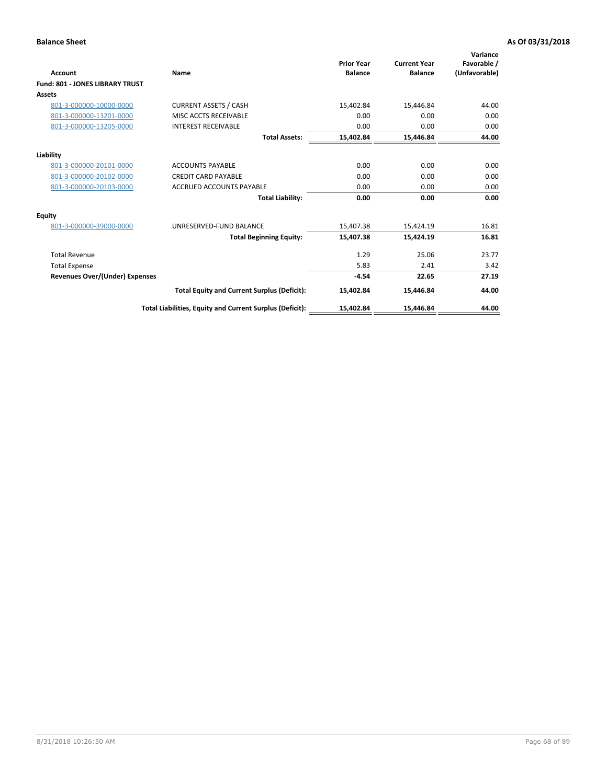| <b>Account</b>                         | Name                                                     | <b>Prior Year</b><br><b>Balance</b> | <b>Current Year</b><br><b>Balance</b> | Variance<br>Favorable /<br>(Unfavorable) |
|----------------------------------------|----------------------------------------------------------|-------------------------------------|---------------------------------------|------------------------------------------|
| <b>Fund: 801 - JONES LIBRARY TRUST</b> |                                                          |                                     |                                       |                                          |
| Assets                                 |                                                          |                                     |                                       |                                          |
| 801-3-000000-10000-0000                | <b>CURRENT ASSETS / CASH</b>                             | 15,402.84                           | 15,446.84                             | 44.00                                    |
| 801-3-000000-13201-0000                | MISC ACCTS RECEIVABLE                                    | 0.00                                | 0.00                                  | 0.00                                     |
| 801-3-000000-13205-0000                | <b>INTEREST RECEIVABLE</b>                               | 0.00                                | 0.00                                  | 0.00                                     |
|                                        | <b>Total Assets:</b>                                     | 15,402.84                           | 15,446.84                             | 44.00                                    |
| Liability                              |                                                          |                                     |                                       |                                          |
| 801-3-000000-20101-0000                | <b>ACCOUNTS PAYABLE</b>                                  | 0.00                                | 0.00                                  | 0.00                                     |
| 801-3-000000-20102-0000                | <b>CREDIT CARD PAYABLE</b>                               | 0.00                                | 0.00                                  | 0.00                                     |
| 801-3-000000-20103-0000                | <b>ACCRUED ACCOUNTS PAYABLE</b>                          | 0.00                                | 0.00                                  | 0.00                                     |
|                                        | <b>Total Liability:</b>                                  | 0.00                                | 0.00                                  | 0.00                                     |
| Equity                                 |                                                          |                                     |                                       |                                          |
| 801-3-000000-39000-0000                | UNRESERVED-FUND BALANCE                                  | 15,407.38                           | 15,424.19                             | 16.81                                    |
|                                        | <b>Total Beginning Equity:</b>                           | 15,407.38                           | 15,424.19                             | 16.81                                    |
| <b>Total Revenue</b>                   |                                                          | 1.29                                | 25.06                                 | 23.77                                    |
| <b>Total Expense</b>                   |                                                          | 5.83                                | 2.41                                  | 3.42                                     |
| <b>Revenues Over/(Under) Expenses</b>  |                                                          | $-4.54$                             | 22.65                                 | 27.19                                    |
|                                        | <b>Total Equity and Current Surplus (Deficit):</b>       | 15,402.84                           | 15,446.84                             | 44.00                                    |
|                                        | Total Liabilities, Equity and Current Surplus (Deficit): | 15,402.84                           | 15,446.84                             | 44.00                                    |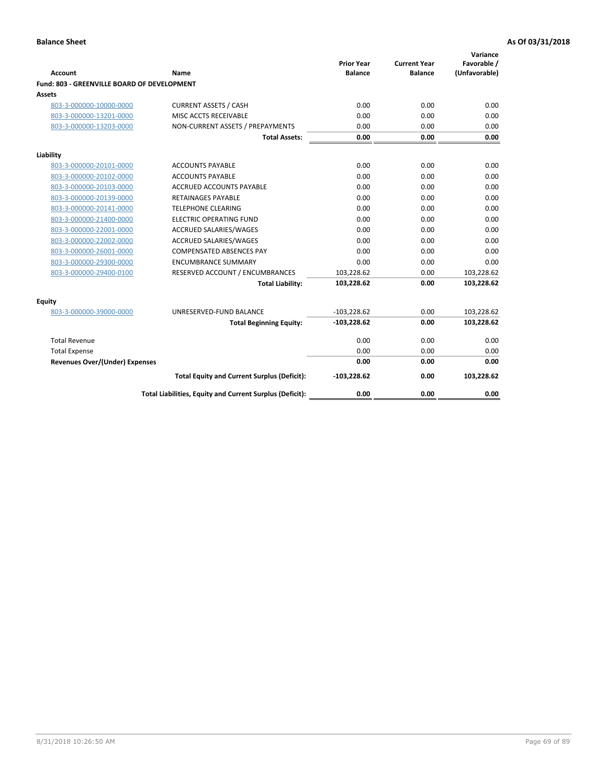| <b>Account</b>                              | Name                                                     | <b>Prior Year</b><br><b>Balance</b> | <b>Current Year</b><br><b>Balance</b> | Variance<br>Favorable /<br>(Unfavorable) |
|---------------------------------------------|----------------------------------------------------------|-------------------------------------|---------------------------------------|------------------------------------------|
| Fund: 803 - GREENVILLE BOARD OF DEVELOPMENT |                                                          |                                     |                                       |                                          |
| Assets                                      |                                                          |                                     |                                       |                                          |
| 803-3-000000-10000-0000                     | <b>CURRENT ASSETS / CASH</b>                             | 0.00                                | 0.00                                  | 0.00                                     |
| 803-3-000000-13201-0000                     | MISC ACCTS RECEIVABLE                                    | 0.00                                | 0.00                                  | 0.00                                     |
| 803-3-000000-13203-0000                     | NON-CURRENT ASSETS / PREPAYMENTS                         | 0.00                                | 0.00                                  | 0.00                                     |
|                                             | <b>Total Assets:</b>                                     | 0.00                                | 0.00                                  | 0.00                                     |
| Liability                                   |                                                          |                                     |                                       |                                          |
| 803-3-000000-20101-0000                     | <b>ACCOUNTS PAYABLE</b>                                  | 0.00                                | 0.00                                  | 0.00                                     |
| 803-3-000000-20102-0000                     | <b>ACCOUNTS PAYABLE</b>                                  | 0.00                                | 0.00                                  | 0.00                                     |
| 803-3-000000-20103-0000                     | <b>ACCRUED ACCOUNTS PAYABLE</b>                          | 0.00                                | 0.00                                  | 0.00                                     |
| 803-3-000000-20139-0000                     | RETAINAGES PAYABLE                                       | 0.00                                | 0.00                                  | 0.00                                     |
| 803-3-000000-20141-0000                     | <b>TELEPHONE CLEARING</b>                                | 0.00                                | 0.00                                  | 0.00                                     |
| 803-3-000000-21400-0000                     | <b>ELECTRIC OPERATING FUND</b>                           | 0.00                                | 0.00                                  | 0.00                                     |
| 803-3-000000-22001-0000                     | ACCRUED SALARIES/WAGES                                   | 0.00                                | 0.00                                  | 0.00                                     |
| 803-3-000000-22002-0000                     | ACCRUED SALARIES/WAGES                                   | 0.00                                | 0.00                                  | 0.00                                     |
| 803-3-000000-26001-0000                     | <b>COMPENSATED ABSENCES PAY</b>                          | 0.00                                | 0.00                                  | 0.00                                     |
| 803-3-000000-29300-0000                     | <b>ENCUMBRANCE SUMMARY</b>                               | 0.00                                | 0.00                                  | 0.00                                     |
| 803-3-000000-29400-0100                     | RESERVED ACCOUNT / ENCUMBRANCES                          | 103,228.62                          | 0.00                                  | 103,228.62                               |
|                                             | <b>Total Liability:</b>                                  | 103,228.62                          | 0.00                                  | 103,228.62                               |
| Equity                                      |                                                          |                                     |                                       |                                          |
| 803-3-000000-39000-0000                     | UNRESERVED-FUND BALANCE                                  | $-103,228.62$                       | 0.00                                  | 103,228.62                               |
|                                             | <b>Total Beginning Equity:</b>                           | $-103,228.62$                       | 0.00                                  | 103,228.62                               |
| <b>Total Revenue</b>                        |                                                          | 0.00                                | 0.00                                  | 0.00                                     |
| <b>Total Expense</b>                        |                                                          | 0.00                                | 0.00                                  | 0.00                                     |
| <b>Revenues Over/(Under) Expenses</b>       |                                                          | 0.00                                | 0.00                                  | 0.00                                     |
|                                             | <b>Total Equity and Current Surplus (Deficit):</b>       | $-103,228.62$                       | 0.00                                  | 103,228.62                               |
|                                             | Total Liabilities, Equity and Current Surplus (Deficit): | 0.00                                | 0.00                                  | 0.00                                     |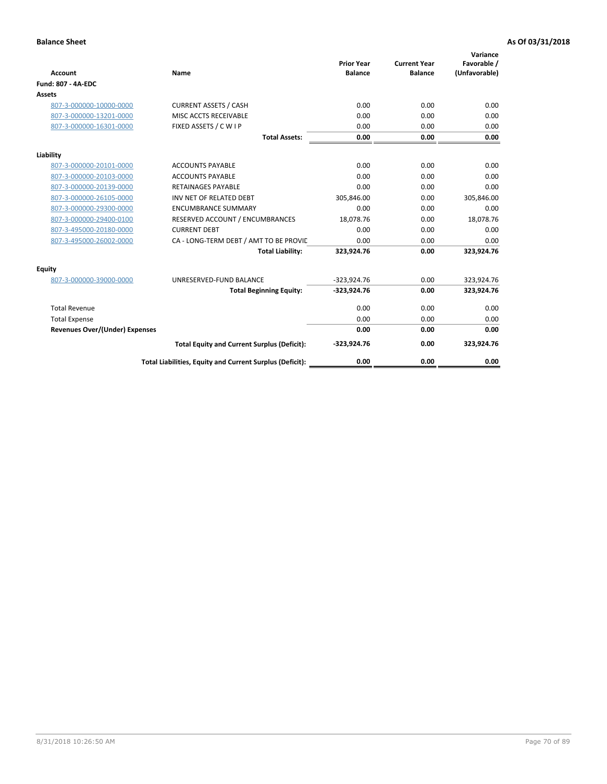| <b>Account</b>                        | Name                                                     | <b>Prior Year</b><br><b>Balance</b> | <b>Current Year</b><br><b>Balance</b> | Variance<br>Favorable /<br>(Unfavorable) |
|---------------------------------------|----------------------------------------------------------|-------------------------------------|---------------------------------------|------------------------------------------|
| <b>Fund: 807 - 4A-EDC</b>             |                                                          |                                     |                                       |                                          |
| <b>Assets</b>                         |                                                          |                                     |                                       |                                          |
| 807-3-000000-10000-0000               | <b>CURRENT ASSETS / CASH</b>                             | 0.00                                | 0.00                                  | 0.00                                     |
| 807-3-000000-13201-0000               | MISC ACCTS RECEIVABLE                                    | 0.00                                | 0.00                                  | 0.00                                     |
| 807-3-000000-16301-0000               | FIXED ASSETS / C W I P                                   | 0.00                                | 0.00                                  | 0.00                                     |
|                                       | <b>Total Assets:</b>                                     | 0.00                                | 0.00                                  | 0.00                                     |
| Liability                             |                                                          |                                     |                                       |                                          |
| 807-3-000000-20101-0000               | <b>ACCOUNTS PAYABLE</b>                                  | 0.00                                | 0.00                                  | 0.00                                     |
| 807-3-000000-20103-0000               | <b>ACCOUNTS PAYABLE</b>                                  | 0.00                                | 0.00                                  | 0.00                                     |
| 807-3-000000-20139-0000               | <b>RETAINAGES PAYABLE</b>                                | 0.00                                | 0.00                                  | 0.00                                     |
| 807-3-000000-26105-0000               | INV NET OF RELATED DEBT                                  | 305,846.00                          | 0.00                                  | 305,846.00                               |
| 807-3-000000-29300-0000               | <b>ENCUMBRANCE SUMMARY</b>                               | 0.00                                | 0.00                                  | 0.00                                     |
| 807-3-000000-29400-0100               | RESERVED ACCOUNT / ENCUMBRANCES                          | 18,078.76                           | 0.00                                  | 18,078.76                                |
| 807-3-495000-20180-0000               | <b>CURRENT DEBT</b>                                      | 0.00                                | 0.00                                  | 0.00                                     |
| 807-3-495000-26002-0000               | CA - LONG-TERM DEBT / AMT TO BE PROVIL                   | 0.00                                | 0.00                                  | 0.00                                     |
|                                       | <b>Total Liability:</b>                                  | 323,924.76                          | 0.00                                  | 323,924.76                               |
| Equity                                |                                                          |                                     |                                       |                                          |
| 807-3-000000-39000-0000               | UNRESERVED-FUND BALANCE                                  | $-323,924.76$                       | 0.00                                  | 323,924.76                               |
|                                       | <b>Total Beginning Equity:</b>                           | $-323,924.76$                       | 0.00                                  | 323,924.76                               |
| <b>Total Revenue</b>                  |                                                          | 0.00                                | 0.00                                  | 0.00                                     |
| <b>Total Expense</b>                  |                                                          | 0.00                                | 0.00                                  | 0.00                                     |
| <b>Revenues Over/(Under) Expenses</b> |                                                          | 0.00                                | 0.00                                  | 0.00                                     |
|                                       | <b>Total Equity and Current Surplus (Deficit):</b>       | $-323,924.76$                       | 0.00                                  | 323,924.76                               |
|                                       | Total Liabilities, Equity and Current Surplus (Deficit): | 0.00                                | 0.00                                  | 0.00                                     |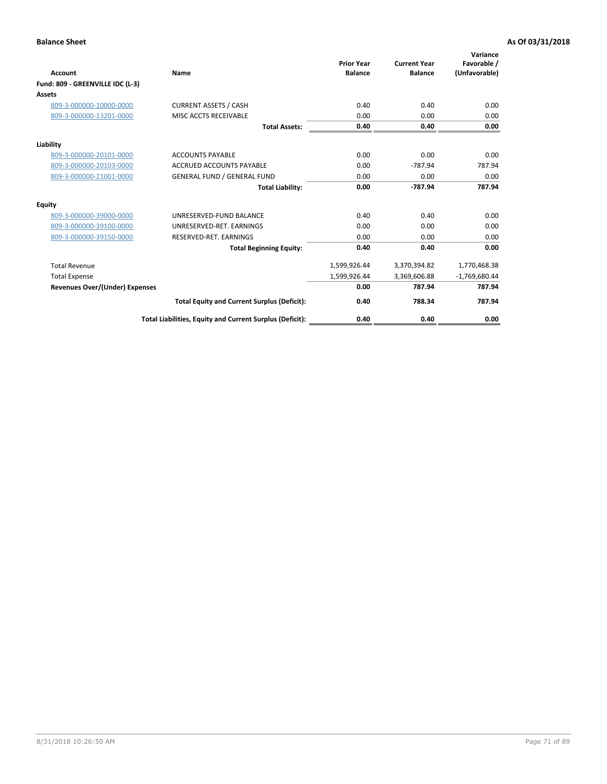| <b>Account</b>                        | Name                                                     | <b>Prior Year</b><br><b>Balance</b> | <b>Current Year</b><br><b>Balance</b> | Variance<br>Favorable /<br>(Unfavorable) |
|---------------------------------------|----------------------------------------------------------|-------------------------------------|---------------------------------------|------------------------------------------|
| Fund: 809 - GREENVILLE IDC (L-3)      |                                                          |                                     |                                       |                                          |
| Assets                                |                                                          |                                     |                                       |                                          |
| 809-3-000000-10000-0000               | <b>CURRENT ASSETS / CASH</b>                             | 0.40                                | 0.40                                  | 0.00                                     |
| 809-3-000000-13201-0000               | MISC ACCTS RECEIVABLE                                    | 0.00                                | 0.00                                  | 0.00                                     |
|                                       | <b>Total Assets:</b>                                     | 0.40                                | 0.40                                  | 0.00                                     |
| Liability                             |                                                          |                                     |                                       |                                          |
| 809-3-000000-20101-0000               | <b>ACCOUNTS PAYABLE</b>                                  | 0.00                                | 0.00                                  | 0.00                                     |
| 809-3-000000-20103-0000               | <b>ACCRUED ACCOUNTS PAYABLE</b>                          | 0.00                                | $-787.94$                             | 787.94                                   |
| 809-3-000000-21001-0000               | <b>GENERAL FUND / GENERAL FUND</b>                       | 0.00                                | 0.00                                  | 0.00                                     |
|                                       | <b>Total Liability:</b>                                  | 0.00                                | $-787.94$                             | 787.94                                   |
| Equity                                |                                                          |                                     |                                       |                                          |
| 809-3-000000-39000-0000               | UNRESERVED-FUND BALANCE                                  | 0.40                                | 0.40                                  | 0.00                                     |
| 809-3-000000-39100-0000               | UNRESERVED-RET. EARNINGS                                 | 0.00                                | 0.00                                  | 0.00                                     |
| 809-3-000000-39150-0000               | RESERVED-RET. EARNINGS                                   | 0.00                                | 0.00                                  | 0.00                                     |
|                                       | <b>Total Beginning Equity:</b>                           | 0.40                                | 0.40                                  | 0.00                                     |
| <b>Total Revenue</b>                  |                                                          | 1,599,926.44                        | 3,370,394.82                          | 1,770,468.38                             |
| <b>Total Expense</b>                  |                                                          | 1,599,926.44                        | 3,369,606.88                          | $-1,769,680.44$                          |
| <b>Revenues Over/(Under) Expenses</b> |                                                          | 0.00                                | 787.94                                | 787.94                                   |
|                                       | <b>Total Equity and Current Surplus (Deficit):</b>       | 0.40                                | 788.34                                | 787.94                                   |
|                                       | Total Liabilities, Equity and Current Surplus (Deficit): | 0.40                                | 0.40                                  | 0.00                                     |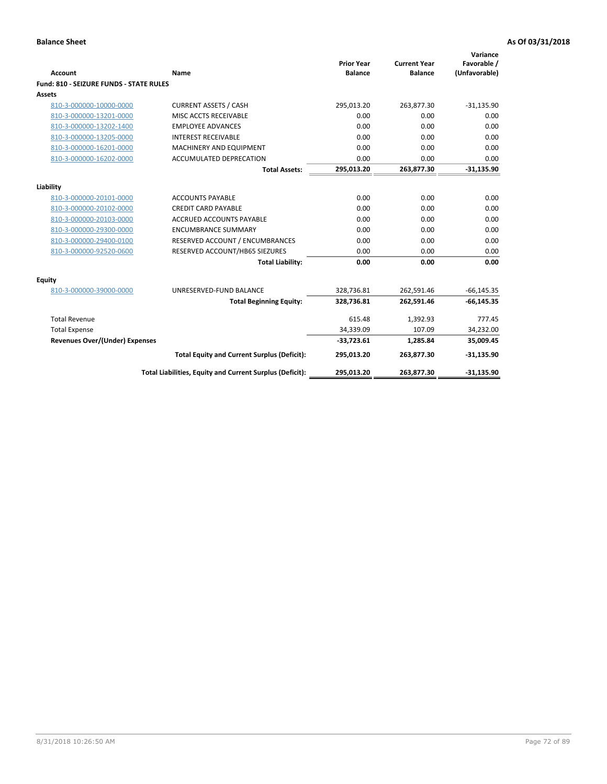| <b>Account</b>                                 | Name                                                     | <b>Prior Year</b><br><b>Balance</b> | <b>Current Year</b><br><b>Balance</b> | Variance<br>Favorable /<br>(Unfavorable) |
|------------------------------------------------|----------------------------------------------------------|-------------------------------------|---------------------------------------|------------------------------------------|
| <b>Fund: 810 - SEIZURE FUNDS - STATE RULES</b> |                                                          |                                     |                                       |                                          |
| <b>Assets</b>                                  |                                                          |                                     |                                       |                                          |
| 810-3-000000-10000-0000                        | <b>CURRENT ASSETS / CASH</b>                             | 295,013.20                          | 263,877.30                            | $-31,135.90$                             |
| 810-3-000000-13201-0000                        | MISC ACCTS RECEIVABLE                                    | 0.00                                | 0.00                                  | 0.00                                     |
| 810-3-000000-13202-1400                        | <b>EMPLOYEE ADVANCES</b>                                 | 0.00                                | 0.00                                  | 0.00                                     |
| 810-3-000000-13205-0000                        | <b>INTEREST RECEIVABLE</b>                               | 0.00                                | 0.00                                  | 0.00                                     |
| 810-3-000000-16201-0000                        | MACHINERY AND EQUIPMENT                                  | 0.00                                | 0.00                                  | 0.00                                     |
| 810-3-000000-16202-0000                        | ACCUMULATED DEPRECATION                                  | 0.00                                | 0.00                                  | 0.00                                     |
|                                                | <b>Total Assets:</b>                                     | 295,013.20                          | 263,877.30                            | $-31,135.90$                             |
|                                                |                                                          |                                     |                                       |                                          |
| Liability                                      |                                                          |                                     |                                       |                                          |
| 810-3-000000-20101-0000                        | <b>ACCOUNTS PAYABLE</b>                                  | 0.00                                | 0.00                                  | 0.00                                     |
| 810-3-000000-20102-0000                        | <b>CREDIT CARD PAYABLE</b>                               | 0.00                                | 0.00                                  | 0.00                                     |
| 810-3-000000-20103-0000                        | <b>ACCRUED ACCOUNTS PAYABLE</b>                          | 0.00                                | 0.00                                  | 0.00                                     |
| 810-3-000000-29300-0000                        | <b>ENCUMBRANCE SUMMARY</b>                               | 0.00                                | 0.00                                  | 0.00                                     |
| 810-3-000000-29400-0100                        | RESERVED ACCOUNT / ENCUMBRANCES                          | 0.00                                | 0.00                                  | 0.00                                     |
| 810-3-000000-92520-0600                        | RESERVED ACCOUNT/HB65 SIEZURES                           | 0.00                                | 0.00                                  | 0.00                                     |
|                                                | <b>Total Liability:</b>                                  | 0.00                                | 0.00                                  | 0.00                                     |
| Equity                                         |                                                          |                                     |                                       |                                          |
| 810-3-000000-39000-0000                        | UNRESERVED-FUND BALANCE                                  | 328,736.81                          | 262,591.46                            | $-66, 145.35$                            |
|                                                | <b>Total Beginning Equity:</b>                           | 328,736.81                          | 262,591.46                            | $-66, 145.35$                            |
| <b>Total Revenue</b>                           |                                                          | 615.48                              | 1,392.93                              | 777.45                                   |
| <b>Total Expense</b>                           |                                                          | 34,339.09                           | 107.09                                | 34,232.00                                |
| Revenues Over/(Under) Expenses                 |                                                          | $-33,723.61$                        | 1,285.84                              | 35,009.45                                |
|                                                | <b>Total Equity and Current Surplus (Deficit):</b>       | 295,013.20                          | 263,877.30                            | $-31,135.90$                             |
|                                                | Total Liabilities, Equity and Current Surplus (Deficit): | 295,013.20                          | 263,877.30                            | $-31,135.90$                             |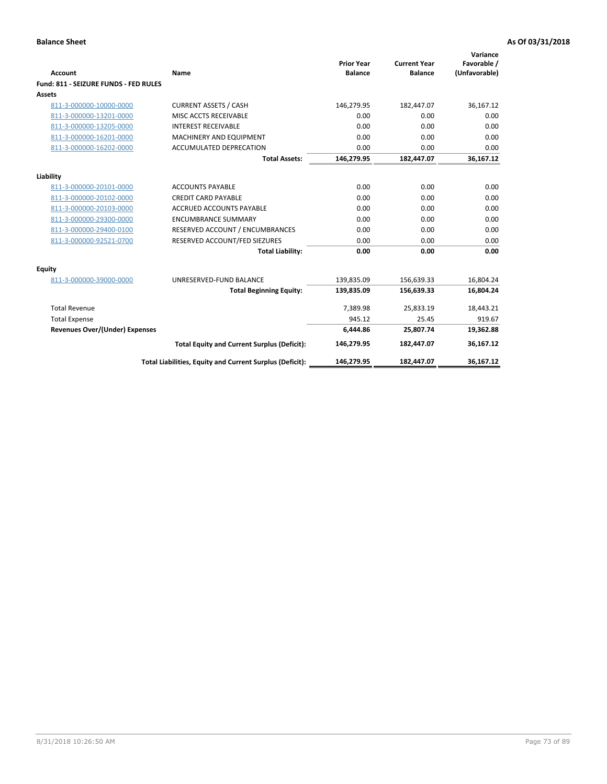| Account                               | Name                                                     | <b>Prior Year</b><br><b>Balance</b> | <b>Current Year</b><br><b>Balance</b> | Variance<br>Favorable /<br>(Unfavorable) |
|---------------------------------------|----------------------------------------------------------|-------------------------------------|---------------------------------------|------------------------------------------|
| Fund: 811 - SEIZURE FUNDS - FED RULES |                                                          |                                     |                                       |                                          |
| <b>Assets</b>                         |                                                          |                                     |                                       |                                          |
| 811-3-000000-10000-0000               | <b>CURRENT ASSETS / CASH</b>                             | 146,279.95                          | 182,447.07                            | 36,167.12                                |
| 811-3-000000-13201-0000               | MISC ACCTS RECEIVABLE                                    | 0.00                                | 0.00                                  | 0.00                                     |
| 811-3-000000-13205-0000               | <b>INTEREST RECEIVABLE</b>                               | 0.00                                | 0.00                                  | 0.00                                     |
| 811-3-000000-16201-0000               | MACHINERY AND EQUIPMENT                                  | 0.00                                | 0.00                                  | 0.00                                     |
| 811-3-000000-16202-0000               | ACCUMULATED DEPRECATION                                  | 0.00                                | 0.00                                  | 0.00                                     |
|                                       | <b>Total Assets:</b>                                     | 146,279.95                          | 182,447.07                            | 36,167.12                                |
| Liability                             |                                                          |                                     |                                       |                                          |
| 811-3-000000-20101-0000               | <b>ACCOUNTS PAYABLE</b>                                  | 0.00                                | 0.00                                  | 0.00                                     |
| 811-3-000000-20102-0000               | <b>CREDIT CARD PAYABLE</b>                               | 0.00                                | 0.00                                  | 0.00                                     |
| 811-3-000000-20103-0000               | <b>ACCRUED ACCOUNTS PAYABLE</b>                          | 0.00                                | 0.00                                  | 0.00                                     |
| 811-3-000000-29300-0000               | <b>ENCUMBRANCE SUMMARY</b>                               | 0.00                                | 0.00                                  | 0.00                                     |
| 811-3-000000-29400-0100               | RESERVED ACCOUNT / ENCUMBRANCES                          | 0.00                                | 0.00                                  | 0.00                                     |
| 811-3-000000-92521-0700               | RESERVED ACCOUNT/FED SIEZURES                            | 0.00                                | 0.00                                  | 0.00                                     |
|                                       | <b>Total Liability:</b>                                  | 0.00                                | 0.00                                  | 0.00                                     |
| Equity                                |                                                          |                                     |                                       |                                          |
| 811-3-000000-39000-0000               | UNRESERVED-FUND BALANCE                                  | 139,835.09                          | 156,639.33                            | 16,804.24                                |
|                                       | <b>Total Beginning Equity:</b>                           | 139,835.09                          | 156,639.33                            | 16,804.24                                |
| <b>Total Revenue</b>                  |                                                          | 7.389.98                            | 25.833.19                             | 18,443.21                                |
| <b>Total Expense</b>                  |                                                          | 945.12                              | 25.45                                 | 919.67                                   |
| <b>Revenues Over/(Under) Expenses</b> |                                                          | 6,444.86                            | 25,807.74                             | 19,362.88                                |
|                                       | <b>Total Equity and Current Surplus (Deficit):</b>       | 146,279.95                          | 182,447.07                            | 36,167.12                                |
|                                       | Total Liabilities, Equity and Current Surplus (Deficit): | 146,279.95                          | 182,447.07                            | 36,167.12                                |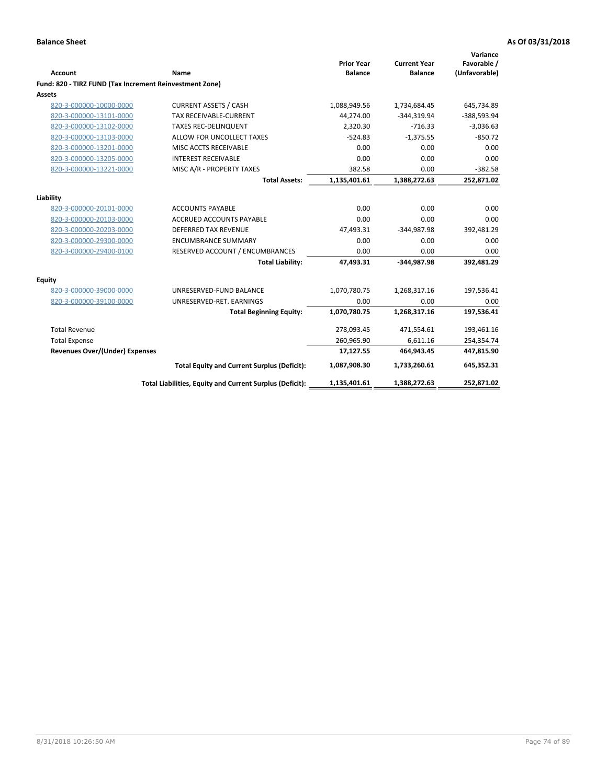| Account                                                 | Name                                                     | <b>Prior Year</b><br><b>Balance</b> | <b>Current Year</b><br><b>Balance</b> | Variance<br>Favorable /<br>(Unfavorable) |
|---------------------------------------------------------|----------------------------------------------------------|-------------------------------------|---------------------------------------|------------------------------------------|
| Fund: 820 - TIRZ FUND (Tax Increment Reinvestment Zone) |                                                          |                                     |                                       |                                          |
| Assets                                                  |                                                          |                                     |                                       |                                          |
| 820-3-000000-10000-0000                                 | <b>CURRENT ASSETS / CASH</b>                             | 1,088,949.56                        | 1,734,684.45                          | 645,734.89                               |
| 820-3-000000-13101-0000                                 | <b>TAX RECEIVABLE-CURRENT</b>                            | 44,274.00                           | $-344,319.94$                         | -388,593.94                              |
| 820-3-000000-13102-0000                                 | <b>TAXES REC-DELINQUENT</b>                              | 2,320.30                            | $-716.33$                             | $-3,036.63$                              |
| 820-3-000000-13103-0000                                 | ALLOW FOR UNCOLLECT TAXES                                | $-524.83$                           | $-1,375.55$                           | $-850.72$                                |
| 820-3-000000-13201-0000                                 | MISC ACCTS RECEIVABLE                                    | 0.00                                | 0.00                                  | 0.00                                     |
| 820-3-000000-13205-0000                                 | <b>INTEREST RECEIVABLE</b>                               | 0.00                                | 0.00                                  | 0.00                                     |
| 820-3-000000-13221-0000                                 | MISC A/R - PROPERTY TAXES                                | 382.58                              | 0.00                                  | $-382.58$                                |
|                                                         | <b>Total Assets:</b>                                     | 1,135,401.61                        | 1,388,272.63                          | 252,871.02                               |
| Liability                                               |                                                          |                                     |                                       |                                          |
| 820-3-000000-20101-0000                                 | <b>ACCOUNTS PAYABLE</b>                                  | 0.00                                | 0.00                                  | 0.00                                     |
| 820-3-000000-20103-0000                                 | <b>ACCRUED ACCOUNTS PAYABLE</b>                          | 0.00                                | 0.00                                  | 0.00                                     |
| 820-3-000000-20203-0000                                 | <b>DEFERRED TAX REVENUE</b>                              | 47,493.31                           | $-344,987.98$                         | 392,481.29                               |
| 820-3-000000-29300-0000                                 | <b>ENCUMBRANCE SUMMARY</b>                               | 0.00                                | 0.00                                  | 0.00                                     |
| 820-3-000000-29400-0100                                 | RESERVED ACCOUNT / ENCUMBRANCES                          | 0.00                                | 0.00                                  | 0.00                                     |
|                                                         | <b>Total Liability:</b>                                  | 47,493.31                           | -344.987.98                           | 392.481.29                               |
| <b>Equity</b>                                           |                                                          |                                     |                                       |                                          |
| 820-3-000000-39000-0000                                 | UNRESERVED-FUND BALANCE                                  | 1,070,780.75                        | 1,268,317.16                          | 197,536.41                               |
| 820-3-000000-39100-0000                                 | UNRESERVED-RET. EARNINGS                                 | 0.00                                | 0.00                                  | 0.00                                     |
|                                                         | <b>Total Beginning Equity:</b>                           | 1,070,780.75                        | 1,268,317.16                          | 197,536.41                               |
| <b>Total Revenue</b>                                    |                                                          | 278,093.45                          | 471,554.61                            | 193,461.16                               |
| <b>Total Expense</b>                                    |                                                          | 260,965.90                          | 6,611.16                              | 254,354.74                               |
| <b>Revenues Over/(Under) Expenses</b>                   |                                                          | 17,127.55                           | 464,943.45                            | 447,815.90                               |
|                                                         | <b>Total Equity and Current Surplus (Deficit):</b>       | 1,087,908.30                        | 1,733,260.61                          | 645,352.31                               |
|                                                         | Total Liabilities, Equity and Current Surplus (Deficit): | 1,135,401.61                        | 1,388,272.63                          | 252,871.02                               |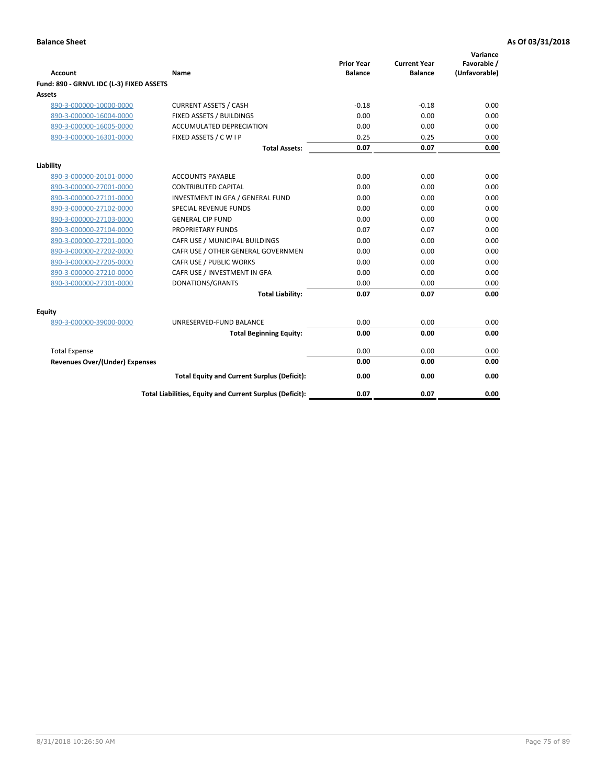| <b>Account</b>                           | Name                                                     | <b>Prior Year</b><br><b>Balance</b> | <b>Current Year</b><br><b>Balance</b> | Variance<br>Favorable /<br>(Unfavorable) |
|------------------------------------------|----------------------------------------------------------|-------------------------------------|---------------------------------------|------------------------------------------|
| Fund: 890 - GRNVL IDC (L-3) FIXED ASSETS |                                                          |                                     |                                       |                                          |
| <b>Assets</b>                            |                                                          |                                     |                                       |                                          |
| 890-3-000000-10000-0000                  | <b>CURRENT ASSETS / CASH</b>                             | $-0.18$                             | $-0.18$                               | 0.00                                     |
| 890-3-000000-16004-0000                  | FIXED ASSETS / BUILDINGS                                 | 0.00                                | 0.00                                  | 0.00                                     |
| 890-3-000000-16005-0000                  | <b>ACCUMULATED DEPRECIATION</b>                          | 0.00                                | 0.00                                  | 0.00                                     |
| 890-3-000000-16301-0000                  | FIXED ASSETS / C W I P                                   | 0.25                                | 0.25                                  | 0.00                                     |
|                                          | <b>Total Assets:</b>                                     | 0.07                                | 0.07                                  | 0.00                                     |
| Liability                                |                                                          |                                     |                                       |                                          |
| 890-3-000000-20101-0000                  | <b>ACCOUNTS PAYABLE</b>                                  | 0.00                                | 0.00                                  | 0.00                                     |
| 890-3-000000-27001-0000                  | <b>CONTRIBUTED CAPITAL</b>                               | 0.00                                | 0.00                                  | 0.00                                     |
| 890-3-000000-27101-0000                  | INVESTMENT IN GFA / GENERAL FUND                         | 0.00                                | 0.00                                  | 0.00                                     |
| 890-3-000000-27102-0000                  | SPECIAL REVENUE FUNDS                                    | 0.00                                | 0.00                                  | 0.00                                     |
| 890-3-000000-27103-0000                  | <b>GENERAL CIP FUND</b>                                  | 0.00                                | 0.00                                  | 0.00                                     |
| 890-3-000000-27104-0000                  | PROPRIETARY FUNDS                                        | 0.07                                | 0.07                                  | 0.00                                     |
| 890-3-000000-27201-0000                  | CAFR USE / MUNICIPAL BUILDINGS                           | 0.00                                | 0.00                                  | 0.00                                     |
| 890-3-000000-27202-0000                  | CAFR USE / OTHER GENERAL GOVERNMEN                       | 0.00                                | 0.00                                  | 0.00                                     |
| 890-3-000000-27205-0000                  | CAFR USE / PUBLIC WORKS                                  | 0.00                                | 0.00                                  | 0.00                                     |
| 890-3-000000-27210-0000                  | CAFR USE / INVESTMENT IN GFA                             | 0.00                                | 0.00                                  | 0.00                                     |
| 890-3-000000-27301-0000                  | DONATIONS/GRANTS                                         | 0.00                                | 0.00                                  | 0.00                                     |
|                                          | <b>Total Liability:</b>                                  | 0.07                                | 0.07                                  | 0.00                                     |
| Equity                                   |                                                          |                                     |                                       |                                          |
| 890-3-000000-39000-0000                  | UNRESERVED-FUND BALANCE                                  | 0.00                                | 0.00                                  | 0.00                                     |
|                                          | <b>Total Beginning Equity:</b>                           | 0.00                                | 0.00                                  | 0.00                                     |
| <b>Total Expense</b>                     |                                                          | 0.00                                | 0.00                                  | 0.00                                     |
| Revenues Over/(Under) Expenses           |                                                          | 0.00                                | 0.00                                  | 0.00                                     |
|                                          | <b>Total Equity and Current Surplus (Deficit):</b>       | 0.00                                | 0.00                                  | 0.00                                     |
|                                          | Total Liabilities, Equity and Current Surplus (Deficit): | 0.07                                | 0.07                                  | 0.00                                     |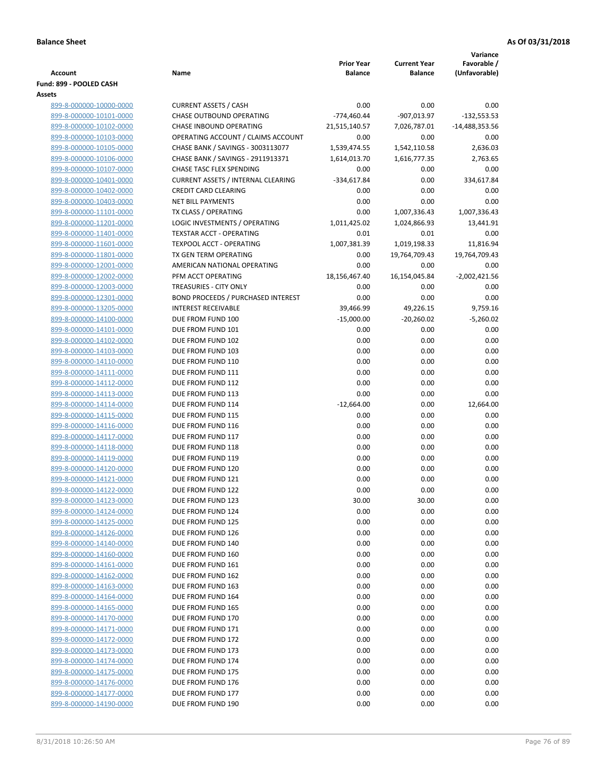|                                                    |                                                                         |                   |                     | Variance         |
|----------------------------------------------------|-------------------------------------------------------------------------|-------------------|---------------------|------------------|
|                                                    |                                                                         | <b>Prior Year</b> | <b>Current Year</b> | Favorable /      |
| Account<br>Fund: 899 - POOLED CASH                 | Name                                                                    | <b>Balance</b>    | <b>Balance</b>      | (Unfavorable)    |
| Assets                                             |                                                                         |                   |                     |                  |
| 899-8-000000-10000-0000                            | <b>CURRENT ASSETS / CASH</b>                                            | 0.00              | 0.00                | 0.00             |
| 899-8-000000-10101-0000                            | CHASE OUTBOUND OPERATING                                                | $-774,460.44$     | -907,013.97         | $-132,553.53$    |
| 899-8-000000-10102-0000                            | CHASE INBOUND OPERATING                                                 | 21,515,140.57     | 7,026,787.01        | -14,488,353.56   |
| 899-8-000000-10103-0000                            | OPERATING ACCOUNT / CLAIMS ACCOUNT                                      | 0.00              | 0.00                | 0.00             |
| 899-8-000000-10105-0000                            | CHASE BANK / SAVINGS - 3003113077                                       | 1,539,474.55      | 1,542,110.58        | 2,636.03         |
| 899-8-000000-10106-0000                            | CHASE BANK / SAVINGS - 2911913371                                       | 1,614,013.70      | 1,616,777.35        | 2,763.65         |
| 899-8-000000-10107-0000                            | <b>CHASE TASC FLEX SPENDING</b>                                         | 0.00              | 0.00                | 0.00             |
| 899-8-000000-10401-0000                            | <b>CURRENT ASSETS / INTERNAL CLEARING</b>                               | $-334,617.84$     | 0.00                | 334,617.84       |
| 899-8-000000-10402-0000                            | <b>CREDIT CARD CLEARING</b>                                             | 0.00              | 0.00                | 0.00             |
| 899-8-000000-10403-0000                            | <b>NET BILL PAYMENTS</b>                                                | 0.00              | 0.00                | 0.00             |
| 899-8-000000-11101-0000                            | TX CLASS / OPERATING                                                    | 0.00              | 1,007,336.43        | 1,007,336.43     |
| 899-8-000000-11201-0000                            | LOGIC INVESTMENTS / OPERATING                                           | 1,011,425.02      | 1,024,866.93        | 13,441.91        |
| 899-8-000000-11401-0000                            | <b>TEXSTAR ACCT - OPERATING</b>                                         | 0.01              | 0.01                | 0.00             |
| 899-8-000000-11601-0000                            | <b>TEXPOOL ACCT - OPERATING</b>                                         | 1,007,381.39      | 1,019,198.33        | 11,816.94        |
| 899-8-000000-11801-0000                            | TX GEN TERM OPERATING                                                   | 0.00              | 19,764,709.43       | 19,764,709.43    |
| 899-8-000000-12001-0000                            | AMERICAN NATIONAL OPERATING                                             | 0.00              | 0.00                | 0.00             |
| 899-8-000000-12002-0000                            | PFM ACCT OPERATING                                                      | 18,156,467.40     | 16,154,045.84       | $-2,002,421.56$  |
| 899-8-000000-12003-0000                            | TREASURIES - CITY ONLY                                                  | 0.00              | 0.00                | 0.00             |
| 899-8-000000-12301-0000<br>899-8-000000-13205-0000 | <b>BOND PROCEEDS / PURCHASED INTEREST</b><br><b>INTEREST RECEIVABLE</b> | 0.00<br>39,466.99 | 0.00<br>49,226.15   | 0.00<br>9,759.16 |
| 899-8-000000-14100-0000                            | DUE FROM FUND 100                                                       | $-15,000.00$      | $-20,260.02$        | $-5,260.02$      |
| 899-8-000000-14101-0000                            | DUE FROM FUND 101                                                       | 0.00              | 0.00                | 0.00             |
| 899-8-000000-14102-0000                            | DUE FROM FUND 102                                                       | 0.00              | 0.00                | 0.00             |
| 899-8-000000-14103-0000                            | DUE FROM FUND 103                                                       | 0.00              | 0.00                | 0.00             |
| 899-8-000000-14110-0000                            | DUE FROM FUND 110                                                       | 0.00              | 0.00                | 0.00             |
| 899-8-000000-14111-0000                            | DUE FROM FUND 111                                                       | 0.00              | 0.00                | 0.00             |
| 899-8-000000-14112-0000                            | DUE FROM FUND 112                                                       | 0.00              | 0.00                | 0.00             |
| 899-8-000000-14113-0000                            | DUE FROM FUND 113                                                       | 0.00              | 0.00                | 0.00             |
| 899-8-000000-14114-0000                            | DUE FROM FUND 114                                                       | $-12,664.00$      | 0.00                | 12,664.00        |
| 899-8-000000-14115-0000                            | DUE FROM FUND 115                                                       | 0.00              | 0.00                | 0.00             |
| 899-8-000000-14116-0000                            | DUE FROM FUND 116                                                       | 0.00              | 0.00                | 0.00             |
| 899-8-000000-14117-0000                            | DUE FROM FUND 117                                                       | 0.00              | 0.00                | 0.00             |
| 899-8-000000-14118-0000                            | DUE FROM FUND 118                                                       | 0.00              | 0.00                | 0.00             |
| 899-8-000000-14119-0000                            | DUE FROM FUND 119                                                       | 0.00              | 0.00                | 0.00             |
| 899-8-000000-14120-0000                            | DUE FROM FUND 120                                                       | 0.00              | 0.00                | 0.00             |
| 899-8-000000-14121-0000                            | DUE FROM FUND 121                                                       | 0.00              | 0.00                | 0.00             |
| 899-8-000000-14122-0000<br>899-8-000000-14123-0000 | DUE FROM FUND 122                                                       | 0.00              | 0.00                | 0.00             |
| 899-8-000000-14124-0000                            | DUE FROM FUND 123<br>DUE FROM FUND 124                                  | 30.00<br>0.00     | 30.00<br>0.00       | 0.00<br>0.00     |
| 899-8-000000-14125-0000                            | DUE FROM FUND 125                                                       | 0.00              | 0.00                | 0.00             |
| 899-8-000000-14126-0000                            | DUE FROM FUND 126                                                       | 0.00              | 0.00                | 0.00             |
| 899-8-000000-14140-0000                            | DUE FROM FUND 140                                                       | 0.00              | 0.00                | 0.00             |
| 899-8-000000-14160-0000                            | DUE FROM FUND 160                                                       | 0.00              | 0.00                | 0.00             |
| 899-8-000000-14161-0000                            | DUE FROM FUND 161                                                       | 0.00              | 0.00                | 0.00             |
| 899-8-000000-14162-0000                            | DUE FROM FUND 162                                                       | 0.00              | 0.00                | 0.00             |
| 899-8-000000-14163-0000                            | DUE FROM FUND 163                                                       | 0.00              | 0.00                | 0.00             |
| 899-8-000000-14164-0000                            | DUE FROM FUND 164                                                       | 0.00              | 0.00                | 0.00             |
| 899-8-000000-14165-0000                            | DUE FROM FUND 165                                                       | 0.00              | 0.00                | 0.00             |
| 899-8-000000-14170-0000                            | DUE FROM FUND 170                                                       | 0.00              | 0.00                | 0.00             |
| 899-8-000000-14171-0000                            | DUE FROM FUND 171                                                       | 0.00              | 0.00                | 0.00             |
| 899-8-000000-14172-0000                            | DUE FROM FUND 172                                                       | 0.00              | 0.00                | 0.00             |
| 899-8-000000-14173-0000                            | DUE FROM FUND 173                                                       | 0.00              | 0.00                | 0.00             |
| 899-8-000000-14174-0000                            | DUE FROM FUND 174                                                       | 0.00              | 0.00                | 0.00             |
| 899-8-000000-14175-0000                            | DUE FROM FUND 175                                                       | 0.00              | 0.00                | 0.00             |
| 899-8-000000-14176-0000                            | DUE FROM FUND 176                                                       | 0.00              | 0.00                | 0.00             |
| 899-8-000000-14177-0000                            | DUE FROM FUND 177                                                       | 0.00              | 0.00                | 0.00             |
| 899-8-000000-14190-0000                            | DUE FROM FUND 190                                                       | 0.00              | 0.00                | 0.00             |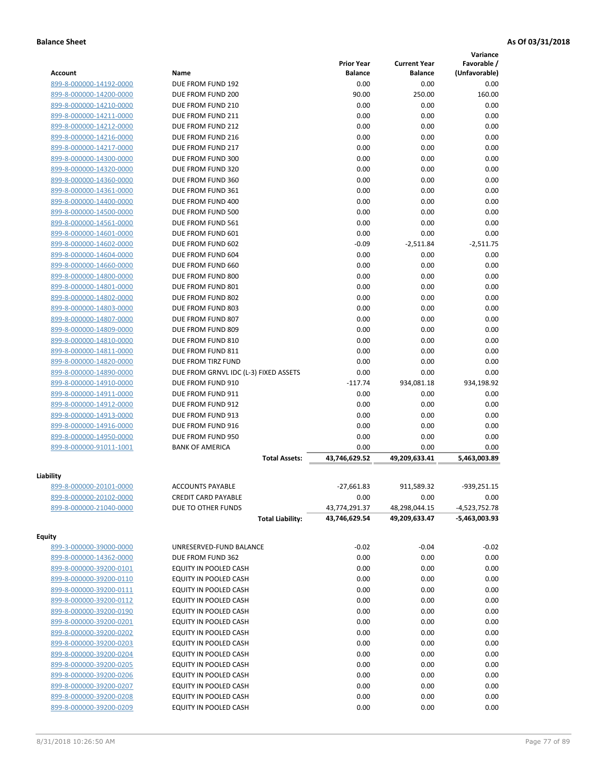|                                                    |                                        |                   |                     | Variance       |
|----------------------------------------------------|----------------------------------------|-------------------|---------------------|----------------|
|                                                    |                                        | <b>Prior Year</b> | <b>Current Year</b> | Favorable /    |
| <b>Account</b>                                     | Name                                   | <b>Balance</b>    | <b>Balance</b>      | (Unfavorable)  |
| 899-8-000000-14192-0000                            | DUE FROM FUND 192                      | 0.00<br>90.00     | 0.00<br>250.00      | 0.00<br>160.00 |
| 899-8-000000-14200-0000<br>899-8-000000-14210-0000 | DUE FROM FUND 200<br>DUE FROM FUND 210 | 0.00              | 0.00                | 0.00           |
| 899-8-000000-14211-0000                            | DUE FROM FUND 211                      | 0.00              | 0.00                | 0.00           |
| 899-8-000000-14212-0000                            | DUE FROM FUND 212                      | 0.00              | 0.00                | 0.00           |
| 899-8-000000-14216-0000                            | DUE FROM FUND 216                      | 0.00              | 0.00                | 0.00           |
| 899-8-000000-14217-0000                            | DUE FROM FUND 217                      | 0.00              | 0.00                | 0.00           |
| 899-8-000000-14300-0000                            | DUE FROM FUND 300                      | 0.00              | 0.00                | 0.00           |
| 899-8-000000-14320-0000                            | DUE FROM FUND 320                      | 0.00              | 0.00                | 0.00           |
| 899-8-000000-14360-0000                            | DUE FROM FUND 360                      | 0.00              | 0.00                | 0.00           |
| 899-8-000000-14361-0000                            | DUE FROM FUND 361                      | 0.00              | 0.00                | 0.00           |
| 899-8-000000-14400-0000                            | DUE FROM FUND 400                      | 0.00              | 0.00                | 0.00           |
| 899-8-000000-14500-0000                            | DUE FROM FUND 500                      | 0.00              | 0.00                | 0.00           |
| 899-8-000000-14561-0000                            | DUE FROM FUND 561                      | 0.00              | 0.00                | 0.00           |
| 899-8-000000-14601-0000                            | DUE FROM FUND 601                      | 0.00              | 0.00                | 0.00           |
| 899-8-000000-14602-0000                            | DUE FROM FUND 602                      | $-0.09$           | $-2,511.84$         | $-2,511.75$    |
| 899-8-000000-14604-0000                            | DUE FROM FUND 604                      | 0.00              | 0.00                | 0.00           |
| 899-8-000000-14660-0000                            | DUE FROM FUND 660                      | 0.00              | 0.00                | 0.00           |
| 899-8-000000-14800-0000                            | DUE FROM FUND 800                      | 0.00              | 0.00                | 0.00           |
| 899-8-000000-14801-0000                            | DUE FROM FUND 801                      | 0.00              | 0.00                | 0.00           |
| 899-8-000000-14802-0000                            | DUE FROM FUND 802                      | 0.00              | 0.00                | 0.00           |
| 899-8-000000-14803-0000                            | DUE FROM FUND 803                      | 0.00              | 0.00                | 0.00           |
| 899-8-000000-14807-0000                            | DUE FROM FUND 807                      | 0.00              | 0.00                | 0.00           |
| 899-8-000000-14809-0000                            | DUE FROM FUND 809                      | 0.00              | 0.00                | 0.00           |
| 899-8-000000-14810-0000                            | DUE FROM FUND 810                      | 0.00              | 0.00                | 0.00           |
| 899-8-000000-14811-0000                            | DUE FROM FUND 811                      | 0.00              | 0.00                | 0.00           |
| 899-8-000000-14820-0000                            | DUE FROM TIRZ FUND                     | 0.00              | 0.00                | 0.00           |
| 899-8-000000-14890-0000                            | DUE FROM GRNVL IDC (L-3) FIXED ASSETS  | 0.00              | 0.00                | 0.00           |
| 899-8-000000-14910-0000                            | DUE FROM FUND 910                      | $-117.74$         | 934,081.18          | 934,198.92     |
| 899-8-000000-14911-0000                            | DUE FROM FUND 911                      | 0.00              | 0.00                | 0.00           |
| 899-8-000000-14912-0000                            | DUE FROM FUND 912                      | 0.00              | 0.00                | 0.00           |
| 899-8-000000-14913-0000                            | DUE FROM FUND 913                      | 0.00              | 0.00                | 0.00           |
| 899-8-000000-14916-0000                            | DUE FROM FUND 916                      | 0.00              | 0.00                | 0.00           |
| 899-8-000000-14950-0000                            | DUE FROM FUND 950                      | 0.00              | 0.00                | 0.00           |
| 899-8-000000-91011-1001                            | <b>BANK OF AMERICA</b>                 | 0.00              | 0.00                | 0.00           |
|                                                    | <b>Total Assets:</b>                   | 43,746,629.52     | 49,209,633.41       | 5,463,003.89   |
| Liability                                          |                                        |                   |                     |                |
| 899-8-000000-20101-0000                            | <b>ACCOUNTS PAYABLE</b>                | $-27,661.83$      | 911,589.32          | $-939,251.15$  |
| 899-8-000000-20102-0000                            | <b>CREDIT CARD PAYABLE</b>             | 0.00              | 0.00                | 0.00           |
| 899-8-000000-21040-0000                            | DUE TO OTHER FUNDS                     | 43,774,291.37     | 48,298,044.15       | -4,523,752.78  |
|                                                    | <b>Total Liability:</b>                | 43,746,629.54     | 49,209,633.47       | -5,463,003.93  |
| <b>Equity</b>                                      |                                        |                   |                     |                |
| 899-3-000000-39000-0000                            | UNRESERVED-FUND BALANCE                | $-0.02$           | $-0.04$             | $-0.02$        |
| 899-8-000000-14362-0000                            | DUE FROM FUND 362                      | 0.00              | 0.00                | 0.00           |
| 899-8-000000-39200-0101                            | EQUITY IN POOLED CASH                  | 0.00              | 0.00                | 0.00           |
| 899-8-000000-39200-0110                            | EQUITY IN POOLED CASH                  | 0.00              | 0.00                | 0.00           |
| 899-8-000000-39200-0111                            | EQUITY IN POOLED CASH                  | 0.00              | 0.00                | 0.00           |
| 899-8-000000-39200-0112                            | EQUITY IN POOLED CASH                  | 0.00              | 0.00                | 0.00           |
| 899-8-000000-39200-0190                            | EQUITY IN POOLED CASH                  | 0.00              | 0.00                | 0.00           |
| 899-8-000000-39200-0201                            | EQUITY IN POOLED CASH                  | 0.00              | 0.00                | 0.00           |
| 899-8-000000-39200-0202                            | EQUITY IN POOLED CASH                  | 0.00              | 0.00                | 0.00           |
| 899-8-000000-39200-0203                            | EQUITY IN POOLED CASH                  | 0.00              | 0.00                | 0.00           |
| 899-8-000000-39200-0204                            | EQUITY IN POOLED CASH                  | 0.00              | 0.00                | 0.00           |
| 899-8-000000-39200-0205                            | EQUITY IN POOLED CASH                  | 0.00              | 0.00                | 0.00           |
| 899-8-000000-39200-0206                            | EQUITY IN POOLED CASH                  | 0.00              | 0.00                | 0.00           |
| 899-8-000000-39200-0207                            | EQUITY IN POOLED CASH                  | 0.00              | 0.00                | 0.00           |
| 899-8-000000-39200-0208                            | EQUITY IN POOLED CASH                  | 0.00              | 0.00                | 0.00           |
| 899-8-000000-39200-0209                            | EQUITY IN POOLED CASH                  | 0.00              | 0.00                | 0.00           |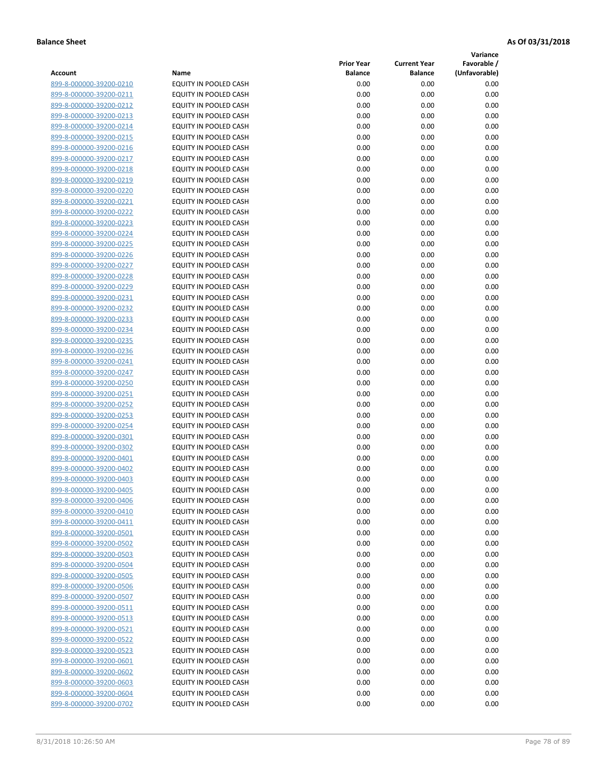**Variance**

| Account                                            | Name                                           | <b>Prior Year</b><br><b>Balance</b> | <b>Current Year</b><br><b>Balance</b> | Favorable /<br>(Unfavorable) |
|----------------------------------------------------|------------------------------------------------|-------------------------------------|---------------------------------------|------------------------------|
| 899-8-000000-39200-0210                            | EQUITY IN POOLED CASH                          | 0.00                                | 0.00                                  | 0.00                         |
| 899-8-000000-39200-0211                            | EQUITY IN POOLED CASH                          | 0.00                                | 0.00                                  | 0.00                         |
| 899-8-000000-39200-0212                            | EQUITY IN POOLED CASH                          | 0.00                                | 0.00                                  | 0.00                         |
| 899-8-000000-39200-0213                            | EQUITY IN POOLED CASH                          | 0.00                                | 0.00                                  | 0.00                         |
| 899-8-000000-39200-0214                            | <b>EQUITY IN POOLED CASH</b>                   | 0.00                                | 0.00                                  | 0.00                         |
| 899-8-000000-39200-0215                            | EQUITY IN POOLED CASH                          | 0.00                                | 0.00                                  | 0.00                         |
| 899-8-000000-39200-0216                            | EQUITY IN POOLED CASH                          | 0.00                                | 0.00                                  | 0.00                         |
| 899-8-000000-39200-0217                            | EQUITY IN POOLED CASH                          | 0.00                                | 0.00                                  | 0.00                         |
| 899-8-000000-39200-0218                            | EQUITY IN POOLED CASH                          | 0.00                                | 0.00                                  | 0.00                         |
| 899-8-000000-39200-0219                            | EQUITY IN POOLED CASH                          | 0.00                                | 0.00                                  | 0.00                         |
| 899-8-000000-39200-0220                            | EQUITY IN POOLED CASH                          | 0.00                                | 0.00                                  | 0.00                         |
| 899-8-000000-39200-0221                            | EQUITY IN POOLED CASH                          | 0.00                                | 0.00                                  | 0.00                         |
| 899-8-000000-39200-0222                            | EQUITY IN POOLED CASH                          | 0.00                                | 0.00                                  | 0.00                         |
| 899-8-000000-39200-0223                            | EQUITY IN POOLED CASH                          | 0.00                                | 0.00                                  | 0.00                         |
| 899-8-000000-39200-0224                            | EQUITY IN POOLED CASH                          | 0.00                                | 0.00                                  | 0.00                         |
| 899-8-000000-39200-0225                            | EQUITY IN POOLED CASH                          | 0.00                                | 0.00                                  | 0.00                         |
| 899-8-000000-39200-0226                            | EQUITY IN POOLED CASH                          | 0.00                                | 0.00                                  | 0.00                         |
| 899-8-000000-39200-0227                            | EQUITY IN POOLED CASH                          | 0.00                                | 0.00                                  | 0.00                         |
| 899-8-000000-39200-0228                            | EQUITY IN POOLED CASH                          | 0.00                                | 0.00                                  | 0.00                         |
| 899-8-000000-39200-0229                            | <b>EQUITY IN POOLED CASH</b>                   | 0.00                                | 0.00                                  | 0.00                         |
| 899-8-000000-39200-0231                            | <b>EQUITY IN POOLED CASH</b>                   | 0.00                                | 0.00                                  | 0.00                         |
| 899-8-000000-39200-0232                            | EQUITY IN POOLED CASH                          | 0.00                                | 0.00                                  | 0.00                         |
| 899-8-000000-39200-0233                            | <b>EQUITY IN POOLED CASH</b>                   | 0.00                                | 0.00                                  | 0.00                         |
| 899-8-000000-39200-0234                            | EQUITY IN POOLED CASH                          | 0.00                                | 0.00                                  | 0.00                         |
| 899-8-000000-39200-0235                            | EQUITY IN POOLED CASH                          | 0.00                                | 0.00                                  | 0.00                         |
| 899-8-000000-39200-0236                            | EQUITY IN POOLED CASH                          | 0.00                                | 0.00                                  | 0.00                         |
| 899-8-000000-39200-0241                            | EQUITY IN POOLED CASH                          | 0.00                                | 0.00                                  | 0.00                         |
| 899-8-000000-39200-0247                            | EQUITY IN POOLED CASH                          | 0.00                                | 0.00                                  | 0.00                         |
| 899-8-000000-39200-0250                            | EQUITY IN POOLED CASH                          | 0.00                                | 0.00                                  | 0.00                         |
| 899-8-000000-39200-0251                            | EQUITY IN POOLED CASH                          | 0.00                                | 0.00                                  | 0.00                         |
| 899-8-000000-39200-0252                            | EQUITY IN POOLED CASH                          | 0.00                                | 0.00                                  | 0.00                         |
| 899-8-000000-39200-0253                            | EQUITY IN POOLED CASH                          | 0.00                                | 0.00                                  | 0.00                         |
| 899-8-000000-39200-0254                            | EQUITY IN POOLED CASH                          | 0.00                                | 0.00                                  | 0.00                         |
| 899-8-000000-39200-0301<br>899-8-000000-39200-0302 | EQUITY IN POOLED CASH                          | 0.00<br>0.00                        | 0.00                                  | 0.00                         |
| 899-8-000000-39200-0401                            | EQUITY IN POOLED CASH<br>EQUITY IN POOLED CASH | 0.00                                | 0.00<br>0.00                          | 0.00<br>0.00                 |
| 899-8-000000-39200-0402                            | EQUITY IN POOLED CASH                          | 0.00                                | 0.00                                  | 0.00                         |
| 899-8-000000-39200-0403                            | EQUITY IN POOLED CASH                          | 0.00                                | 0.00                                  | 0.00                         |
| 899-8-000000-39200-0405                            | <b>EQUITY IN POOLED CASH</b>                   | 0.00                                | 0.00                                  | 0.00                         |
| 899-8-000000-39200-0406                            | EQUITY IN POOLED CASH                          | 0.00                                | 0.00                                  | 0.00                         |
| 899-8-000000-39200-0410                            | <b>EQUITY IN POOLED CASH</b>                   | 0.00                                | 0.00                                  | 0.00                         |
| 899-8-000000-39200-0411                            | EQUITY IN POOLED CASH                          | 0.00                                | 0.00                                  | 0.00                         |
| 899-8-000000-39200-0501                            | EQUITY IN POOLED CASH                          | 0.00                                | 0.00                                  | 0.00                         |
| 899-8-000000-39200-0502                            | EQUITY IN POOLED CASH                          | 0.00                                | 0.00                                  | 0.00                         |
| 899-8-000000-39200-0503                            | EQUITY IN POOLED CASH                          | 0.00                                | 0.00                                  | 0.00                         |
| 899-8-000000-39200-0504                            | <b>EQUITY IN POOLED CASH</b>                   | 0.00                                | 0.00                                  | 0.00                         |
| 899-8-000000-39200-0505                            | EQUITY IN POOLED CASH                          | 0.00                                | 0.00                                  | 0.00                         |
| 899-8-000000-39200-0506                            | EQUITY IN POOLED CASH                          | 0.00                                | 0.00                                  | 0.00                         |
| 899-8-000000-39200-0507                            | EQUITY IN POOLED CASH                          | 0.00                                | 0.00                                  | 0.00                         |
| 899-8-000000-39200-0511                            | <b>EQUITY IN POOLED CASH</b>                   | 0.00                                | 0.00                                  | 0.00                         |
| 899-8-000000-39200-0513                            | EQUITY IN POOLED CASH                          | 0.00                                | 0.00                                  | 0.00                         |
| 899-8-000000-39200-0521                            | EQUITY IN POOLED CASH                          | 0.00                                | 0.00                                  | 0.00                         |
| 899-8-000000-39200-0522                            | EQUITY IN POOLED CASH                          | 0.00                                | 0.00                                  | 0.00                         |
| 899-8-000000-39200-0523                            | EQUITY IN POOLED CASH                          | 0.00                                | 0.00                                  | 0.00                         |
| 899-8-000000-39200-0601                            | EQUITY IN POOLED CASH                          | 0.00                                | 0.00                                  | 0.00                         |
| 899-8-000000-39200-0602                            | EQUITY IN POOLED CASH                          | 0.00                                | 0.00                                  | 0.00                         |
| 899-8-000000-39200-0603                            | EQUITY IN POOLED CASH                          | 0.00                                | 0.00                                  | 0.00                         |
| 899-8-000000-39200-0604                            | EQUITY IN POOLED CASH                          | 0.00                                | 0.00                                  | 0.00                         |
| 899-8-000000-39200-0702                            | EQUITY IN POOLED CASH                          | 0.00                                | 0.00                                  | 0.00                         |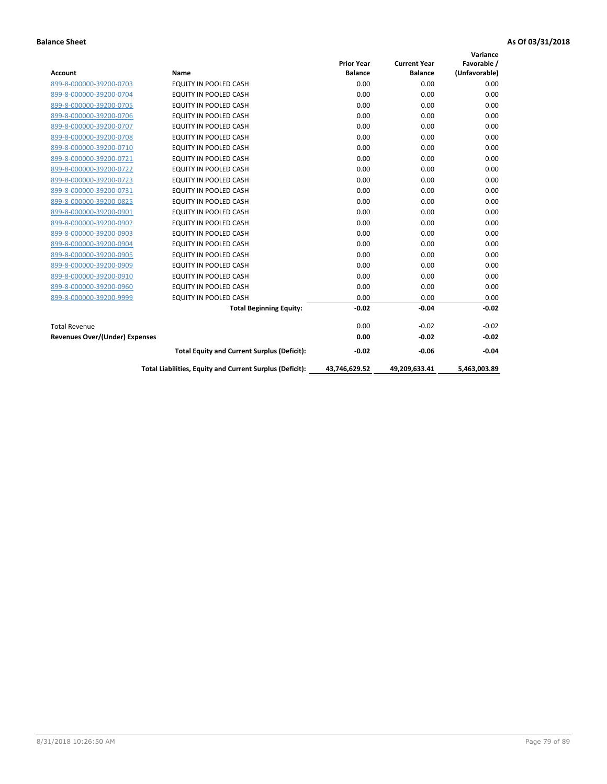|                                       |                                                          |                   |                     | Variance      |
|---------------------------------------|----------------------------------------------------------|-------------------|---------------------|---------------|
|                                       |                                                          | <b>Prior Year</b> | <b>Current Year</b> | Favorable /   |
| <b>Account</b>                        | <b>Name</b>                                              | <b>Balance</b>    | <b>Balance</b>      | (Unfavorable) |
| 899-8-000000-39200-0703               | <b>EQUITY IN POOLED CASH</b>                             | 0.00              | 0.00                | 0.00          |
| 899-8-000000-39200-0704               | EQUITY IN POOLED CASH                                    | 0.00              | 0.00                | 0.00          |
| 899-8-000000-39200-0705               | <b>EQUITY IN POOLED CASH</b>                             | 0.00              | 0.00                | 0.00          |
| 899-8-000000-39200-0706               | <b>EQUITY IN POOLED CASH</b>                             | 0.00              | 0.00                | 0.00          |
| 899-8-000000-39200-0707               | <b>EQUITY IN POOLED CASH</b>                             | 0.00              | 0.00                | 0.00          |
| 899-8-000000-39200-0708               | <b>EQUITY IN POOLED CASH</b>                             | 0.00              | 0.00                | 0.00          |
| 899-8-000000-39200-0710               | <b>EQUITY IN POOLED CASH</b>                             | 0.00              | 0.00                | 0.00          |
| 899-8-000000-39200-0721               | <b>EQUITY IN POOLED CASH</b>                             | 0.00              | 0.00                | 0.00          |
| 899-8-000000-39200-0722               | <b>EQUITY IN POOLED CASH</b>                             | 0.00              | 0.00                | 0.00          |
| 899-8-000000-39200-0723               | <b>EQUITY IN POOLED CASH</b>                             | 0.00              | 0.00                | 0.00          |
| 899-8-000000-39200-0731               | <b>EQUITY IN POOLED CASH</b>                             | 0.00              | 0.00                | 0.00          |
| 899-8-000000-39200-0825               | EQUITY IN POOLED CASH                                    | 0.00              | 0.00                | 0.00          |
| 899-8-000000-39200-0901               | <b>EQUITY IN POOLED CASH</b>                             | 0.00              | 0.00                | 0.00          |
| 899-8-000000-39200-0902               | <b>EQUITY IN POOLED CASH</b>                             | 0.00              | 0.00                | 0.00          |
| 899-8-000000-39200-0903               | <b>EQUITY IN POOLED CASH</b>                             | 0.00              | 0.00                | 0.00          |
| 899-8-000000-39200-0904               | <b>EQUITY IN POOLED CASH</b>                             | 0.00              | 0.00                | 0.00          |
| 899-8-000000-39200-0905               | EQUITY IN POOLED CASH                                    | 0.00              | 0.00                | 0.00          |
| 899-8-000000-39200-0909               | EQUITY IN POOLED CASH                                    | 0.00              | 0.00                | 0.00          |
| 899-8-000000-39200-0910               | <b>EQUITY IN POOLED CASH</b>                             | 0.00              | 0.00                | 0.00          |
| 899-8-000000-39200-0960               | <b>EQUITY IN POOLED CASH</b>                             | 0.00              | 0.00                | 0.00          |
| 899-8-000000-39200-9999               | EQUITY IN POOLED CASH                                    | 0.00              | 0.00                | 0.00          |
|                                       | <b>Total Beginning Equity:</b>                           | $-0.02$           | $-0.04$             | $-0.02$       |
| <b>Total Revenue</b>                  |                                                          | 0.00              | $-0.02$             | $-0.02$       |
| <b>Revenues Over/(Under) Expenses</b> |                                                          | 0.00              | $-0.02$             | $-0.02$       |
|                                       | <b>Total Equity and Current Surplus (Deficit):</b>       | $-0.02$           | $-0.06$             | $-0.04$       |
|                                       | Total Liabilities, Equity and Current Surplus (Deficit): | 43,746,629.52     | 49,209,633.41       | 5.463.003.89  |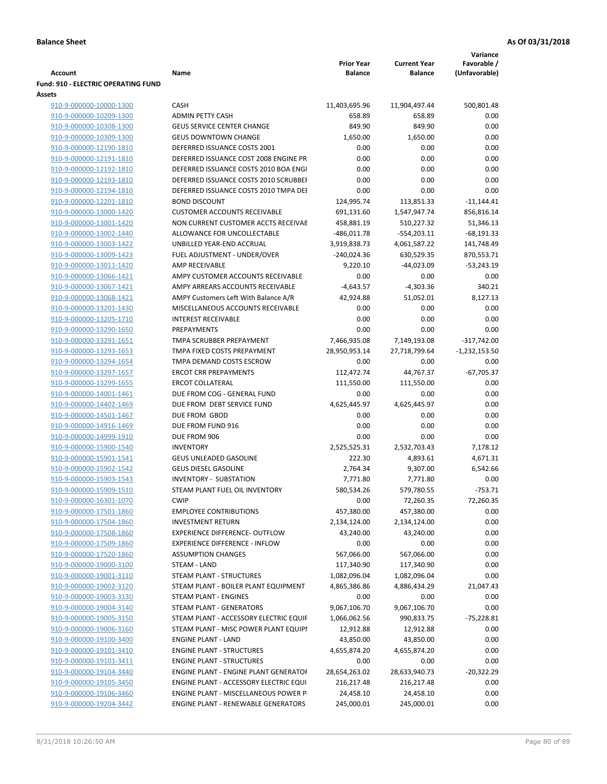| <b>Account</b>                                     | Name                                                    | <b>Prior Year</b><br><b>Balance</b> | <b>Current Year</b><br>Balance | Variance<br>Favorable /<br>(Unfavorable) |
|----------------------------------------------------|---------------------------------------------------------|-------------------------------------|--------------------------------|------------------------------------------|
| <b>Fund: 910 - ELECTRIC OPERATING FUND</b>         |                                                         |                                     |                                |                                          |
| Assets                                             |                                                         |                                     |                                |                                          |
| 910-9-000000-10000-1300                            | CASH                                                    | 11,403,695.96                       | 11,904,497.44                  | 500,801.48                               |
| 910-9-000000-10209-1300                            | <b>ADMIN PETTY CASH</b>                                 | 658.89                              | 658.89                         | 0.00                                     |
| 910-9-000000-10308-1300                            | <b>GEUS SERVICE CENTER CHANGE</b>                       | 849.90                              | 849.90                         | 0.00                                     |
| 910-9-000000-10309-1300                            | <b>GEUS DOWNTOWN CHANGE</b>                             | 1,650.00                            | 1,650.00                       | 0.00                                     |
| 910-9-000000-12190-1810                            | DEFERRED ISSUANCE COSTS 2001                            | 0.00                                | 0.00                           | 0.00                                     |
| 910-9-000000-12191-1810                            | DEFERRED ISSUANCE COST 2008 ENGINE PR                   | 0.00                                | 0.00                           | 0.00                                     |
| 910-9-000000-12192-1810                            | DEFERRED ISSUANCE COSTS 2010 BOA ENGI                   | 0.00                                | 0.00                           | 0.00                                     |
| 910-9-000000-12193-1810                            | DEFERRED ISSUANCE COSTS 2010 SCRUBBEH                   | 0.00                                | 0.00                           | 0.00                                     |
| 910-9-000000-12194-1810                            | DEFERRED ISSUANCE COSTS 2010 TMPA DEI                   | 0.00                                | 0.00                           | 0.00                                     |
| 910-9-000000-12201-1810                            | <b>BOND DISCOUNT</b>                                    | 124,995.74                          | 113,851.33                     | $-11,144.41$                             |
| 910-9-000000-13000-1420                            | <b>CUSTOMER ACCOUNTS RECEIVABLE</b>                     | 691,131.60                          | 1,547,947.74                   | 856,816.14                               |
| 910-9-000000-13001-1420                            | NON CURRENT CUSTOMER ACCTS RECEIVAE                     | 458,881.19                          | 510,227.32                     | 51,346.13                                |
| 910-9-000000-13002-1440                            | ALLOWANCE FOR UNCOLLECTABLE                             | $-486,011.78$                       | $-554,203.11$                  | $-68,191.33$                             |
| 910-9-000000-13003-1422                            | UNBILLED YEAR-END ACCRUAL                               | 3,919,838.73                        | 4,061,587.22                   | 141,748.49                               |
| 910-9-000000-13009-1423                            | FUEL ADJUSTMENT - UNDER/OVER                            | $-240,024.36$                       | 630,529.35                     | 870,553.71                               |
| 910-9-000000-13011-1420                            | AMP RECEIVABLE                                          | 9,220.10                            | $-44,023.09$                   | $-53,243.19$                             |
| 910-9-000000-13066-1421                            | AMPY CUSTOMER ACCOUNTS RECEIVABLE                       | 0.00                                | 0.00                           | 0.00                                     |
| 910-9-000000-13067-1421                            | AMPY ARREARS ACCOUNTS RECEIVABLE                        | $-4,643.57$                         | $-4,303.36$                    | 340.21                                   |
| 910-9-000000-13068-1421                            | AMPY Customers Left With Balance A/R                    | 42,924.88                           | 51,052.01                      | 8,127.13                                 |
| 910-9-000000-13201-1430                            | MISCELLANEOUS ACCOUNTS RECEIVABLE                       | 0.00                                | 0.00                           | 0.00                                     |
| 910-9-000000-13205-1710                            | <b>INTEREST RECEIVABLE</b>                              | 0.00                                | 0.00                           | 0.00                                     |
| 910-9-000000-13290-1650                            | PREPAYMENTS                                             | 0.00                                | 0.00                           | 0.00                                     |
| 910-9-000000-13291-1651                            | TMPA SCRUBBER PREPAYMENT                                | 7,466,935.08                        | 7,149,193.08                   | $-317,742.00$                            |
| 910-9-000000-13293-1653                            | TMPA FIXED COSTS PREPAYMENT                             | 28,950,953.14                       | 27,718,799.64                  | $-1,232,153.50$                          |
| 910-9-000000-13294-1654                            | TMPA DEMAND COSTS ESCROW                                | 0.00                                | 0.00                           | 0.00                                     |
| 910-9-000000-13297-1657                            | <b>ERCOT CRR PREPAYMENTS</b><br><b>ERCOT COLLATERAL</b> | 112,472.74                          | 44,767.37                      | $-67,705.37$<br>0.00                     |
| 910-9-000000-13299-1655<br>910-9-000000-14001-1461 | DUE FROM COG - GENERAL FUND                             | 111,550.00<br>0.00                  | 111,550.00<br>0.00             | 0.00                                     |
| 910-9-000000-14402-1469                            | DUE FROM DEBT SERVICE FUND                              | 4,625,445.97                        | 4,625,445.97                   | 0.00                                     |
| 910-9-000000-14501-1467                            | DUE FROM GBOD                                           | 0.00                                | 0.00                           | 0.00                                     |
| 910-9-000000-14916-1469                            | DUE FROM FUND 916                                       | 0.00                                | 0.00                           | 0.00                                     |
| 910-9-000000-14999-1910                            | DUE FROM 906                                            | 0.00                                | 0.00                           | 0.00                                     |
| 910-9-000000-15900-1540                            | <b>INVENTORY</b>                                        | 2,525,525.31                        | 2,532,703.43                   | 7,178.12                                 |
| 910-9-000000-15901-1541                            | GEUS UNLEADED GASOLINE                                  | 222.30                              | 4,893.61                       | 4,671.31                                 |
| 910-9-000000-15902-1542                            | <b>GEUS DIESEL GASOLINE</b>                             | 2,764.34                            | 9,307.00                       | 6,542.66                                 |
| 910-9-000000-15903-1543                            | <b>INVENTORY - SUBSTATION</b>                           | 7,771.80                            | 7,771.80                       | 0.00                                     |
| 910-9-000000-15909-1510                            | STEAM PLANT FUEL OIL INVENTORY                          | 580,534.26                          | 579,780.55                     | $-753.71$                                |
| 910-9-000000-16301-1070                            | <b>CWIP</b>                                             | 0.00                                | 72,260.35                      | 72,260.35                                |
| 910-9-000000-17501-1860                            | <b>EMPLOYEE CONTRIBUTIONS</b>                           | 457,380.00                          | 457,380.00                     | 0.00                                     |
| 910-9-000000-17504-1860                            | <b>INVESTMENT RETURN</b>                                | 2,134,124.00                        | 2,134,124.00                   | 0.00                                     |
| 910-9-000000-17508-1860                            | EXPERIENCE DIFFERENCE- OUTFLOW                          | 43,240.00                           | 43,240.00                      | 0.00                                     |
| 910-9-000000-17509-1860                            | <b>EXPERIENCE DIFFERENCE - INFLOW</b>                   | 0.00                                | 0.00                           | 0.00                                     |
| 910-9-000000-17520-1860                            | <b>ASSUMPTION CHANGES</b>                               | 567,066.00                          | 567,066.00                     | 0.00                                     |
| 910-9-000000-19000-3100                            | STEAM - LAND                                            | 117,340.90                          | 117,340.90                     | 0.00                                     |
| 910-9-000000-19001-3110                            | STEAM PLANT - STRUCTURES                                | 1,082,096.04                        | 1,082,096.04                   | 0.00                                     |
| 910-9-000000-19002-3120                            | STEAM PLANT - BOILER PLANT EQUIPMENT                    | 4,865,386.86                        | 4,886,434.29                   | 21,047.43                                |
| 910-9-000000-19003-3130                            | STEAM PLANT - ENGINES                                   | 0.00                                | 0.00                           | 0.00                                     |
| 910-9-000000-19004-3140                            | <b>STEAM PLANT - GENERATORS</b>                         | 9,067,106.70                        | 9,067,106.70                   | 0.00                                     |
| 910-9-000000-19005-3150                            | STEAM PLANT - ACCESSORY ELECTRIC EQUIF                  | 1,066,062.56                        | 990,833.75                     | $-75,228.81$                             |
| 910-9-000000-19006-3160                            | STEAM PLANT - MISC POWER PLANT EQUIPI                   | 12,912.88                           | 12,912.88                      | 0.00                                     |
| 910-9-000000-19100-3400                            | <b>ENGINE PLANT - LAND</b>                              | 43,850.00                           | 43,850.00                      | 0.00                                     |
| 910-9-000000-19101-3410                            | <b>ENGINE PLANT - STRUCTURES</b>                        | 4,655,874.20                        | 4,655,874.20                   | 0.00                                     |
| 910-9-000000-19101-3411                            | <b>ENGINE PLANT - STRUCTURES</b>                        | 0.00                                | 0.00                           | 0.00                                     |
| 910-9-000000-19104-3440                            | <b>ENGINE PLANT - ENGINE PLANT GENERATOF</b>            | 28,654,263.02                       | 28,633,940.73                  | $-20,322.29$                             |
| 910-9-000000-19105-3450                            | ENGINE PLANT - ACCESSORY ELECTRIC EQUI                  | 216,217.48                          | 216,217.48                     | 0.00                                     |
| 910-9-000000-19106-3460                            | ENGINE PLANT - MISCELLANEOUS POWER P                    | 24,458.10                           | 24,458.10                      | 0.00                                     |
| 910-9-000000-19204-3442                            | ENGINE PLANT - RENEWABLE GENERATORS                     | 245,000.01                          | 245,000.01                     | 0.00                                     |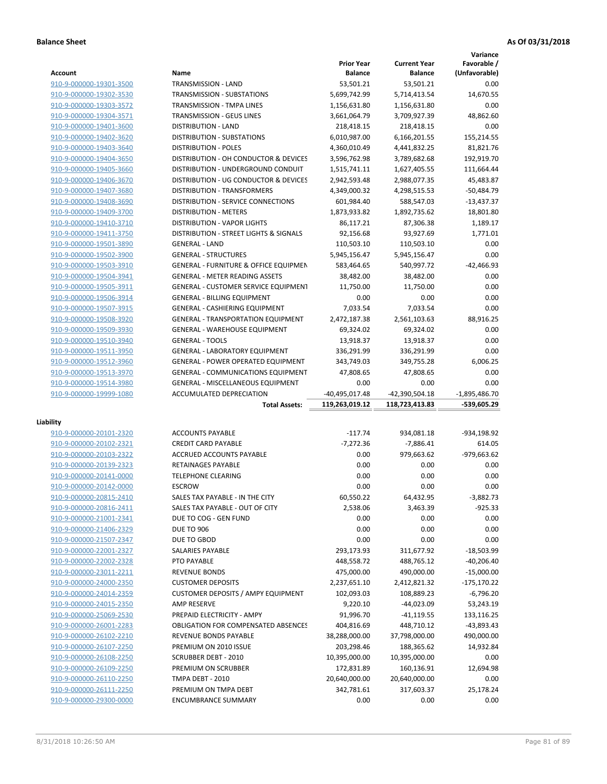**Variance**

| Account                                            |                                                    | <b>Prior Year</b>  | <b>Current Year</b> | Favorable /       |
|----------------------------------------------------|----------------------------------------------------|--------------------|---------------------|-------------------|
|                                                    | Name                                               | <b>Balance</b>     | <b>Balance</b>      | (Unfavorable)     |
| 910-9-000000-19301-3500                            | TRANSMISSION - LAND                                | 53,501.21          | 53,501.21           | 0.00              |
| 910-9-000000-19302-3530                            | TRANSMISSION - SUBSTATIONS                         | 5,699,742.99       | 5,714,413.54        | 14,670.55         |
| 910-9-000000-19303-3572                            | TRANSMISSION - TMPA LINES                          | 1,156,631.80       | 1,156,631.80        | 0.00              |
| 910-9-000000-19304-3571                            | TRANSMISSION - GEUS LINES                          | 3,661,064.79       | 3,709,927.39        | 48,862.60         |
| 910-9-000000-19401-3600                            | <b>DISTRIBUTION - LAND</b>                         | 218,418.15         | 218,418.15          | 0.00              |
| 910-9-000000-19402-3620                            | DISTRIBUTION - SUBSTATIONS                         | 6,010,987.00       | 6,166,201.55        | 155,214.55        |
| 910-9-000000-19403-3640                            | <b>DISTRIBUTION - POLES</b>                        | 4,360,010.49       | 4,441,832.25        | 81,821.76         |
| 910-9-000000-19404-3650                            | DISTRIBUTION - OH CONDUCTOR & DEVICES              | 3,596,762.98       | 3,789,682.68        | 192,919.70        |
|                                                    |                                                    |                    |                     |                   |
| 910-9-000000-19405-3660                            | DISTRIBUTION - UNDERGROUND CONDUIT                 | 1,515,741.11       | 1,627,405.55        | 111,664.44        |
| 910-9-000000-19406-3670                            | DISTRIBUTION - UG CONDUCTOR & DEVICES              | 2,942,593.48       | 2,988,077.35        | 45,483.87         |
| 910-9-000000-19407-3680                            | <b>DISTRIBUTION - TRANSFORMERS</b>                 | 4,349,000.32       | 4,298,515.53        | $-50,484.79$      |
| 910-9-000000-19408-3690                            | DISTRIBUTION - SERVICE CONNECTIONS                 | 601,984.40         | 588,547.03          | $-13,437.37$      |
| 910-9-000000-19409-3700                            | <b>DISTRIBUTION - METERS</b>                       | 1,873,933.82       | 1,892,735.62        | 18,801.80         |
| 910-9-000000-19410-3710                            | <b>DISTRIBUTION - VAPOR LIGHTS</b>                 | 86,117.21          | 87,306.38           | 1,189.17          |
| 910-9-000000-19411-3750                            | DISTRIBUTION - STREET LIGHTS & SIGNALS             | 92,156.68          | 93,927.69           | 1,771.01          |
| 910-9-000000-19501-3890                            | <b>GENERAL - LAND</b>                              | 110,503.10         | 110,503.10          | 0.00              |
| 910-9-000000-19502-3900                            | <b>GENERAL - STRUCTURES</b>                        | 5,945,156.47       | 5,945,156.47        | 0.00              |
| 910-9-000000-19503-3910                            | GENERAL - FURNITURE & OFFICE EQUIPMEN              | 583,464.65         | 540,997.72          | $-42,466.93$      |
| 910-9-000000-19504-3941                            | <b>GENERAL - METER READING ASSETS</b>              | 38,482.00          | 38,482.00           | 0.00              |
| 910-9-000000-19505-3911                            | <b>GENERAL - CUSTOMER SERVICE EQUIPMENT</b>        | 11,750.00          | 11,750.00           | 0.00              |
| 910-9-000000-19506-3914                            | <b>GENERAL - BILLING EQUIPMENT</b>                 | 0.00               | 0.00                | 0.00              |
| 910-9-000000-19507-3915                            | GENERAL - CASHIERING EQUIPMENT                     | 7,033.54           | 7,033.54            | 0.00              |
| 910-9-000000-19508-3920                            | <b>GENERAL - TRANSPORTATION EQUIPMENT</b>          | 2,472,187.38       | 2,561,103.63        | 88,916.25         |
| 910-9-000000-19509-3930                            | <b>GENERAL - WAREHOUSE EQUIPMENT</b>               | 69,324.02          | 69,324.02           | 0.00              |
| 910-9-000000-19510-3940                            | <b>GENERAL - TOOLS</b>                             | 13,918.37          | 13,918.37           | 0.00              |
| 910-9-000000-19511-3950                            | <b>GENERAL - LABORATORY EQUIPMENT</b>              | 336,291.99         | 336,291.99          | 0.00              |
| 910-9-000000-19512-3960                            | <b>GENERAL - POWER OPERATED EQUIPMENT</b>          | 343,749.03         | 349,755.28          | 6,006.25          |
| 910-9-000000-19513-3970                            | GENERAL - COMMUNICATIONS EQUIPMENT                 | 47,808.65          | 47,808.65           | 0.00              |
|                                                    |                                                    |                    |                     |                   |
| 910-9-000000-19514-3980                            | GENERAL - MISCELLANEOUS EQUIPMENT                  | 0.00               | 0.00                | 0.00              |
| 910-9-000000-19999-1080                            | ACCUMULATED DEPRECIATION                           | -40,495,017.48     | -42,390,504.18      | $-1,895,486.70$   |
|                                                    | <b>Total Assets:</b>                               | 119,263,019.12     | 118,723,413.83      | -539,605.29       |
| Liability                                          |                                                    |                    |                     |                   |
| 910-9-000000-20101-2320                            | <b>ACCOUNTS PAYABLE</b>                            | $-117.74$          | 934,081.18          | -934,198.92       |
| 910-9-000000-20102-2321                            | <b>CREDIT CARD PAYABLE</b>                         | $-7,272.36$        |                     |                   |
|                                                    |                                                    |                    |                     |                   |
|                                                    |                                                    |                    | $-7,886.41$         | 614.05            |
| 910-9-000000-20103-2322                            | ACCRUED ACCOUNTS PAYABLE                           | 0.00               | 979,663.62          | -979,663.62       |
| 910-9-000000-20139-2323                            | RETAINAGES PAYABLE                                 | 0.00               | 0.00                | 0.00              |
| 910-9-000000-20141-0000                            | <b>TELEPHONE CLEARING</b>                          | 0.00               | 0.00                | 0.00              |
| 910-9-000000-20142-0000                            | <b>ESCROW</b>                                      | 0.00               | 0.00                | 0.00              |
| 910-9-000000-20815-2410                            | SALES TAX PAYABLE - IN THE CITY                    | 60,550.22          | 64,432.95           | $-3,882.73$       |
| 910-9-000000-20816-2411                            | SALES TAX PAYABLE - OUT OF CITY                    | 2,538.06           | 3,463.39            | $-925.33$         |
| 910-9-000000-21001-2341                            | DUE TO COG - GEN FUND                              | 0.00               | 0.00                | 0.00              |
| 910-9-000000-21406-2329                            | <b>DUE TO 906</b>                                  | 0.00               | 0.00                | 0.00              |
| 910-9-000000-21507-2347                            | DUE TO GBOD                                        | 0.00               | 0.00                | 0.00              |
| 910-9-000000-22001-2327                            | SALARIES PAYABLE                                   | 293,173.93         | 311,677.92          | $-18,503.99$      |
| 910-9-000000-22002-2328                            | PTO PAYABLE                                        | 448,558.72         | 488,765.12          | $-40,206.40$      |
| 910-9-000000-23011-2211                            | <b>REVENUE BONDS</b>                               | 475,000.00         | 490,000.00          | $-15,000.00$      |
| 910-9-000000-24000-2350                            | <b>CUSTOMER DEPOSITS</b>                           | 2,237,651.10       | 2,412,821.32        | $-175, 170.22$    |
| 910-9-000000-24014-2359                            | <b>CUSTOMER DEPOSITS / AMPY EQUIPMENT</b>          | 102,093.03         | 108,889.23          | $-6,796.20$       |
|                                                    | AMP RESERVE                                        |                    | $-44,023.09$        |                   |
| 910-9-000000-24015-2350                            | PREPAID ELECTRICITY - AMPY                         | 9,220.10           |                     | 53,243.19         |
| 910-9-000000-25069-2530                            |                                                    | 91,996.70          | $-41,119.55$        | 133,116.25        |
| 910-9-000000-26001-2283                            | <b>OBLIGATION FOR COMPENSATED ABSENCES</b>         | 404,816.69         | 448,710.12          | -43,893.43        |
| 910-9-000000-26102-2210                            | REVENUE BONDS PAYABLE                              | 38,288,000.00      | 37,798,000.00       | 490,000.00        |
| 910-9-000000-26107-2250                            | PREMIUM ON 2010 ISSUE                              | 203,298.46         | 188,365.62          | 14,932.84         |
| 910-9-000000-26108-2250                            | <b>SCRUBBER DEBT - 2010</b>                        | 10,395,000.00      | 10,395,000.00       | 0.00              |
| 910-9-000000-26109-2250                            | PREMIUM ON SCRUBBER                                | 172,831.89         | 160,136.91          | 12,694.98         |
| 910-9-000000-26110-2250                            | TMPA DEBT - 2010                                   | 20,640,000.00      | 20,640,000.00       | 0.00              |
| 910-9-000000-26111-2250<br>910-9-000000-29300-0000 | PREMIUM ON TMPA DEBT<br><b>ENCUMBRANCE SUMMARY</b> | 342,781.61<br>0.00 | 317,603.37<br>0.00  | 25,178.24<br>0.00 |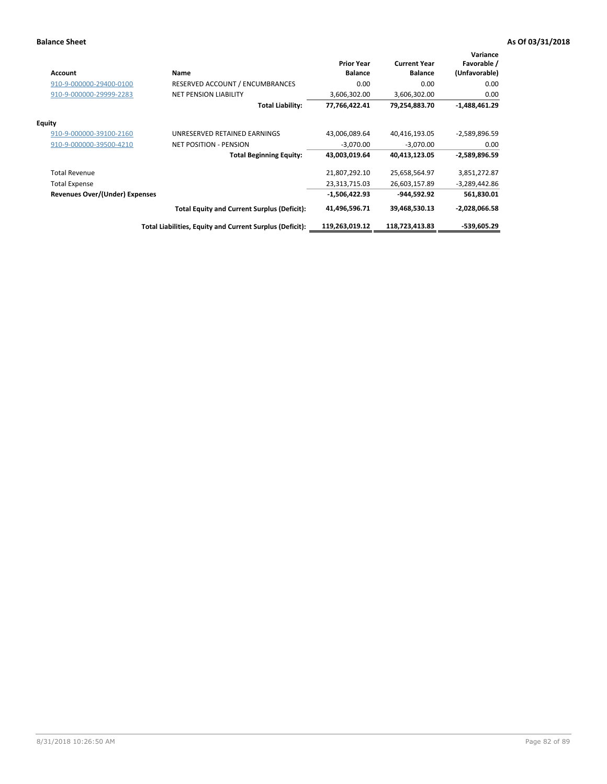| <b>Account</b>                        | Name                                                     | <b>Prior Year</b><br><b>Balance</b> | <b>Current Year</b><br><b>Balance</b> | Variance<br>Favorable /<br>(Unfavorable) |
|---------------------------------------|----------------------------------------------------------|-------------------------------------|---------------------------------------|------------------------------------------|
| 910-9-000000-29400-0100               | <b>RESERVED ACCOUNT / ENCUMBRANCES</b>                   | 0.00                                | 0.00                                  | 0.00                                     |
| 910-9-000000-29999-2283               | <b>NET PENSION LIABILITY</b>                             | 3,606,302.00                        | 3,606,302.00                          | 0.00                                     |
|                                       | <b>Total Liability:</b>                                  | 77,766,422.41                       | 79,254,883.70                         | $-1,488,461.29$                          |
| Equity                                |                                                          |                                     |                                       |                                          |
| 910-9-000000-39100-2160               | UNRESERVED RETAINED EARNINGS                             | 43,006,089.64                       | 40,416,193.05                         | -2,589,896.59                            |
| 910-9-000000-39500-4210               | <b>NET POSITION - PENSION</b>                            | $-3,070.00$                         | $-3,070.00$                           | 0.00                                     |
|                                       | <b>Total Beginning Equity:</b>                           | 43,003,019.64                       | 40,413,123.05                         | -2,589,896.59                            |
| <b>Total Revenue</b>                  |                                                          | 21,807,292.10                       | 25,658,564.97                         | 3,851,272.87                             |
| <b>Total Expense</b>                  |                                                          | 23,313,715.03                       | 26,603,157.89                         | $-3,289,442.86$                          |
| <b>Revenues Over/(Under) Expenses</b> |                                                          | -1,506,422.93                       | -944.592.92                           | 561,830.01                               |
|                                       | <b>Total Equity and Current Surplus (Deficit):</b>       | 41,496,596.71                       | 39,468,530.13                         | -2,028,066.58                            |
|                                       | Total Liabilities, Equity and Current Surplus (Deficit): | 119,263,019.12                      | 118,723,413.83                        | -539,605.29                              |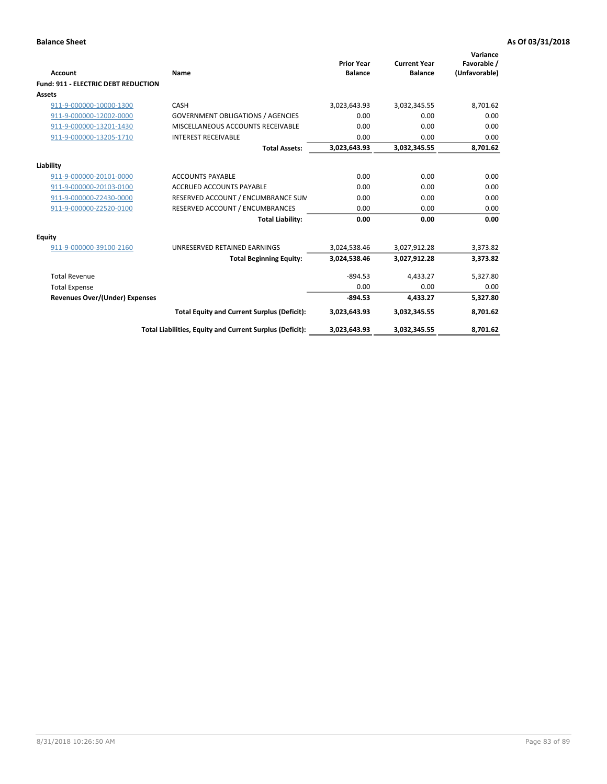| Account                                    | Name                                                     | <b>Prior Year</b><br><b>Balance</b> | <b>Current Year</b><br><b>Balance</b> | Variance<br>Favorable /<br>(Unfavorable) |
|--------------------------------------------|----------------------------------------------------------|-------------------------------------|---------------------------------------|------------------------------------------|
| <b>Fund: 911 - ELECTRIC DEBT REDUCTION</b> |                                                          |                                     |                                       |                                          |
| <b>Assets</b>                              |                                                          |                                     |                                       |                                          |
| 911-9-000000-10000-1300                    | CASH                                                     | 3,023,643.93                        | 3,032,345.55                          | 8,701.62                                 |
| 911-9-000000-12002-0000                    | <b>GOVERNMENT OBLIGATIONS / AGENCIES</b>                 | 0.00                                | 0.00                                  | 0.00                                     |
| 911-9-000000-13201-1430                    | MISCELLANEOUS ACCOUNTS RECEIVABLE                        | 0.00                                | 0.00                                  | 0.00                                     |
| 911-9-000000-13205-1710                    | <b>INTEREST RECEIVABLE</b>                               | 0.00                                | 0.00                                  | 0.00                                     |
|                                            | <b>Total Assets:</b>                                     | 3,023,643.93                        | 3,032,345.55                          | 8,701.62                                 |
| Liability                                  |                                                          |                                     |                                       |                                          |
| 911-9-000000-20101-0000                    | <b>ACCOUNTS PAYABLE</b>                                  | 0.00                                | 0.00                                  | 0.00                                     |
| 911-9-000000-20103-0100                    | <b>ACCRUED ACCOUNTS PAYABLE</b>                          | 0.00                                | 0.00                                  | 0.00                                     |
| 911-9-000000-Z2430-0000                    | RESERVED ACCOUNT / ENCUMBRANCE SUM                       | 0.00                                | 0.00                                  | 0.00                                     |
| 911-9-000000-Z2520-0100                    | RESERVED ACCOUNT / ENCUMBRANCES                          | 0.00                                | 0.00                                  | 0.00                                     |
|                                            | <b>Total Liability:</b>                                  | 0.00                                | 0.00                                  | 0.00                                     |
| Equity                                     |                                                          |                                     |                                       |                                          |
| 911-9-000000-39100-2160                    | UNRESERVED RETAINED EARNINGS                             | 3,024,538.46                        | 3,027,912.28                          | 3,373.82                                 |
|                                            | <b>Total Beginning Equity:</b>                           | 3,024,538.46                        | 3,027,912.28                          | 3,373.82                                 |
| <b>Total Revenue</b>                       |                                                          | $-894.53$                           | 4.433.27                              | 5,327.80                                 |
| <b>Total Expense</b>                       |                                                          | 0.00                                | 0.00                                  | 0.00                                     |
| Revenues Over/(Under) Expenses             |                                                          | $-894.53$                           | 4,433.27                              | 5,327.80                                 |
|                                            | <b>Total Equity and Current Surplus (Deficit):</b>       | 3,023,643.93                        | 3,032,345.55                          | 8,701.62                                 |
|                                            | Total Liabilities, Equity and Current Surplus (Deficit): | 3,023,643.93                        | 3,032,345.55                          | 8,701.62                                 |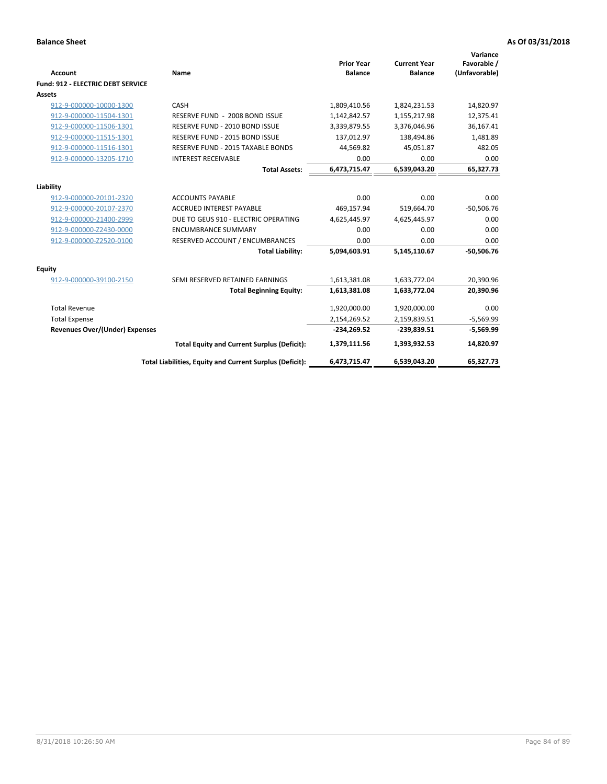| <b>Account</b>                        | Name                                                     | <b>Prior Year</b><br><b>Balance</b> | <b>Current Year</b><br><b>Balance</b> | Variance<br>Favorable /<br>(Unfavorable) |
|---------------------------------------|----------------------------------------------------------|-------------------------------------|---------------------------------------|------------------------------------------|
| Fund: 912 - ELECTRIC DEBT SERVICE     |                                                          |                                     |                                       |                                          |
| <b>Assets</b>                         |                                                          |                                     |                                       |                                          |
| 912-9-000000-10000-1300               | CASH                                                     | 1,809,410.56                        | 1,824,231.53                          | 14,820.97                                |
| 912-9-000000-11504-1301               | RESERVE FUND - 2008 BOND ISSUE                           | 1,142,842.57                        | 1,155,217.98                          | 12,375.41                                |
| 912-9-000000-11506-1301               | RESERVE FUND - 2010 BOND ISSUE                           | 3,339,879.55                        | 3,376,046.96                          | 36,167.41                                |
| 912-9-000000-11515-1301               | RESERVE FUND - 2015 BOND ISSUE                           | 137,012.97                          | 138,494.86                            | 1,481.89                                 |
| 912-9-000000-11516-1301               | RESERVE FUND - 2015 TAXABLE BONDS                        | 44,569.82                           | 45,051.87                             | 482.05                                   |
| 912-9-000000-13205-1710               | <b>INTEREST RECEIVABLE</b>                               | 0.00                                | 0.00                                  | 0.00                                     |
|                                       | <b>Total Assets:</b>                                     | 6,473,715.47                        | 6,539,043.20                          | 65,327.73                                |
| Liability                             |                                                          |                                     |                                       |                                          |
| 912-9-000000-20101-2320               | <b>ACCOUNTS PAYABLE</b>                                  | 0.00                                | 0.00                                  | 0.00                                     |
| 912-9-000000-20107-2370               | <b>ACCRUED INTEREST PAYABLE</b>                          | 469,157.94                          | 519,664.70                            | $-50,506.76$                             |
| 912-9-000000-21400-2999               | DUE TO GEUS 910 - ELECTRIC OPERATING                     | 4,625,445.97                        | 4,625,445.97                          | 0.00                                     |
| 912-9-000000-Z2430-0000               | <b>ENCUMBRANCE SUMMARY</b>                               | 0.00                                | 0.00                                  | 0.00                                     |
| 912-9-000000-Z2520-0100               | RESERVED ACCOUNT / ENCUMBRANCES                          | 0.00                                | 0.00                                  | 0.00                                     |
|                                       | <b>Total Liability:</b>                                  | 5,094,603.91                        | 5,145,110.67                          | $-50,506.76$                             |
| Equity                                |                                                          |                                     |                                       |                                          |
| 912-9-000000-39100-2150               | SEMI RESERVED RETAINED EARNINGS                          | 1,613,381.08                        | 1,633,772.04                          | 20,390.96                                |
|                                       | <b>Total Beginning Equity:</b>                           | 1,613,381.08                        | 1,633,772.04                          | 20,390.96                                |
| <b>Total Revenue</b>                  |                                                          | 1,920,000.00                        | 1,920,000.00                          | 0.00                                     |
| <b>Total Expense</b>                  |                                                          | 2,154,269.52                        | 2,159,839.51                          | $-5,569.99$                              |
| <b>Revenues Over/(Under) Expenses</b> |                                                          | $-234,269.52$                       | $-239,839.51$                         | $-5,569.99$                              |
|                                       | <b>Total Equity and Current Surplus (Deficit):</b>       | 1,379,111.56                        | 1,393,932.53                          | 14,820.97                                |
|                                       | Total Liabilities, Equity and Current Surplus (Deficit): | 6,473,715.47                        | 6,539,043.20                          | 65,327.73                                |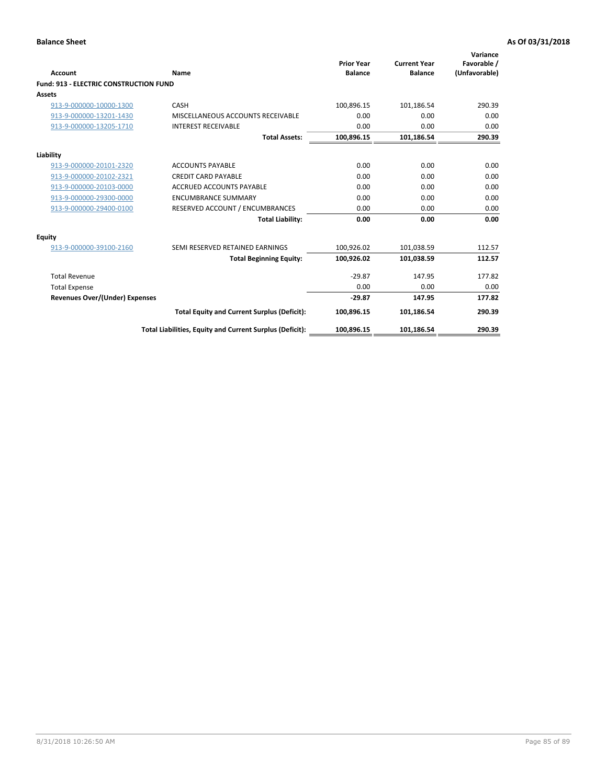| Account                                       | Name                                                     | <b>Prior Year</b><br><b>Balance</b> | <b>Current Year</b><br><b>Balance</b> | Variance<br>Favorable /<br>(Unfavorable) |
|-----------------------------------------------|----------------------------------------------------------|-------------------------------------|---------------------------------------|------------------------------------------|
| <b>Fund: 913 - ELECTRIC CONSTRUCTION FUND</b> |                                                          |                                     |                                       |                                          |
| <b>Assets</b>                                 |                                                          |                                     |                                       |                                          |
| 913-9-000000-10000-1300                       | CASH                                                     | 100,896.15                          | 101,186.54                            | 290.39                                   |
| 913-9-000000-13201-1430                       | MISCELLANEOUS ACCOUNTS RECEIVABLE                        | 0.00                                | 0.00                                  | 0.00                                     |
| 913-9-000000-13205-1710                       | <b>INTEREST RECEIVABLE</b>                               | 0.00                                | 0.00                                  | 0.00                                     |
|                                               | <b>Total Assets:</b>                                     | 100,896.15                          | 101,186.54                            | 290.39                                   |
| Liability                                     |                                                          |                                     |                                       |                                          |
| 913-9-000000-20101-2320                       | <b>ACCOUNTS PAYABLE</b>                                  | 0.00                                | 0.00                                  | 0.00                                     |
| 913-9-000000-20102-2321                       | <b>CREDIT CARD PAYABLE</b>                               | 0.00                                | 0.00                                  | 0.00                                     |
| 913-9-000000-20103-0000                       | <b>ACCRUED ACCOUNTS PAYABLE</b>                          | 0.00                                | 0.00                                  | 0.00                                     |
| 913-9-000000-29300-0000                       | <b>ENCUMBRANCE SUMMARY</b>                               | 0.00                                | 0.00                                  | 0.00                                     |
| 913-9-000000-29400-0100                       | RESERVED ACCOUNT / ENCUMBRANCES                          | 0.00                                | 0.00                                  | 0.00                                     |
|                                               | <b>Total Liability:</b>                                  | 0.00                                | 0.00                                  | 0.00                                     |
| Equity                                        |                                                          |                                     |                                       |                                          |
| 913-9-000000-39100-2160                       | SEMI RESERVED RETAINED EARNINGS                          | 100,926.02                          | 101,038.59                            | 112.57                                   |
|                                               | <b>Total Beginning Equity:</b>                           | 100,926.02                          | 101,038.59                            | 112.57                                   |
| <b>Total Revenue</b>                          |                                                          | $-29.87$                            | 147.95                                | 177.82                                   |
| <b>Total Expense</b>                          |                                                          | 0.00                                | 0.00                                  | 0.00                                     |
| Revenues Over/(Under) Expenses                |                                                          | $-29.87$                            | 147.95                                | 177.82                                   |
|                                               | <b>Total Equity and Current Surplus (Deficit):</b>       | 100,896.15                          | 101,186.54                            | 290.39                                   |
|                                               | Total Liabilities, Equity and Current Surplus (Deficit): | 100,896.15                          | 101,186.54                            | 290.39                                   |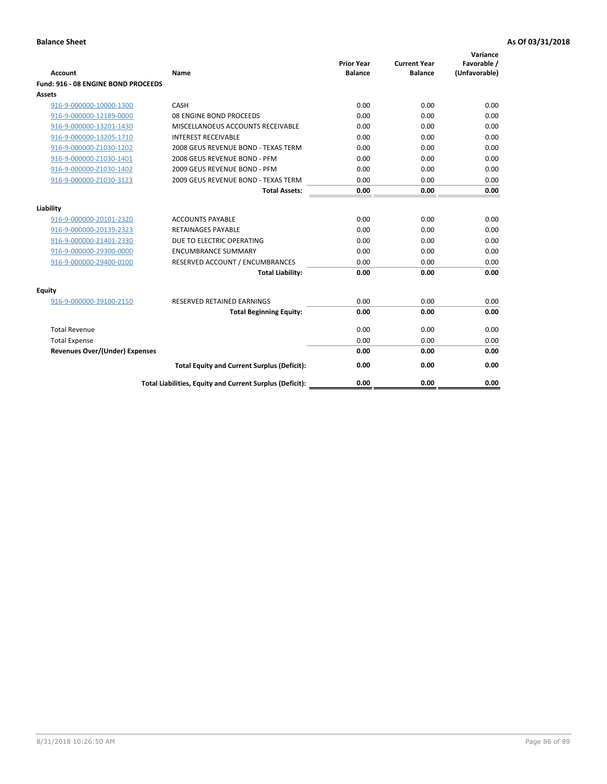| <b>Account</b>                      | Name                                                     | <b>Prior Year</b><br><b>Balance</b> | <b>Current Year</b><br><b>Balance</b> | Variance<br>Favorable /<br>(Unfavorable) |
|-------------------------------------|----------------------------------------------------------|-------------------------------------|---------------------------------------|------------------------------------------|
| Fund: 916 - 08 ENGINE BOND PROCEEDS |                                                          |                                     |                                       |                                          |
| Assets                              |                                                          |                                     |                                       |                                          |
| 916-9-000000-10000-1300             | CASH                                                     | 0.00                                | 0.00                                  | 0.00                                     |
| 916-9-000000-12189-0000             | 08 ENGINE BOND PROCEEDS                                  | 0.00                                | 0.00                                  | 0.00                                     |
| 916-9-000000-13201-1430             | MISCELLANOEUS ACCOUNTS RECEIVABLE                        | 0.00                                | 0.00                                  | 0.00                                     |
| 916-9-000000-13205-1710             | <b>INTEREST RECEIVABLE</b>                               | 0.00                                | 0.00                                  | 0.00                                     |
| 916-9-000000-Z1030-1202             | 2008 GEUS REVENUE BOND - TEXAS TERM                      | 0.00                                | 0.00                                  | 0.00                                     |
| 916-9-000000-Z1030-1401             | 2008 GEUS REVENUE BOND - PFM                             | 0.00                                | 0.00                                  | 0.00                                     |
| 916-9-000000-Z1030-1402             | 2009 GEUS REVENUE BOND - PFM                             | 0.00                                | 0.00                                  | 0.00                                     |
| 916-9-000000-Z1030-3123             | 2009 GEUS REVENUE BOND - TEXAS TERM                      | 0.00                                | 0.00                                  | 0.00                                     |
|                                     | <b>Total Assets:</b>                                     | 0.00                                | 0.00                                  | 0.00                                     |
| Liability                           |                                                          |                                     |                                       |                                          |
| 916-9-000000-20101-2320             | <b>ACCOUNTS PAYABLE</b>                                  | 0.00                                | 0.00                                  | 0.00                                     |
| 916-9-000000-20139-2323             | <b>RETAINAGES PAYABLE</b>                                | 0.00                                | 0.00                                  | 0.00                                     |
| 916-9-000000-21401-2330             | DUE TO ELECTRIC OPERATING                                | 0.00                                | 0.00                                  | 0.00                                     |
| 916-9-000000-29300-0000             | <b>ENCUMBRANCE SUMMARY</b>                               | 0.00                                | 0.00                                  | 0.00                                     |
| 916-9-000000-29400-0100             | RESERVED ACCOUNT / ENCUMBRANCES                          | 0.00                                | 0.00                                  | 0.00                                     |
|                                     | <b>Total Liability:</b>                                  | 0.00                                | 0.00                                  | 0.00                                     |
| Equity                              |                                                          |                                     |                                       |                                          |
| 916-9-000000-39100-2150             | <b>RESERVED RETAINED EARNINGS</b>                        | 0.00                                | 0.00                                  | 0.00                                     |
|                                     | <b>Total Beginning Equity:</b>                           | 0.00                                | 0.00                                  | 0.00                                     |
| <b>Total Revenue</b>                |                                                          | 0.00                                | 0.00                                  | 0.00                                     |
| <b>Total Expense</b>                |                                                          | 0.00                                | 0.00                                  | 0.00                                     |
| Revenues Over/(Under) Expenses      |                                                          | 0.00                                | 0.00                                  | 0.00                                     |
|                                     | <b>Total Equity and Current Surplus (Deficit):</b>       | 0.00                                | 0.00                                  | 0.00                                     |
|                                     | Total Liabilities, Equity and Current Surplus (Deficit): | 0.00                                | 0.00                                  | 0.00                                     |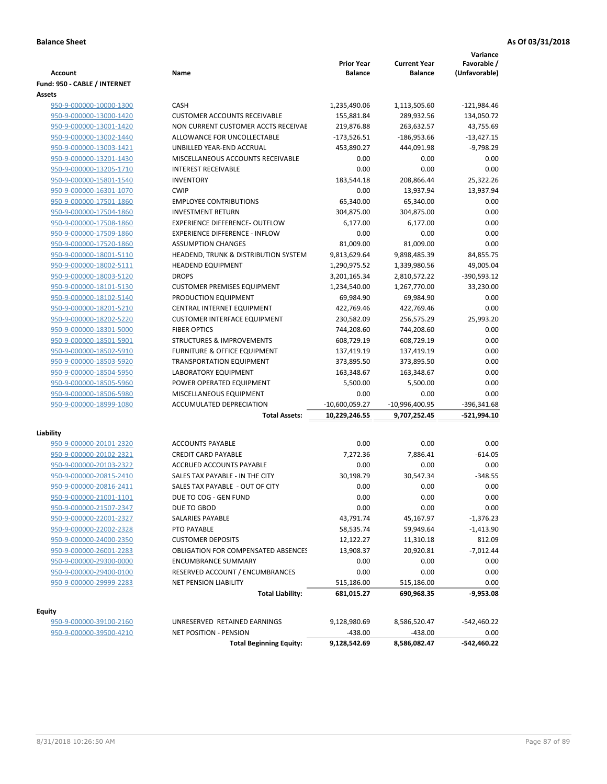| <b>Account</b>                                     | Name                                                               | <b>Prior Year</b><br><b>Balance</b> | <b>Current Year</b><br><b>Balance</b> | Variance<br>Favorable /<br>(Unfavorable) |
|----------------------------------------------------|--------------------------------------------------------------------|-------------------------------------|---------------------------------------|------------------------------------------|
| Fund: 950 - CABLE / INTERNET                       |                                                                    |                                     |                                       |                                          |
| Assets                                             |                                                                    |                                     |                                       |                                          |
| 950-9-000000-10000-1300                            | CASH                                                               | 1,235,490.06                        | 1,113,505.60                          | $-121,984.46$                            |
| 950-9-000000-13000-1420                            | <b>CUSTOMER ACCOUNTS RECEIVABLE</b>                                | 155,881.84                          | 289,932.56                            | 134,050.72                               |
| 950-9-000000-13001-1420                            | NON CURRENT CUSTOMER ACCTS RECEIVAE                                | 219,876.88                          | 263,632.57                            | 43,755.69                                |
| 950-9-000000-13002-1440                            | ALLOWANCE FOR UNCOLLECTABLE                                        | $-173,526.51$                       | $-186,953.66$                         | $-13,427.15$                             |
| 950-9-000000-13003-1421                            | UNBILLED YEAR-END ACCRUAL                                          | 453,890.27                          | 444,091.98                            | $-9,798.29$                              |
| 950-9-000000-13201-1430                            | MISCELLANEOUS ACCOUNTS RECEIVABLE                                  | 0.00                                | 0.00                                  | 0.00                                     |
| 950-9-000000-13205-1710                            | <b>INTEREST RECEIVABLE</b>                                         | 0.00                                | 0.00                                  | 0.00                                     |
| 950-9-000000-15801-1540                            | <b>INVENTORY</b>                                                   | 183,544.18                          | 208,866.44                            | 25,322.26                                |
| 950-9-000000-16301-1070                            | <b>CWIP</b>                                                        | 0.00                                | 13,937.94                             | 13,937.94                                |
| 950-9-000000-17501-1860                            | <b>EMPLOYEE CONTRIBUTIONS</b>                                      | 65,340.00                           | 65,340.00                             | 0.00                                     |
| 950-9-000000-17504-1860                            | <b>INVESTMENT RETURN</b>                                           | 304,875.00                          | 304,875.00                            | 0.00                                     |
| 950-9-000000-17508-1860                            | EXPERIENCE DIFFERENCE- OUTFLOW                                     | 6,177.00                            | 6,177.00                              | 0.00                                     |
| 950-9-000000-17509-1860                            | <b>EXPERIENCE DIFFERENCE - INFLOW</b>                              | 0.00                                | 0.00                                  | 0.00                                     |
| 950-9-000000-17520-1860                            | <b>ASSUMPTION CHANGES</b>                                          | 81,009.00                           | 81,009.00                             | 0.00                                     |
| 950-9-000000-18001-5110                            | HEADEND, TRUNK & DISTRIBUTION SYSTEM                               | 9,813,629.64                        | 9,898,485.39                          | 84,855.75                                |
| 950-9-000000-18002-5111                            | <b>HEADEND EQUIPMENT</b>                                           | 1,290,975.52                        | 1,339,980.56                          | 49,005.04                                |
| 950-9-000000-18003-5120                            | <b>DROPS</b>                                                       | 3,201,165.34                        | 2,810,572.22                          | $-390,593.12$                            |
| 950-9-000000-18101-5130                            | <b>CUSTOMER PREMISES EQUIPMENT</b>                                 | 1,234,540.00                        | 1,267,770.00                          | 33,230.00                                |
| 950-9-000000-18102-5140                            | PRODUCTION EQUIPMENT                                               | 69,984.90                           | 69,984.90                             | 0.00                                     |
| 950-9-000000-18201-5210                            | CENTRAL INTERNET EQUIPMENT                                         | 422,769.46                          | 422,769.46                            | 0.00                                     |
| 950-9-000000-18202-5220                            | <b>CUSTOMER INTERFACE EQUIPMENT</b>                                | 230,582.09                          | 256,575.29                            | 25,993.20                                |
| 950-9-000000-18301-5000                            | <b>FIBER OPTICS</b>                                                | 744,208.60                          | 744,208.60                            | 0.00                                     |
| 950-9-000000-18501-5901                            | <b>STRUCTURES &amp; IMPROVEMENTS</b>                               | 608,729.19                          | 608,729.19                            | 0.00                                     |
| 950-9-000000-18502-5910                            | <b>FURNITURE &amp; OFFICE EQUIPMENT</b>                            | 137,419.19                          | 137,419.19                            | 0.00                                     |
| 950-9-000000-18503-5920                            | <b>TRANSPORTATION EQUIPMENT</b>                                    | 373,895.50                          | 373,895.50                            | 0.00                                     |
| 950-9-000000-18504-5950                            | LABORATORY EQUIPMENT                                               | 163,348.67                          | 163,348.67                            | 0.00                                     |
| 950-9-000000-18505-5960                            | POWER OPERATED EQUIPMENT                                           | 5,500.00                            | 5,500.00                              | 0.00                                     |
| 950-9-000000-18506-5980                            | MISCELLANEOUS EQUIPMENT                                            | 0.00                                | 0.00                                  | 0.00                                     |
| 950-9-000000-18999-1080                            | ACCUMULATED DEPRECIATION                                           | $-10,600,059.27$                    | $-10,996,400.95$                      | -396,341.68                              |
|                                                    | <b>Total Assets:</b>                                               | 10,229,246.55                       | 9,707,252.45                          | -521,994.10                              |
|                                                    |                                                                    |                                     |                                       |                                          |
| Liability<br>950-9-000000-20101-2320               | <b>ACCOUNTS PAYABLE</b>                                            | 0.00                                | 0.00                                  | 0.00                                     |
| 950-9-000000-20102-2321                            | <b>CREDIT CARD PAYABLE</b>                                         | 7,272.36                            | 7,886.41                              | $-614.05$                                |
|                                                    | ACCRUED ACCOUNTS PAYABLE                                           | 0.00                                | 0.00                                  | 0.00                                     |
| 950-9-000000-20103-2322                            |                                                                    |                                     |                                       |                                          |
| 950-9-000000-20815-2410<br>950-9-000000-20816-2411 | SALES TAX PAYABLE - IN THE CITY<br>SALES TAX PAYABLE - OUT OF CITY | 30,198.79<br>0.00                   | 30,547.34<br>0.00                     | $-348.55$<br>0.00                        |
|                                                    |                                                                    |                                     |                                       |                                          |
| 950-9-000000-21001-1101                            | DUE TO COG - GEN FUND                                              | 0.00                                | 0.00                                  | 0.00                                     |
| 950-9-000000-21507-2347                            | DUE TO GBOD                                                        | 0.00                                | 0.00                                  | 0.00                                     |
| 950-9-000000-22001-2327                            | <b>SALARIES PAYABLE</b>                                            | 43,791.74                           | 45,167.97                             | -1,376.23                                |
| 950-9-000000-22002-2328                            | PTO PAYABLE                                                        | 58,535.74                           | 59,949.64                             | $-1,413.90$                              |
| 950-9-000000-24000-2350                            | <b>CUSTOMER DEPOSITS</b>                                           | 12,122.27                           | 11,310.18                             | 812.09                                   |
| 950-9-000000-26001-2283                            | <b>OBLIGATION FOR COMPENSATED ABSENCES</b>                         | 13,908.37                           | 20,920.81                             | $-7,012.44$                              |
| 950-9-000000-29300-0000                            | <b>ENCUMBRANCE SUMMARY</b>                                         | 0.00                                | 0.00                                  | 0.00                                     |
| 950-9-000000-29400-0100                            | RESERVED ACCOUNT / ENCUMBRANCES                                    | 0.00                                | 0.00                                  | 0.00                                     |
| 950-9-000000-29999-2283                            | <b>NET PENSION LIABILITY</b><br><b>Total Liability:</b>            | 515,186.00<br>681,015.27            | 515,186.00<br>690,968.35              | 0.00<br>-9,953.08                        |
|                                                    |                                                                    |                                     |                                       |                                          |
| Equity                                             |                                                                    |                                     |                                       |                                          |
| 950-9-000000-39100-2160                            | UNRESERVED RETAINED EARNINGS                                       | 9,128,980.69                        | 8,586,520.47                          | $-542,460.22$                            |
| 950-9-000000-39500-4210                            | NET POSITION - PENSION                                             | $-438.00$                           | $-438.00$                             | 0.00                                     |
|                                                    | <b>Total Beginning Equity:</b>                                     | 9,128,542.69                        | 8,586,082.47                          | -542,460.22                              |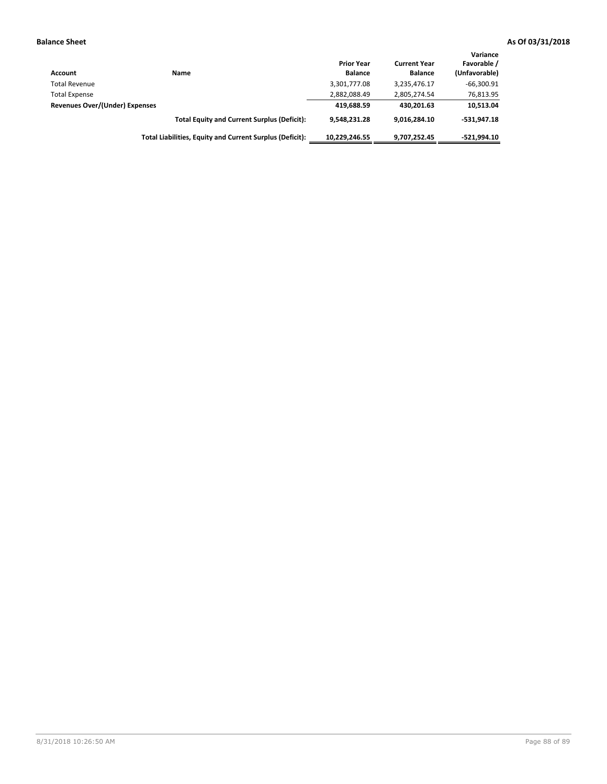| Account                        | Name                                                     | <b>Prior Year</b><br><b>Balance</b> | <b>Current Year</b><br><b>Balance</b> | Variance<br>Favorable /<br>(Unfavorable) |
|--------------------------------|----------------------------------------------------------|-------------------------------------|---------------------------------------|------------------------------------------|
| <b>Total Revenue</b>           |                                                          | 3,301,777.08                        | 3,235,476.17                          | $-66,300.91$                             |
| <b>Total Expense</b>           |                                                          | 2,882,088.49                        | 2,805,274.54                          | 76,813.95                                |
| Revenues Over/(Under) Expenses |                                                          | 419.688.59                          | 430.201.63                            | 10,513.04                                |
|                                | <b>Total Equity and Current Surplus (Deficit):</b>       | 9.548.231.28                        | 9.016.284.10                          | $-531.947.18$                            |
|                                | Total Liabilities, Equity and Current Surplus (Deficit): | 10.229.246.55                       | 9,707,252.45                          | $-521.994.10$                            |